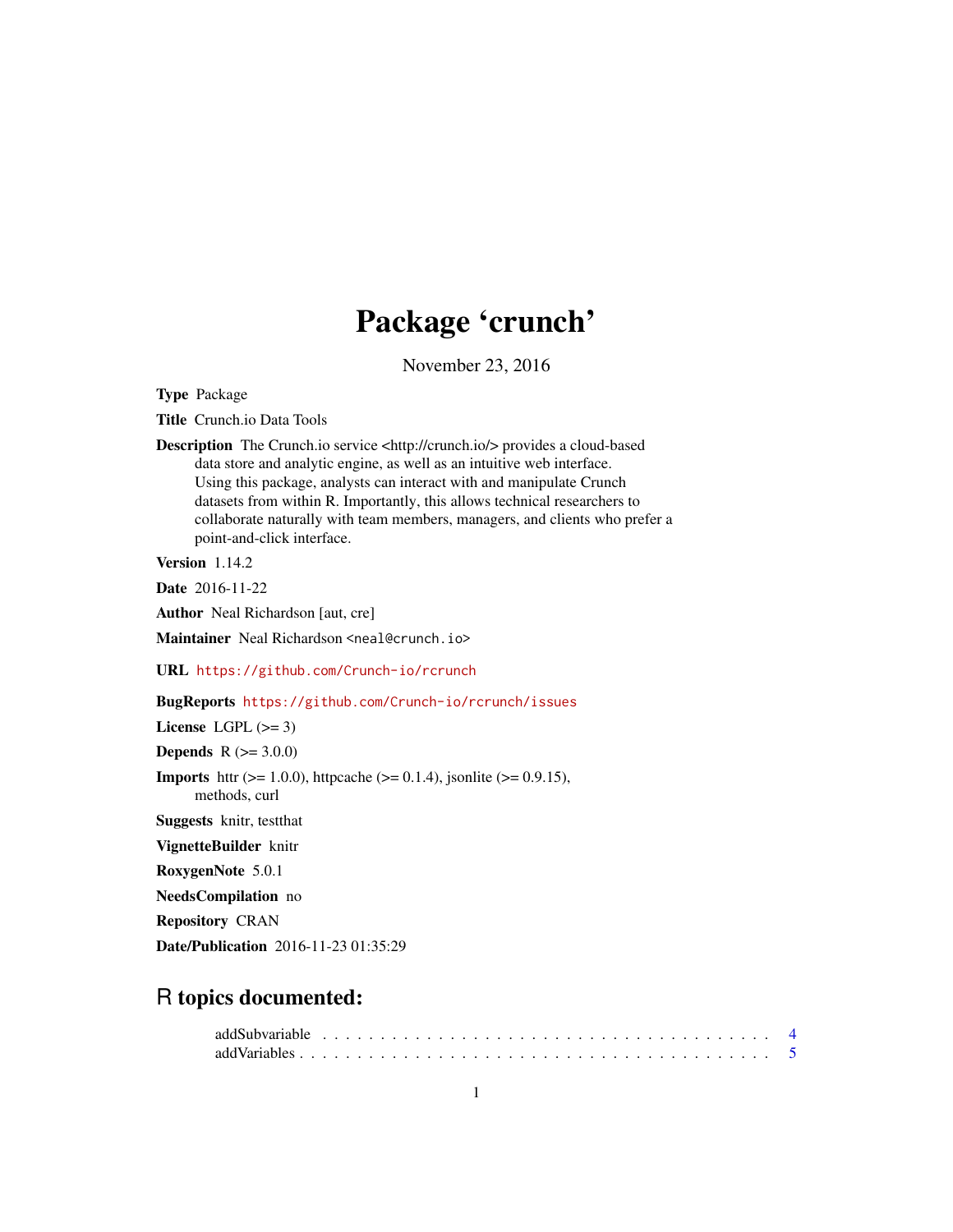# Package 'crunch'

November 23, 2016

<span id="page-0-0"></span>Type Package

Title Crunch.io Data Tools

Description The Crunch.io service <http://crunch.io/> provides a cloud-based data store and analytic engine, as well as an intuitive web interface. Using this package, analysts can interact with and manipulate Crunch datasets from within R. Importantly, this allows technical researchers to collaborate naturally with team members, managers, and clients who prefer a point-and-click interface.

Version 1.14.2

Date 2016-11-22

Author Neal Richardson [aut, cre]

Maintainer Neal Richardson <neal@crunch.io>

URL <https://github.com/Crunch-io/rcrunch>

# BugReports <https://github.com/Crunch-io/rcrunch/issues>

License LGPL  $(>= 3)$ 

**Depends**  $R (= 3.0.0)$ 

**Imports** httr ( $>= 1.0.0$ ), httpcache ( $>= 0.1.4$ ), jsonlite ( $>= 0.9.15$ ), methods, curl

Suggests knitr, testthat

VignetteBuilder knitr

RoxygenNote 5.0.1

NeedsCompilation no

Repository CRAN

Date/Publication 2016-11-23 01:35:29

# R topics documented: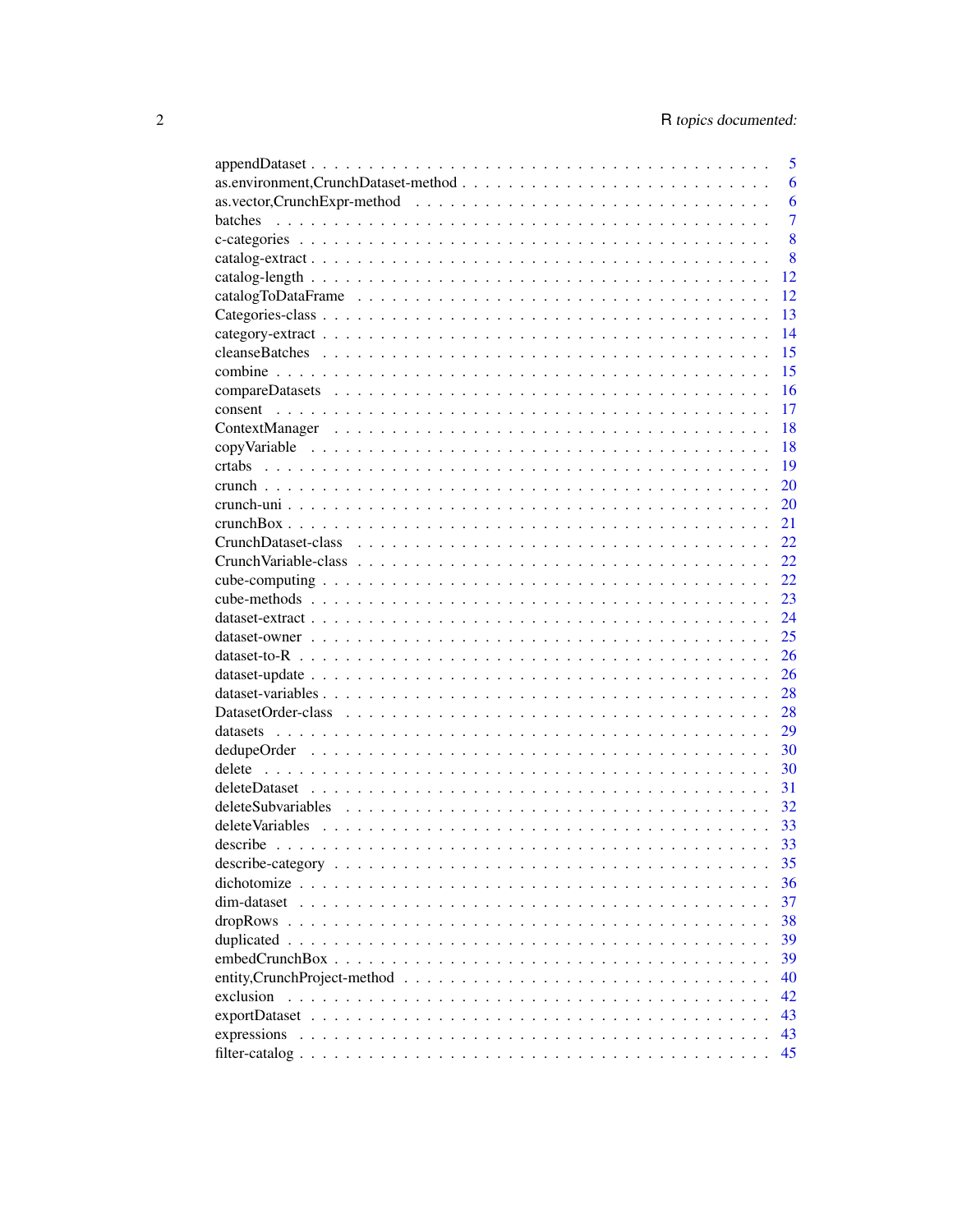|                                                                                                       | 5              |
|-------------------------------------------------------------------------------------------------------|----------------|
|                                                                                                       | 6              |
|                                                                                                       | 6              |
| batches                                                                                               | $\overline{7}$ |
|                                                                                                       | 8              |
|                                                                                                       | 8              |
|                                                                                                       | 12             |
|                                                                                                       | 12             |
|                                                                                                       | 13             |
|                                                                                                       | 14             |
|                                                                                                       | 15             |
|                                                                                                       | 15             |
|                                                                                                       | 16             |
|                                                                                                       | 17             |
|                                                                                                       | 18             |
|                                                                                                       | 18             |
|                                                                                                       | 19             |
|                                                                                                       | 20             |
|                                                                                                       | 20             |
|                                                                                                       | 21             |
|                                                                                                       | 22             |
|                                                                                                       | 22             |
|                                                                                                       | 22.            |
|                                                                                                       | 23             |
|                                                                                                       | 24             |
|                                                                                                       | 25             |
|                                                                                                       | 26             |
|                                                                                                       | 26             |
|                                                                                                       | 28             |
|                                                                                                       | 28             |
|                                                                                                       | 29             |
|                                                                                                       | 30             |
|                                                                                                       | 30             |
|                                                                                                       | 31             |
| deleteSubvariables                                                                                    | 32             |
|                                                                                                       | 33             |
|                                                                                                       | 33             |
|                                                                                                       | 35             |
| dichotomize                                                                                           | 36             |
| dim-dataset                                                                                           | 37             |
|                                                                                                       | 38             |
|                                                                                                       | 39             |
|                                                                                                       | 39             |
| entity, Crunch Project-method $\ldots \ldots \ldots \ldots \ldots \ldots \ldots \ldots \ldots \ldots$ | 40             |
| exclusion                                                                                             | 42             |
| exportDataset                                                                                         | 43             |
|                                                                                                       | 43             |
|                                                                                                       | 45             |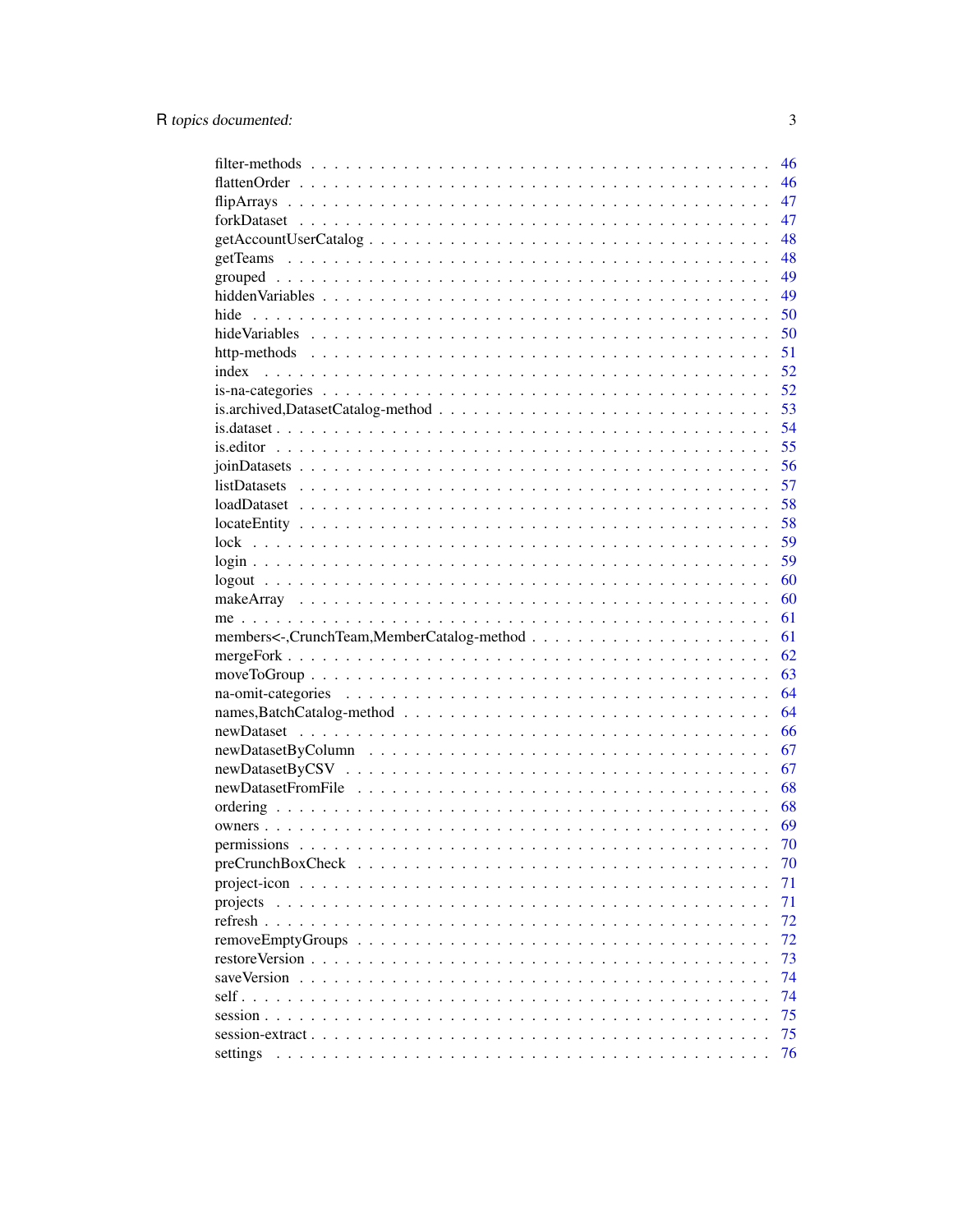|                                                                                                           | 46       |
|-----------------------------------------------------------------------------------------------------------|----------|
|                                                                                                           | 46       |
|                                                                                                           | 47       |
|                                                                                                           | 47       |
|                                                                                                           | 48       |
|                                                                                                           | 48       |
|                                                                                                           | 49       |
|                                                                                                           | 49       |
| hide                                                                                                      | 50       |
|                                                                                                           | 50       |
|                                                                                                           | 51       |
| index                                                                                                     | 52       |
|                                                                                                           | 52       |
|                                                                                                           | 53       |
|                                                                                                           | 54       |
|                                                                                                           | 55       |
|                                                                                                           | 56       |
| $listDatasets \ldots \ldots \ldots \ldots \ldots \ldots \ldots \ldots \ldots \ldots \ldots \ldots \ldots$ | 57       |
|                                                                                                           | 58       |
|                                                                                                           | 58       |
|                                                                                                           | 59       |
|                                                                                                           | 59       |
|                                                                                                           | 60       |
|                                                                                                           | 60       |
|                                                                                                           | 61       |
|                                                                                                           | 61       |
|                                                                                                           | 62       |
|                                                                                                           | 63       |
|                                                                                                           | 64       |
|                                                                                                           | 64       |
|                                                                                                           | 66       |
|                                                                                                           | 67       |
|                                                                                                           | 67       |
|                                                                                                           | 68       |
|                                                                                                           | 68       |
|                                                                                                           | 69       |
|                                                                                                           | 70       |
|                                                                                                           | 70       |
| $\sim$                                                                                                    | 71       |
| projects                                                                                                  | 71       |
|                                                                                                           | 72       |
|                                                                                                           | 72       |
|                                                                                                           | 73       |
| saveVersion                                                                                               | 74       |
|                                                                                                           |          |
|                                                                                                           |          |
| self. $\cdot$ .                                                                                           | 74       |
|                                                                                                           | 75       |
| settings                                                                                                  | 75<br>76 |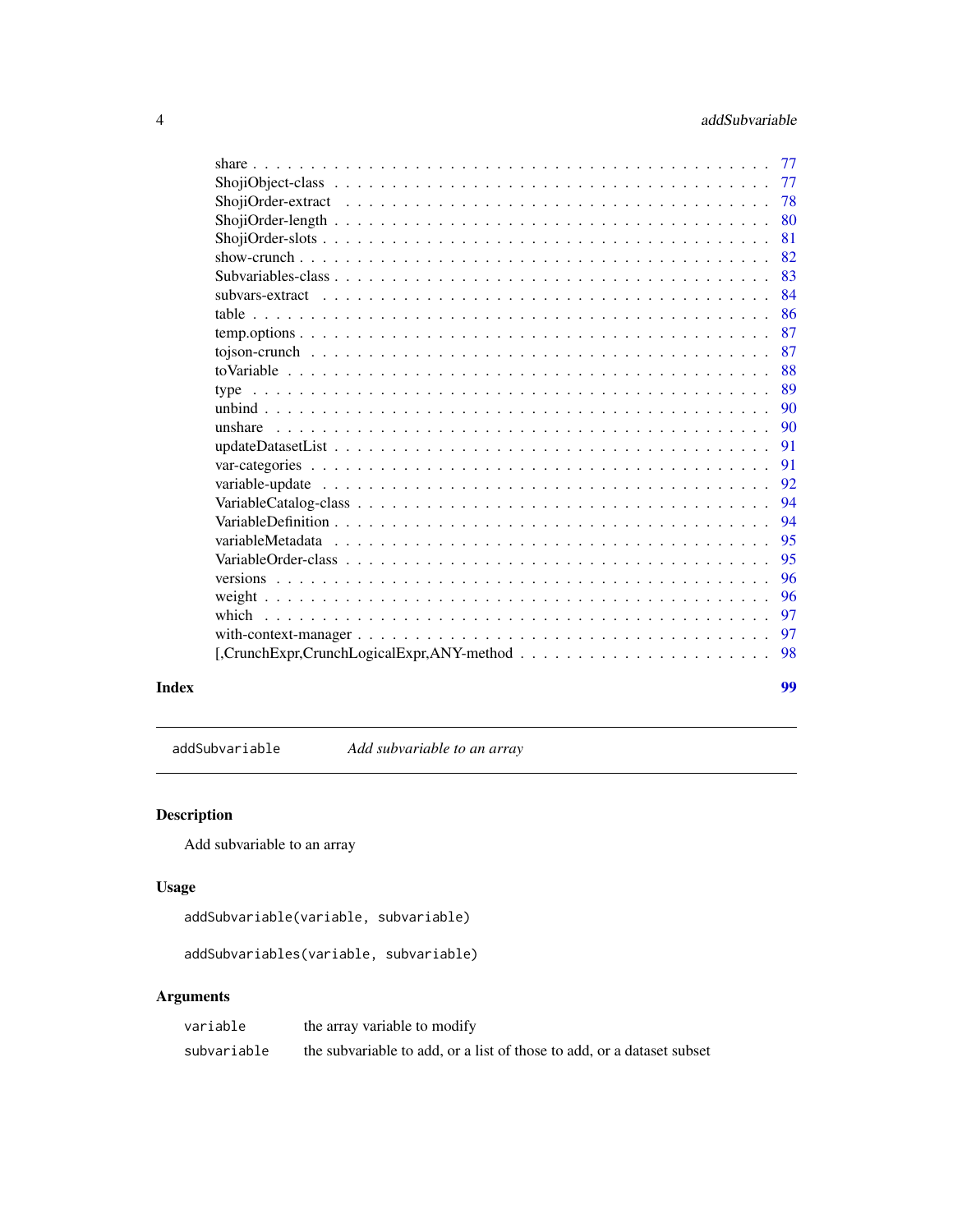<span id="page-3-0"></span>

| Index |                                                                                                                                                              | 99 |
|-------|--------------------------------------------------------------------------------------------------------------------------------------------------------------|----|
|       | $[$ , Crunch Expr, Crunch Logical Expr, ANY-method $\ldots \ldots \ldots \ldots \ldots \ldots \ldots \ldots$                                                 | 98 |
|       |                                                                                                                                                              | 97 |
|       |                                                                                                                                                              | 97 |
|       |                                                                                                                                                              | 96 |
|       |                                                                                                                                                              | 96 |
|       |                                                                                                                                                              | 95 |
|       |                                                                                                                                                              | 95 |
|       |                                                                                                                                                              | 94 |
|       |                                                                                                                                                              | 94 |
|       |                                                                                                                                                              | 92 |
|       |                                                                                                                                                              | 91 |
|       |                                                                                                                                                              | 91 |
|       |                                                                                                                                                              | 90 |
|       |                                                                                                                                                              | 90 |
|       |                                                                                                                                                              | 89 |
|       |                                                                                                                                                              | 88 |
|       |                                                                                                                                                              | 87 |
|       |                                                                                                                                                              | 87 |
|       |                                                                                                                                                              | 86 |
|       | subvars-extract $\ldots$ , $\ldots$ , $\ldots$ , $\ldots$ , $\ldots$ , $\ldots$ , $\ldots$ , $\ldots$ , $\ldots$ , $\ldots$ , $\ldots$ , $\ldots$ , $\ldots$ | 84 |
|       |                                                                                                                                                              | 83 |
|       |                                                                                                                                                              | 82 |
|       |                                                                                                                                                              | 81 |
|       |                                                                                                                                                              | 80 |
|       |                                                                                                                                                              | 78 |
|       |                                                                                                                                                              | 77 |
|       |                                                                                                                                                              | 77 |

addSubvariable *Add subvariable to an array*

# Description

Add subvariable to an array

# Usage

```
addSubvariable(variable, subvariable)
```

```
addSubvariables(variable, subvariable)
```
# Arguments

| variable    | the array variable to modify                                           |
|-------------|------------------------------------------------------------------------|
| subvariable | the subvariable to add, or a list of those to add, or a dataset subset |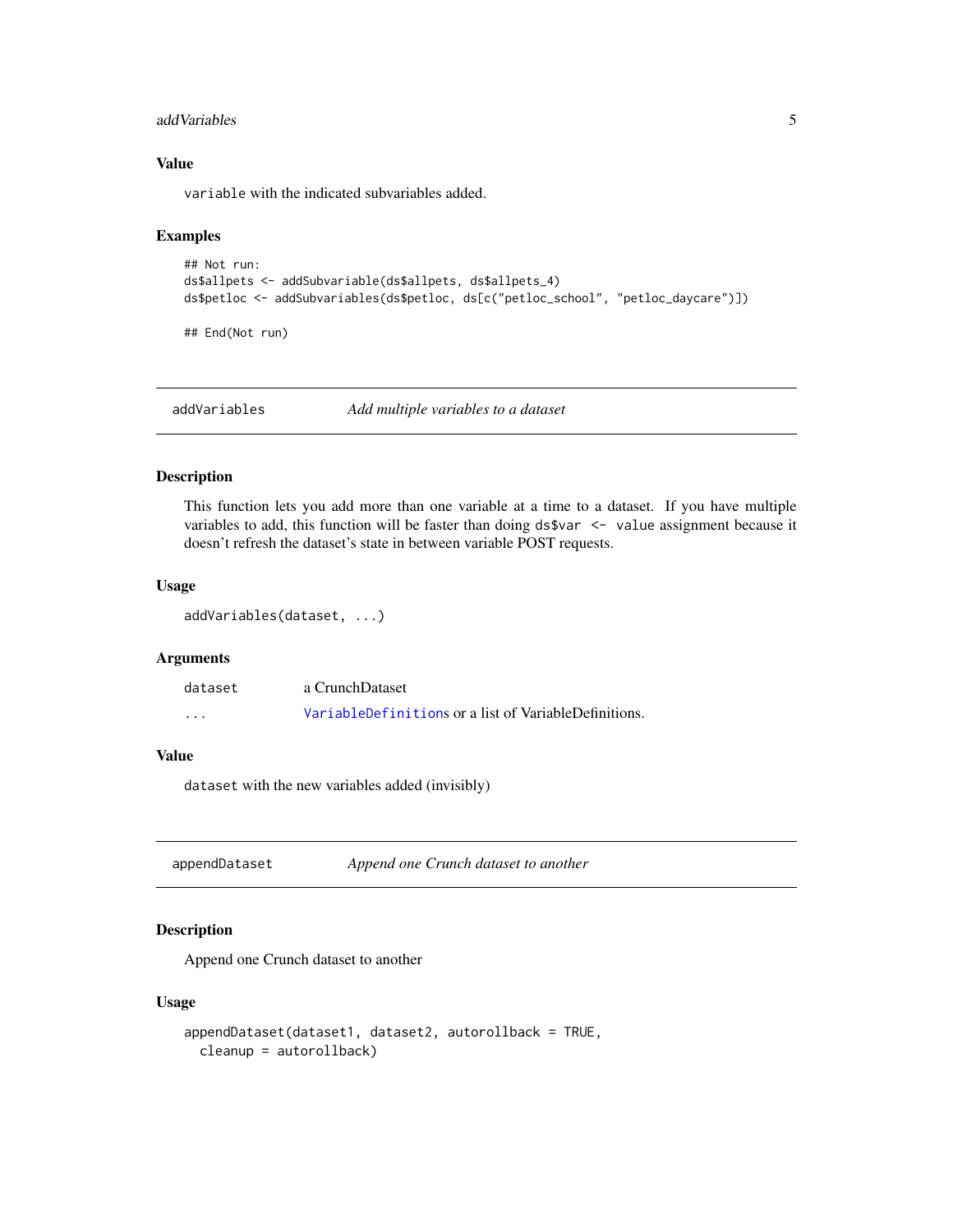#### <span id="page-4-0"></span>addVariables 5

# Value

variable with the indicated subvariables added.

# Examples

```
## Not run:
ds$allpets <- addSubvariable(ds$allpets, ds$allpets_4)
ds$petloc <- addSubvariables(ds$petloc, ds[c("petloc_school", "petloc_daycare")])
```
## End(Not run)

addVariables *Add multiple variables to a dataset*

#### Description

This function lets you add more than one variable at a time to a dataset. If you have multiple variables to add, this function will be faster than doing ds\$var <- value assignment because it doesn't refresh the dataset's state in between variable POST requests.

#### Usage

addVariables(dataset, ...)

# Arguments

| dataset           | a CrunchDataset                                       |
|-------------------|-------------------------------------------------------|
| $\cdot\cdot\cdot$ | VariableDefinitions or a list of VariableDefinitions. |

#### Value

dataset with the new variables added (invisibly)

appendDataset *Append one Crunch dataset to another*

# Description

Append one Crunch dataset to another

```
appendDataset(dataset1, dataset2, autorollback = TRUE,
 cleanup = autorollback)
```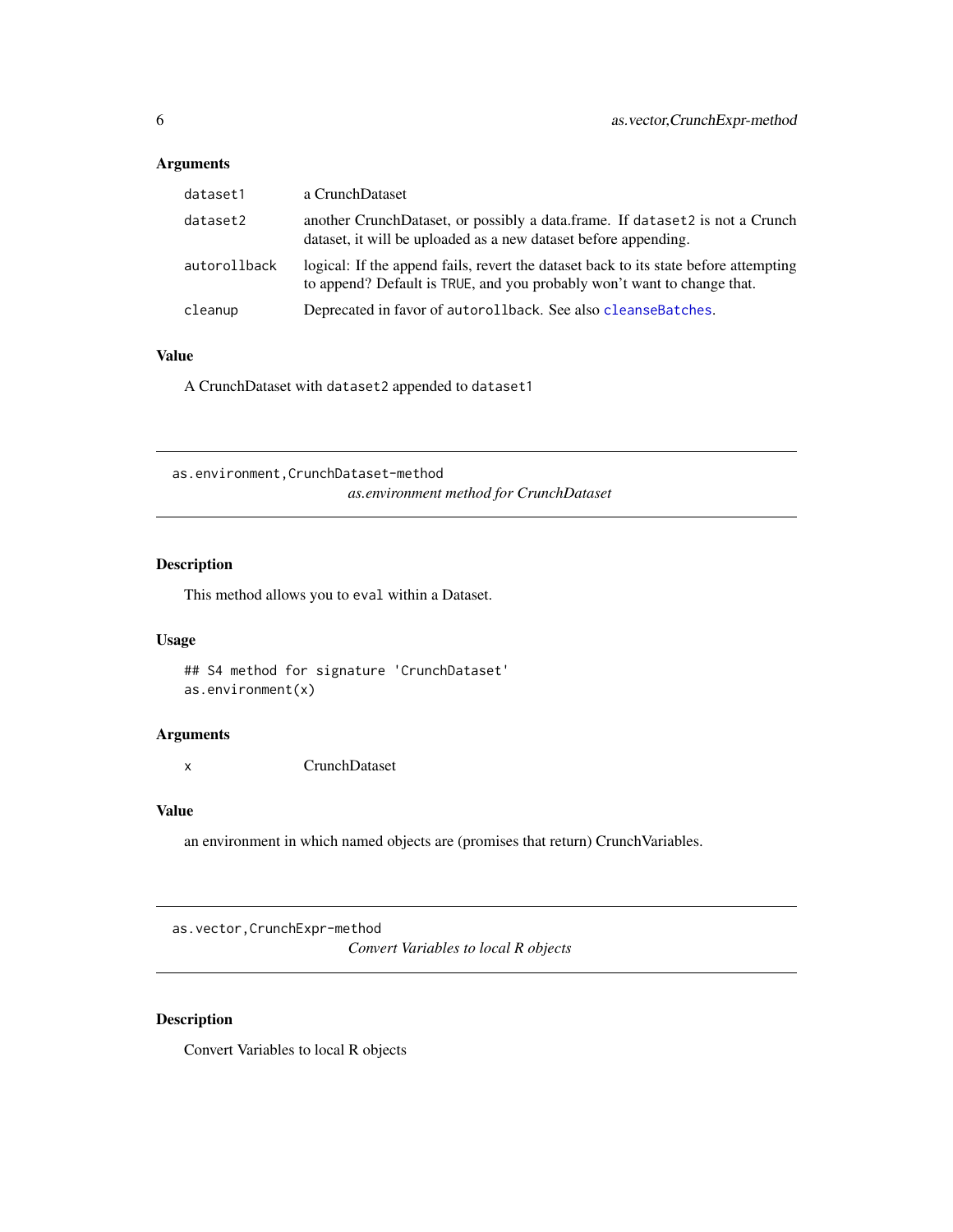# <span id="page-5-0"></span>Arguments

| dataset1     | a CrunchDataset                                                                                                                                                 |
|--------------|-----------------------------------------------------------------------------------------------------------------------------------------------------------------|
| dataset2     | another CrunchDataset, or possibly a data.frame. If dataset2 is not a Crunch<br>dataset, it will be uploaded as a new dataset before appending.                 |
| autorollback | logical: If the append fails, revert the dataset back to its state before attempting<br>to append? Default is TRUE, and you probably won't want to change that. |
| cleanup      | Deprecated in favor of autorollback. See also cleanse Batches.                                                                                                  |

# Value

A CrunchDataset with dataset2 appended to dataset1

as.environment,CrunchDataset-method *as.environment method for CrunchDataset*

# Description

This method allows you to eval within a Dataset.

# Usage

## S4 method for signature 'CrunchDataset' as.environment(x)

# Arguments

x CrunchDataset

# Value

an environment in which named objects are (promises that return) CrunchVariables.

as.vector,CrunchExpr-method

*Convert Variables to local R objects*

# Description

Convert Variables to local R objects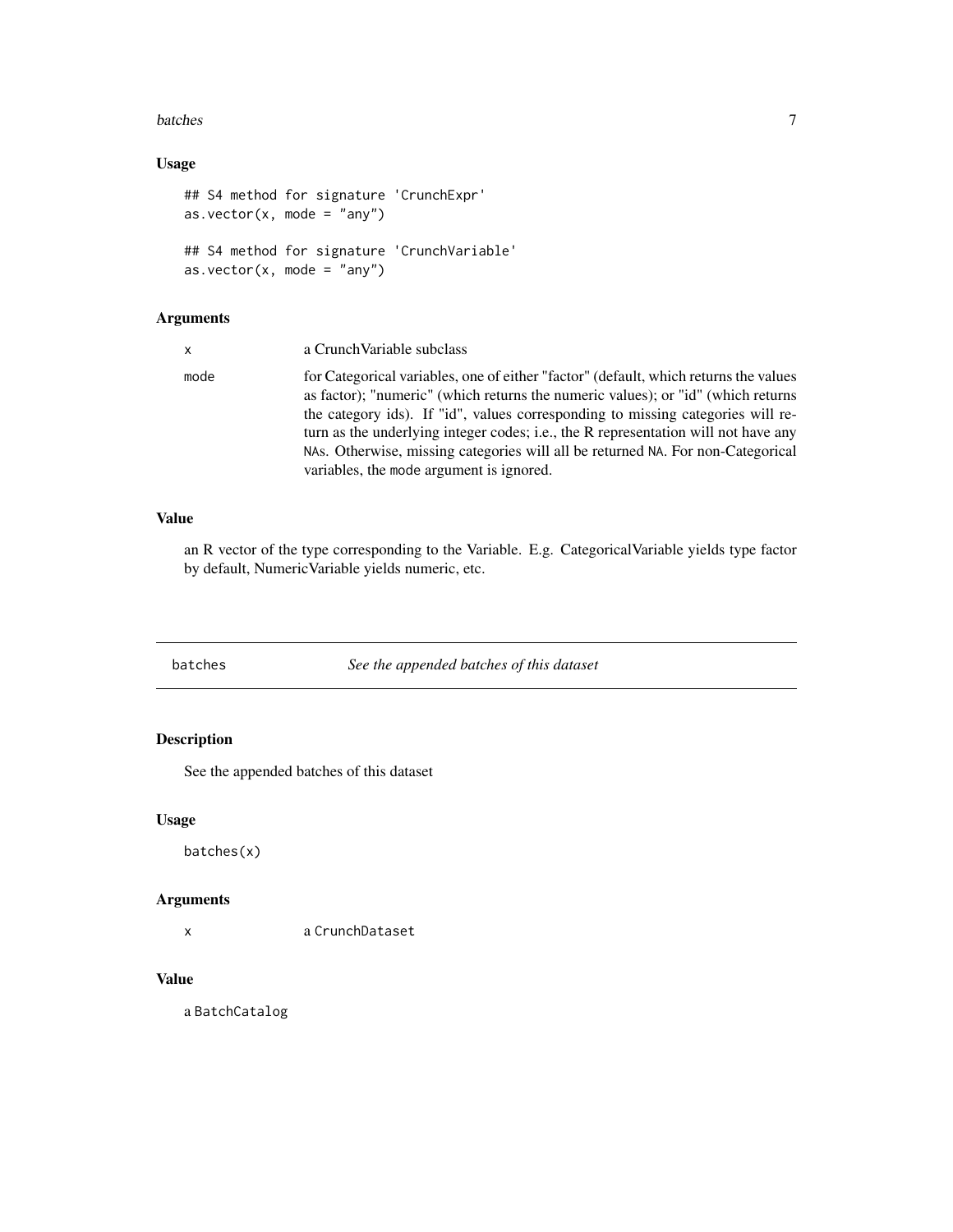#### <span id="page-6-0"></span>batches 7

# Usage

```
## S4 method for signature 'CrunchExpr'
as.vector(x, \text{ mode} = "any")## S4 method for signature 'CrunchVariable'
as.vector(x, mode = "any")
```
# Arguments

| $\mathsf{x}$ | a Crunch Variable subclass                                                                                                                                                                                                                                                                                                                                                                                                                                                       |
|--------------|----------------------------------------------------------------------------------------------------------------------------------------------------------------------------------------------------------------------------------------------------------------------------------------------------------------------------------------------------------------------------------------------------------------------------------------------------------------------------------|
| mode         | for Categorical variables, one of either "factor" (default, which returns the values<br>as factor); "numeric" (which returns the numeric values); or "id" (which returns<br>the category ids). If "id", values corresponding to missing categories will re-<br>turn as the underlying integer codes; i.e., the R representation will not have any<br>NAs. Otherwise, missing categories will all be returned NA. For non-Categorical<br>variables, the mode argument is ignored. |

# Value

an R vector of the type corresponding to the Variable. E.g. CategoricalVariable yields type factor by default, NumericVariable yields numeric, etc.

batches *See the appended batches of this dataset*

# Description

See the appended batches of this dataset

# Usage

batches(x)

# Arguments

x a CrunchDataset

# Value

a BatchCatalog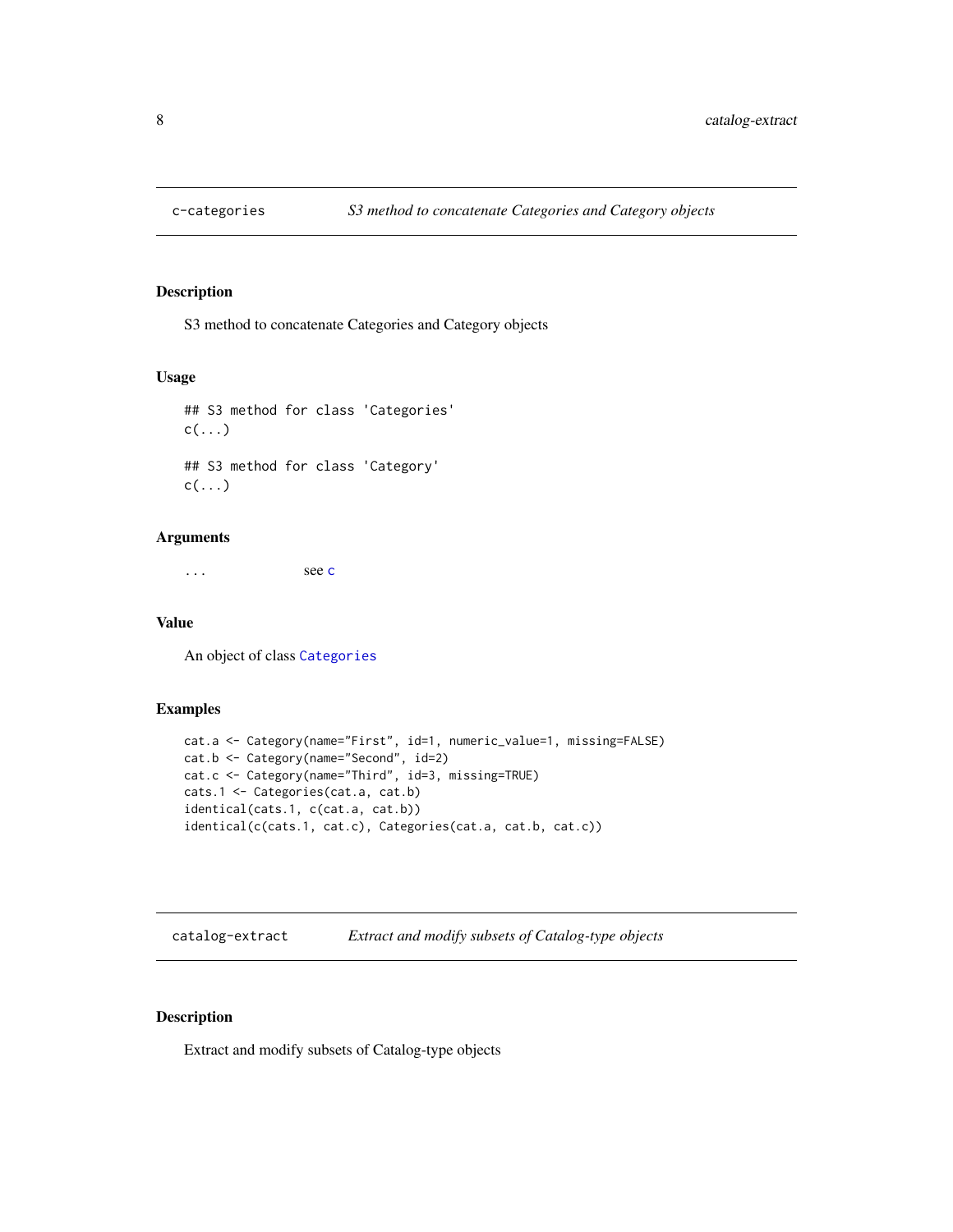<span id="page-7-0"></span>

# Description

S3 method to concatenate Categories and Category objects

# Usage

```
## S3 method for class 'Categories'
c(\ldots)## S3 method for class 'Category'
c(\ldots)
```
# Arguments

... see [c](#page-0-0)

# Value

An object of class [Categories](#page-12-1)

# Examples

```
cat.a <- Category(name="First", id=1, numeric_value=1, missing=FALSE)
cat.b <- Category(name="Second", id=2)
cat.c <- Category(name="Third", id=3, missing=TRUE)
cats.1 <- Categories(cat.a, cat.b)
identical(cats.1, c(cat.a, cat.b))
identical(c(cats.1, cat.c), Categories(cat.a, cat.b, cat.c))
```
catalog-extract *Extract and modify subsets of Catalog-type objects*

# Description

Extract and modify subsets of Catalog-type objects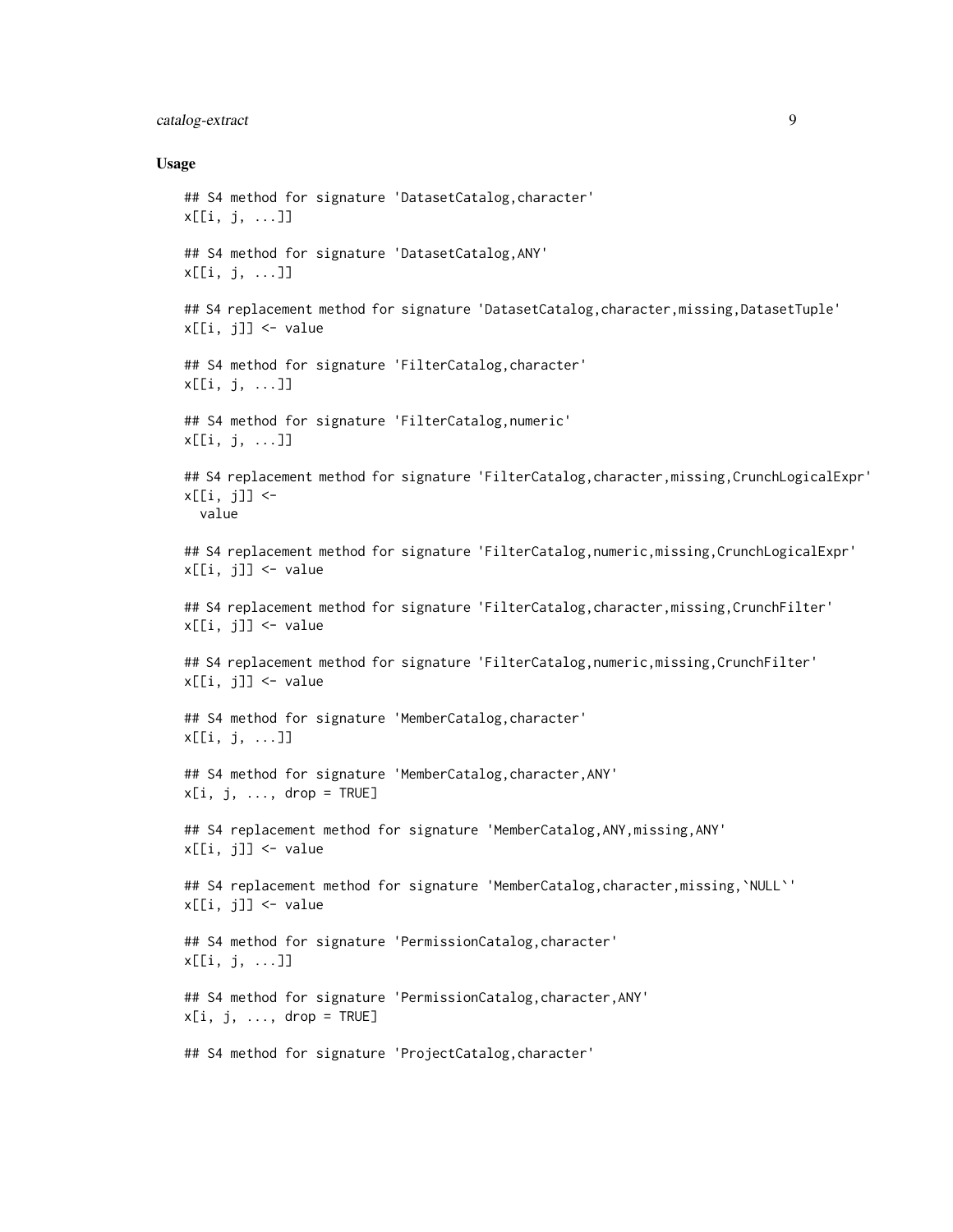# catalog-extract 9

```
## S4 method for signature 'DatasetCatalog,character'
x[[i, j, ...]]
## S4 method for signature 'DatasetCatalog,ANY'
x[[i, j, ...]]
## S4 replacement method for signature 'DatasetCatalog, character, missing, DatasetTuple'
x[[i, j]] <- value
## S4 method for signature 'FilterCatalog,character'
x[[i, j, ...]]
## S4 method for signature 'FilterCatalog,numeric'
x[[i, j, ...]]
## S4 replacement method for signature 'FilterCatalog,character,missing,CrunchLogicalExpr'
x[[i, j]] <-
  value
## S4 replacement method for signature 'FilterCatalog,numeric,missing,CrunchLogicalExpr'
x[[i, j]] <- value
## S4 replacement method for signature 'FilterCatalog,character,missing,CrunchFilter'
x[[i, j]] <- value
## S4 replacement method for signature 'FilterCatalog,numeric,missing,CrunchFilter'
x[[i, j]] <- value
## S4 method for signature 'MemberCatalog, character'
x[[i, j, ...]]
## S4 method for signature 'MemberCatalog,character,ANY'
x[i, j, \ldots, drop = TRUE]## S4 replacement method for signature 'MemberCatalog, ANY, missing, ANY'
x[[i, j]] <- value
## S4 replacement method for signature 'MemberCatalog,character,missing,`NULL`'
x[[i, j]] <- value
## S4 method for signature 'PermissionCatalog,character'
x[[i, j, ...]]
## S4 method for signature 'PermissionCatalog,character,ANY'
x[i, j, ..., drop = TRUE]## S4 method for signature 'ProjectCatalog, character'
```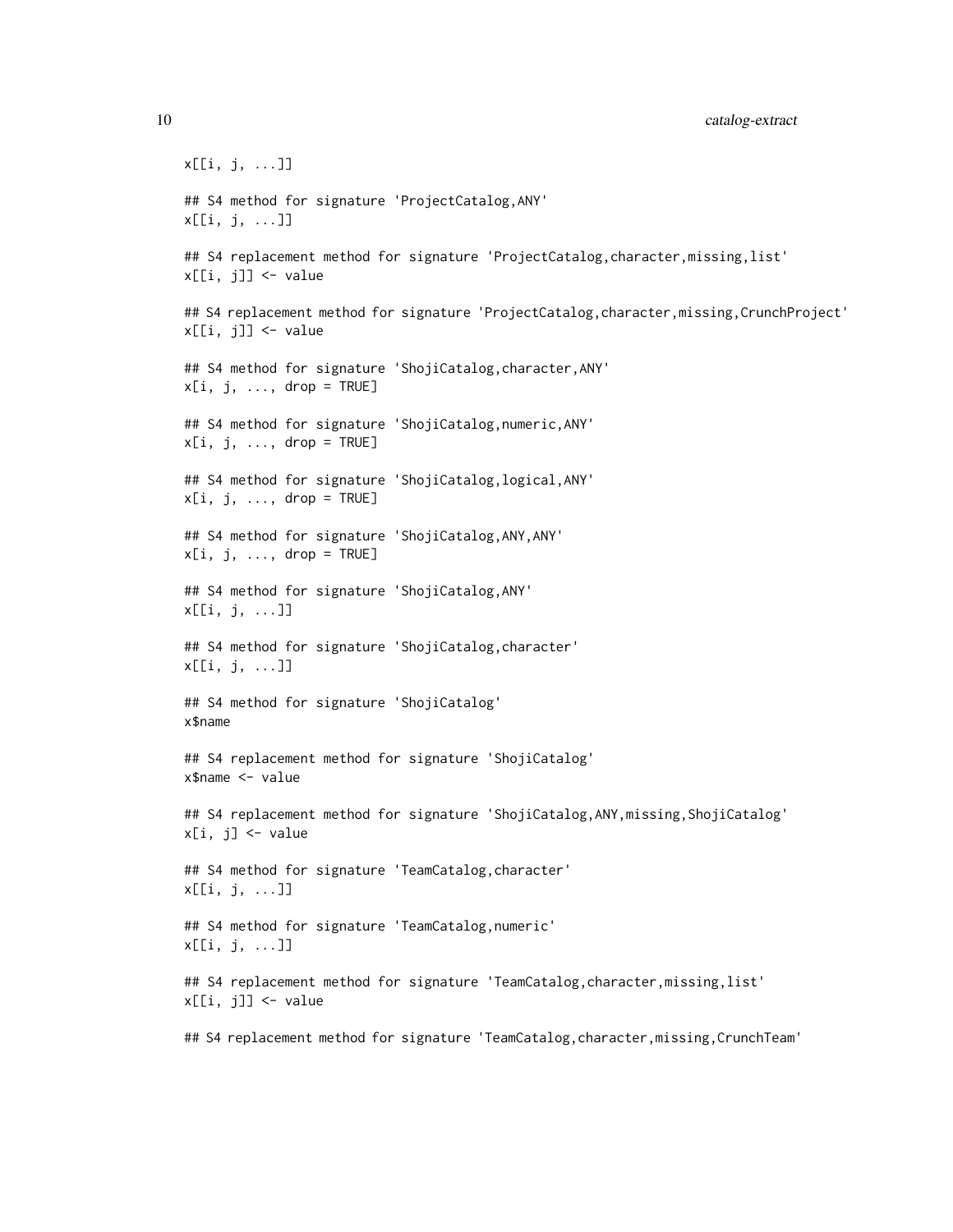x[[i, j, ...]] ## S4 method for signature 'ProjectCatalog,ANY' x[[i, j, ...]] ## S4 replacement method for signature 'ProjectCatalog, character, missing, list' x[[i, j]] <- value ## S4 replacement method for signature 'ProjectCatalog, character, missing, CrunchProject' x[[i, j]] <- value ## S4 method for signature 'ShojiCatalog,character,ANY'  $x[i, j, ..., drop = TRUE]$ ## S4 method for signature 'ShojiCatalog,numeric,ANY'  $x[i, j, ..., drop = TRUE]$ ## S4 method for signature 'ShojiCatalog,logical,ANY'  $x[i, j, \ldots, drop = TRUE]$ ## S4 method for signature 'ShojiCatalog,ANY,ANY'  $x[i, j, ..., drop = TRUE]$ ## S4 method for signature 'ShojiCatalog,ANY' x[[i, j, ...]] ## S4 method for signature 'ShojiCatalog,character' x[[i, j, ...]] ## S4 method for signature 'ShojiCatalog' x\$name ## S4 replacement method for signature 'ShojiCatalog' x\$name <- value ## S4 replacement method for signature 'ShojiCatalog, ANY, missing, ShojiCatalog'  $x[i, i]$  <- value ## S4 method for signature 'TeamCatalog,character' x[[i, j, ...]] ## S4 method for signature 'TeamCatalog,numeric' x[[i, j, ...]] ## S4 replacement method for signature 'TeamCatalog, character, missing, list' x[[i, j]] <- value

## S4 replacement method for signature 'TeamCatalog,character,missing,CrunchTeam'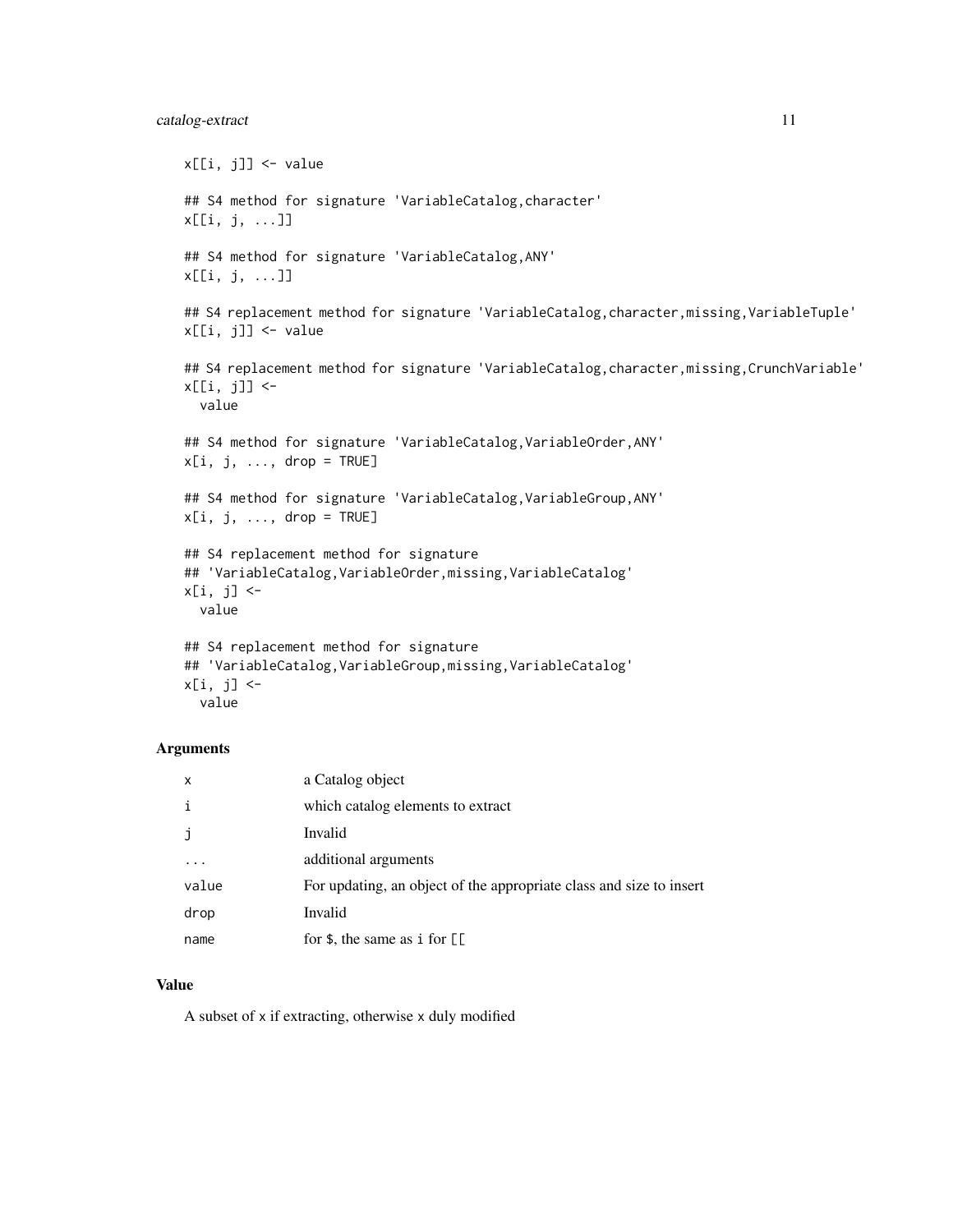# catalog-extract 11

```
x[[i, j]] <- value
## S4 method for signature 'VariableCatalog, character'
x[[i, j, ...]]
## S4 method for signature 'VariableCatalog,ANY'
x[[i, j, ...]]
## S4 replacement method for signature 'VariableCatalog,character,missing,VariableTuple'
x[[i, j]] <- value
## S4 replacement method for signature 'VariableCatalog, character, missing, CrunchVariable'
x[[i, j]] <-
 value
## S4 method for signature 'VariableCatalog,VariableOrder,ANY'
x[i, j, ..., drop = TRUE]## S4 method for signature 'VariableCatalog, VariableGroup, ANY'
x[i, j, ..., drop = TRUE]## S4 replacement method for signature
## 'VariableCatalog,VariableOrder,missing,VariableCatalog'
x[i, j] <-
 value
## S4 replacement method for signature
## 'VariableCatalog,VariableGroup,missing,VariableCatalog'
x[i, j] <-
```

```
value
```
#### Arguments

| $\mathsf{x}$ | a Catalog object                                                                                                                                                                                                                                                                                                                                                                                            |
|--------------|-------------------------------------------------------------------------------------------------------------------------------------------------------------------------------------------------------------------------------------------------------------------------------------------------------------------------------------------------------------------------------------------------------------|
| i            | which catalog elements to extract                                                                                                                                                                                                                                                                                                                                                                           |
| j            | Invalid                                                                                                                                                                                                                                                                                                                                                                                                     |
|              | additional arguments                                                                                                                                                                                                                                                                                                                                                                                        |
| value        | For updating, an object of the appropriate class and size to insert                                                                                                                                                                                                                                                                                                                                         |
| drop         | Invalid                                                                                                                                                                                                                                                                                                                                                                                                     |
| name         | for $\frac{1}{2}$ , the same as i for $\left[ \begin{array}{c} \frac{1}{2} \\ \frac{1}{2} \\ \frac{1}{2} \\ \frac{1}{2} \\ \frac{1}{2} \\ \frac{1}{2} \\ \frac{1}{2} \\ \frac{1}{2} \\ \frac{1}{2} \\ \frac{1}{2} \\ \frac{1}{2} \\ \frac{1}{2} \\ \frac{1}{2} \\ \frac{1}{2} \\ \frac{1}{2} \\ \frac{1}{2} \\ \frac{1}{2} \\ \frac{1}{2} \\ \frac{1}{2} \\ \frac{1}{2} \\ \frac{1}{2} \\ \frac{1}{2} \\ \$ |

#### Value

A subset of x if extracting, otherwise x duly modified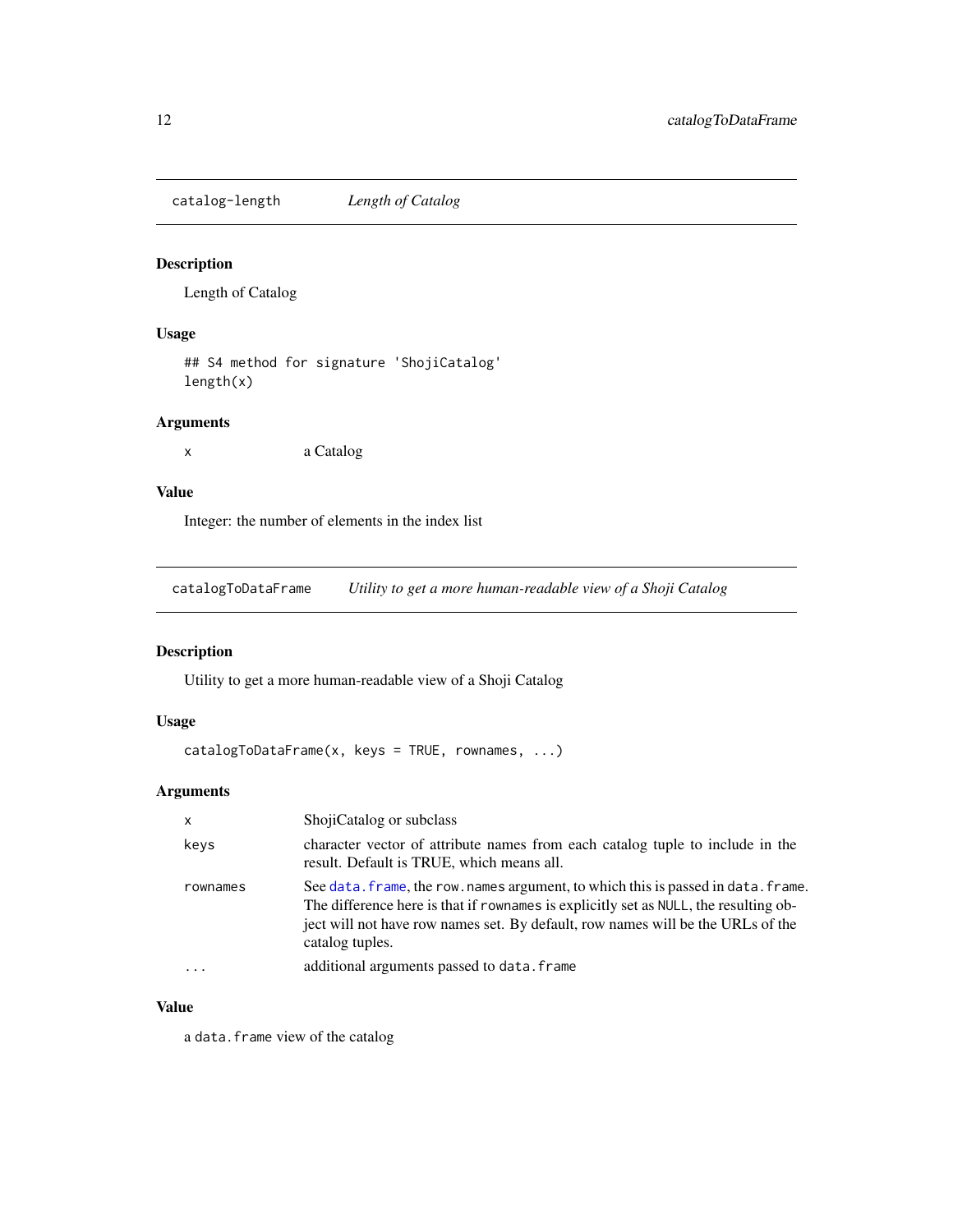<span id="page-11-0"></span>catalog-length *Length of Catalog*

# Description

Length of Catalog

# Usage

## S4 method for signature 'ShojiCatalog' length(x)

# Arguments

x a Catalog

# Value

Integer: the number of elements in the index list

catalogToDataFrame *Utility to get a more human-readable view of a Shoji Catalog*

# Description

Utility to get a more human-readable view of a Shoji Catalog

#### Usage

```
catalogToDataFrame(x, keys = TRUE, rownames, ...)
```
# Arguments

| $\mathsf{x}$ | ShojiCatalog or subclass                                                                                                                                                                                                                                                        |
|--------------|---------------------------------------------------------------------------------------------------------------------------------------------------------------------------------------------------------------------------------------------------------------------------------|
| keys         | character vector of attribute names from each catalog tuple to include in the<br>result. Default is TRUE, which means all.                                                                                                                                                      |
| rownames     | See data, frame, the row, names argument, to which this is passed in data, frame.<br>The difference here is that if rownames is explicitly set as NULL, the resulting ob-<br>ject will not have row names set. By default, row names will be the URLs of the<br>catalog tuples. |
| $\ddotsc$    | additional arguments passed to data. frame                                                                                                                                                                                                                                      |

# Value

a data.frame view of the catalog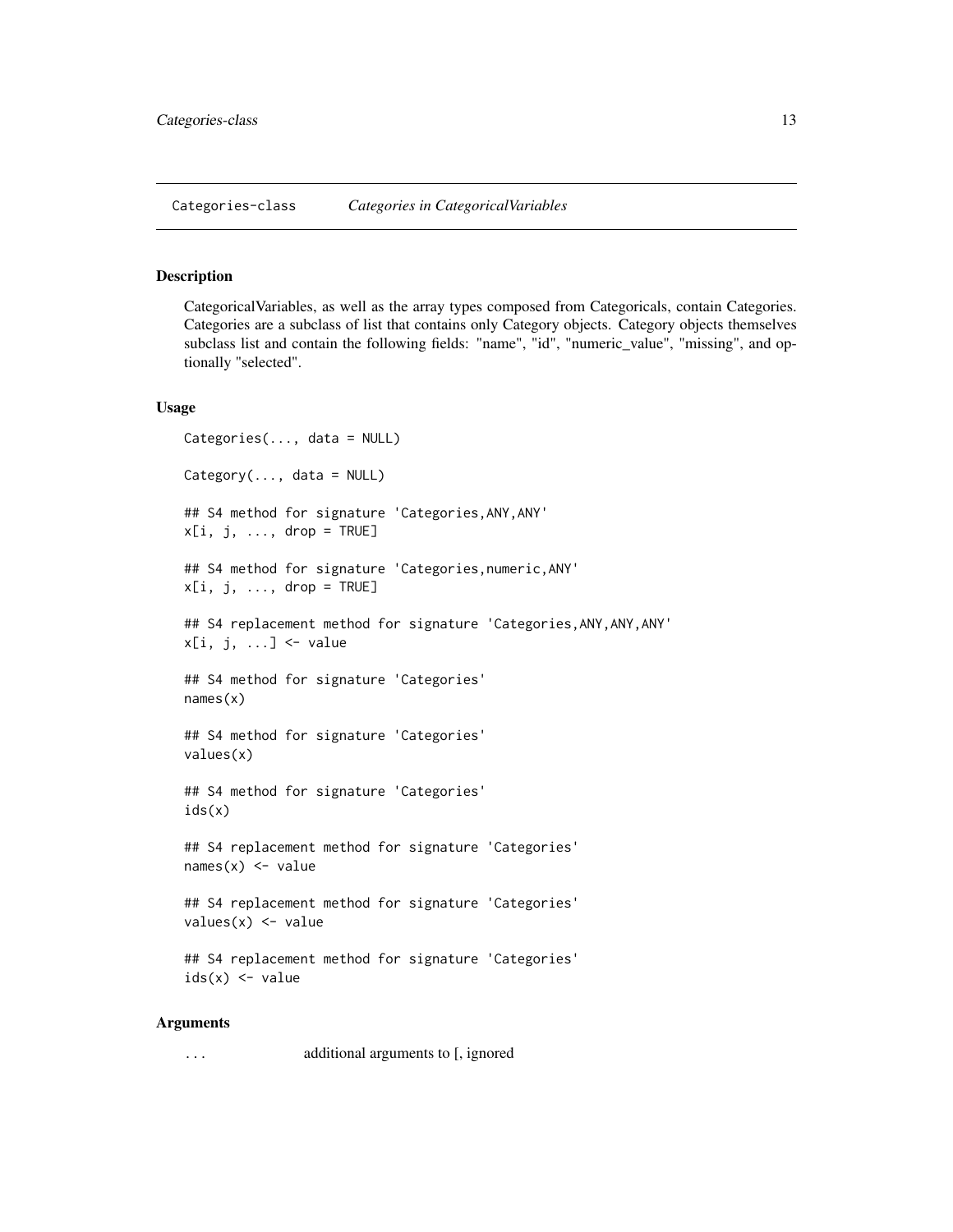# <span id="page-12-1"></span><span id="page-12-0"></span>**Description**

CategoricalVariables, as well as the array types composed from Categoricals, contain Categories. Categories are a subclass of list that contains only Category objects. Category objects themselves subclass list and contain the following fields: "name", "id", "numeric\_value", "missing", and optionally "selected".

#### Usage

```
Categories(..., data = NULL)
Category(..., data = NULL)
## S4 method for signature 'Categories,ANY,ANY'
x[i, j, ..., drop = TRUE]## S4 method for signature 'Categories,numeric,ANY'
x[i, j, ..., drop = TRUE]## S4 replacement method for signature 'Categories, ANY, ANY, ANY'
x[i, j, ...] <- value
## S4 method for signature 'Categories'
names(x)
## S4 method for signature 'Categories'
values(x)
## S4 method for signature 'Categories'
ids(x)
## S4 replacement method for signature 'Categories'
names(x) <- value
## S4 replacement method for signature 'Categories'
values(x) < -value## S4 replacement method for signature 'Categories'
ids(x) \leq value
```
# Arguments

... additional arguments to [, ignored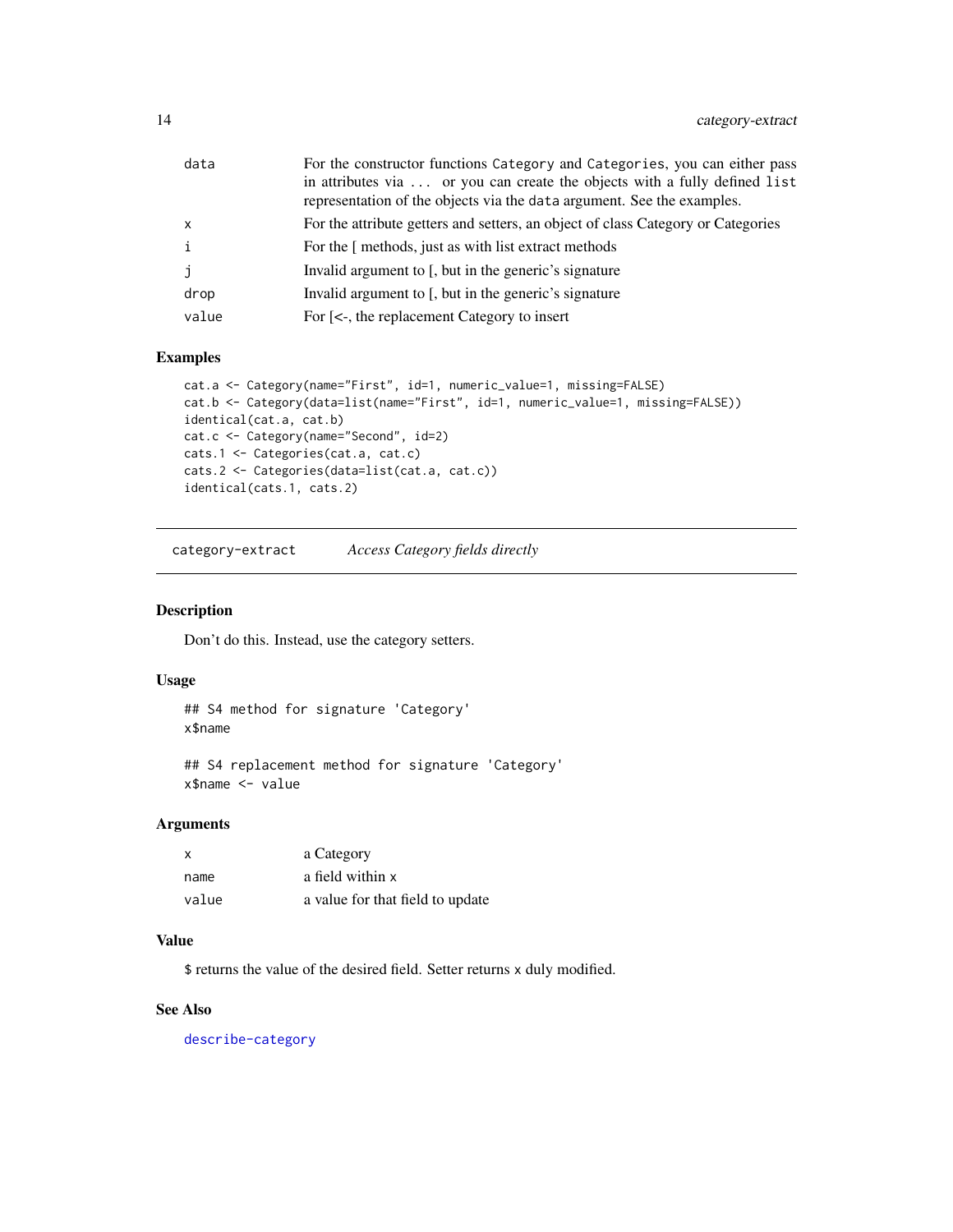<span id="page-13-0"></span>

| data  | For the constructor functions Category and Categories, you can either pass<br>in attributes via  or you can create the objects with a fully defined list<br>representation of the objects via the data argument. See the examples. |
|-------|------------------------------------------------------------------------------------------------------------------------------------------------------------------------------------------------------------------------------------|
| x     | For the attribute getters and setters, an object of class Category or Categories                                                                                                                                                   |
| i     | For the [ methods, just as with list extract methods                                                                                                                                                                               |
| j     | Invalid argument to [, but in the generic's signature                                                                                                                                                                              |
| drop  | Invalid argument to [, but in the generic's signature                                                                                                                                                                              |
| value | For [<-, the replacement Category to insert                                                                                                                                                                                        |

# Examples

```
cat.a <- Category(name="First", id=1, numeric_value=1, missing=FALSE)
cat.b <- Category(data=list(name="First", id=1, numeric_value=1, missing=FALSE))
identical(cat.a, cat.b)
cat.c <- Category(name="Second", id=2)
cats.1 <- Categories(cat.a, cat.c)
cats.2 <- Categories(data=list(cat.a, cat.c))
identical(cats.1, cats.2)
```
category-extract *Access Category fields directly*

#### Description

Don't do this. Instead, use the category setters.

#### Usage

```
## S4 method for signature 'Category'
x$name
```

```
## S4 replacement method for signature 'Category'
x$name <- value
```
#### Arguments

| X     | a Category                       |
|-------|----------------------------------|
| name  | a field within x                 |
| value | a value for that field to update |

### Value

\$ returns the value of the desired field. Setter returns x duly modified.

# See Also

[describe-category](#page-34-1)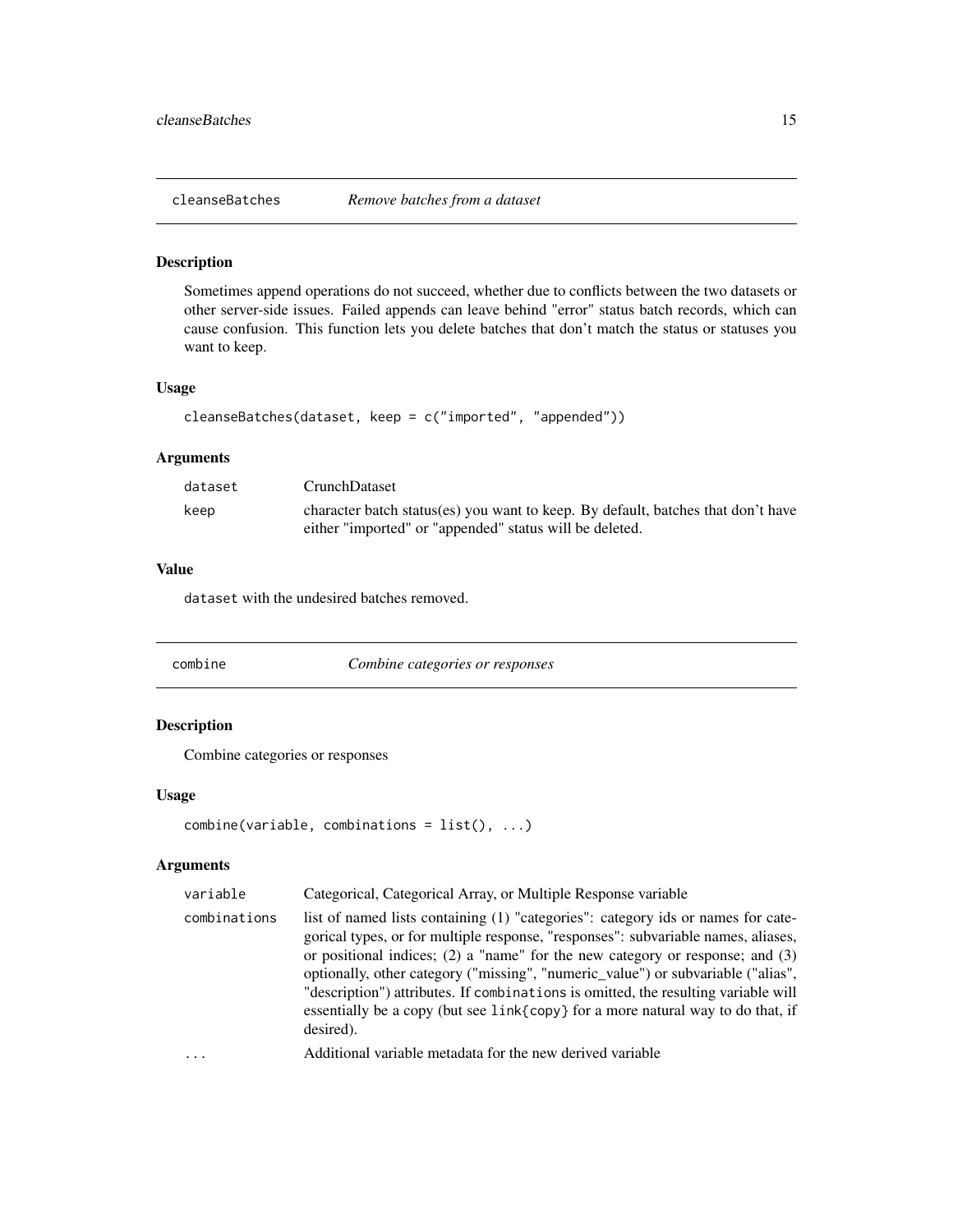<span id="page-14-1"></span><span id="page-14-0"></span>

#### Description

Sometimes append operations do not succeed, whether due to conflicts between the two datasets or other server-side issues. Failed appends can leave behind "error" status batch records, which can cause confusion. This function lets you delete batches that don't match the status or statuses you want to keep.

#### Usage

```
cleanseBatches(dataset, keep = c("imported", "appended"))
```
#### Arguments

| dataset | <b>CrunchDataset</b>                                                             |
|---------|----------------------------------------------------------------------------------|
| keep    | character batch status(es) you want to keep. By default, batches that don't have |
|         | either "imported" or "appended" status will be deleted.                          |

# Value

dataset with the undesired batches removed.

combine *Combine categories or responses*

# Description

Combine categories or responses

# Usage

```
combine(variable, combinations = list(), ...)
```
# Arguments

| variable     | Categorical, Categorical Array, or Multiple Response variable                                                                                                                                                                                                                                                                                                                                                                                                                                                                                   |
|--------------|-------------------------------------------------------------------------------------------------------------------------------------------------------------------------------------------------------------------------------------------------------------------------------------------------------------------------------------------------------------------------------------------------------------------------------------------------------------------------------------------------------------------------------------------------|
| combinations | list of named lists containing (1) "categories": category ids or names for cate-<br>gorical types, or for multiple response, "responses": subvariable names, aliases,<br>or positional indices; $(2)$ a "name" for the new category or response; and $(3)$<br>optionally, other category ("missing", "numeric_value") or subvariable ("alias",<br>"description") attributes. If combinations is omitted, the resulting variable will<br>essentially be a copy (but see $link\{\text{copy}\}$ for a more natural way to do that, if<br>desired). |
| $\cdot$      | Additional variable metadata for the new derived variable                                                                                                                                                                                                                                                                                                                                                                                                                                                                                       |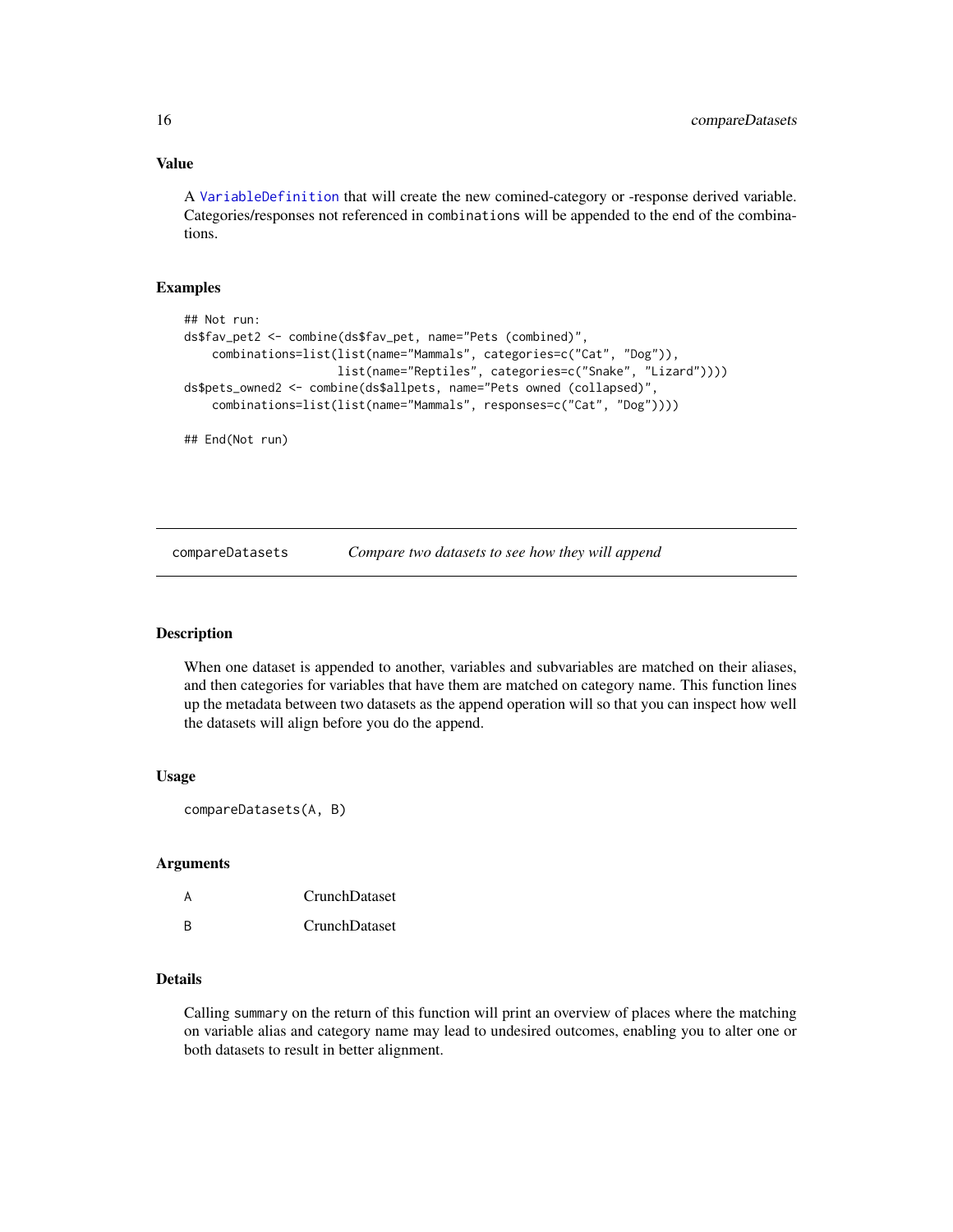# Value

A [VariableDefinition](#page-93-1) that will create the new comined-category or -response derived variable. Categories/responses not referenced in combinations will be appended to the end of the combinations.

#### Examples

```
## Not run:
ds$fav_pet2 <- combine(ds$fav_pet, name="Pets (combined)",
    combinations=list(list(name="Mammals", categories=c("Cat", "Dog")),
                      list(name="Reptiles", categories=c("Snake", "Lizard"))))
ds$pets_owned2 <- combine(ds$allpets, name="Pets owned (collapsed)",
    combinations=list(list(name="Mammals", responses=c("Cat", "Dog"))))
## End(Not run)
```
compareDatasets *Compare two datasets to see how they will append*

# **Description**

When one dataset is appended to another, variables and subvariables are matched on their aliases, and then categories for variables that have them are matched on category name. This function lines up the metadata between two datasets as the append operation will so that you can inspect how well the datasets will align before you do the append.

#### Usage

```
compareDatasets(A, B)
```
# Arguments

| А | CrunchDataset |
|---|---------------|
| R | CrunchDataset |

## Details

Calling summary on the return of this function will print an overview of places where the matching on variable alias and category name may lead to undesired outcomes, enabling you to alter one or both datasets to result in better alignment.

<span id="page-15-0"></span>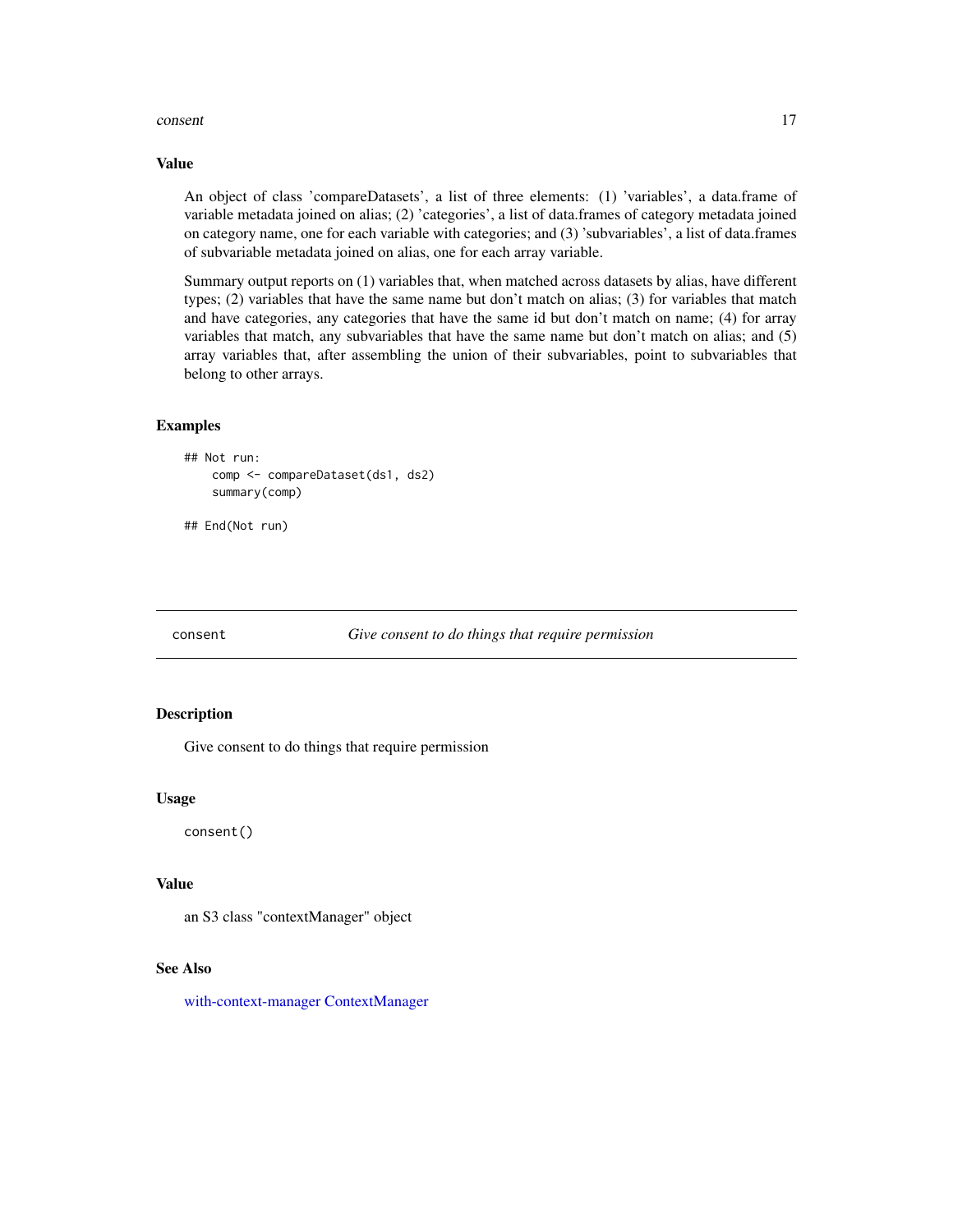#### <span id="page-16-0"></span>consent to the consent of the consent of the consent of the consent of the consent of the consent of the consent

# Value

An object of class 'compareDatasets', a list of three elements: (1) 'variables', a data.frame of variable metadata joined on alias; (2) 'categories', a list of data.frames of category metadata joined on category name, one for each variable with categories; and (3) 'subvariables', a list of data.frames of subvariable metadata joined on alias, one for each array variable.

Summary output reports on (1) variables that, when matched across datasets by alias, have different types; (2) variables that have the same name but don't match on alias; (3) for variables that match and have categories, any categories that have the same id but don't match on name; (4) for array variables that match, any subvariables that have the same name but don't match on alias; and (5) array variables that, after assembling the union of their subvariables, point to subvariables that belong to other arrays.

#### Examples

```
## Not run:
    comp <- compareDataset(ds1, ds2)
    summary(comp)
```
## End(Not run)

<span id="page-16-1"></span>

consent *Give consent to do things that require permission*

#### Description

Give consent to do things that require permission

#### Usage

consent()

# Value

an S3 class "contextManager" object

#### See Also

[with-context-manager](#page-96-1) [ContextManager](#page-17-1)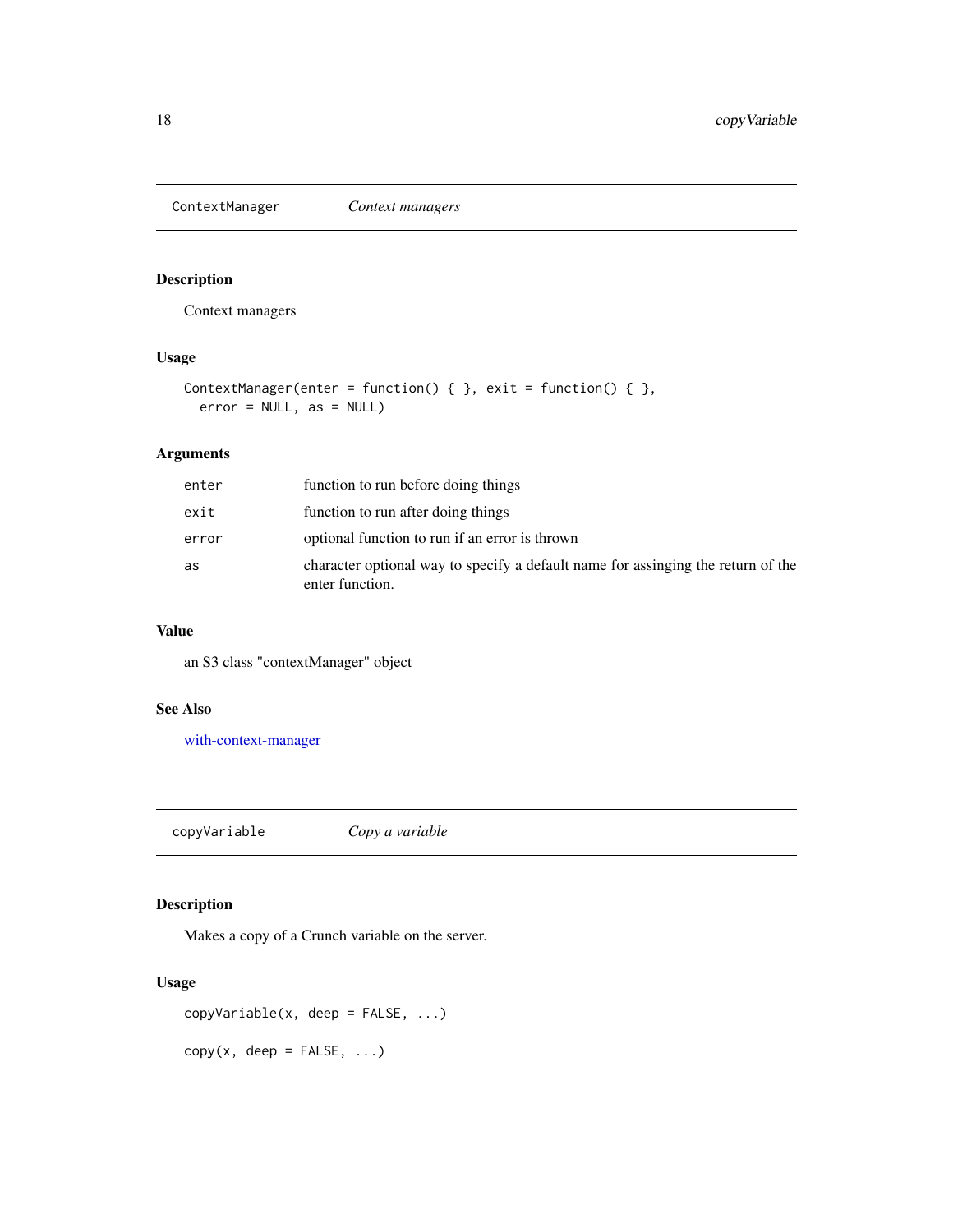<span id="page-17-1"></span><span id="page-17-0"></span>ContextManager *Context managers*

# Description

Context managers

# Usage

```
ContextManager(enter = function() { }, exit = function() { },
 error = NULL, as = NULL)
```
# Arguments

| enter | function to run before doing things                                                                 |
|-------|-----------------------------------------------------------------------------------------------------|
| exit  | function to run after doing things                                                                  |
| error | optional function to run if an error is thrown                                                      |
| as    | character optional way to specify a default name for assinging the return of the<br>enter function. |

#### Value

an S3 class "contextManager" object

# See Also

[with-context-manager](#page-96-1)

copyVariable *Copy a variable*

# Description

Makes a copy of a Crunch variable on the server.

#### Usage

copyVariable(x, deep = FALSE, ...)

 $copy(x, deep = FALSE, ...)$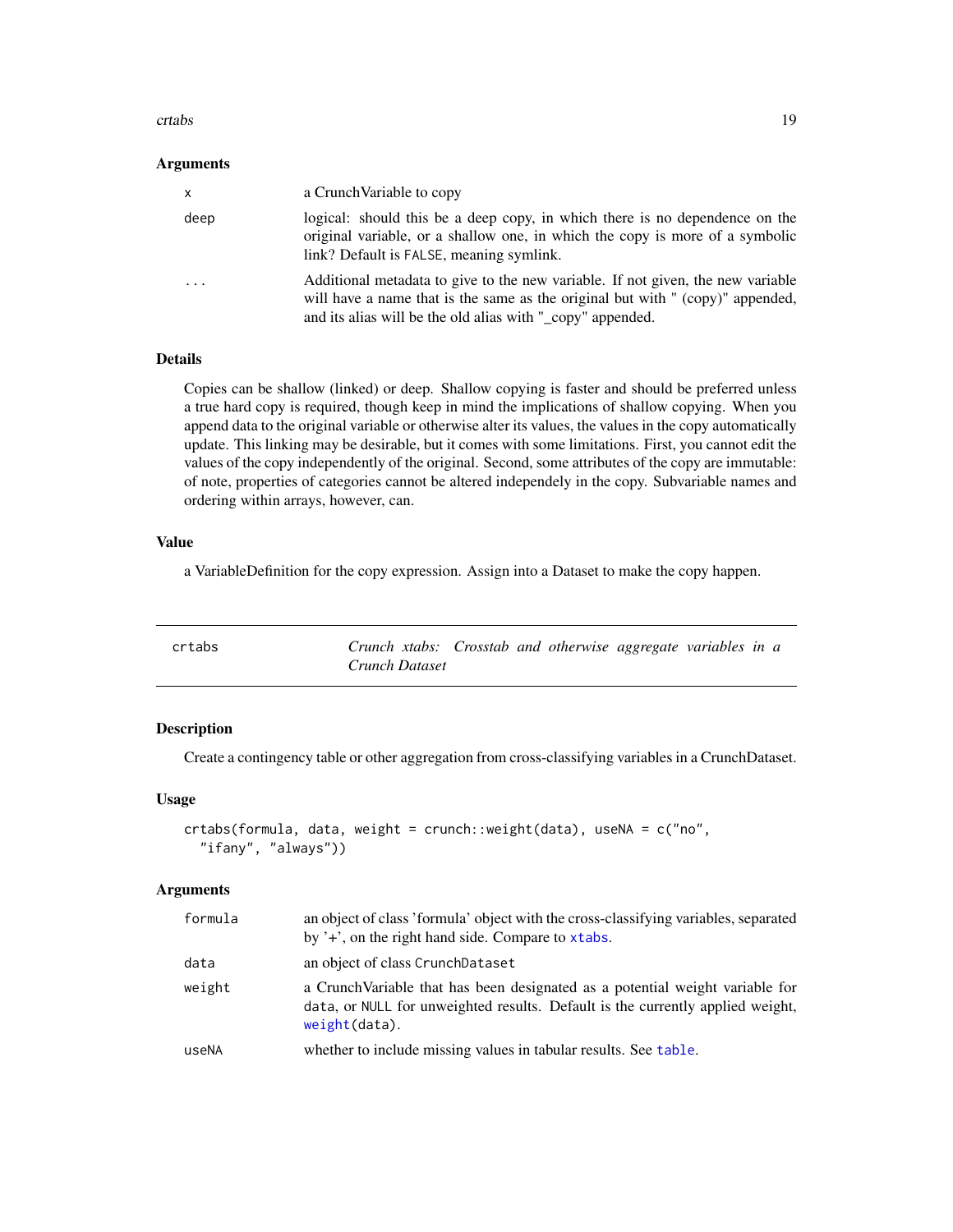#### <span id="page-18-0"></span>crtabs and the create of the contract of the create of the create of the create of the create of the create of the create of the create of the create of the create of the create of the create of the create of the create of

#### **Arguments**

| X    | a Crunch Variable to copy                                                                                                                                                                                                       |
|------|---------------------------------------------------------------------------------------------------------------------------------------------------------------------------------------------------------------------------------|
| deep | logical: should this be a deep copy, in which there is no dependence on the<br>original variable, or a shallow one, in which the copy is more of a symbolic<br>link? Default is FALSE, meaning symlink.                         |
| .    | Additional metadata to give to the new variable. If not given, the new variable<br>will have a name that is the same as the original but with " (copy)" appended,<br>and its alias will be the old alias with "_copy" appended. |

# Details

Copies can be shallow (linked) or deep. Shallow copying is faster and should be preferred unless a true hard copy is required, though keep in mind the implications of shallow copying. When you append data to the original variable or otherwise alter its values, the values in the copy automatically update. This linking may be desirable, but it comes with some limitations. First, you cannot edit the values of the copy independently of the original. Second, some attributes of the copy are immutable: of note, properties of categories cannot be altered independely in the copy. Subvariable names and ordering within arrays, however, can.

# Value

a VariableDefinition for the copy expression. Assign into a Dataset to make the copy happen.

| crtabs | Crunch xtabs: Crosstab and otherwise aggregate variables in a |  |  |  |  |
|--------|---------------------------------------------------------------|--|--|--|--|
|        | Crunch Dataset                                                |  |  |  |  |

# Description

Create a contingency table or other aggregation from cross-classifying variables in a CrunchDataset.

#### Usage

```
crtabs(formula, data, weight = crunch::weight(data), useNA = c("no",
  "ifany", "always"))
```
#### Arguments

| formula | an object of class 'formula' object with the cross-classifying variables, separated<br>by '+', on the right hand side. Compare to xtabs.                                            |
|---------|-------------------------------------------------------------------------------------------------------------------------------------------------------------------------------------|
| data    | an object of class CrunchDataset                                                                                                                                                    |
| weight  | a Crunch Variable that has been designated as a potential weight variable for<br>data, or NULL for unweighted results. Default is the currently applied weight,<br>$weight(data)$ . |
| useNA   | whether to include missing values in tabular results. See table.                                                                                                                    |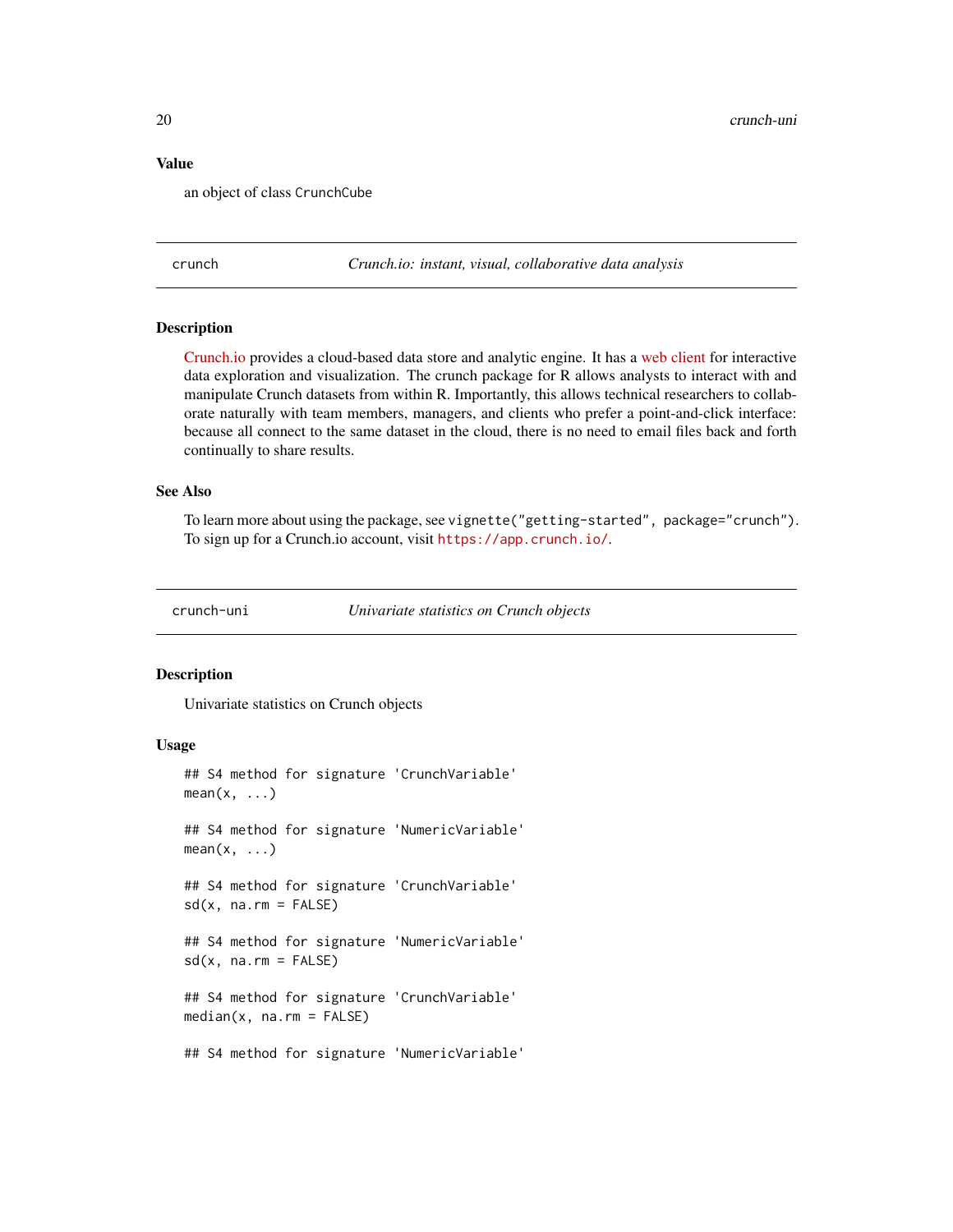#### <span id="page-19-0"></span>Value

an object of class CrunchCube

crunch *Crunch.io: instant, visual, collaborative data analysis*

#### **Description**

[Crunch.io](http://crunch.io/) provides a cloud-based data store and analytic engine. It has a [web client](https://app.crunch.io/) for interactive data exploration and visualization. The crunch package for R allows analysts to interact with and manipulate Crunch datasets from within R. Importantly, this allows technical researchers to collaborate naturally with team members, managers, and clients who prefer a point-and-click interface: because all connect to the same dataset in the cloud, there is no need to email files back and forth continually to share results.

#### See Also

To learn more about using the package, see vignette("getting-started", package="crunch"). To sign up for a Crunch.io account, visit <https://app.crunch.io/>.

crunch-uni *Univariate statistics on Crunch objects*

# <span id="page-19-1"></span>Description

Univariate statistics on Crunch objects

```
## S4 method for signature 'CrunchVariable'
mean(x, \ldots)## S4 method for signature 'NumericVariable'
mean(x, \ldots)## S4 method for signature 'CrunchVariable'
sd(x, na.rm = FALSE)## S4 method for signature 'NumericVariable'
sd(x, na.rm = FALSE)## S4 method for signature 'CrunchVariable'
median(x, na.rm = FALSE)## S4 method for signature 'NumericVariable'
```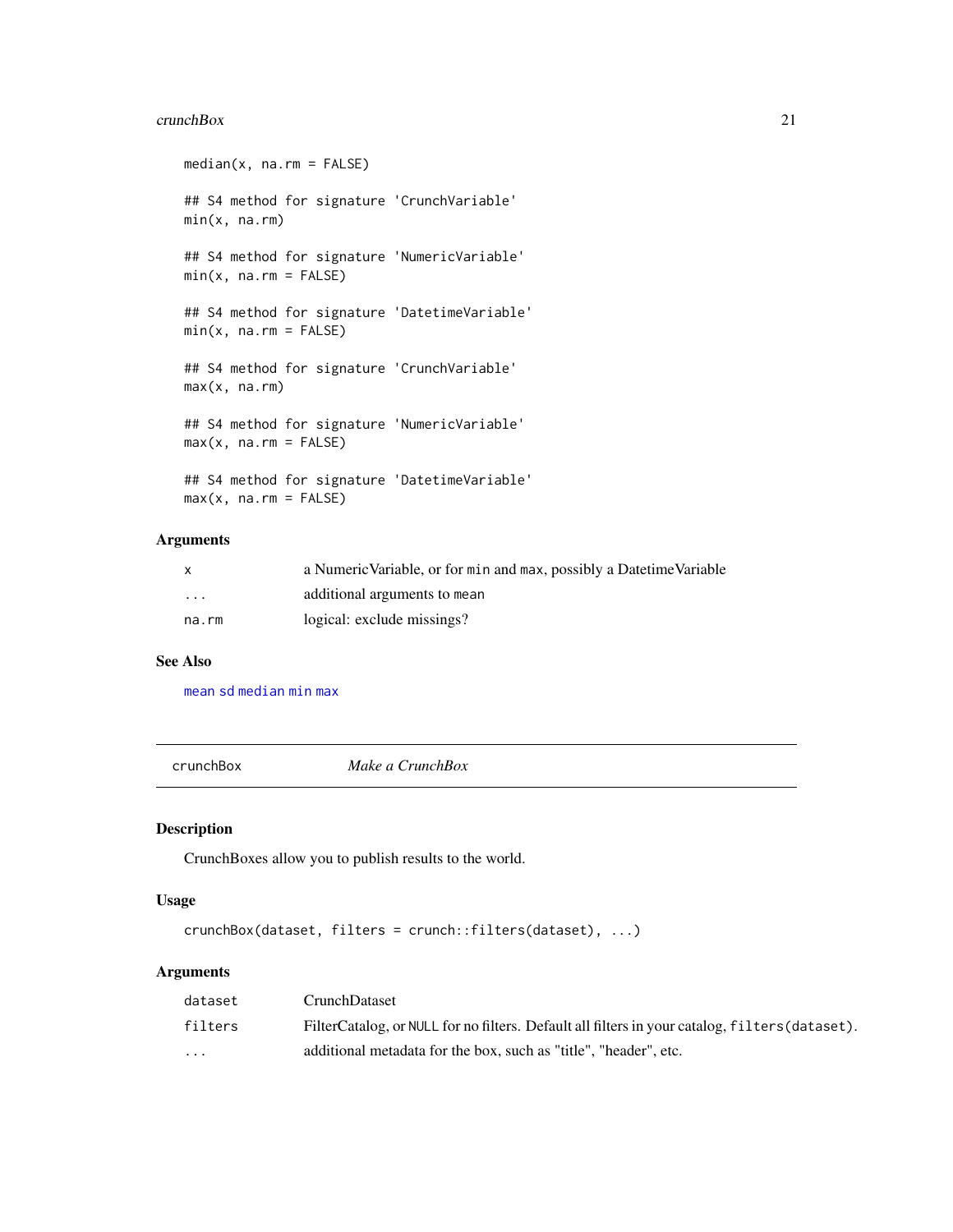#### <span id="page-20-0"></span> $c$ runchBox 21

```
median(x, na.rm = FALSE)
## S4 method for signature 'CrunchVariable'
min(x, na.rm)
## S4 method for signature 'NumericVariable'
min(x, na.rm = FALSE)## S4 method for signature 'DatetimeVariable'
min(x, na.rm = FALSE)## S4 method for signature 'CrunchVariable'
max(x, na.rm)
## S4 method for signature 'NumericVariable'
max(x, na.rm = FALSE)## S4 method for signature 'DatetimeVariable'
max(x, na.rm = FALSE)
```
# Arguments

|                         | a Numeric Variable, or for min and max, possibly a Datetime Variable |
|-------------------------|----------------------------------------------------------------------|
| $\cdot$ $\cdot$ $\cdot$ | additional arguments to mean                                         |
| na.rm                   | logical: exclude missings?                                           |

#### See Also

[mean](#page-19-1) [sd](#page-19-1) [median](#page-19-1) [min](#page-19-1) [max](#page-19-1)

crunchBox *Make a CrunchBox*

# Description

CrunchBoxes allow you to publish results to the world.

# Usage

```
crunchBox(dataset, filters = crunch::filters(dataset), ...)
```
# Arguments

| dataset  | CrunchDataset                                                                                  |
|----------|------------------------------------------------------------------------------------------------|
| filters  | FilterCatalog, or NULL for no filters. Default all filters in your catalog, filters (dataset). |
| $\cdots$ | additional metadata for the box, such as "title", "header", etc.                               |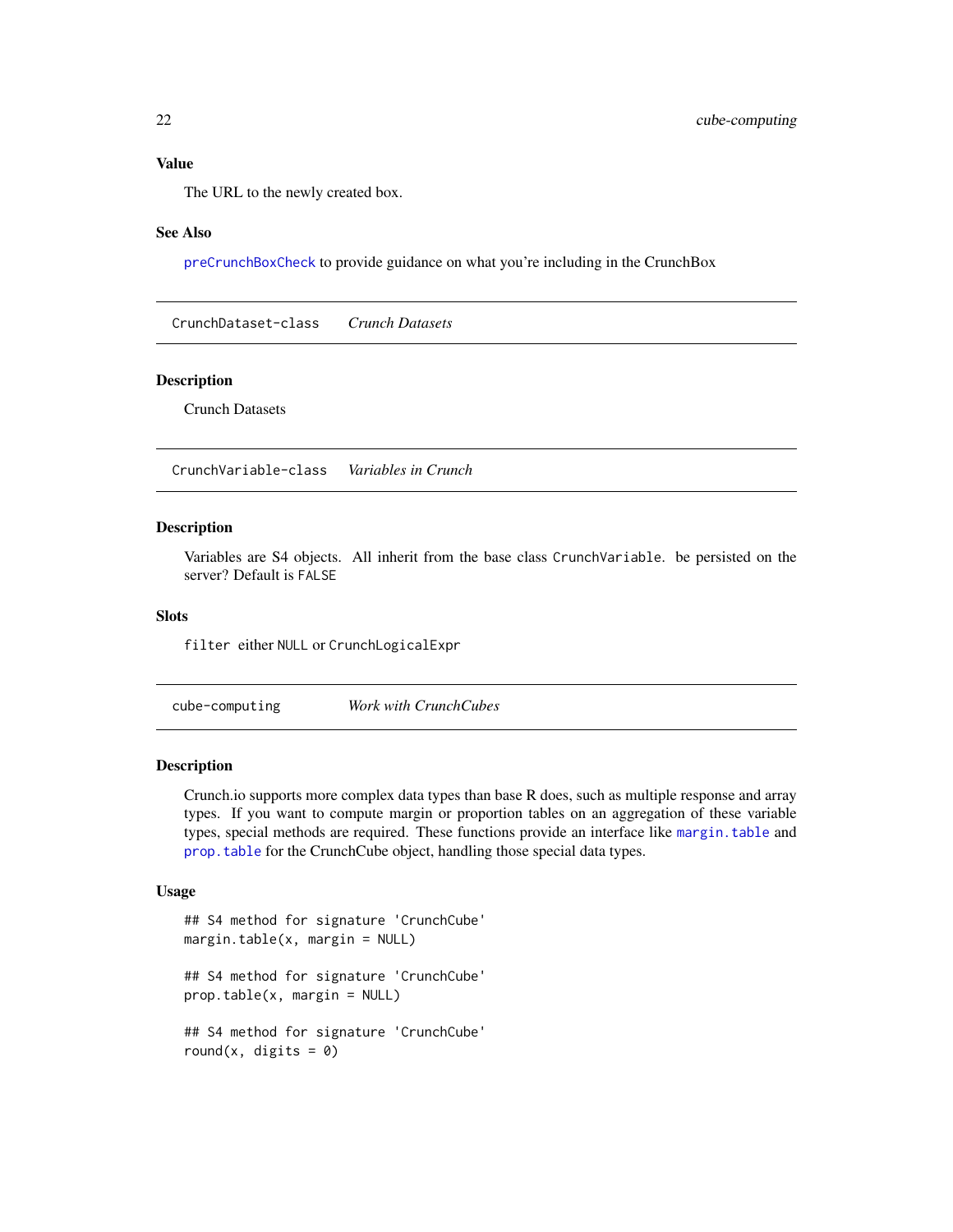# <span id="page-21-0"></span>Value

The URL to the newly created box.

#### See Also

[preCrunchBoxCheck](#page-69-1) to provide guidance on what you're including in the CrunchBox

CrunchDataset-class *Crunch Datasets*

#### Description

Crunch Datasets

CrunchVariable-class *Variables in Crunch*

#### Description

Variables are S4 objects. All inherit from the base class CrunchVariable. be persisted on the server? Default is FALSE

# **Slots**

filter either NULL or CrunchLogicalExpr

<span id="page-21-2"></span>cube-computing *Work with CrunchCubes*

#### <span id="page-21-1"></span>Description

Crunch.io supports more complex data types than base R does, such as multiple response and array types. If you want to compute margin or proportion tables on an aggregation of these variable types, special methods are required. These functions provide an interface like [margin.table](#page-21-1) and [prop.table](#page-21-1) for the CrunchCube object, handling those special data types.

```
## S4 method for signature 'CrunchCube'
margin.table(x, margin = NULL)
## S4 method for signature 'CrunchCube'
prop.table(x, margin = NULL)
## S4 method for signature 'CrunchCube'
round(x, digits = 0)
```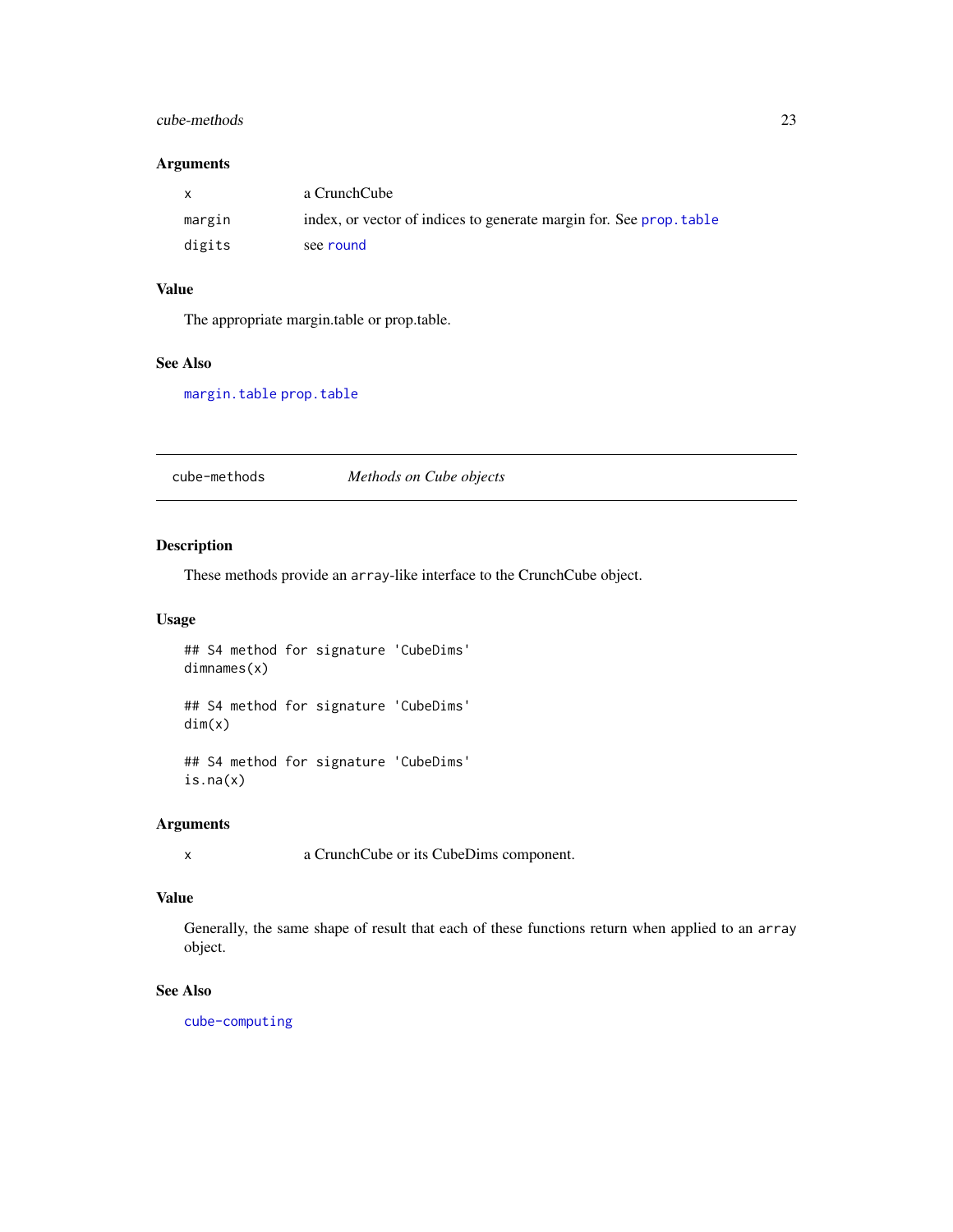# <span id="page-22-0"></span>cube-methods 23

# Arguments

| $\mathbf{x}$ | a CrunchCube                                                        |
|--------------|---------------------------------------------------------------------|
| margin       | index, or vector of indices to generate margin for. See prop. table |
| digits       | see round                                                           |

# Value

The appropriate margin.table or prop.table.

## See Also

[margin.table](#page-21-1) [prop.table](#page-21-1)

cube-methods *Methods on Cube objects*

#### Description

These methods provide an array-like interface to the CrunchCube object.

# Usage

## S4 method for signature 'CubeDims' dimnames(x)

## S4 method for signature 'CubeDims' dim(x)

## S4 method for signature 'CubeDims' is.na(x)

#### Arguments

x a CrunchCube or its CubeDims component.

# Value

Generally, the same shape of result that each of these functions return when applied to an array object.

# See Also

[cube-computing](#page-21-2)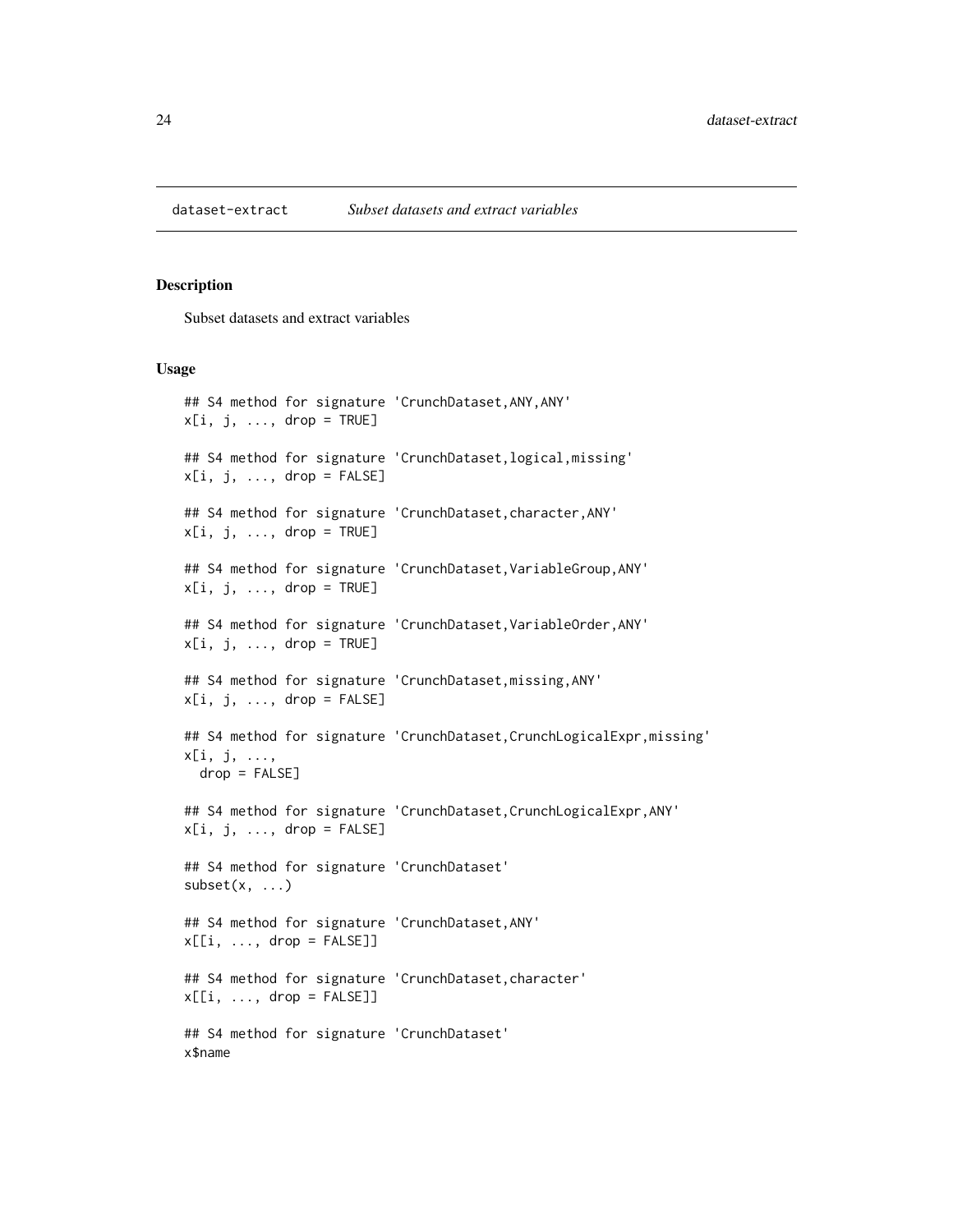<span id="page-23-0"></span>

#### Description

Subset datasets and extract variables

```
## S4 method for signature 'CrunchDataset,ANY,ANY'
x[i, j, ..., drop = TRUE]## S4 method for signature 'CrunchDataset, logical, missing'
x[i, j, ..., drop = FALSE]## S4 method for signature 'CrunchDataset, character, ANY'
x[i, j, \ldots, drop = TRUE]## S4 method for signature 'CrunchDataset, VariableGroup, ANY'
x[i, j, ..., drop = TRUE]## S4 method for signature 'CrunchDataset, VariableOrder, ANY'
x[i, j, ..., drop = TRUE]## S4 method for signature 'CrunchDataset,missing,ANY'
x[i, j, ..., drop = FALSE]## S4 method for signature 'CrunchDataset, CrunchLogicalExpr, missing'
x[i, j, ...,
  drop = FALSE]
## S4 method for signature 'CrunchDataset,CrunchLogicalExpr,ANY'
x[i, j, ..., drop = FALSE]## S4 method for signature 'CrunchDataset'
subset(x, \ldots)## S4 method for signature 'CrunchDataset,ANY'
x[[i, ..., drop = FALSE]]## S4 method for signature 'CrunchDataset,character'
x[[i, \ldots, drop = FALSE]]## S4 method for signature 'CrunchDataset'
x$name
```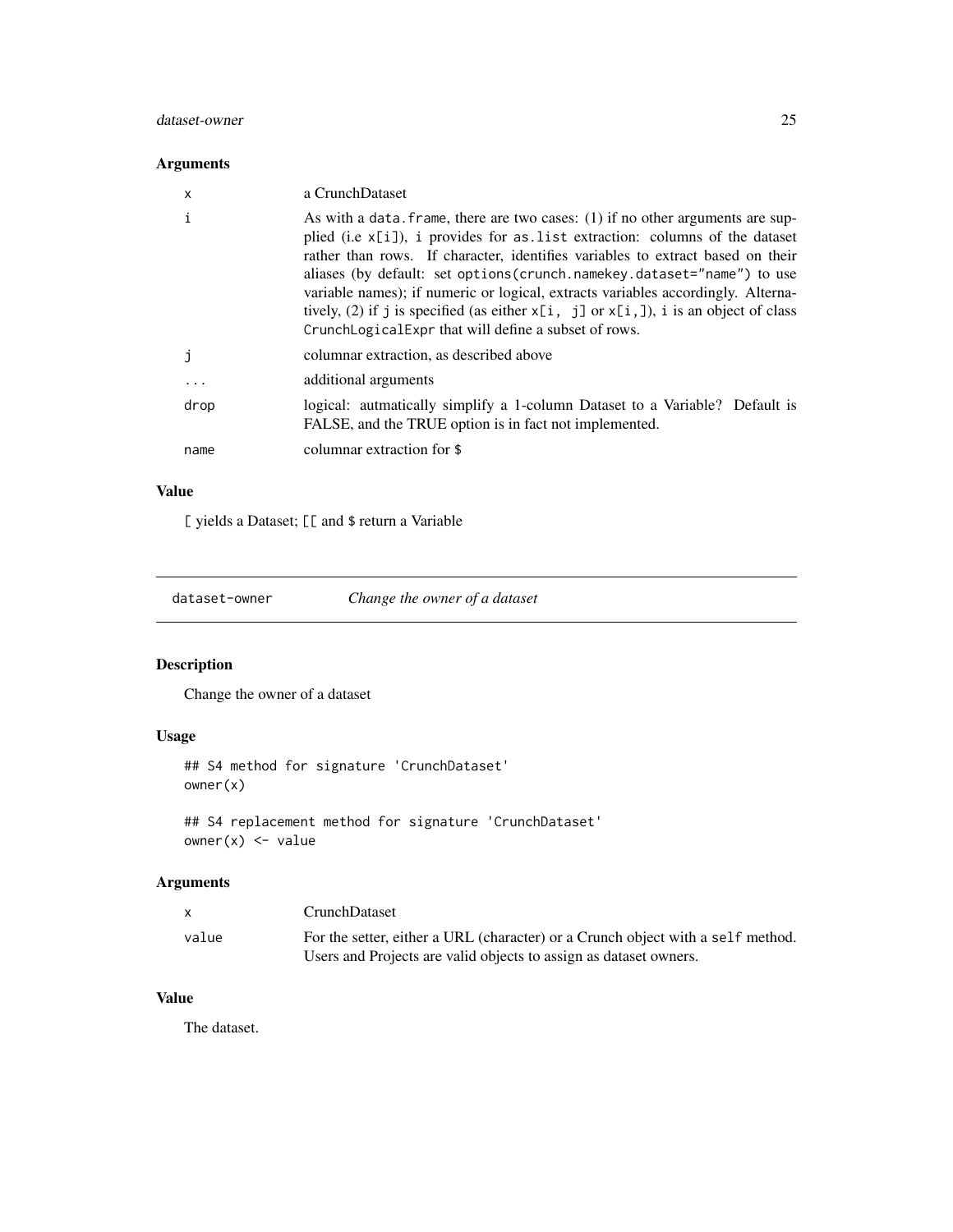### <span id="page-24-0"></span>dataset-owner 25

# Arguments

| x        | a CrunchDataset                                                                                                                                                                                                                                                                                                                                                                                                                                                                                                                                                           |
|----------|---------------------------------------------------------------------------------------------------------------------------------------------------------------------------------------------------------------------------------------------------------------------------------------------------------------------------------------------------------------------------------------------------------------------------------------------------------------------------------------------------------------------------------------------------------------------------|
| i        | As with a data. frame, there are two cases: $(1)$ if no other arguments are sup-<br>plied (i.e $x[i]$ ), i provides for as list extraction: columns of the dataset<br>rather than rows. If character, identifies variables to extract based on their<br>aliases (by default: set options (crunch.namekey.dataset="name") to use<br>variable names); if numeric or logical, extracts variables accordingly. Alterna-<br>tively, (2) if j is specified (as either $x[i, j]$ or $x[i, j]$ ), i is an object of class<br>CrunchLogicalExpr that will define a subset of rows. |
|          | columnar extraction, as described above                                                                                                                                                                                                                                                                                                                                                                                                                                                                                                                                   |
| $\cdots$ | additional arguments                                                                                                                                                                                                                                                                                                                                                                                                                                                                                                                                                      |
| drop     | logical: autmatically simplify a 1-column Dataset to a Variable? Default is<br>FALSE, and the TRUE option is in fact not implemented.                                                                                                                                                                                                                                                                                                                                                                                                                                     |
| name     | columnar extraction for \$                                                                                                                                                                                                                                                                                                                                                                                                                                                                                                                                                |

# Value

[ yields a Dataset; [[ and \$ return a Variable

dataset-owner *Change the owner of a dataset*

# Description

Change the owner of a dataset

# Usage

```
## S4 method for signature 'CrunchDataset'
owner(x)
```
## S4 replacement method for signature 'CrunchDataset' owner(x) <- value

# Arguments

|       | <b>CrunchDataset</b>                                                            |
|-------|---------------------------------------------------------------------------------|
| value | For the setter, either a URL (character) or a Crunch object with a self method. |
|       | Users and Projects are valid objects to assign as dataset owners.               |

# Value

The dataset.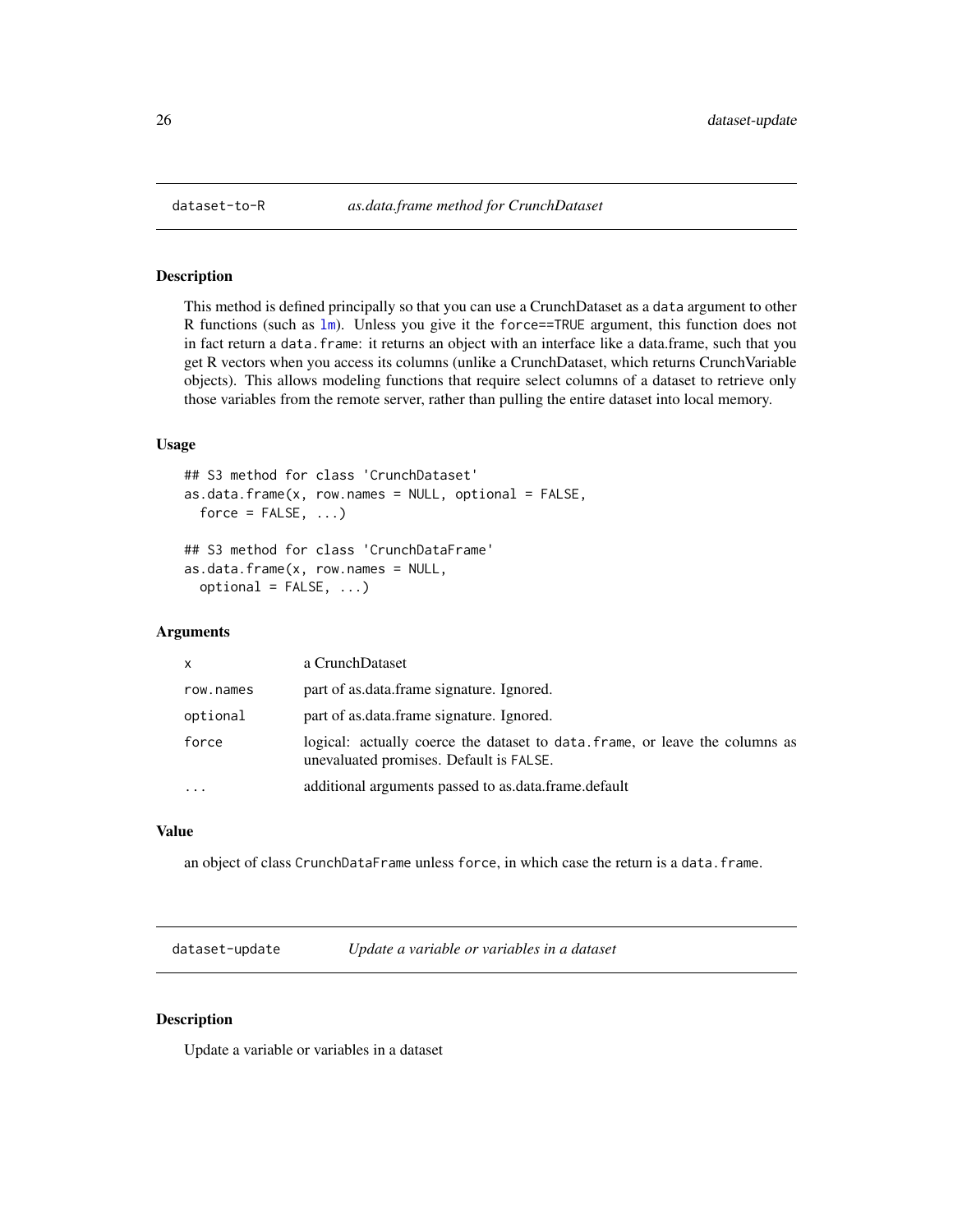<span id="page-25-0"></span>

# Description

This method is defined principally so that you can use a CrunchDataset as a data argument to other R functions (such as 1m). Unless you give it the force==TRUE argument, this function does not in fact return a data.frame: it returns an object with an interface like a data.frame, such that you get R vectors when you access its columns (unlike a CrunchDataset, which returns CrunchVariable objects). This allows modeling functions that require select columns of a dataset to retrieve only those variables from the remote server, rather than pulling the entire dataset into local memory.

# Usage

```
## S3 method for class 'CrunchDataset'
as.data.frame(x, row.names = NULL, optional = FALSE,
 force = FALSE, ...)## S3 method for class 'CrunchDataFrame'
as.data.frame(x, row.name = NULL,optional = FALSE, ...)
```
## Arguments

| X         | a CrunchDataset                                                                                                         |
|-----------|-------------------------------------------------------------------------------------------------------------------------|
| row.names | part of as data frame signature. Ignored.                                                                               |
| optional  | part of as.data.frame signature. Ignored.                                                                               |
| force     | logical: actually coerce the dataset to data, frame, or leave the columns as<br>unevaluated promises. Default is FALSE. |
|           | additional arguments passed to as data frame default                                                                    |

# Value

an object of class CrunchDataFrame unless force, in which case the return is a data.frame.

dataset-update *Update a variable or variables in a dataset*

# Description

Update a variable or variables in a dataset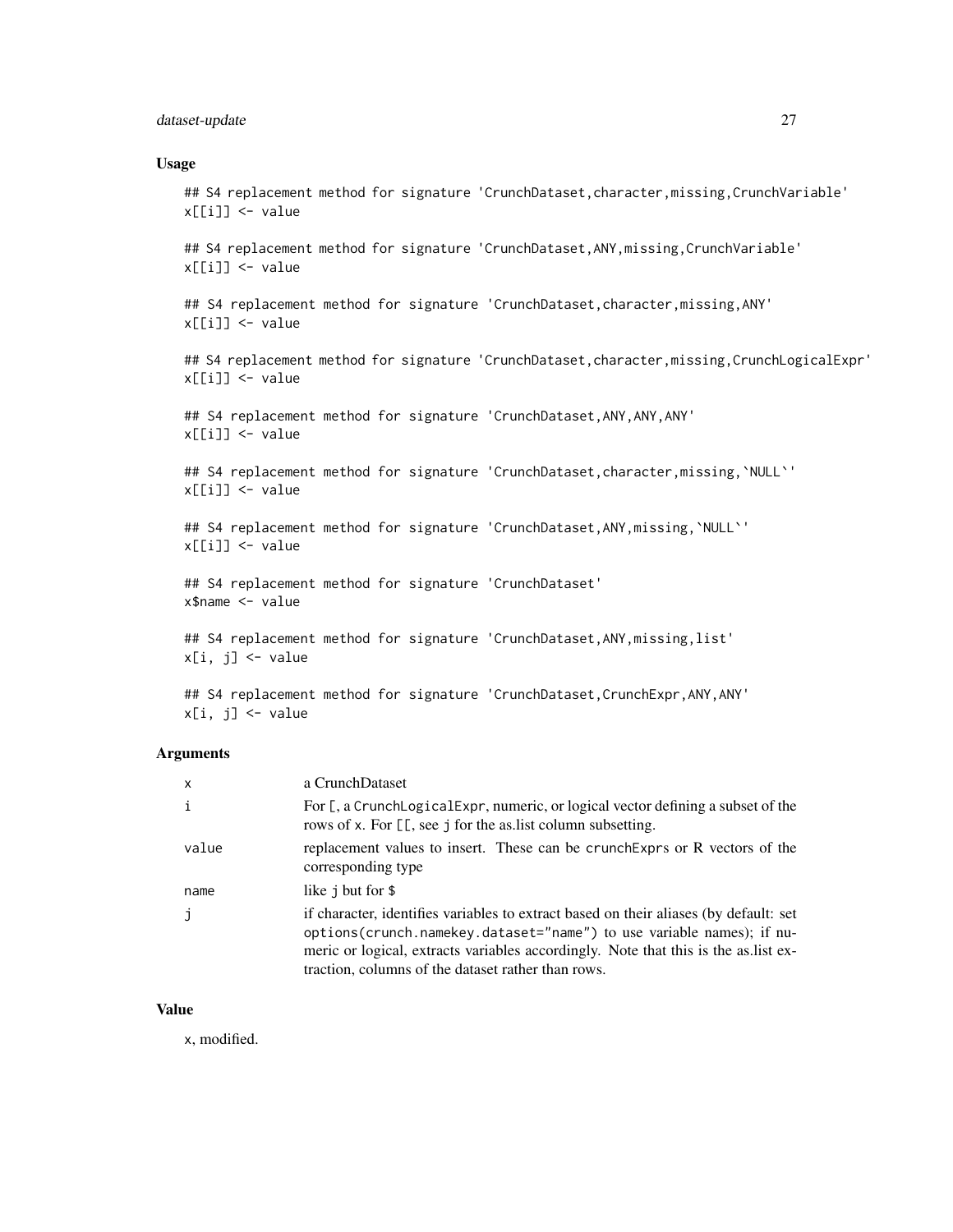# dataset-update 27

#### Usage

## S4 replacement method for signature 'CrunchDataset, character, missing, CrunchVariable' x[[i]] <- value

## S4 replacement method for signature 'CrunchDataset, ANY, missing, CrunchVariable' x[[i]] <- value

## S4 replacement method for signature 'CrunchDataset, character, missing, ANY' x[[i]] <- value

## S4 replacement method for signature 'CrunchDataset, character, missing, CrunchLogicalExpr' x[[i]] <- value

## S4 replacement method for signature 'CrunchDataset, ANY, ANY, ANY' x[[i]] <- value

## S4 replacement method for signature 'CrunchDataset, character, missing, `NULL`' x[[i]] <- value

## S4 replacement method for signature 'CrunchDataset, ANY, missing, `NULL`'  $x[[i]] \leftarrow$  value

## S4 replacement method for signature 'CrunchDataset' x\$name <- value

## S4 replacement method for signature 'CrunchDataset, ANY, missing, list' x[i, j] <- value

## S4 replacement method for signature 'CrunchDataset, CrunchExpr, ANY, ANY' x[i, j] <- value

# Arguments

| $\mathsf{x}$ | a CrunchDataset                                                                                                                                                                                                                                                                                              |
|--------------|--------------------------------------------------------------------------------------------------------------------------------------------------------------------------------------------------------------------------------------------------------------------------------------------------------------|
| $\mathbf{i}$ | For [, a CrunchLogicalExpr, numeric, or logical vector defining a subset of the<br>rows of x. For [[, see j for the as list column subsetting.                                                                                                                                                               |
| value        | replacement values to insert. These can be crunch Exprs or R vectors of the<br>corresponding type                                                                                                                                                                                                            |
| name         | like j but for \$                                                                                                                                                                                                                                                                                            |
| j            | if character, identifies variables to extract based on their aliases (by default: set<br>options (crunch.namekey.dataset="name") to use variable names); if nu-<br>meric or logical, extracts variables accordingly. Note that this is the as list ex-<br>traction, columns of the dataset rather than rows. |

#### Value

x, modified.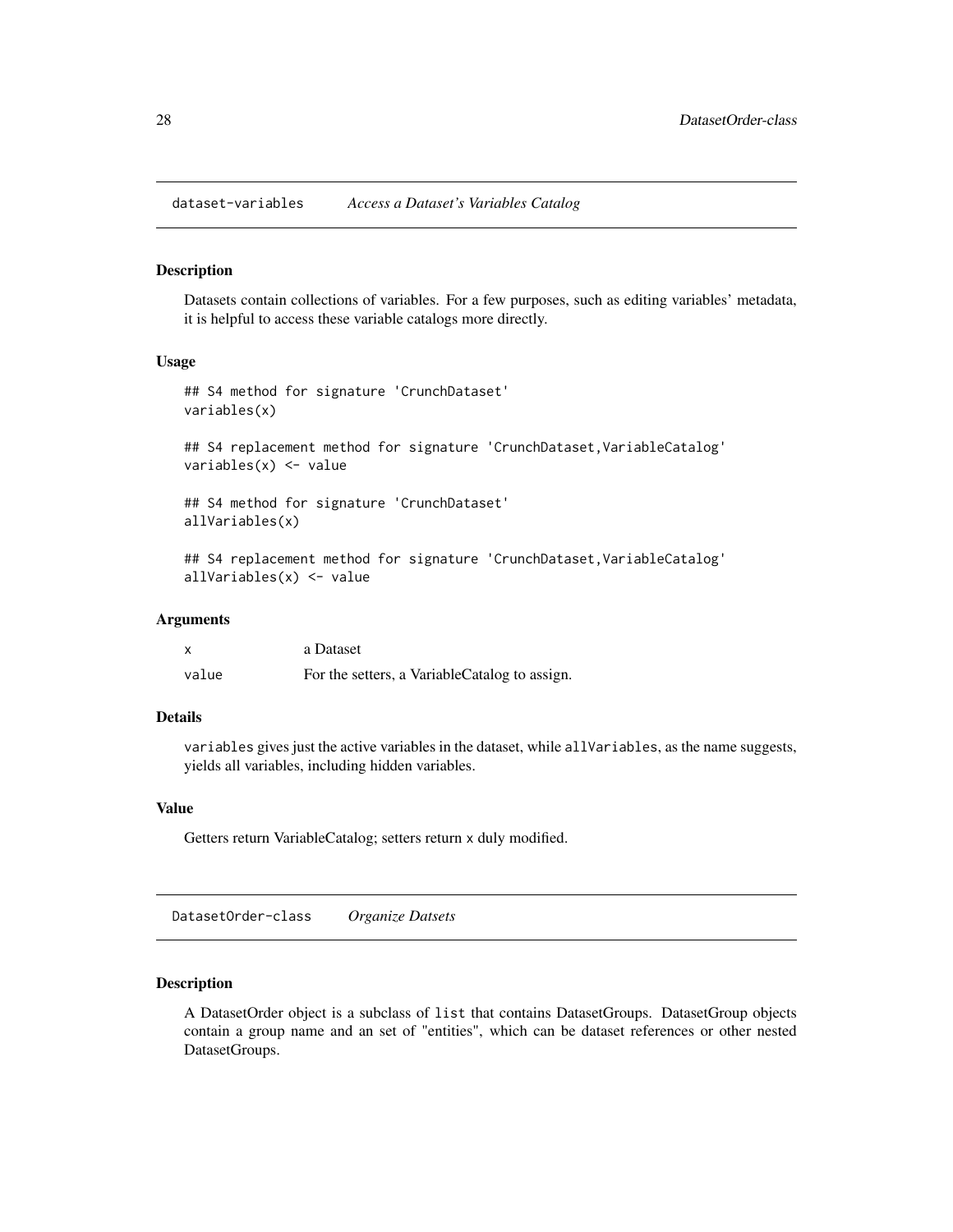<span id="page-27-0"></span>dataset-variables *Access a Dataset's Variables Catalog*

#### Description

Datasets contain collections of variables. For a few purposes, such as editing variables' metadata, it is helpful to access these variable catalogs more directly.

#### Usage

```
## S4 method for signature 'CrunchDataset'
variables(x)
## S4 replacement method for signature 'CrunchDataset, VariableCatalog'
variables(x) <- value
## S4 method for signature 'CrunchDataset'
allVariables(x)
## S4 replacement method for signature 'CrunchDataset, VariableCatalog'
allVariables(x) <- value
```
#### Arguments

| X     | a Dataset                                     |
|-------|-----------------------------------------------|
| value | For the setters, a VariableCatalog to assign. |

# Details

variables gives just the active variables in the dataset, while allVariables, as the name suggests, yields all variables, including hidden variables.

#### Value

Getters return VariableCatalog; setters return x duly modified.

DatasetOrder-class *Organize Datsets*

# Description

A DatasetOrder object is a subclass of list that contains DatasetGroups. DatasetGroup objects contain a group name and an set of "entities", which can be dataset references or other nested DatasetGroups.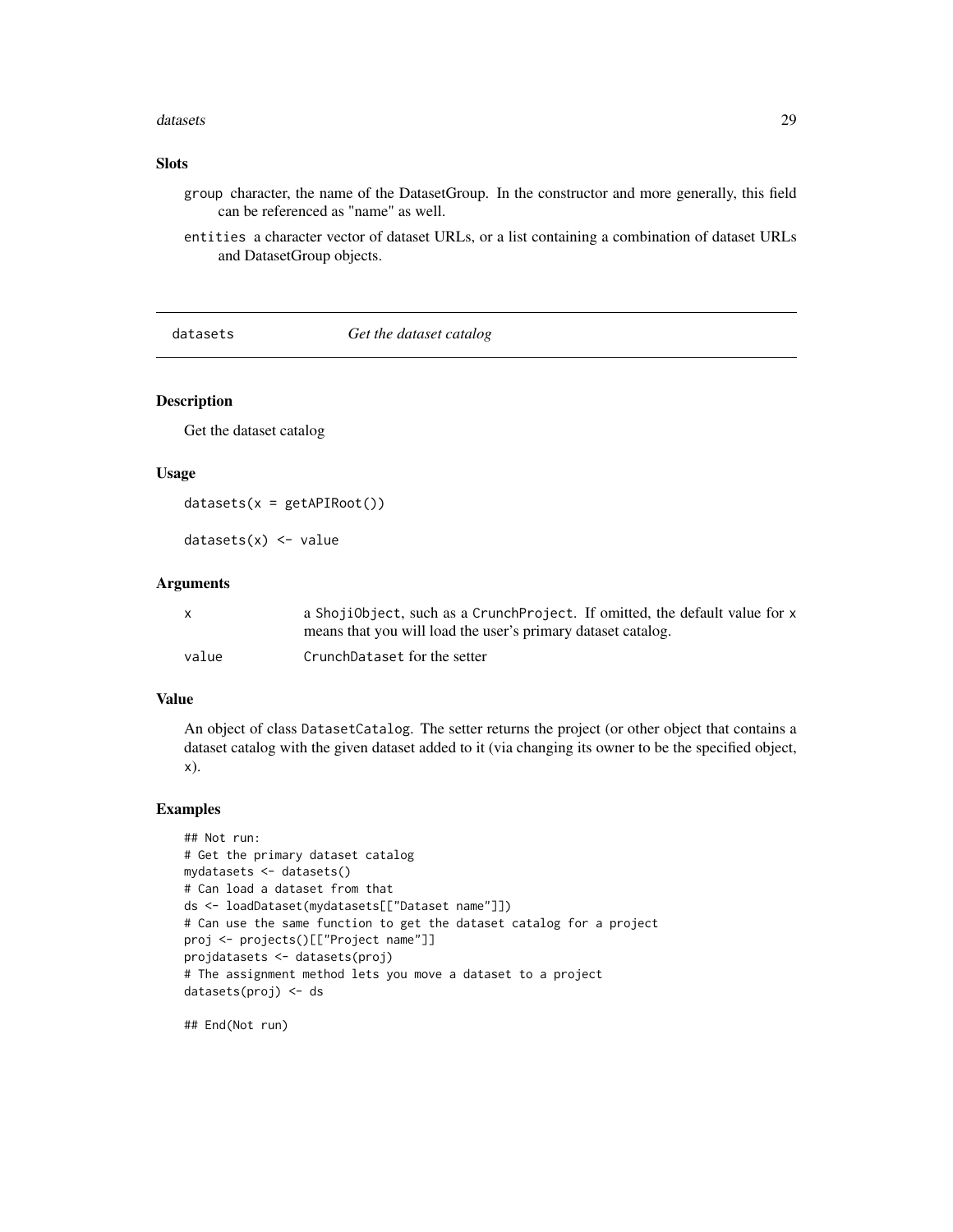#### <span id="page-28-0"></span>datasets 29

# Slots

group character, the name of the DatasetGroup. In the constructor and more generally, this field can be referenced as "name" as well.

entities a character vector of dataset URLs, or a list containing a combination of dataset URLs and DatasetGroup objects.

datasets *Get the dataset catalog*

# Description

Get the dataset catalog

# Usage

```
datasets(x = getAPIRoot())
```
 $datasets(x) < - value$ 

#### Arguments

|       | a ShojiObject, such as a CrunchProject. If omitted, the default value for x |
|-------|-----------------------------------------------------------------------------|
|       | means that you will load the user's primary dataset catalog.                |
| value | CrunchDataset for the setter                                                |

#### Value

An object of class DatasetCatalog. The setter returns the project (or other object that contains a dataset catalog with the given dataset added to it (via changing its owner to be the specified object, x).

#### Examples

```
## Not run:
# Get the primary dataset catalog
mydatasets <- datasets()
# Can load a dataset from that
ds <- loadDataset(mydatasets[["Dataset name"]])
# Can use the same function to get the dataset catalog for a project
proj <- projects()[["Project name"]]
projdatasets <- datasets(proj)
# The assignment method lets you move a dataset to a project
datasets(proj) <- ds
```
## End(Not run)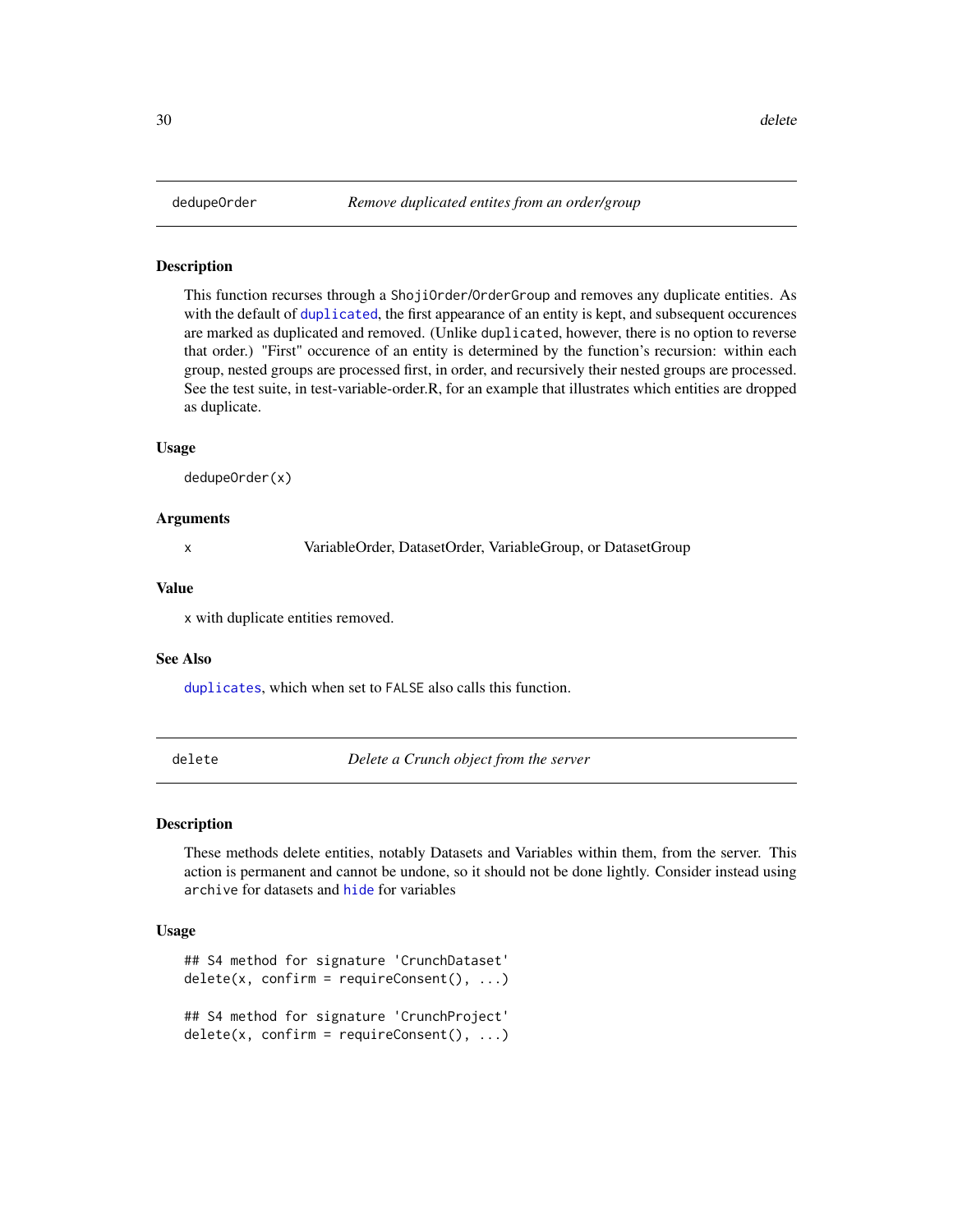#### <span id="page-29-0"></span>Description

This function recurses through a ShojiOrder/OrderGroup and removes any duplicate entities. As with the default of [duplicated](#page-38-1), the first appearance of an entity is kept, and subsequent occurences are marked as duplicated and removed. (Unlike duplicated, however, there is no option to reverse that order.) "First" occurence of an entity is determined by the function's recursion: within each group, nested groups are processed first, in order, and recursively their nested groups are processed. See the test suite, in test-variable-order.R, for an example that illustrates which entities are dropped as duplicate.

#### Usage

dedupeOrder(x)

#### Arguments

x VariableOrder, DatasetOrder, VariableGroup, or DatasetGroup

# Value

x with duplicate entities removed.

#### See Also

[duplicates](#page-80-1), which when set to FALSE also calls this function.

<span id="page-29-1"></span>delete *Delete a Crunch object from the server*

#### Description

These methods delete entities, notably Datasets and Variables within them, from the server. This action is permanent and cannot be undone, so it should not be done lightly. Consider instead using archive for datasets and [hide](#page-49-1) for variables

```
## S4 method for signature 'CrunchDataset'
delete(x, confirm = requireConsent(), ...)## S4 method for signature 'CrunchProject'
delete(x, confirm = requireConsent(), ...)
```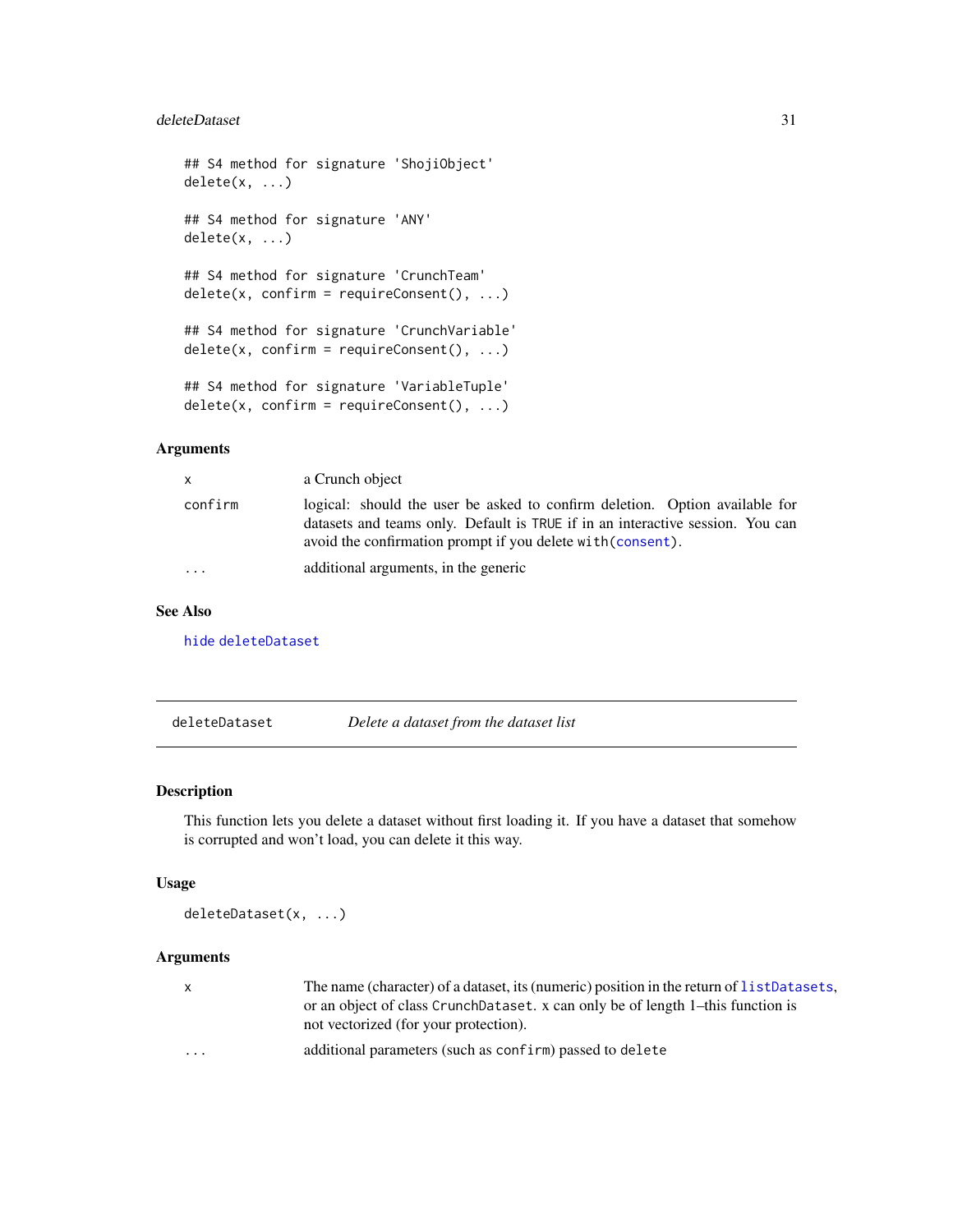#### <span id="page-30-0"></span>deleteDataset 31

```
## S4 method for signature 'ShojiObject'
delete(x, \ldots)## S4 method for signature 'ANY'
delete(x, ...)
## S4 method for signature 'CrunchTeam'
delete(x, confirm = requireConsent(), ...)## S4 method for signature 'CrunchVariable'
delete(x, confirm = requireConsent(), ...)## S4 method for signature 'VariableTuple'
delete(x, confirm = requireConsent(), ...)
```
# Arguments

| $\mathsf{x}$ | a Crunch object                                                                                                                                                                                                              |
|--------------|------------------------------------------------------------------------------------------------------------------------------------------------------------------------------------------------------------------------------|
| confirm      | logical: should the user be asked to confirm deletion. Option available for<br>datasets and teams only. Default is TRUE if in an interactive session. You can<br>avoid the confirmation prompt if you delete with (consent). |
| $\ddots$     | additional arguments, in the generic                                                                                                                                                                                         |

#### See Also

[hide](#page-49-1) [deleteDataset](#page-30-1)

<span id="page-30-1"></span>deleteDataset *Delete a dataset from the dataset list*

#### Description

This function lets you delete a dataset without first loading it. If you have a dataset that somehow is corrupted and won't load, you can delete it this way.

#### Usage

deleteDataset(x, ...)

# Arguments

x The name (character) of a dataset, its (numeric) position in the return of [listDatasets](#page-56-1), or an object of class CrunchDataset. x can only be of length 1–this function is not vectorized (for your protection).

... additional parameters (such as confirm) passed to delete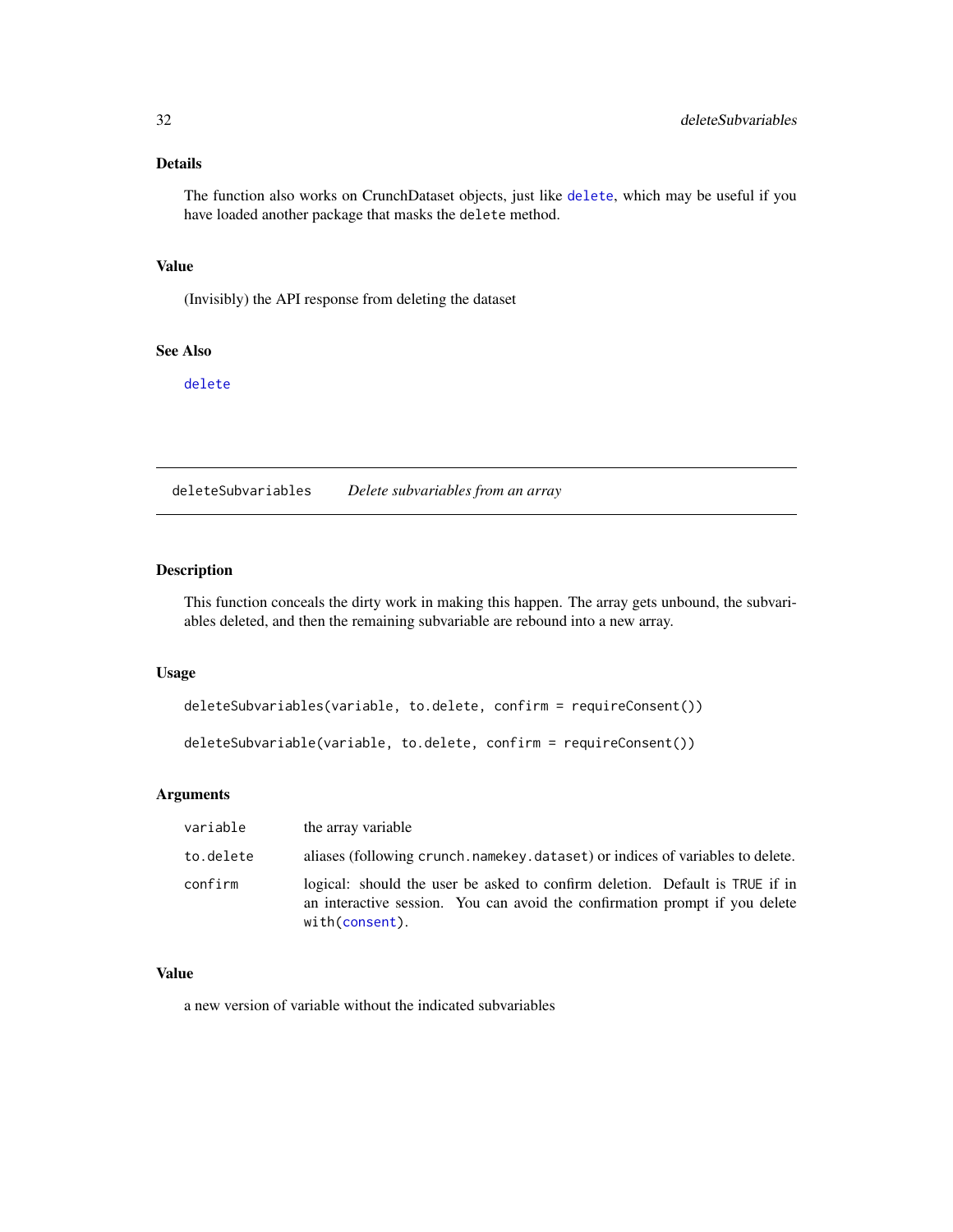# <span id="page-31-0"></span>Details

The function also works on CrunchDataset objects, just like [delete](#page-29-1), which may be useful if you have loaded another package that masks the delete method.

# Value

(Invisibly) the API response from deleting the dataset

# See Also

[delete](#page-29-1)

deleteSubvariables *Delete subvariables from an array*

# Description

This function conceals the dirty work in making this happen. The array gets unbound, the subvariables deleted, and then the remaining subvariable are rebound into a new array.

#### Usage

deleteSubvariables(variable, to.delete, confirm = requireConsent())

deleteSubvariable(variable, to.delete, confirm = requireConsent())

# Arguments

| variable  | the array variable                                                                                                                                                            |
|-----------|-------------------------------------------------------------------------------------------------------------------------------------------------------------------------------|
| to.delete | aliases (following crunch name key dataset) or indices of variables to delete.                                                                                                |
| confirm   | logical: should the user be asked to confirm deletion. Default is TRUE if in<br>an interactive session. You can avoid the confirmation prompt if you delete<br>with(consent). |

#### Value

a new version of variable without the indicated subvariables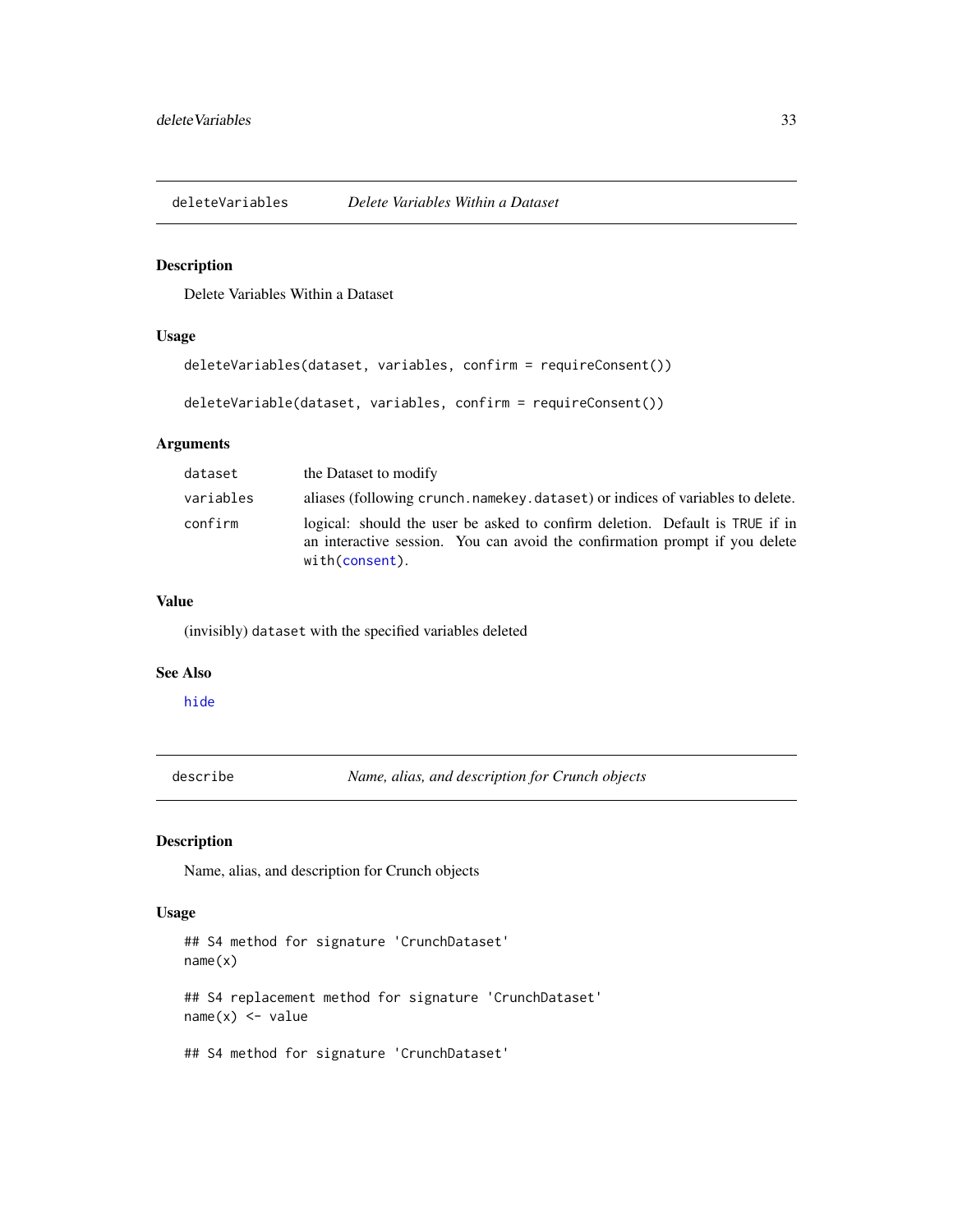<span id="page-32-0"></span>deleteVariables *Delete Variables Within a Dataset*

# Description

Delete Variables Within a Dataset

#### Usage

```
deleteVariables(dataset, variables, confirm = requireConsent())
```
deleteVariable(dataset, variables, confirm = requireConsent())

# Arguments

| dataset   | the Dataset to modify                                                                                                                                                         |
|-----------|-------------------------------------------------------------------------------------------------------------------------------------------------------------------------------|
| variables | aliases (following crunch, name key, dataset) or indices of variables to delete.                                                                                              |
| confirm   | logical: should the user be asked to confirm deletion. Default is TRUE if in<br>an interactive session. You can avoid the confirmation prompt if you delete<br>with(consent). |

# Value

(invisibly) dataset with the specified variables deleted

#### See Also

[hide](#page-49-1)

describe *Name, alias, and description for Crunch objects*

# Description

Name, alias, and description for Crunch objects

```
## S4 method for signature 'CrunchDataset'
name(x)
## S4 replacement method for signature 'CrunchDataset'
name(x) < - value## S4 method for signature 'CrunchDataset'
```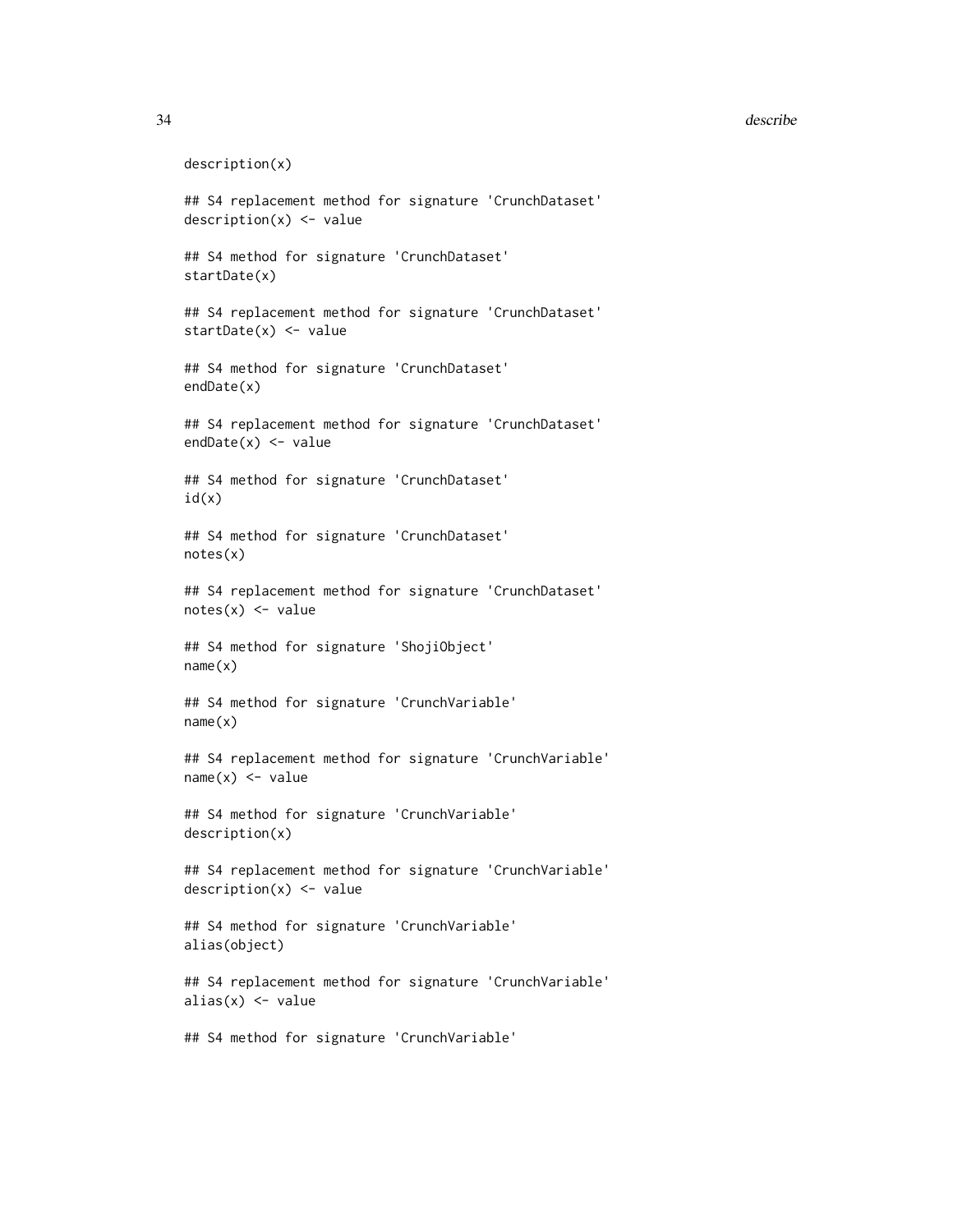#### 34 describe

```
description(x)
## S4 replacement method for signature 'CrunchDataset'
description(x) <- value
## S4 method for signature 'CrunchDataset'
startDate(x)
## S4 replacement method for signature 'CrunchDataset'
startDate(x) <- value
## S4 method for signature 'CrunchDataset'
endDate(x)
## S4 replacement method for signature 'CrunchDataset'
endDate(x) <- value
## S4 method for signature 'CrunchDataset'
id(x)## S4 method for signature 'CrunchDataset'
notes(x)
## S4 replacement method for signature 'CrunchDataset'
notes(x) < - value
## S4 method for signature 'ShojiObject'
name(x)
## S4 method for signature 'CrunchVariable'
name(x)
## S4 replacement method for signature 'CrunchVariable'
name(x) < - value## S4 method for signature 'CrunchVariable'
description(x)
## S4 replacement method for signature 'CrunchVariable'
description(x) <- value
## S4 method for signature 'CrunchVariable'
alias(object)
## S4 replacement method for signature 'CrunchVariable'
alias(x) <- value
```
## S4 method for signature 'CrunchVariable'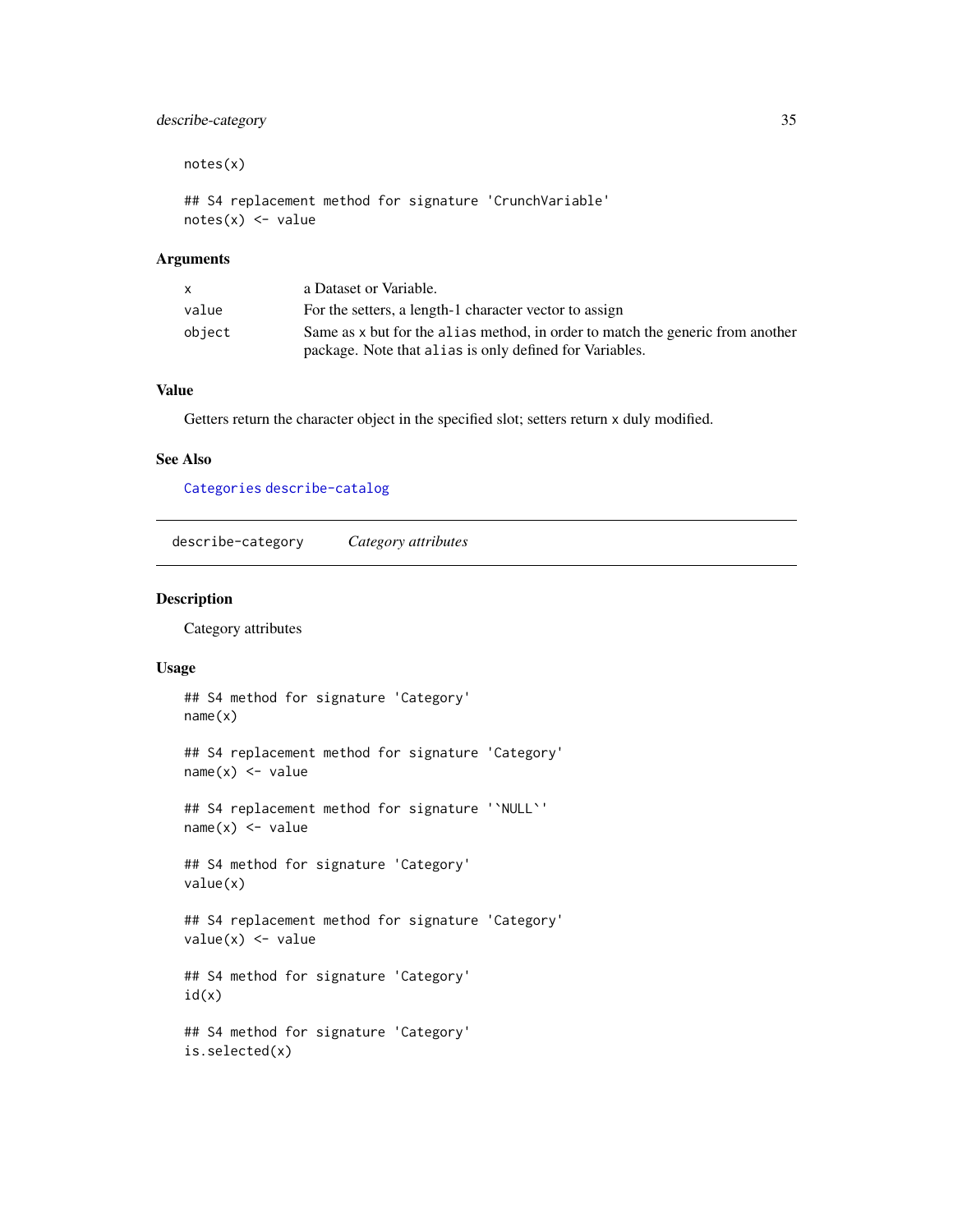# <span id="page-34-0"></span>describe-category 35

notes(x)

```
## S4 replacement method for signature 'CrunchVariable'
notes(x) < - value
```
# Arguments

|        | a Dataset or Variable.                                                                                                                     |
|--------|--------------------------------------------------------------------------------------------------------------------------------------------|
| value  | For the setters, a length-1 character vector to assign                                                                                     |
| object | Same as x but for the alias method, in order to match the generic from another<br>package. Note that all as is only defined for Variables. |

# Value

Getters return the character object in the specified slot; setters return x duly modified.

#### See Also

[Categories](#page-12-1) [describe-catalog](#page-63-1)

<span id="page-34-1"></span>describe-category *Category attributes*

# Description

Category attributes

```
## S4 method for signature 'Category'
name(x)
## S4 replacement method for signature 'Category'
name(x) < - value## S4 replacement method for signature '`NULL`'
name(x) < - value## S4 method for signature 'Category'
value(x)
## S4 replacement method for signature 'Category'
value(x) <- value
## S4 method for signature 'Category'
id(x)
## S4 method for signature 'Category'
is.selected(x)
```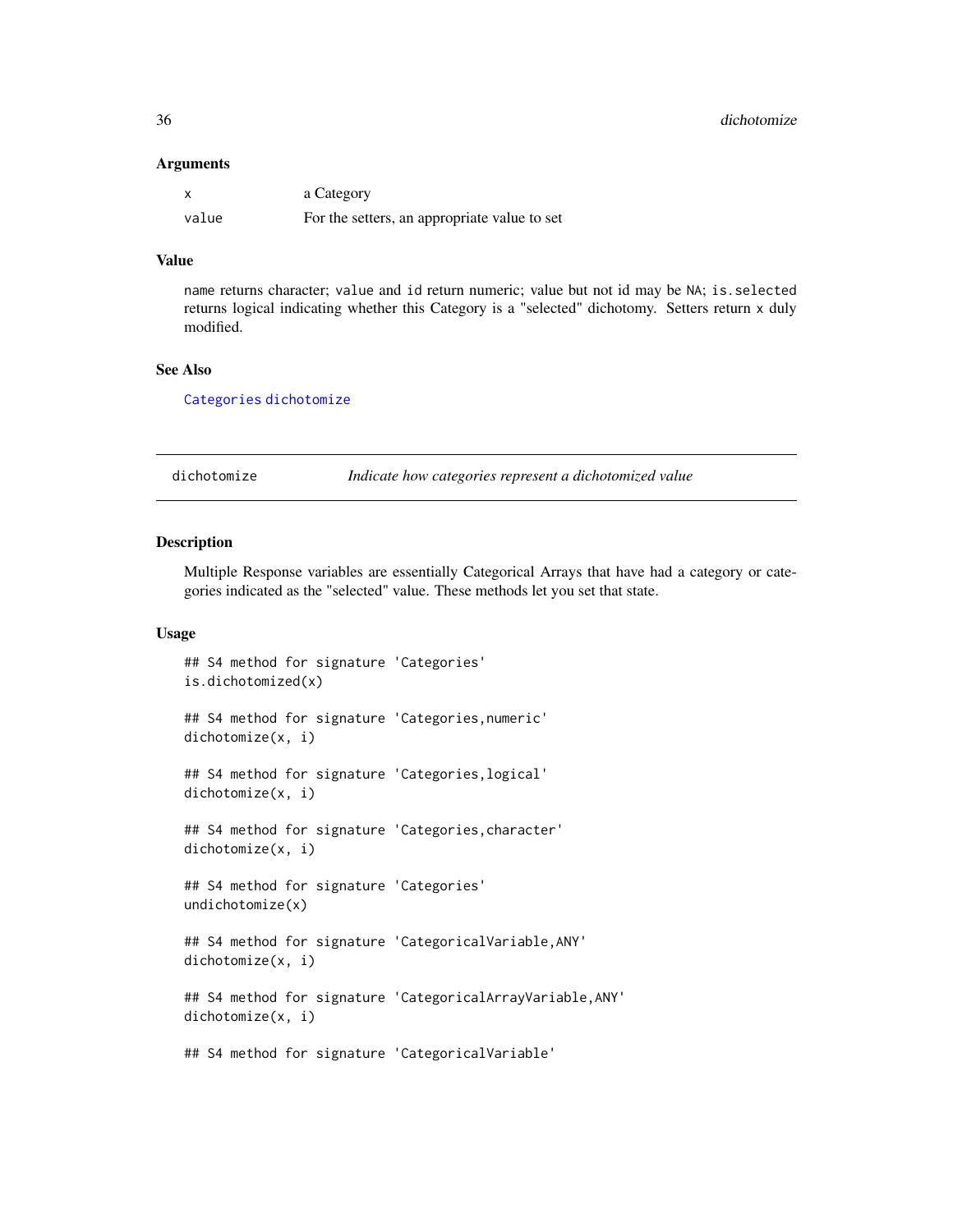#### **Arguments**

| $\boldsymbol{\mathsf{x}}$ | a Category                                   |
|---------------------------|----------------------------------------------|
| value                     | For the setters, an appropriate value to set |

# Value

name returns character; value and id return numeric; value but not id may be NA; is.selected returns logical indicating whether this Category is a "selected" dichotomy. Setters return x duly modified.

#### See Also

[Categories](#page-12-1) [dichotomize](#page-35-1)

<span id="page-35-1"></span>dichotomize *Indicate how categories represent a dichotomized value*

# Description

Multiple Response variables are essentially Categorical Arrays that have had a category or categories indicated as the "selected" value. These methods let you set that state.

```
## S4 method for signature 'Categories'
is.dichotomized(x)
## S4 method for signature 'Categories,numeric'
dichotomize(x, i)
## S4 method for signature 'Categories,logical'
dichotomize(x, i)
## S4 method for signature 'Categories,character'
dichotomize(x, i)
## S4 method for signature 'Categories'
undichotomize(x)
## S4 method for signature 'CategoricalVariable,ANY'
dichotomize(x, i)
## S4 method for signature 'CategoricalArrayVariable,ANY'
dichotomize(x, i)
## S4 method for signature 'CategoricalVariable'
```
<span id="page-35-0"></span>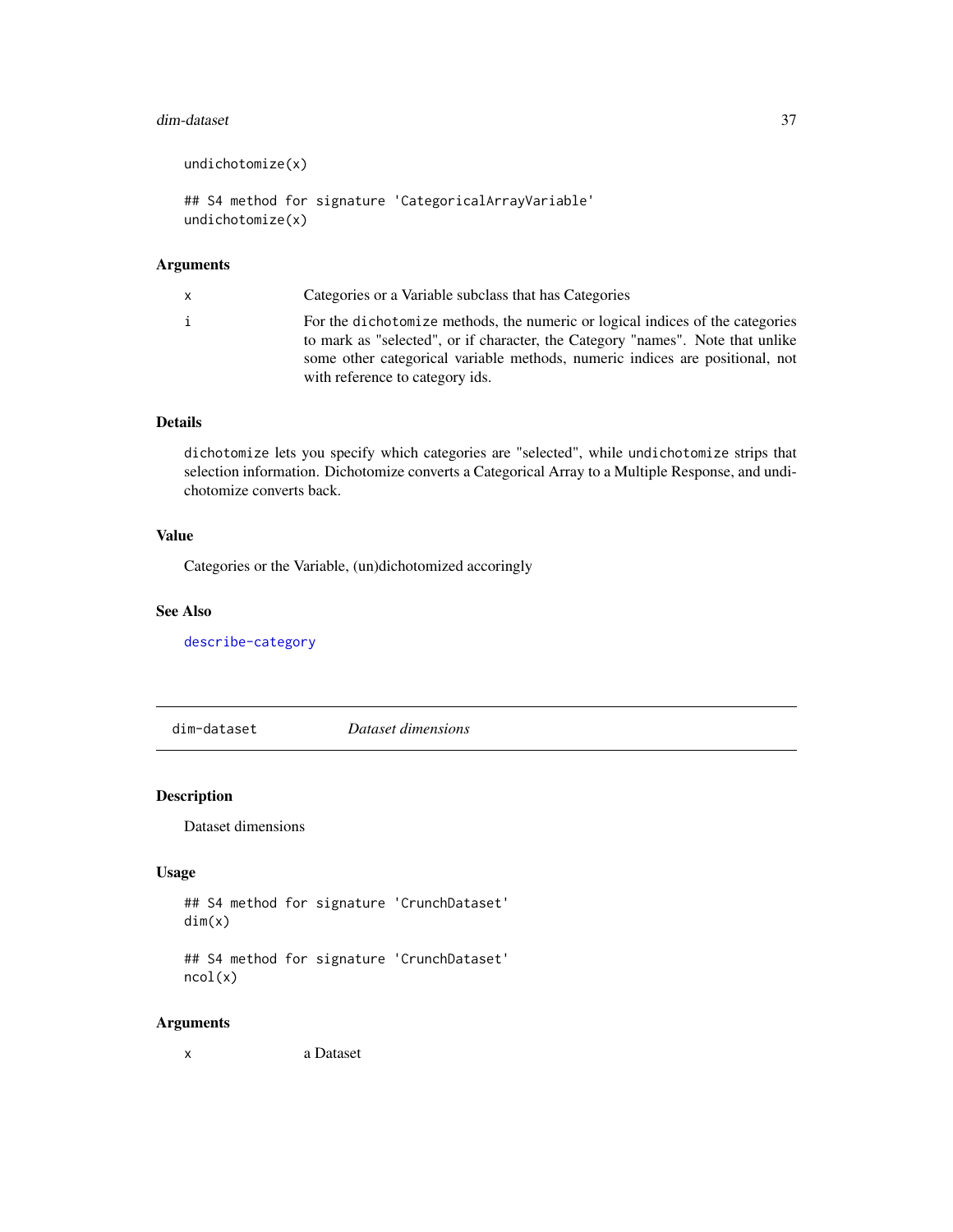#### dim-dataset 37

```
undichotomize(x)
```

```
## S4 method for signature 'CategoricalArrayVariable'
undichotomize(x)
```
## Arguments

| i<br>with reference to category ids. | x | Categories or a Variable subclass that has Categories                                                                                                                                                                                           |
|--------------------------------------|---|-------------------------------------------------------------------------------------------------------------------------------------------------------------------------------------------------------------------------------------------------|
|                                      |   | For the dichotomize methods, the numeric or logical indices of the categories<br>to mark as "selected", or if character, the Category "names". Note that unlike<br>some other categorical variable methods, numeric indices are positional, not |

# Details

dichotomize lets you specify which categories are "selected", while undichotomize strips that selection information. Dichotomize converts a Categorical Array to a Multiple Response, and undichotomize converts back.

## Value

Categories or the Variable, (un)dichotomized accoringly

#### See Also

[describe-category](#page-34-0)

dim-dataset *Dataset dimensions*

### Description

Dataset dimensions

## Usage

```
## S4 method for signature 'CrunchDataset'
dim(x)
```
## S4 method for signature 'CrunchDataset' ncol(x)

#### Arguments

x a Dataset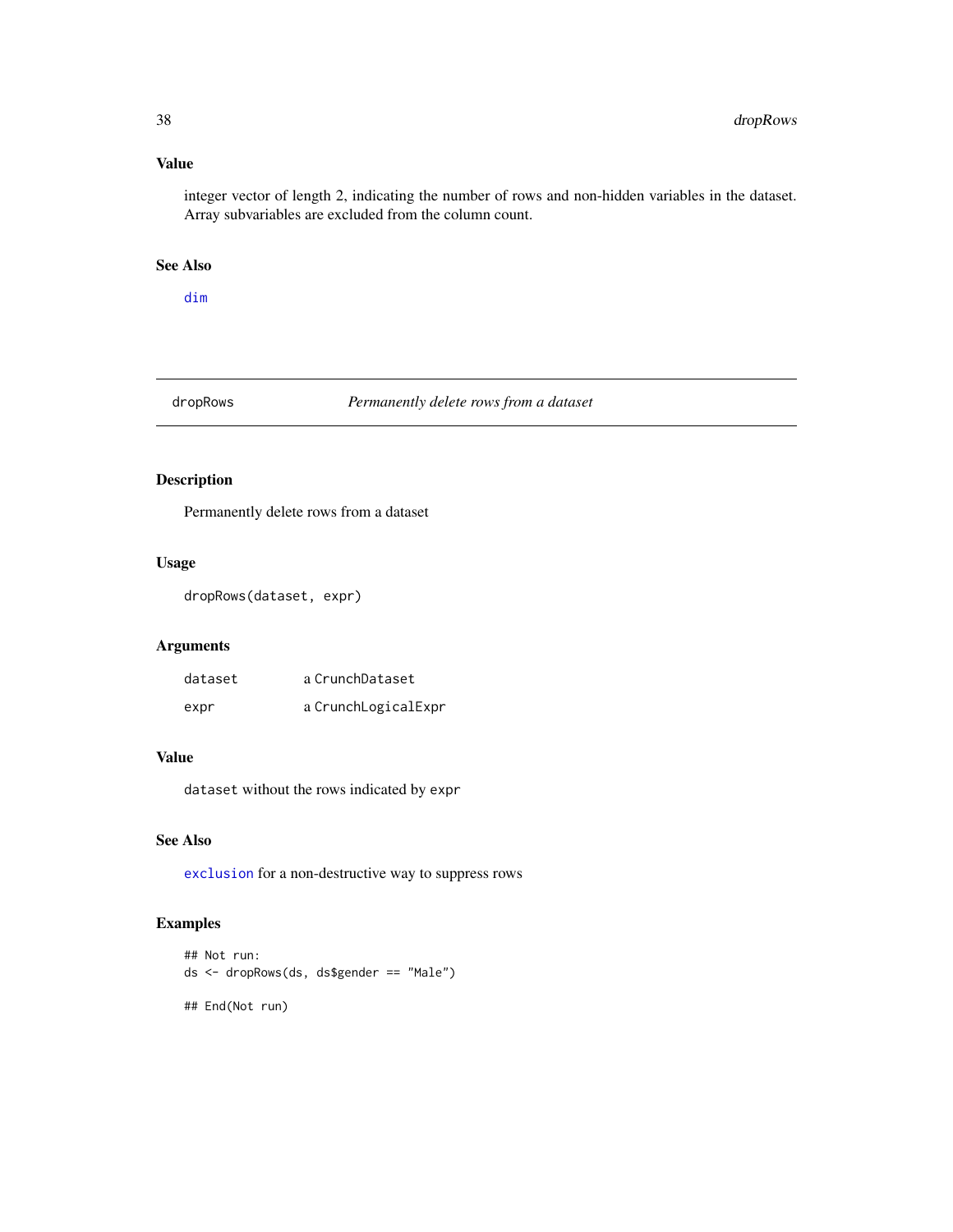# Value

integer vector of length 2, indicating the number of rows and non-hidden variables in the dataset. Array subvariables are excluded from the column count.

# See Also

[dim](#page-0-0)

## dropRows *Permanently delete rows from a dataset*

# Description

Permanently delete rows from a dataset

## Usage

dropRows(dataset, expr)

## Arguments

| dataset | a CrunchDataset     |
|---------|---------------------|
| expr    | a CrunchLogicalExpr |

#### Value

dataset without the rows indicated by expr

### See Also

[exclusion](#page-41-0) for a non-destructive way to suppress rows

# Examples

```
## Not run:
ds <- dropRows(ds, ds$gender == "Male")
## End(Not run)
```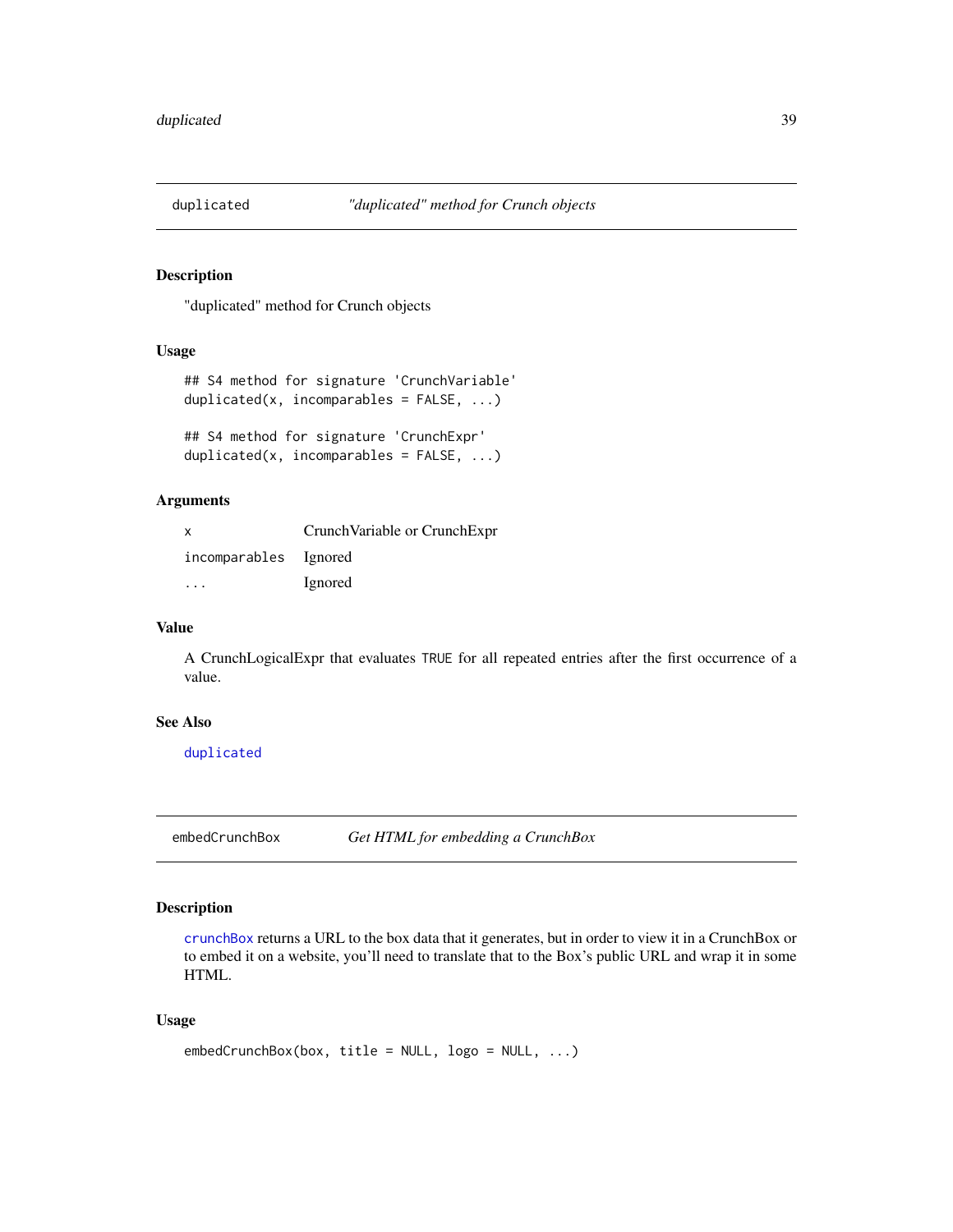<span id="page-38-0"></span>

### Description

"duplicated" method for Crunch objects

## Usage

```
## S4 method for signature 'CrunchVariable'
duplicated(x, incomparables = FALSE, ...)
```
## S4 method for signature 'CrunchExpr' duplicated(x, incomparables = FALSE, ...)

#### Arguments

| $\mathsf{x}$          | Crunch Variable or Crunch Expr |
|-----------------------|--------------------------------|
| incomparables Ignored |                                |
| .                     | Ignored                        |

#### Value

A CrunchLogicalExpr that evaluates TRUE for all repeated entries after the first occurrence of a value.

### See Also

[duplicated](#page-38-0)

embedCrunchBox *Get HTML for embedding a CrunchBox*

## Description

[crunchBox](#page-20-0) returns a URL to the box data that it generates, but in order to view it in a CrunchBox or to embed it on a website, you'll need to translate that to the Box's public URL and wrap it in some HTML.

```
embedCrunchBox(box, title = NULL, logo = NULL, ...)
```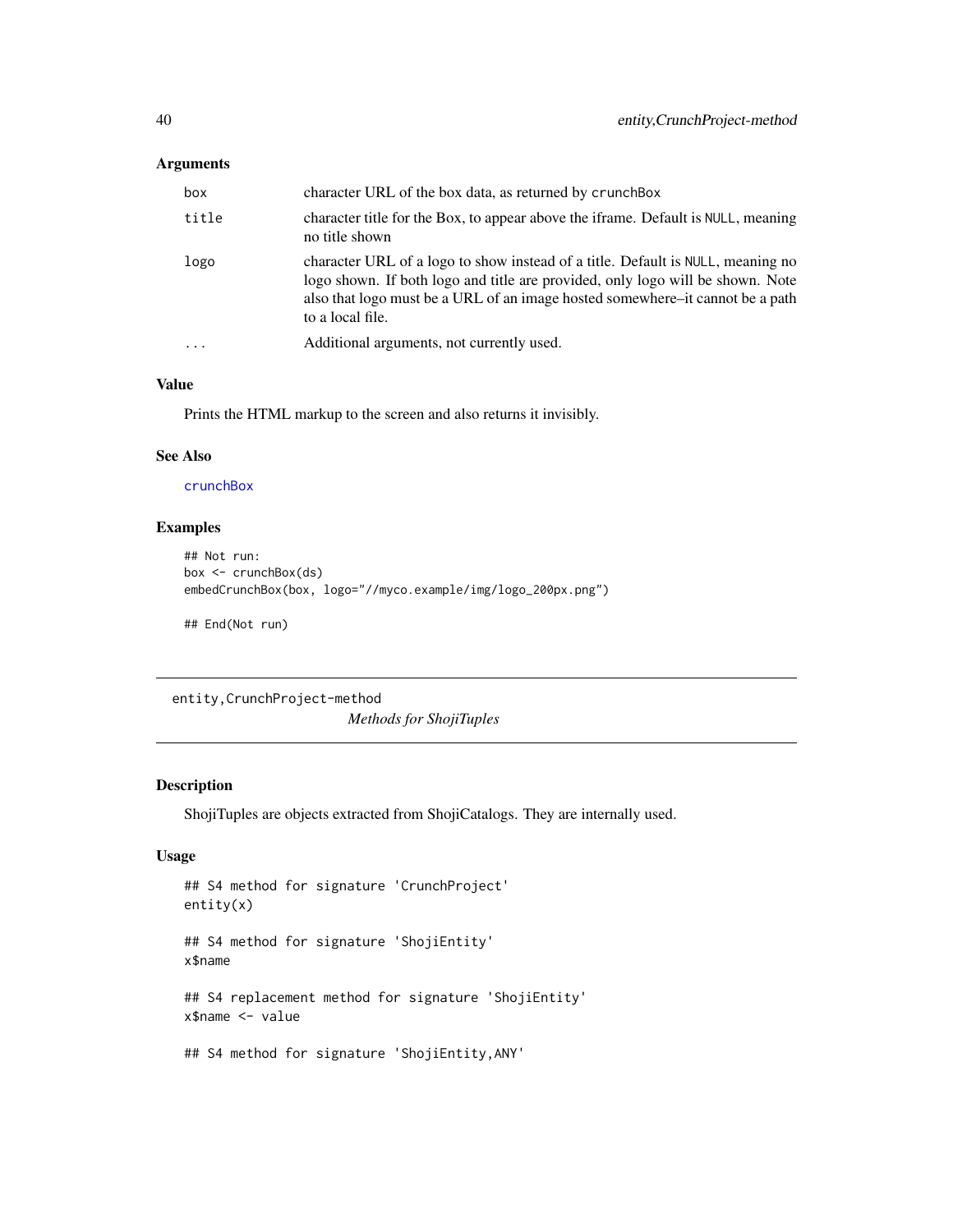## Arguments

| box      | character URL of the box data, as returned by crunch Box                                                                                                                                                                                                               |
|----------|------------------------------------------------------------------------------------------------------------------------------------------------------------------------------------------------------------------------------------------------------------------------|
| title    | character title for the Box, to appear above the iframe. Default is NULL, meaning<br>no title shown                                                                                                                                                                    |
| logo     | character URL of a logo to show instead of a title. Default is NULL, meaning no<br>logo shown. If both logo and title are provided, only logo will be shown. Note<br>also that logo must be a URL of an image hosted somewhere–it cannot be a path<br>to a local file. |
| $\ddots$ | Additional arguments, not currently used.                                                                                                                                                                                                                              |
|          |                                                                                                                                                                                                                                                                        |

# Value

Prints the HTML markup to the screen and also returns it invisibly.

# See Also

[crunchBox](#page-20-0)

## Examples

```
## Not run:
box <- crunchBox(ds)
embedCrunchBox(box, logo="//myco.example/img/logo_200px.png")
```
## End(Not run)

entity,CrunchProject-method

*Methods for ShojiTuples*

#### Description

ShojiTuples are objects extracted from ShojiCatalogs. They are internally used.

```
## S4 method for signature 'CrunchProject'
entity(x)
## S4 method for signature 'ShojiEntity'
x$name
## S4 replacement method for signature 'ShojiEntity'
x$name <- value
## S4 method for signature 'ShojiEntity,ANY'
```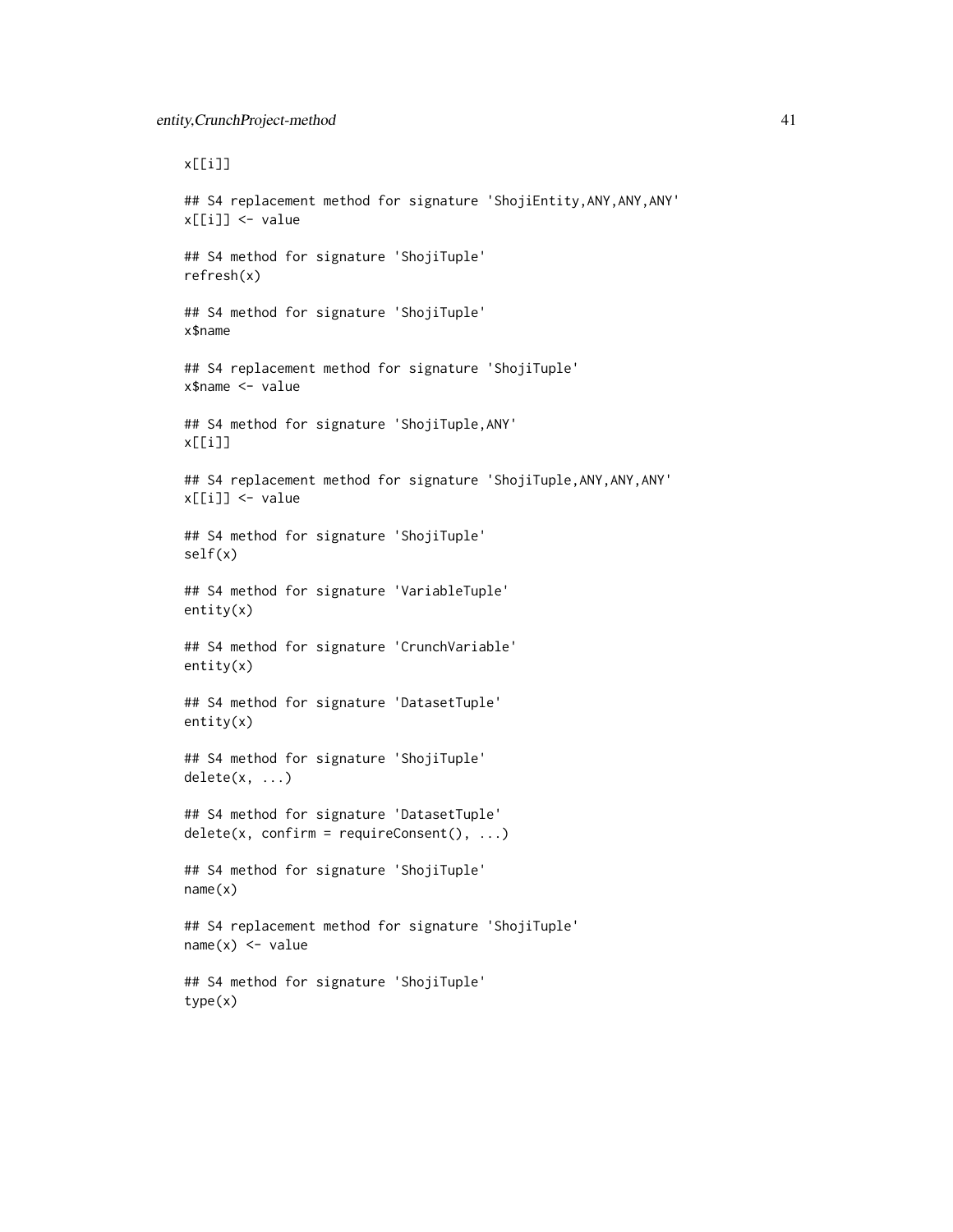x[[i]] ## S4 replacement method for signature 'ShojiEntity, ANY, ANY, ANY' x[[i]] <- value ## S4 method for signature 'ShojiTuple' refresh(x) ## S4 method for signature 'ShojiTuple' x\$name ## S4 replacement method for signature 'ShojiTuple' x\$name <- value ## S4 method for signature 'ShojiTuple,ANY' x[[i]] ## S4 replacement method for signature 'ShojiTuple, ANY, ANY, ANY' x[[i]] <- value ## S4 method for signature 'ShojiTuple' self(x) ## S4 method for signature 'VariableTuple' entity(x) ## S4 method for signature 'CrunchVariable' entity(x) ## S4 method for signature 'DatasetTuple' entity(x) ## S4 method for signature 'ShojiTuple' delete(x, ...) ## S4 method for signature 'DatasetTuple'  $delete(x, confirm = requireConsent(), ...)$ ## S4 method for signature 'ShojiTuple' name(x) ## S4 replacement method for signature 'ShojiTuple'  $name(x) < - value$ ## S4 method for signature 'ShojiTuple' type(x)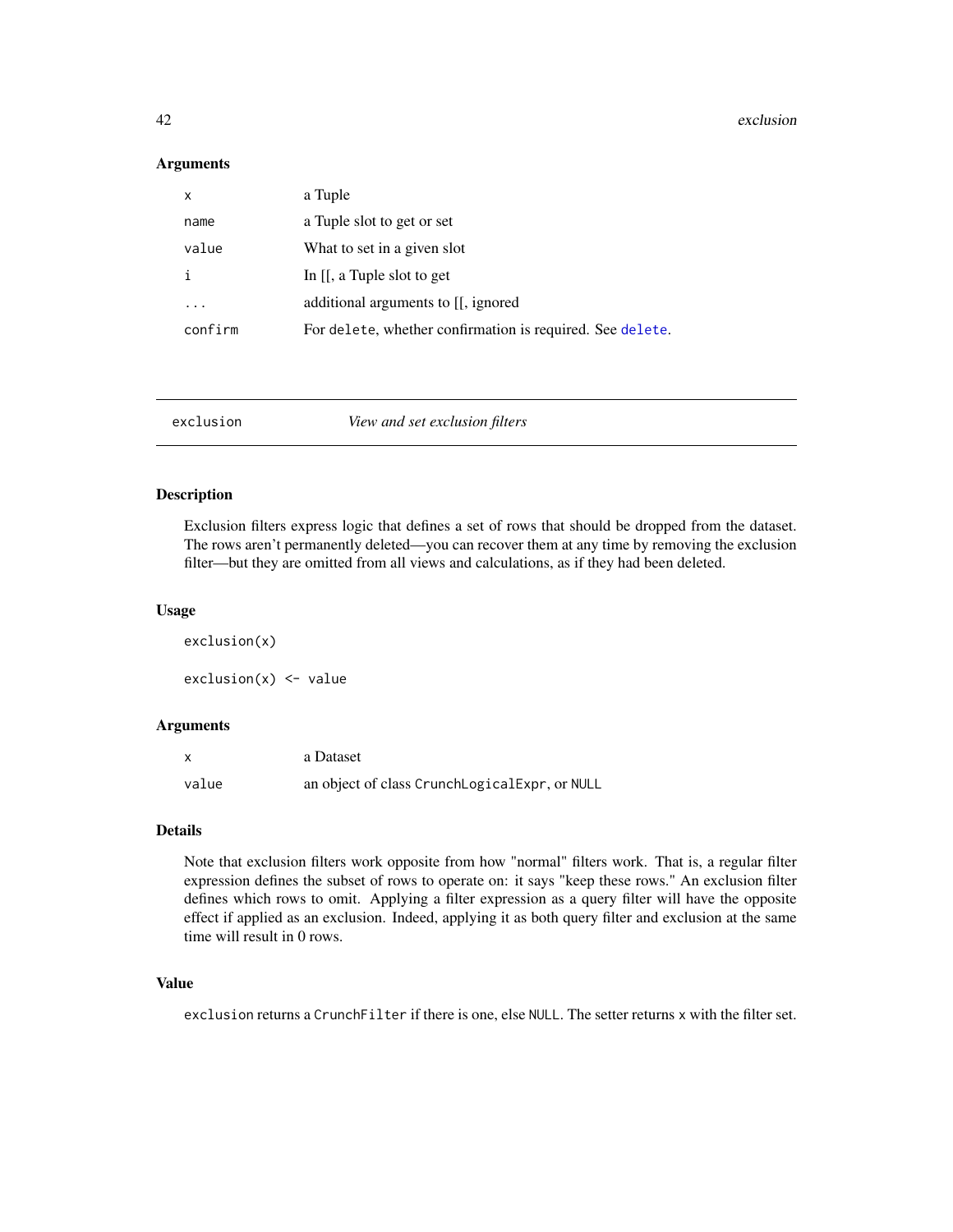#### Arguments

| $\mathsf{x}$ | a Tuple                                                   |
|--------------|-----------------------------------------------------------|
| name         | a Tuple slot to get or set                                |
| value        | What to set in a given slot                               |
| i            | In $[[, a]$ Tuple slot to get                             |
|              | additional arguments to [[, ignored]                      |
| confirm      | For delete, whether confirmation is required. See delete. |

<span id="page-41-0"></span>exclusion *View and set exclusion filters*

#### Description

Exclusion filters express logic that defines a set of rows that should be dropped from the dataset. The rows aren't permanently deleted—you can recover them at any time by removing the exclusion filter—but they are omitted from all views and calculations, as if they had been deleted.

#### Usage

exclusion(x)  $exclusion(x) < - value$ 

### Arguments

| $\boldsymbol{\mathsf{x}}$ | a Dataset                                     |
|---------------------------|-----------------------------------------------|
| value                     | an object of class CrunchLogicalExpr, or NULL |

## Details

Note that exclusion filters work opposite from how "normal" filters work. That is, a regular filter expression defines the subset of rows to operate on: it says "keep these rows." An exclusion filter defines which rows to omit. Applying a filter expression as a query filter will have the opposite effect if applied as an exclusion. Indeed, applying it as both query filter and exclusion at the same time will result in 0 rows.

## Value

exclusion returns a CrunchFilter if there is one, else NULL. The setter returns x with the filter set.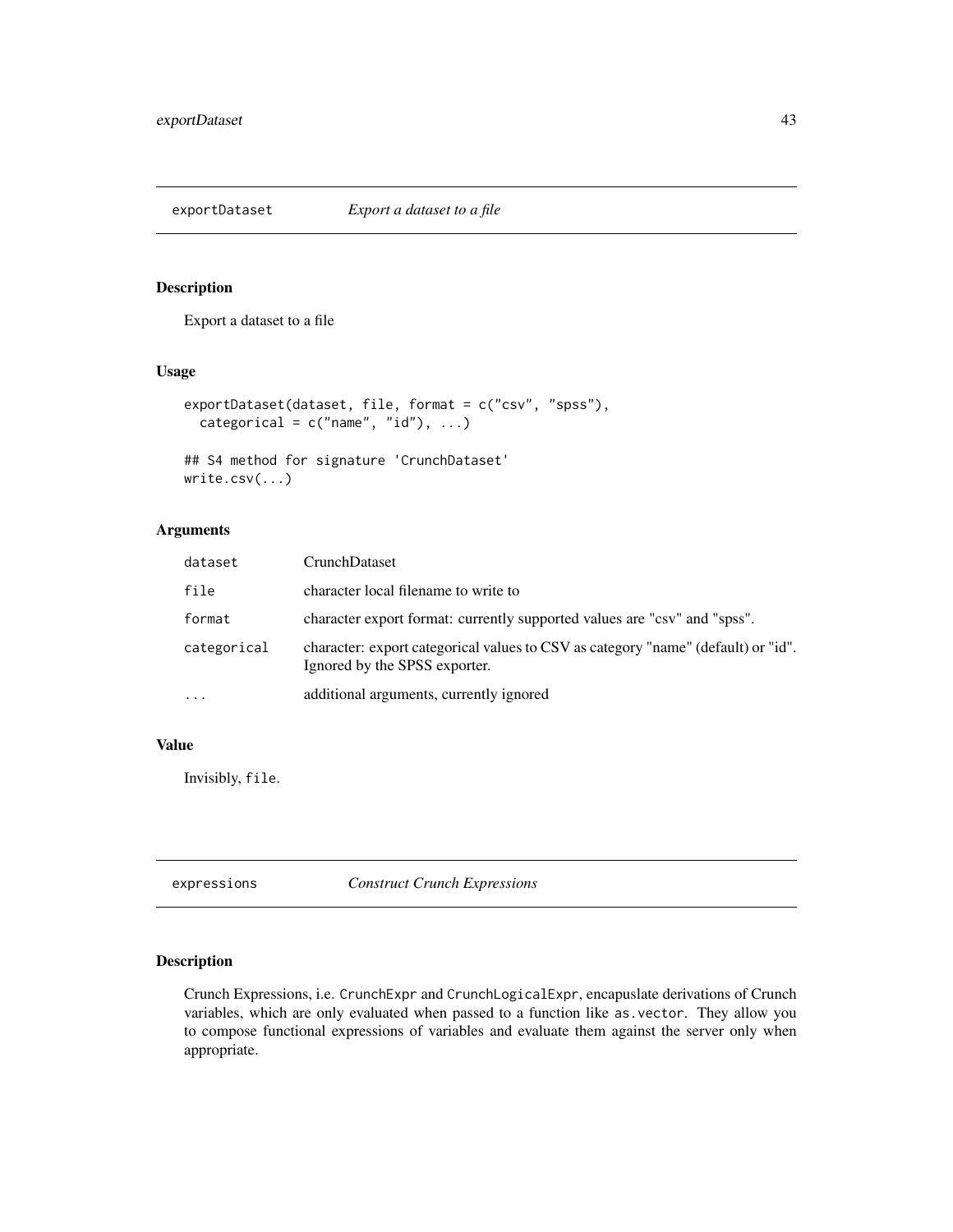exportDataset *Export a dataset to a file*

## Description

Export a dataset to a file

### Usage

```
exportDataset(dataset, file, format = c("csv", "spss"),
  categorical = c("name", "id"), ...)
```

```
## S4 method for signature 'CrunchDataset'
write.csv(...)
```
## Arguments

| dataset     | CrunchDataset                                                                                                      |
|-------------|--------------------------------------------------------------------------------------------------------------------|
| file        | character local filename to write to                                                                               |
| format      | character export format: currently supported values are "csv" and "spss".                                          |
| categorical | character: export categorical values to CSV as category "name" (default) or "id".<br>Ignored by the SPSS exporter. |
| $\cdots$    | additional arguments, currently ignored                                                                            |

## Value

Invisibly, file.

| expressions | <b>Construct Crunch Expressions</b> |
|-------------|-------------------------------------|
|-------------|-------------------------------------|

## Description

Crunch Expressions, i.e. CrunchExpr and CrunchLogicalExpr, encapuslate derivations of Crunch variables, which are only evaluated when passed to a function like as.vector. They allow you to compose functional expressions of variables and evaluate them against the server only when appropriate.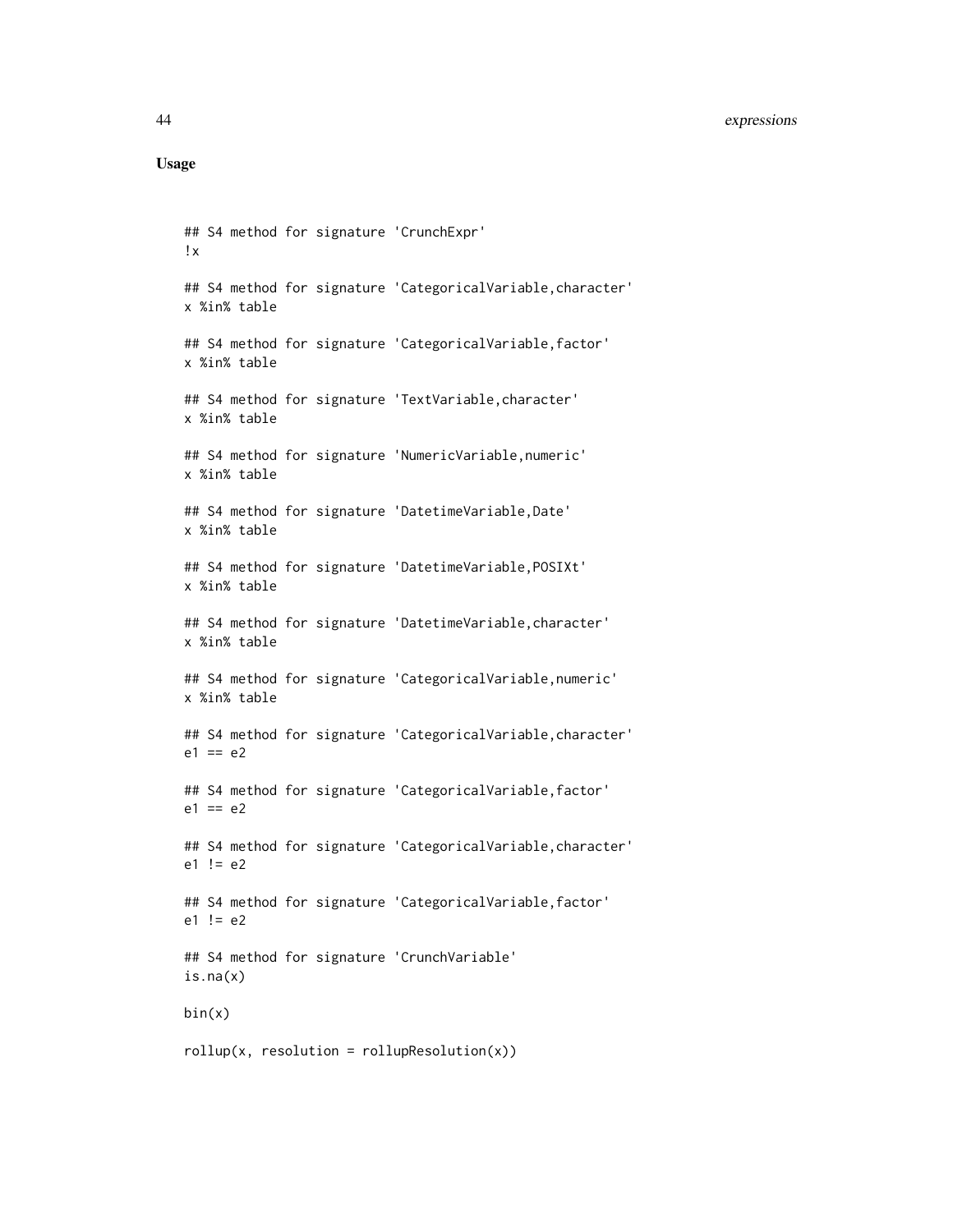### 44 expressions

```
## S4 method for signature 'CrunchExpr'
!x
## S4 method for signature 'CategoricalVariable,character'
x %in% table
## S4 method for signature 'CategoricalVariable, factor'
x %in% table
## S4 method for signature 'TextVariable, character'
x %in% table
## S4 method for signature 'NumericVariable,numeric'
x %in% table
## S4 method for signature 'DatetimeVariable,Date'
x %in% table
## S4 method for signature 'DatetimeVariable,POSIXt'
x %in% table
## S4 method for signature 'DatetimeVariable, character'
x %in% table
## S4 method for signature 'CategoricalVariable,numeric'
x %in% table
## S4 method for signature 'CategoricalVariable, character'
e1 == e2## S4 method for signature 'CategoricalVariable,factor'
e1 == e2## S4 method for signature 'CategoricalVariable,character'
e1 != e2## S4 method for signature 'CategoricalVariable, factor'
e1 != e2
## S4 method for signature 'CrunchVariable'
is.na(x)
bin(x)
rollup(x, resolution = rollupResolution(x))
```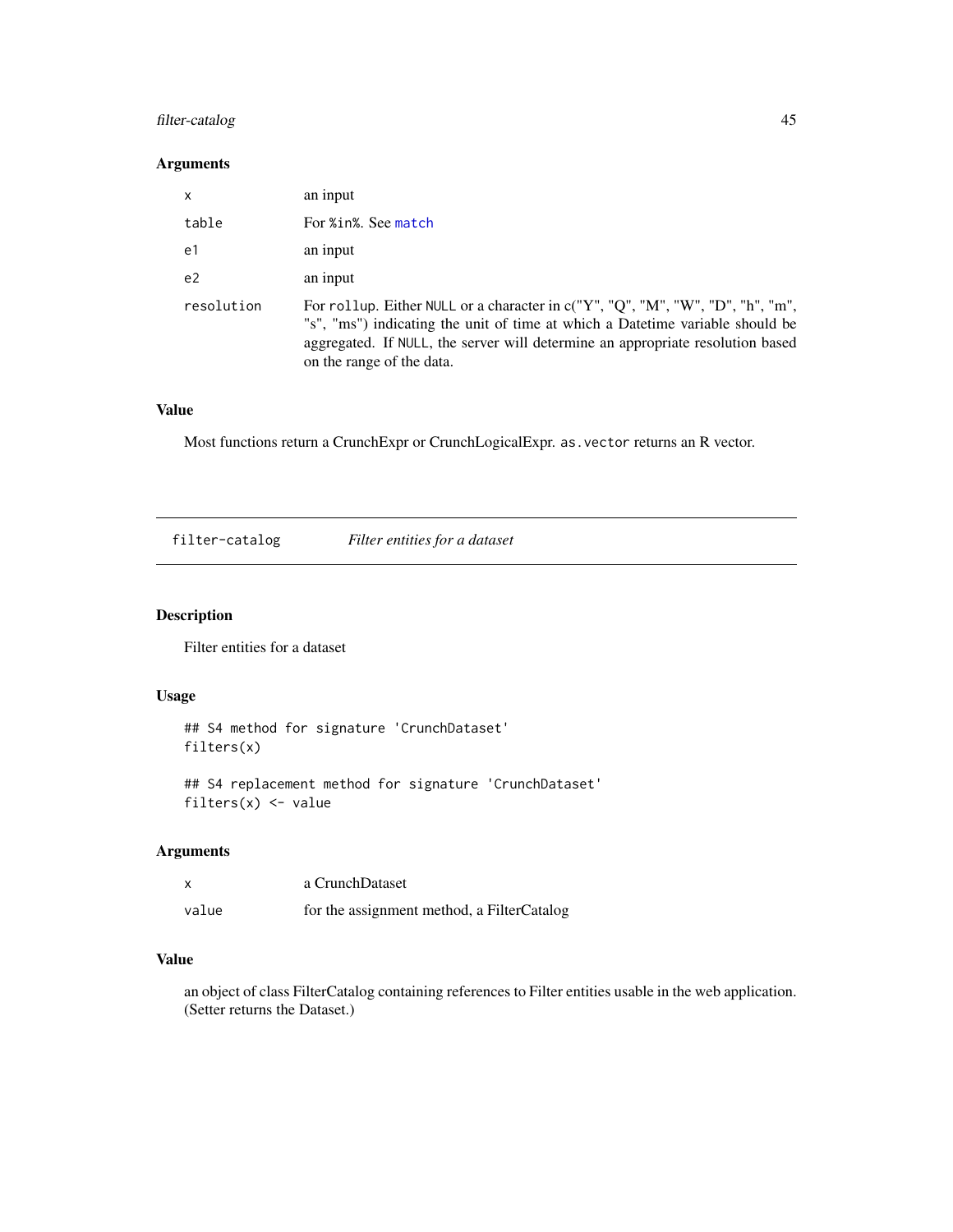## filter-catalog 45

# Arguments

| $\mathsf{x}$   | an input                                                                                                                                                                                                                                                                       |
|----------------|--------------------------------------------------------------------------------------------------------------------------------------------------------------------------------------------------------------------------------------------------------------------------------|
| table          | For %in%. See match                                                                                                                                                                                                                                                            |
| e1             | an input                                                                                                                                                                                                                                                                       |
| e <sub>2</sub> | an input                                                                                                                                                                                                                                                                       |
| resolution     | For rollup. Either NULL or a character in c("Y", "Q", "M", "W", "D", "h", "m",<br>"s", "ms") indicating the unit of time at which a Datetime variable should be<br>aggregated. If NULL, the server will determine an appropriate resolution based<br>on the range of the data. |

# Value

Most functions return a CrunchExpr or CrunchLogicalExpr. as.vector returns an R vector.

filter-catalog *Filter entities for a dataset*

# Description

Filter entities for a dataset

# Usage

```
## S4 method for signature 'CrunchDataset'
filters(x)
```
## S4 replacement method for signature 'CrunchDataset' filters $(x)$  <- value

## Arguments

|       | a CrunchDataset                            |
|-------|--------------------------------------------|
| value | for the assignment method, a FilterCatalog |

# Value

an object of class FilterCatalog containing references to Filter entities usable in the web application. (Setter returns the Dataset.)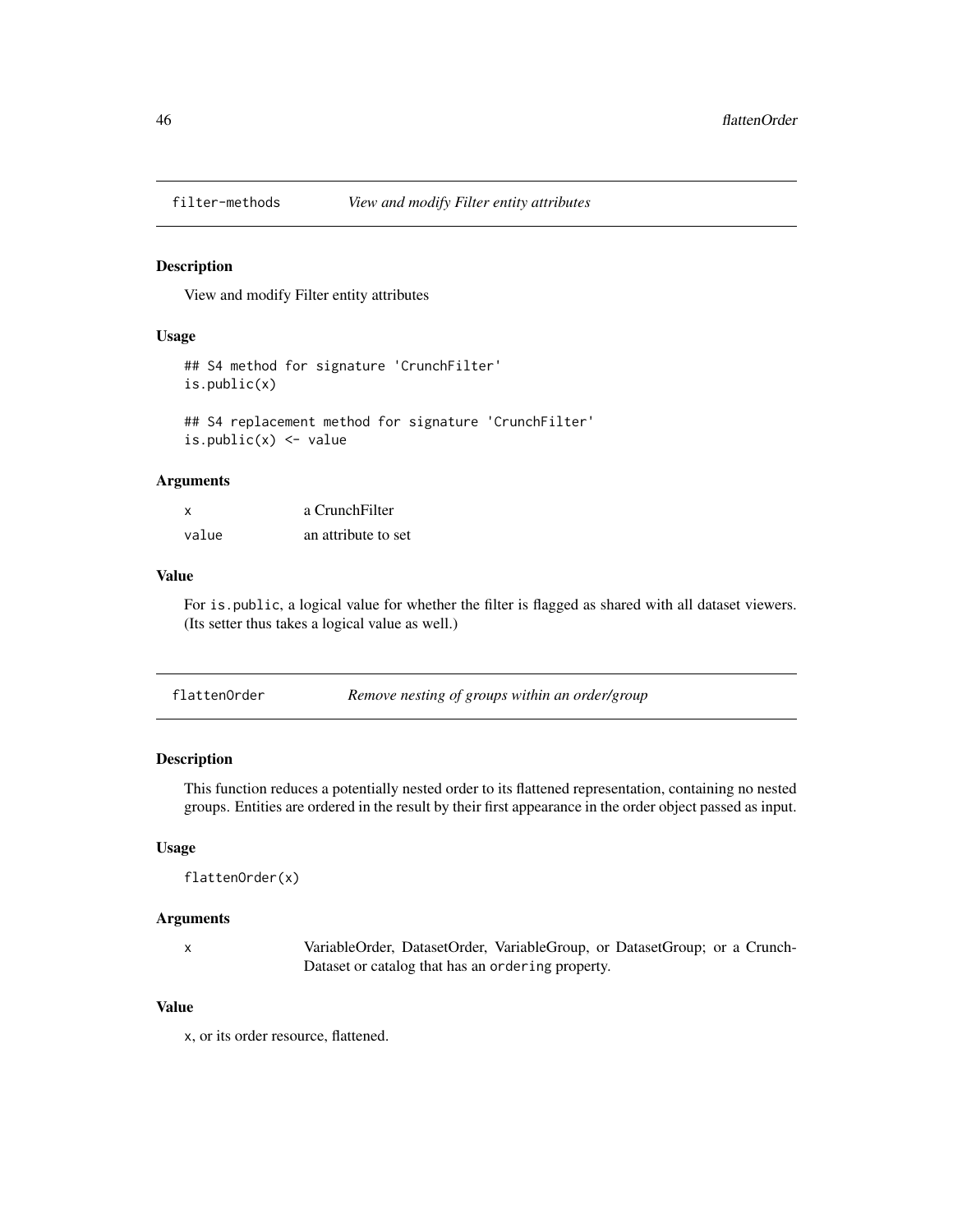#### Description

View and modify Filter entity attributes

#### Usage

```
## S4 method for signature 'CrunchFilter'
is.public(x)
## S4 replacement method for signature 'CrunchFilter'
is.public(x) <- value
```
#### Arguments

| x     | a CrunchFilter      |
|-------|---------------------|
| value | an attribute to set |

#### Value

For is.public, a logical value for whether the filter is flagged as shared with all dataset viewers. (Its setter thus takes a logical value as well.)

| Remove nesting of groups within an order/group<br>flattenOrder |  |
|----------------------------------------------------------------|--|
|----------------------------------------------------------------|--|

#### Description

This function reduces a potentially nested order to its flattened representation, containing no nested groups. Entities are ordered in the result by their first appearance in the order object passed as input.

#### Usage

```
flattenOrder(x)
```
#### Arguments

x VariableOrder, DatasetOrder, VariableGroup, or DatasetGroup; or a Crunch-Dataset or catalog that has an ordering property.

#### Value

x, or its order resource, flattened.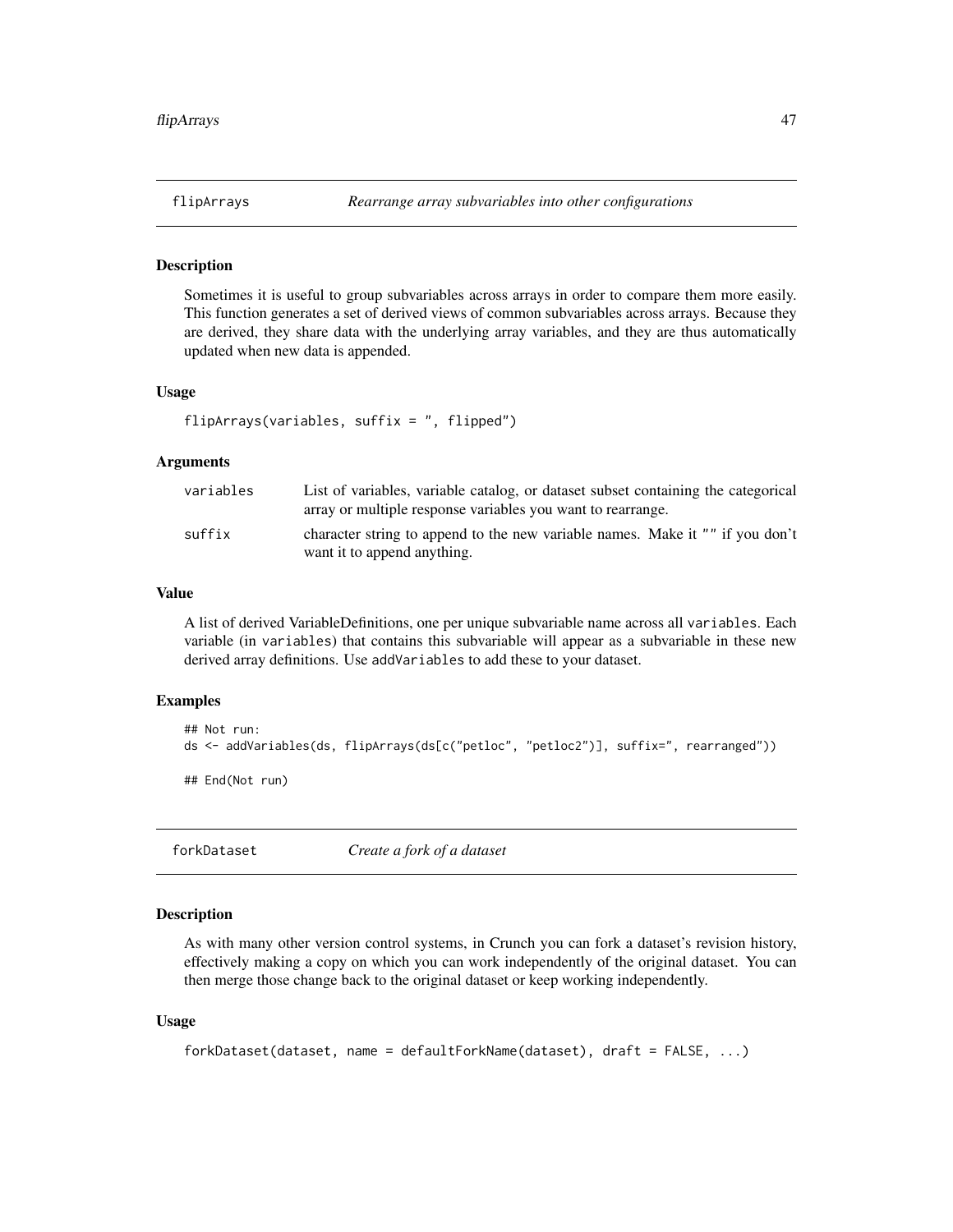#### Description

Sometimes it is useful to group subvariables across arrays in order to compare them more easily. This function generates a set of derived views of common subvariables across arrays. Because they are derived, they share data with the underlying array variables, and they are thus automatically updated when new data is appended.

## Usage

```
flipArrays(variables, suffix = ", flipped")
```
#### Arguments

| variables | List of variables, variable catalog, or dataset subset containing the categorical<br>array or multiple response variables you want to rearrange. |
|-----------|--------------------------------------------------------------------------------------------------------------------------------------------------|
| suffix    | character string to append to the new variable names. Make it "" if you don't<br>want it to append anything.                                     |

### Value

A list of derived VariableDefinitions, one per unique subvariable name across all variables. Each variable (in variables) that contains this subvariable will appear as a subvariable in these new derived array definitions. Use addVariables to add these to your dataset.

## Examples

```
## Not run:
ds <- addVariables(ds, flipArrays(ds[c("petloc", "petloc2")], suffix=", rearranged"))
## End(Not run)
```
forkDataset *Create a fork of a dataset*

### Description

As with many other version control systems, in Crunch you can fork a dataset's revision history, effectively making a copy on which you can work independently of the original dataset. You can then merge those change back to the original dataset or keep working independently.

```
forkDataset(dataset, name = defaultForkName(dataset), draft = FALSE, ...)
```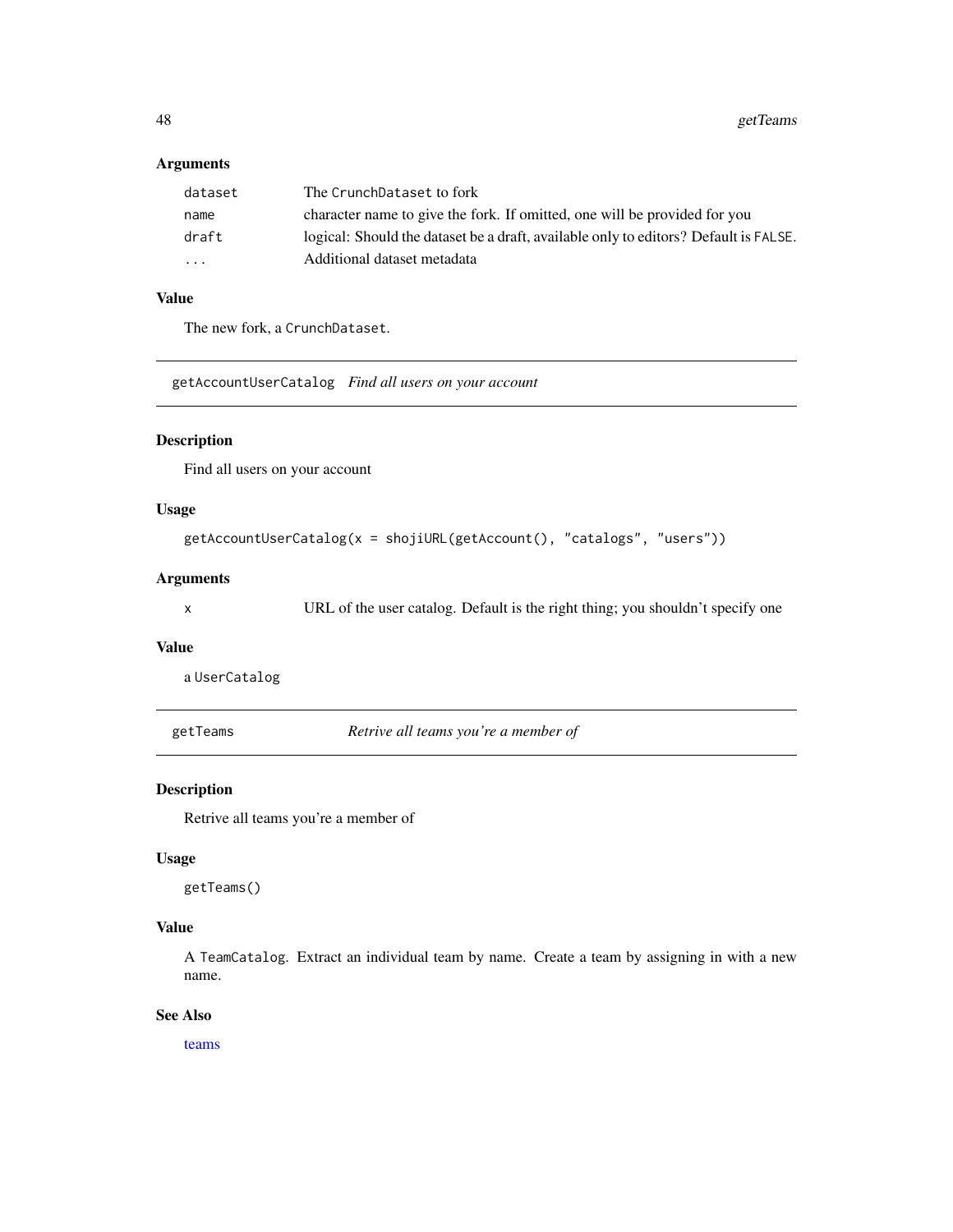## Arguments

| dataset                 | The CrunchDataset to fork                                                            |
|-------------------------|--------------------------------------------------------------------------------------|
| name                    | character name to give the fork. If omitted, one will be provided for you            |
| draft                   | logical: Should the dataset be a draft, available only to editors? Default is FALSE. |
| $\cdot$ $\cdot$ $\cdot$ | Additional dataset metadata                                                          |
|                         |                                                                                      |

# Value

The new fork, a CrunchDataset.

getAccountUserCatalog *Find all users on your account*

## Description

Find all users on your account

## Usage

```
getAccountUserCatalog(x = shojiURL(getAccount(), "catalogs", "users"))
```
#### Arguments

x URL of the user catalog. Default is the right thing; you shouldn't specify one

#### Value

a UserCatalog

<span id="page-47-0"></span>getTeams *Retrive all teams you're a member of*

#### Description

Retrive all teams you're a member of

#### Usage

getTeams()

## Value

A TeamCatalog. Extract an individual team by name. Create a team by assigning in with a new name.

## See Also

[teams](#page-60-0)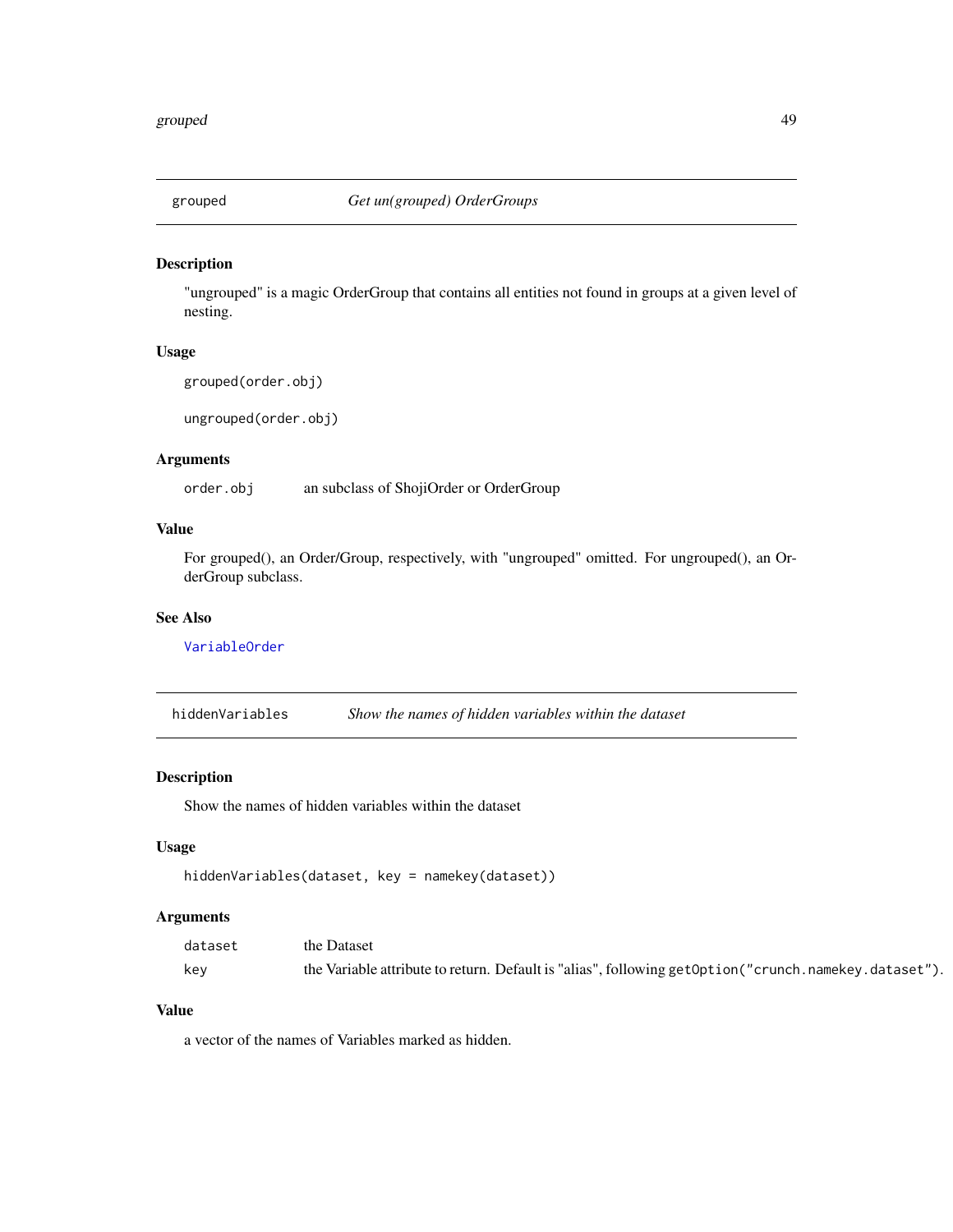#### Description

"ungrouped" is a magic OrderGroup that contains all entities not found in groups at a given level of nesting.

## Usage

```
grouped(order.obj)
```
ungrouped(order.obj)

#### Arguments

order.obj an subclass of ShojiOrder or OrderGroup

## Value

For grouped(), an Order/Group, respectively, with "ungrouped" omitted. For ungrouped(), an OrderGroup subclass.

#### See Also

[VariableOrder](#page-94-0)

hiddenVariables *Show the names of hidden variables within the dataset*

#### Description

Show the names of hidden variables within the dataset

## Usage

```
hiddenVariables(dataset, key = namekey(dataset))
```
### Arguments

| dataset | the Dataset                                                                                           |
|---------|-------------------------------------------------------------------------------------------------------|
| kev     | the Variable attribute to return. Default is "alias", following getOption ("crunch.namekey.dataset"). |

## Value

a vector of the names of Variables marked as hidden.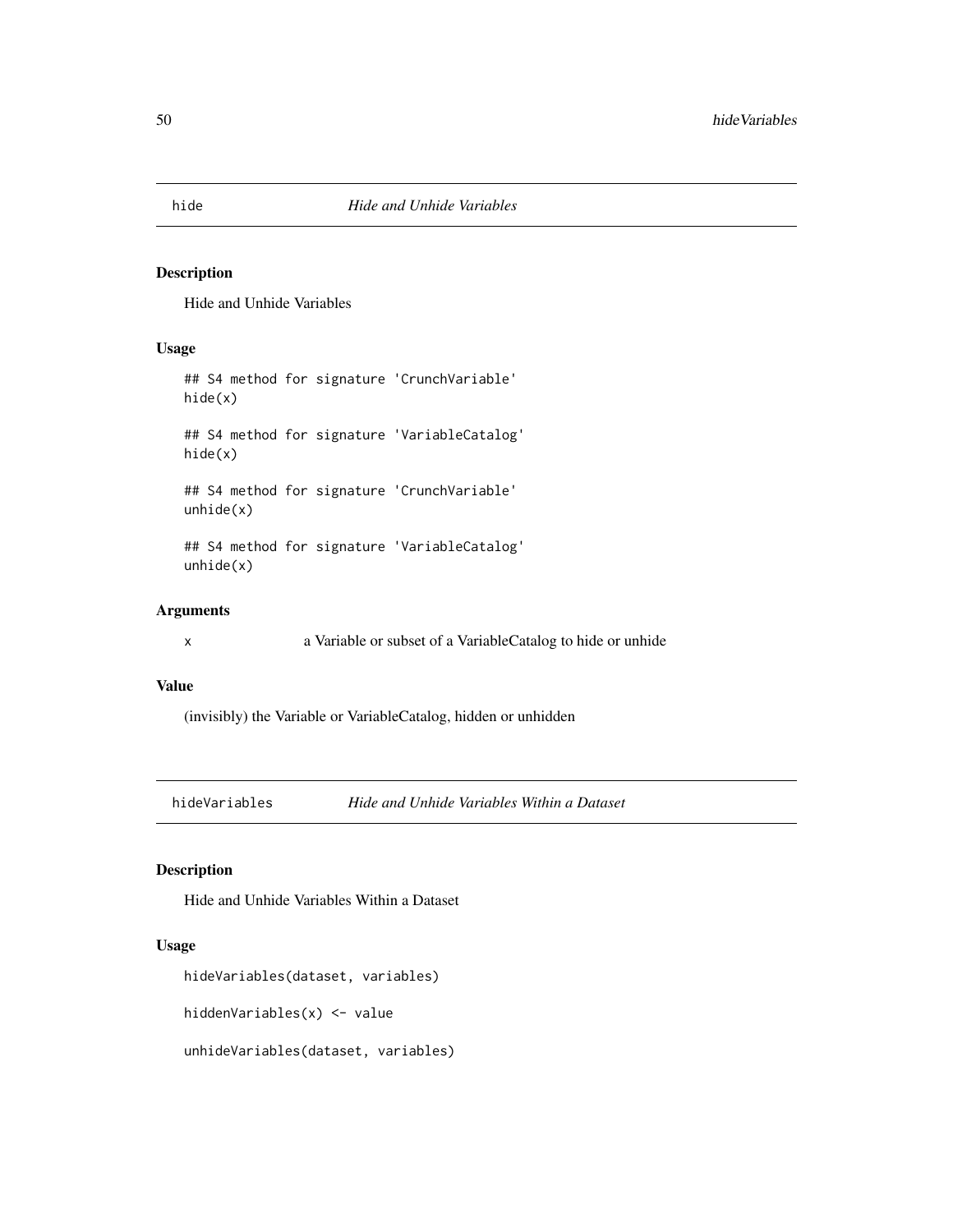## <span id="page-49-0"></span>Description

Hide and Unhide Variables

#### Usage

## S4 method for signature 'CrunchVariable' hide(x) ## S4 method for signature 'VariableCatalog' hide(x) ## S4 method for signature 'CrunchVariable' unhide(x)

## S4 method for signature 'VariableCatalog' unhide(x)

## Arguments

x a Variable or subset of a VariableCatalog to hide or unhide

#### Value

(invisibly) the Variable or VariableCatalog, hidden or unhidden

hideVariables *Hide and Unhide Variables Within a Dataset*

#### Description

Hide and Unhide Variables Within a Dataset

## Usage

hideVariables(dataset, variables)

hiddenVariables(x) <- value

unhideVariables(dataset, variables)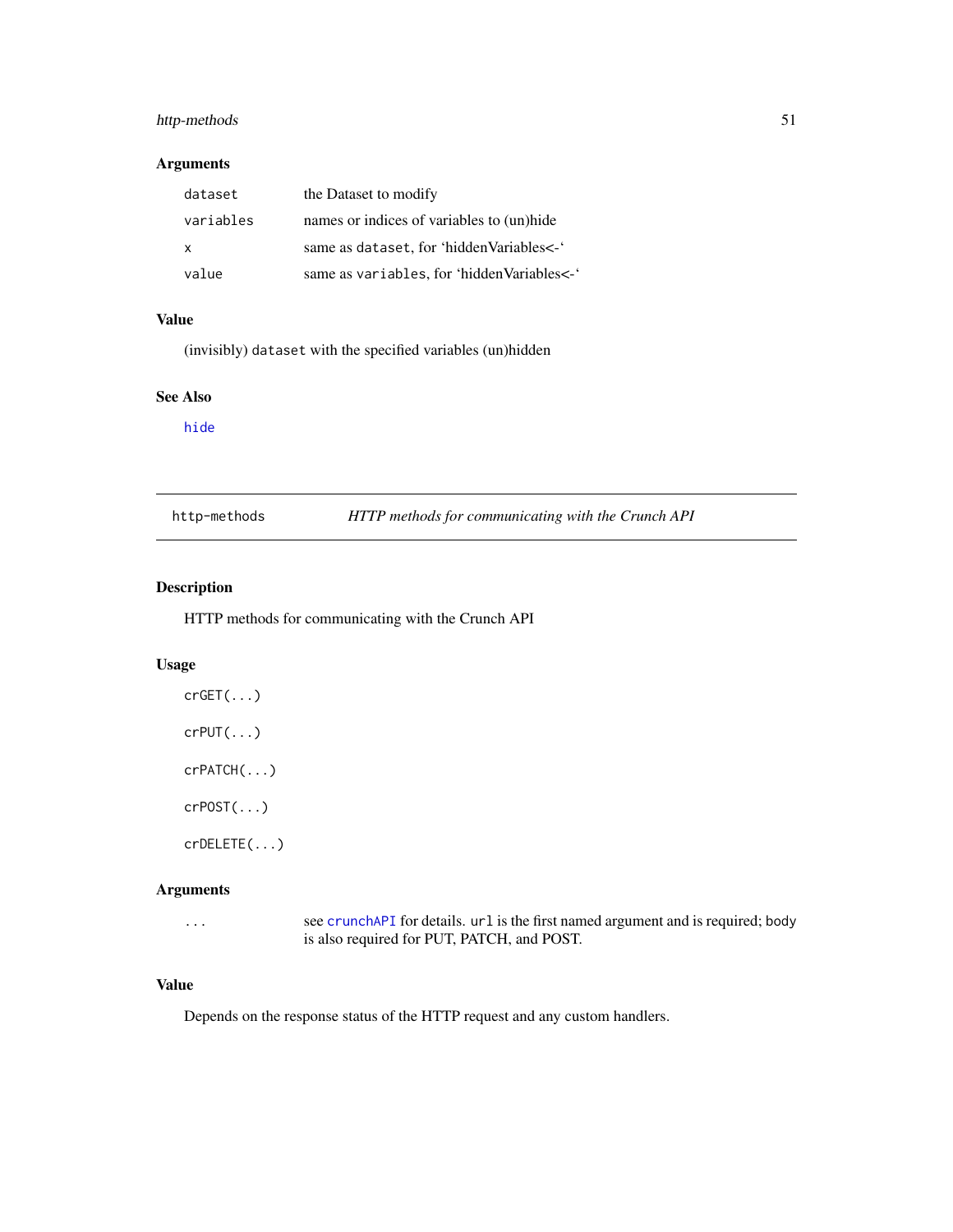## http-methods 51

#### Arguments

| dataset   | the Dataset to modify                      |
|-----------|--------------------------------------------|
| variables | names or indices of variables to (un)hide  |
| X         | same as dataset, for 'hidden Variables<-'  |
| value     | same as variables, for 'hidden Variables<- |

## Value

(invisibly) dataset with the specified variables (un)hidden

### See Also

[hide](#page-49-0)

| http-methods | HTTP methods for communicating with the Crunch API |
|--------------|----------------------------------------------------|
|--------------|----------------------------------------------------|

# Description

HTTP methods for communicating with the Crunch API

### Usage

crGET(...) crPUT(...) crPATCH(...) crPOST(...) crDELETE(...)

# Arguments

... see [crunchAPI](#page-0-0) for details. url is the first named argument and is required; body is also required for PUT, PATCH, and POST.

## Value

Depends on the response status of the HTTP request and any custom handlers.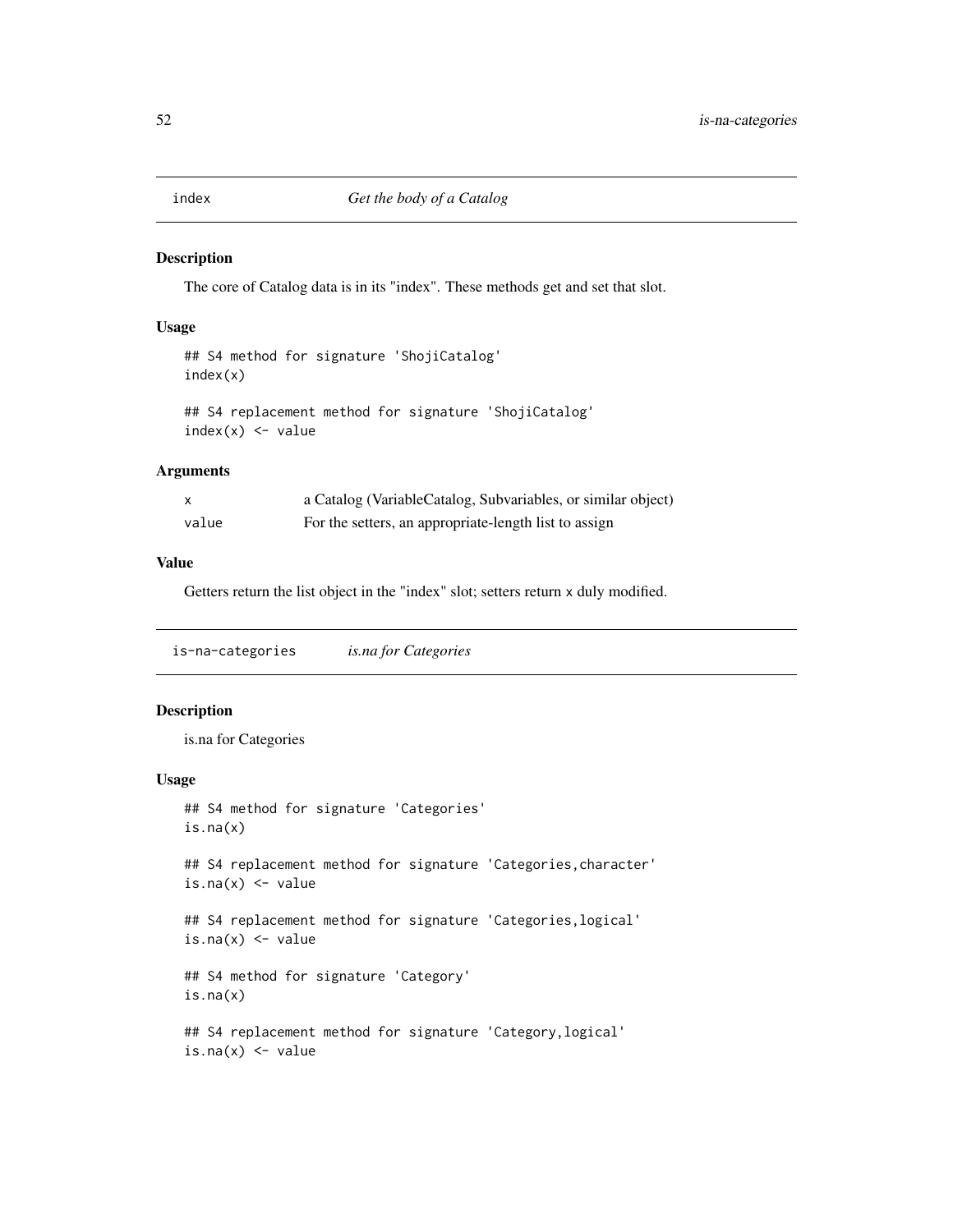### Description

The core of Catalog data is in its "index". These methods get and set that slot.

#### Usage

```
## S4 method for signature 'ShojiCatalog'
index(x)
```

```
## S4 replacement method for signature 'ShojiCatalog'
index(x) < - value
```
## Arguments

|       | a Catalog (VariableCatalog, Subvariables, or similar object) |
|-------|--------------------------------------------------------------|
| value | For the setters, an appropriate-length list to assign        |

## Value

Getters return the list object in the "index" slot; setters return x duly modified.

is-na-categories *is.na for Categories*

### Description

is.na for Categories

```
## S4 method for signature 'Categories'
is.na(x)
## S4 replacement method for signature 'Categories, character'
is.na(x) <- value
## S4 replacement method for signature 'Categories,logical'
is.na(x) <- value
## S4 method for signature 'Category'
is.na(x)
## S4 replacement method for signature 'Category,logical'
is.na(x) <- value
```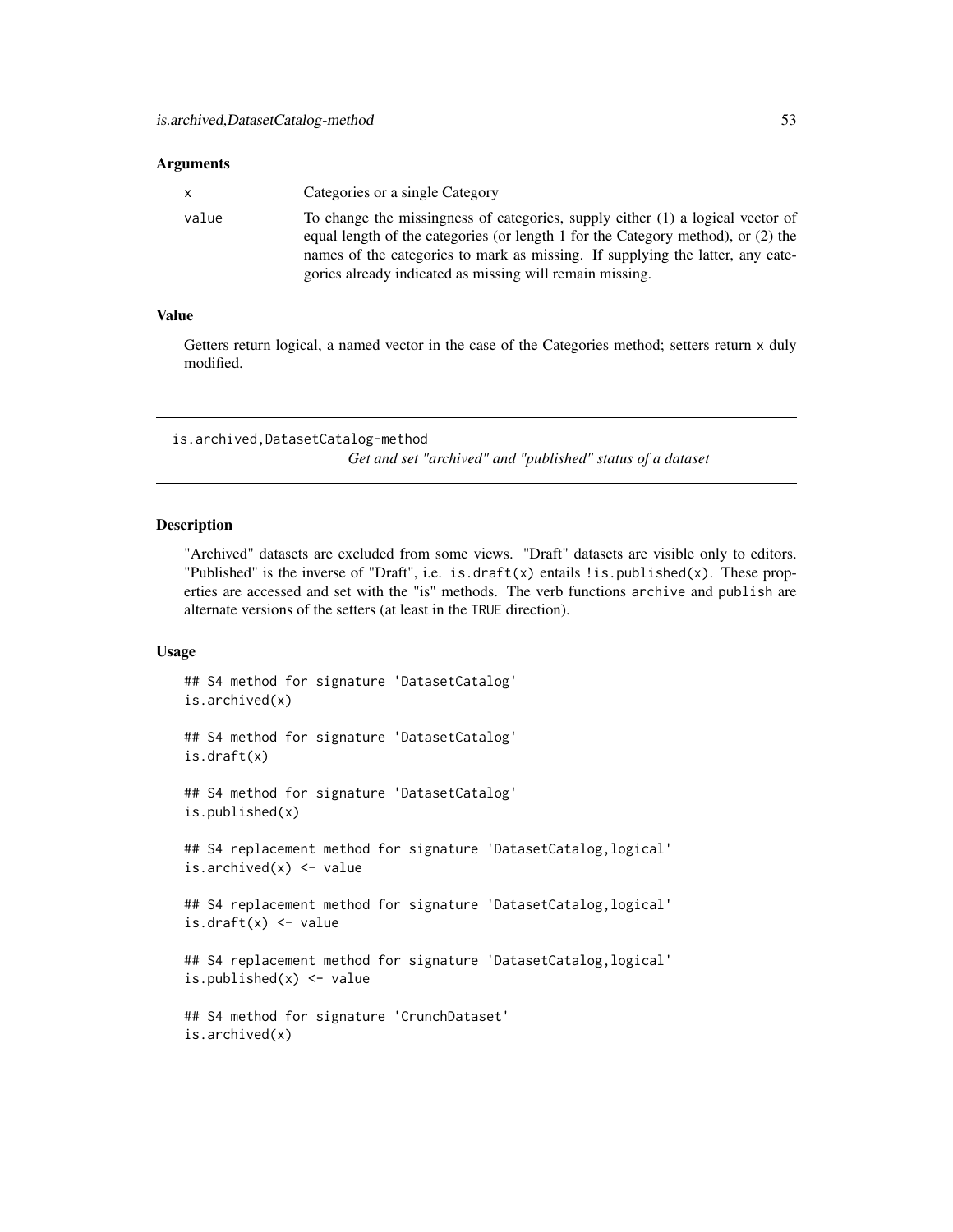#### **Arguments**

| X     | Categories or a single Category                                                                                                                                                                                                                                                                                  |
|-------|------------------------------------------------------------------------------------------------------------------------------------------------------------------------------------------------------------------------------------------------------------------------------------------------------------------|
| value | To change the missingness of categories, supply either (1) a logical vector of<br>equal length of the categories (or length 1 for the Category method), or (2) the<br>names of the categories to mark as missing. If supplying the latter, any cate-<br>gories already indicated as missing will remain missing. |

#### Value

Getters return logical, a named vector in the case of the Categories method; setters return x duly modified.

is.archived,DatasetCatalog-method

*Get and set "archived" and "published" status of a dataset*

#### Description

"Archived" datasets are excluded from some views. "Draft" datasets are visible only to editors. "Published" is the inverse of "Draft", i.e. is.draft(x) entails ! is.published(x). These properties are accessed and set with the "is" methods. The verb functions archive and publish are alternate versions of the setters (at least in the TRUE direction).

```
## S4 method for signature 'DatasetCatalog'
is.archived(x)
## S4 method for signature 'DatasetCatalog'
is.draft(x)
## S4 method for signature 'DatasetCatalog'
is.published(x)
## S4 replacement method for signature 'DatasetCatalog, logical'
is.archived(x) <- value
## S4 replacement method for signature 'DatasetCatalog,logical'
is.draft(x) <- value
## S4 replacement method for signature 'DatasetCatalog,logical'
is.published(x) <- value
## S4 method for signature 'CrunchDataset'
is.archived(x)
```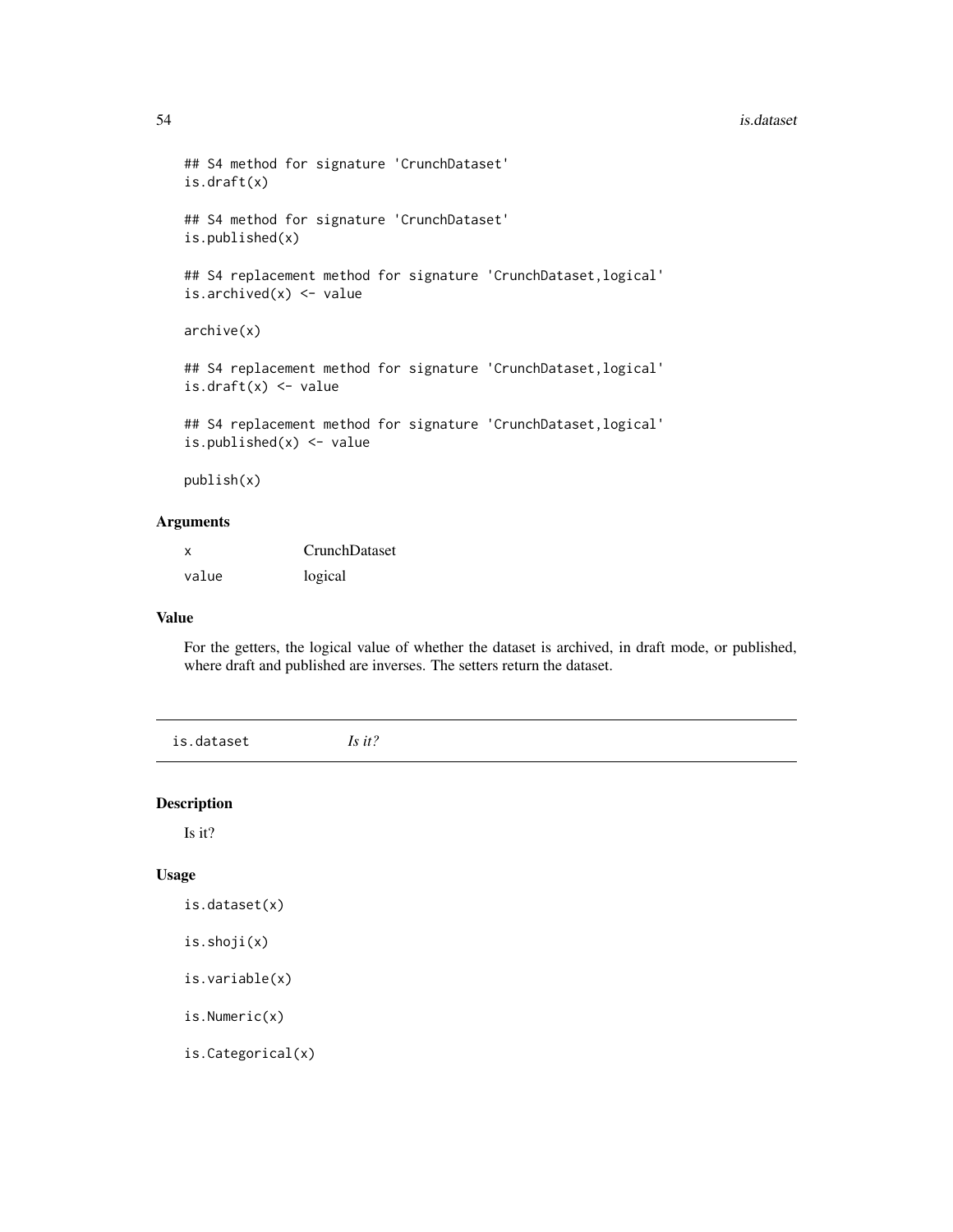#### 54 is.dataset

```
## S4 method for signature 'CrunchDataset'
is.draft(x)
## S4 method for signature 'CrunchDataset'
is.published(x)
## S4 replacement method for signature 'CrunchDataset, logical'
is.archived(x) <- value
archive(x)
## S4 replacement method for signature 'CrunchDataset, logical'
is.draft(x) <- value
## S4 replacement method for signature 'CrunchDataset,logical'
is.published(x) <- value
publish(x)
```
### Arguments

| X     | CrunchDataset |
|-------|---------------|
| value | logical       |

#### Value

For the getters, the logical value of whether the dataset is archived, in draft mode, or published, where draft and published are inverses. The setters return the dataset.

is.dataset *Is it?*

#### Description

Is it?

#### Usage

```
is.dataset(x)
```
is.shoji(x)

```
is.variable(x)
```
is.Numeric(x)

is.Categorical(x)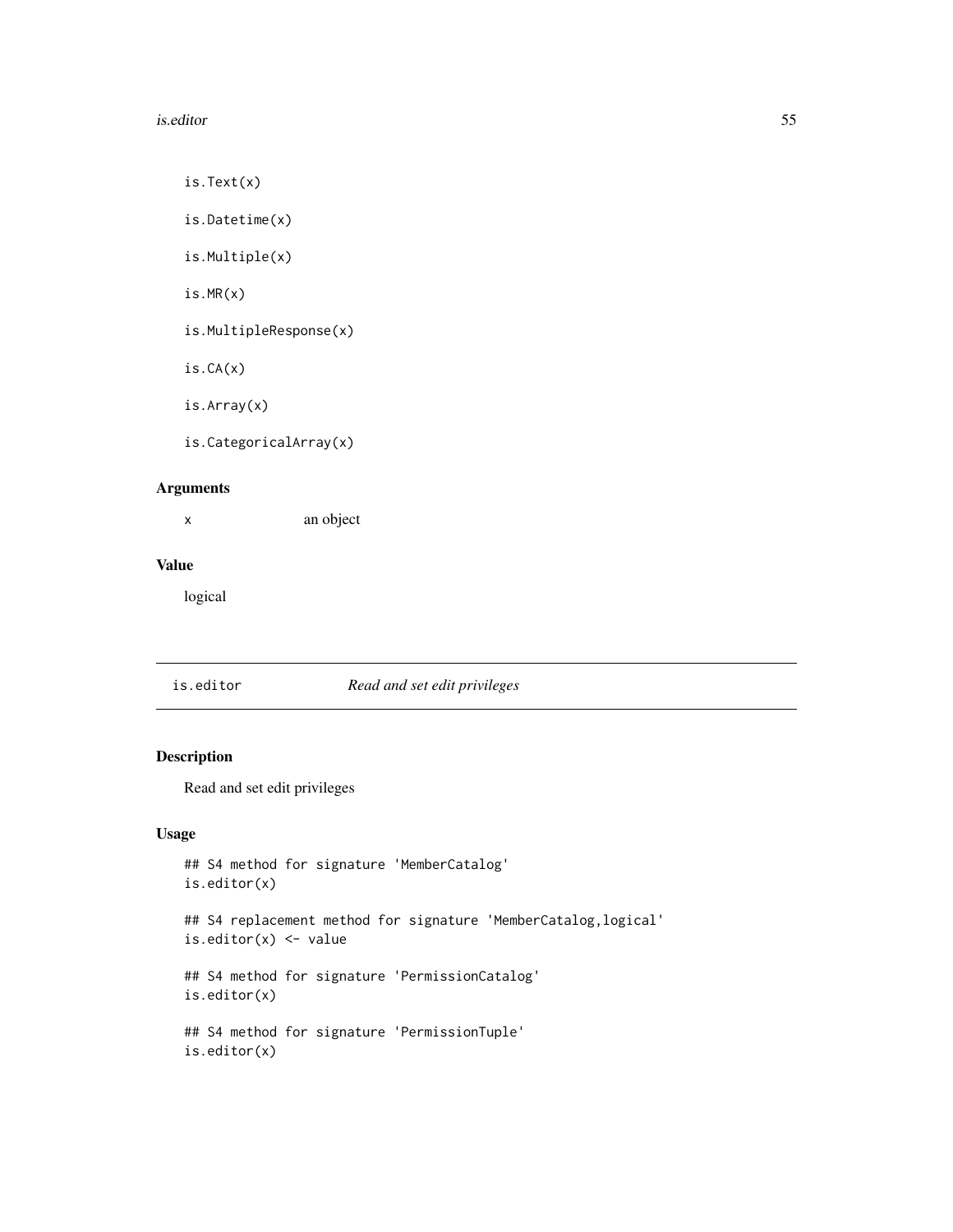#### is.editor 55

is.Text(x)

is.Datetime(x)

is.Multiple(x)

is.MR(x)

is.MultipleResponse(x)

is.CA(x)

is.Array(x)

is.CategoricalArray(x)

# Arguments

x an object

# Value

logical

## is.editor *Read and set edit privileges*

## Description

Read and set edit privileges

```
## S4 method for signature 'MemberCatalog'
is.editor(x)
## S4 replacement method for signature 'MemberCatalog,logical'
is.editor(x) <- value
## S4 method for signature 'PermissionCatalog'
is.editor(x)
## S4 method for signature 'PermissionTuple'
is.editor(x)
```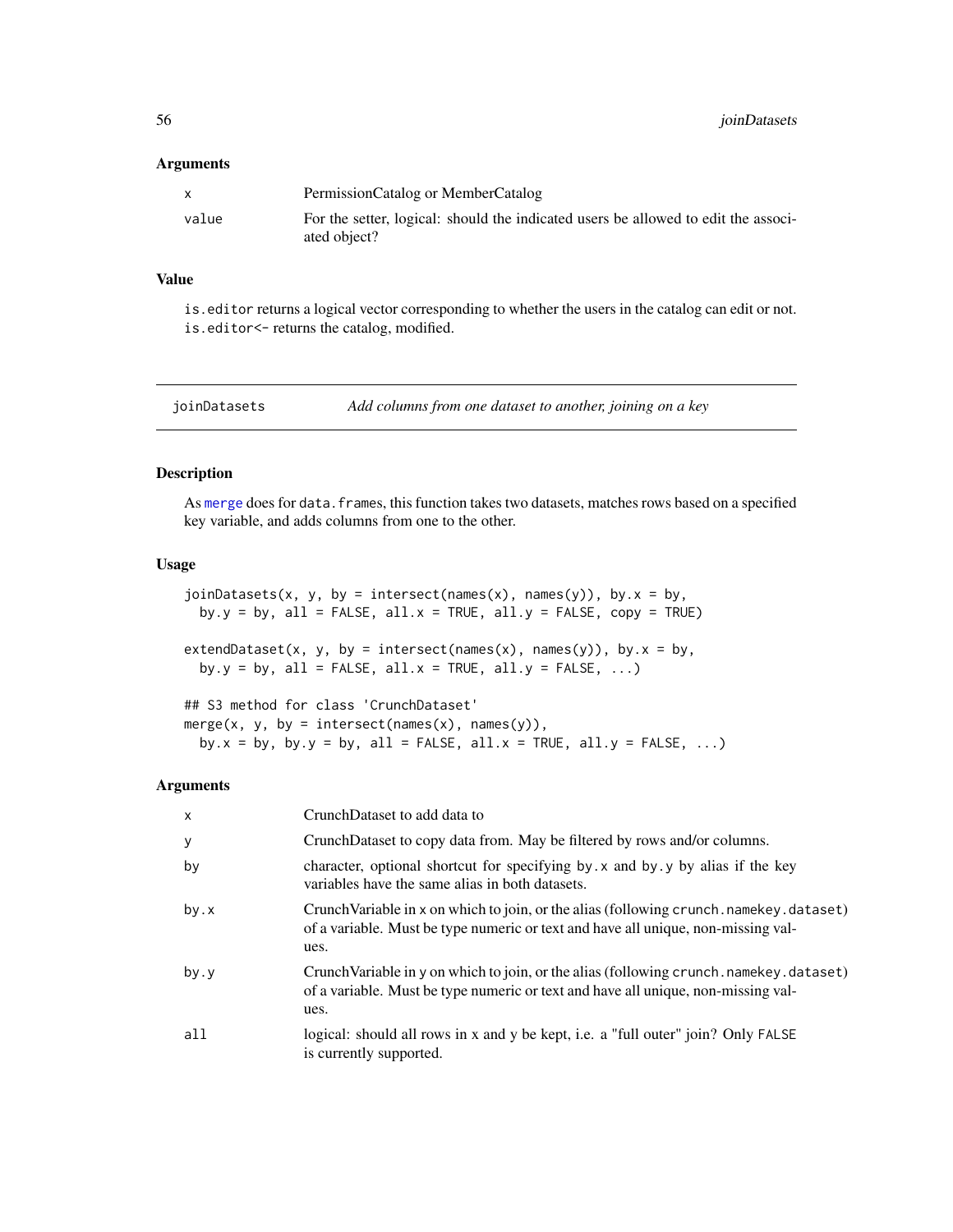#### **Arguments**

|       | PermissionCatalog or MemberCatalog                                                                 |
|-------|----------------------------------------------------------------------------------------------------|
| value | For the setter, logical: should the indicated users be allowed to edit the associ-<br>ated object? |

#### Value

is.editor returns a logical vector corresponding to whether the users in the catalog can edit or not. is.editor<- returns the catalog, modified.

joinDatasets *Add columns from one dataset to another, joining on a key*

## Description

As [merge](#page-0-0) does for data. frames, this function takes two datasets, matches rows based on a specified key variable, and adds columns from one to the other.

## Usage

```
joinDatasets(x, y, by = interest(name(x), names(y)), by.x = by,by.y = by, all = FALSE, all.x = TRUE, all.y = FALSE, copy = TRUE)
extendDataset(x, y, by = intersect(names(x), names(y)), by.x = by,
 by.y = by, all = FALSE, all.x = TRUE, all.y = FALSE, \ldots)
## S3 method for class 'CrunchDataset'
merge(x, y, by = intersect(names(x), names(y)),
```
by.x = by, by.y = by, all = FALSE, all.x = TRUE, all.y = FALSE,  $\ldots$ )

#### Arguments

| $\mathsf{x}$ | CrunchDataset to add data to                                                                                                                                                            |
|--------------|-----------------------------------------------------------------------------------------------------------------------------------------------------------------------------------------|
| y            | CrunchDataset to copy data from. May be filtered by rows and/or columns.                                                                                                                |
| by           | character, optional shortcut for specifying by x and by y by alias if the key<br>variables have the same alias in both datasets.                                                        |
| by.x         | Crunch Variable in x on which to join, or the alias (following crunch . namekey . dataset)<br>of a variable. Must be type numeric or text and have all unique, non-missing val-<br>ues. |
| by.y         | Crunch Variable in y on which to join, or the alias (following crunch . namekey . dataset)<br>of a variable. Must be type numeric or text and have all unique, non-missing val-<br>ues. |
| all          | logical: should all rows in x and y be kept, i.e. a "full outer" join? Only FALSE<br>is currently supported.                                                                            |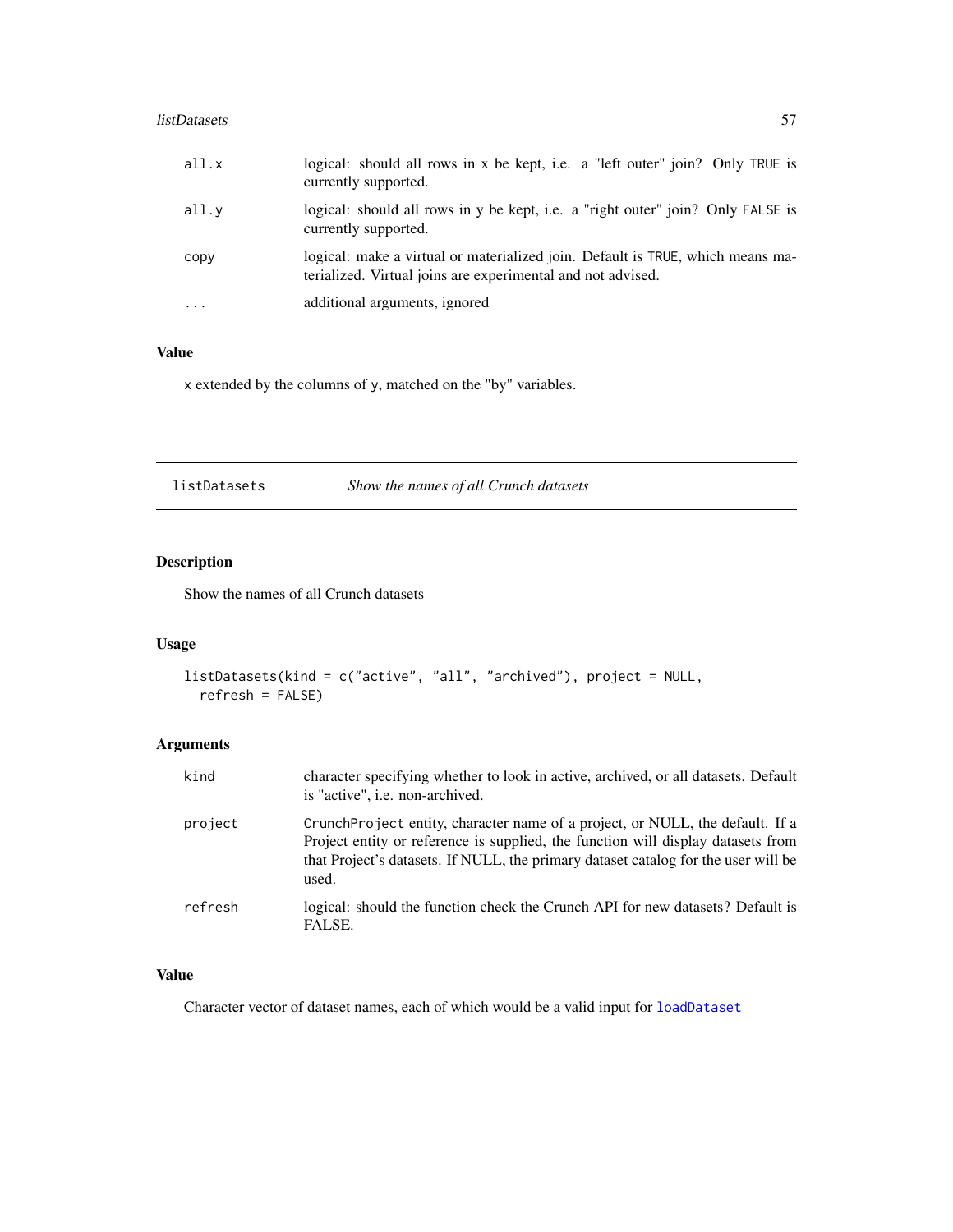#### listDatasets 57

| all.x    | logical: should all rows in x be kept, i.e. a "left outer" join? Only TRUE is<br>currently supported.                                         |
|----------|-----------------------------------------------------------------------------------------------------------------------------------------------|
| all.y    | logical: should all rows in y be kept, i.e. a "right outer" join? Only FALSE is<br>currently supported.                                       |
| copy     | logical: make a virtual or materialized join. Default is TRUE, which means ma-<br>terialized. Virtual joins are experimental and not advised. |
| $\cdots$ | additional arguments, ignored                                                                                                                 |

# Value

x extended by the columns of y, matched on the "by" variables.

listDatasets *Show the names of all Crunch datasets*

## Description

Show the names of all Crunch datasets

## Usage

```
listDatasets(kind = c("active", "all", "archived"), project = NULL,
  refresh = FALSE)
```
# Arguments

| kind    | character specifying whether to look in active, archived, or all datasets. Default<br>is "active", i.e. non-archived.                                                                                                                                            |
|---------|------------------------------------------------------------------------------------------------------------------------------------------------------------------------------------------------------------------------------------------------------------------|
| project | CrunchProject entity, character name of a project, or NULL, the default. If a<br>Project entity or reference is supplied, the function will display datasets from<br>that Project's datasets. If NULL, the primary dataset catalog for the user will be<br>used. |
| refresh | logical: should the function check the Crunch API for new datasets? Default is<br>FALSE.                                                                                                                                                                         |

# Value

Character vector of dataset names, each of which would be a valid input for [loadDataset](#page-57-0)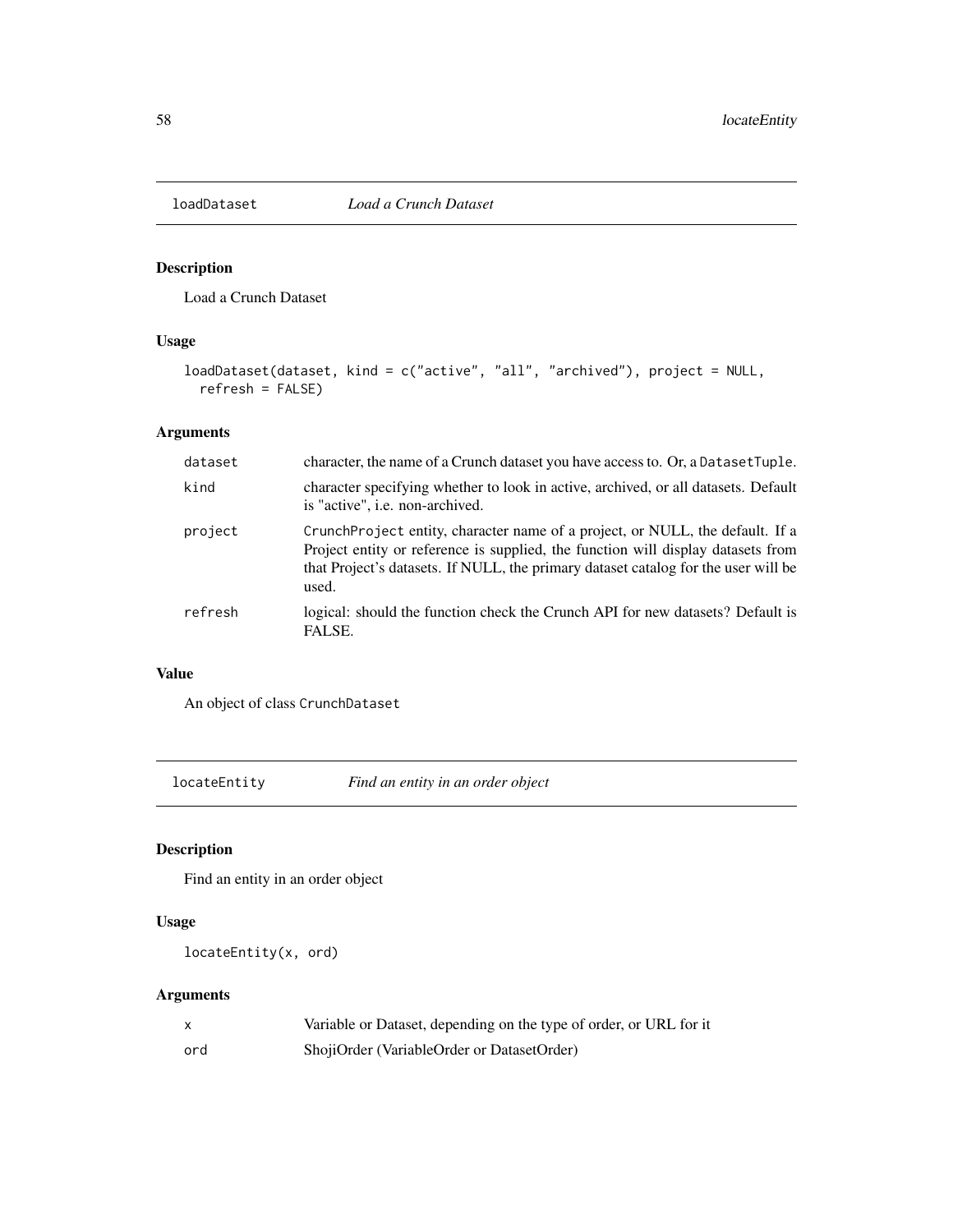<span id="page-57-0"></span>

## Description

Load a Crunch Dataset

## Usage

```
loadDataset(dataset, kind = c("active", "all", "archived"), project = NULL,
  refresh = FALSE)
```
## Arguments

| dataset | character, the name of a Crunch dataset you have access to. Or, a Dataset Tuple.                                                                                                                                                                                 |
|---------|------------------------------------------------------------------------------------------------------------------------------------------------------------------------------------------------------------------------------------------------------------------|
| kind    | character specifying whether to look in active, archived, or all datasets. Default<br>is "active", i.e. non-archived.                                                                                                                                            |
| project | CrunchProject entity, character name of a project, or NULL, the default. If a<br>Project entity or reference is supplied, the function will display datasets from<br>that Project's datasets. If NULL, the primary dataset catalog for the user will be<br>used. |
| refresh | logical: should the function check the Crunch API for new datasets? Default is<br>FALSE.                                                                                                                                                                         |

## Value

An object of class CrunchDataset

locateEntity *Find an entity in an order object*

## Description

Find an entity in an order object

## Usage

```
locateEntity(x, ord)
```
# Arguments

|     | Variable or Dataset, depending on the type of order, or URL for it |
|-----|--------------------------------------------------------------------|
| ord | ShojiOrder (VariableOrder or DatasetOrder)                         |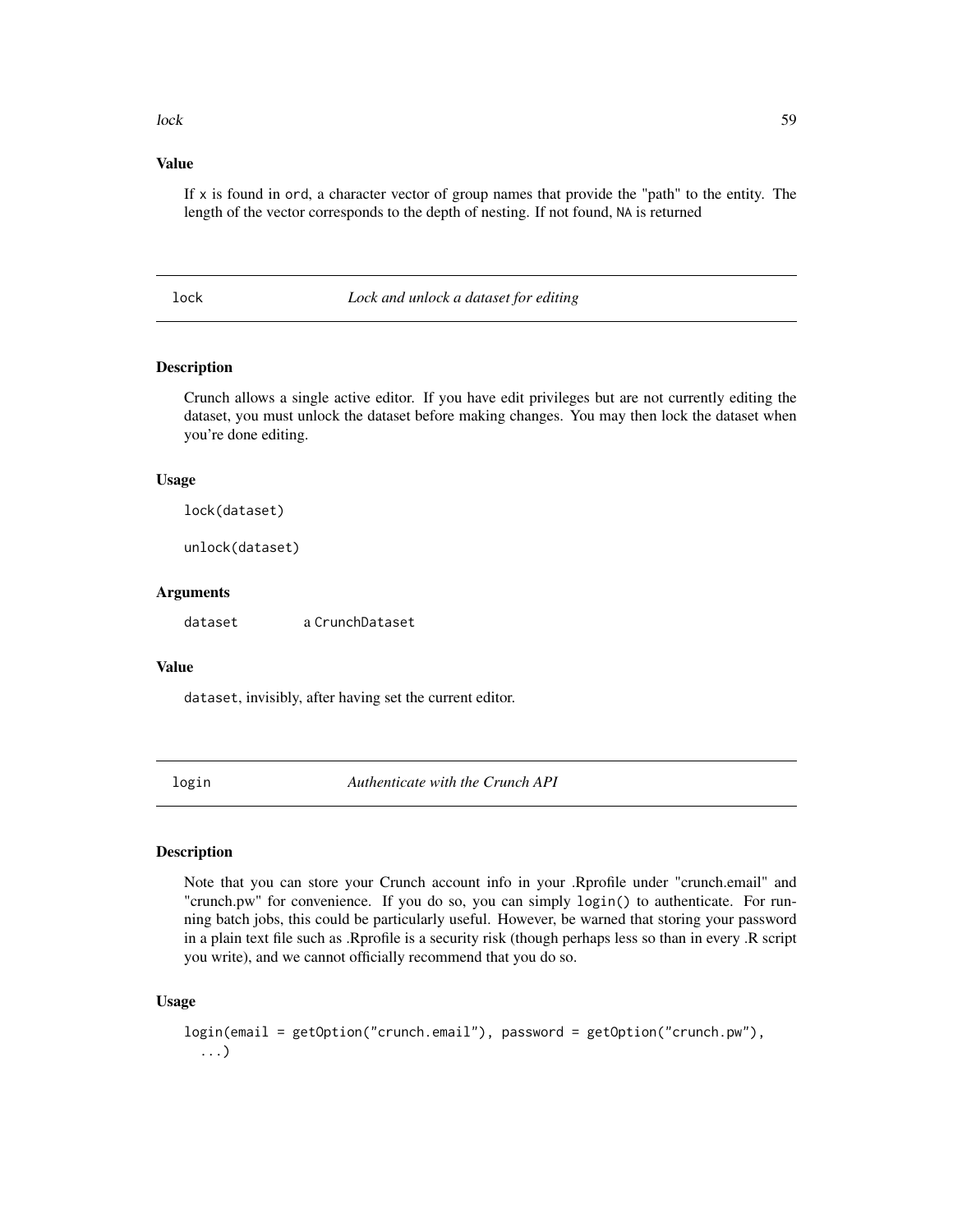#### lock 59

## Value

If  $x$  is found in ord, a character vector of group names that provide the "path" to the entity. The length of the vector corresponds to the depth of nesting. If not found, NA is returned

lock *Lock and unlock a dataset for editing*

## Description

Crunch allows a single active editor. If you have edit privileges but are not currently editing the dataset, you must unlock the dataset before making changes. You may then lock the dataset when you're done editing.

#### Usage

lock(dataset)

unlock(dataset)

#### Arguments

dataset a CrunchDataset

## Value

dataset, invisibly, after having set the current editor.

login *Authenticate with the Crunch API*

#### Description

Note that you can store your Crunch account info in your .Rprofile under "crunch.email" and "crunch.pw" for convenience. If you do so, you can simply login() to authenticate. For running batch jobs, this could be particularly useful. However, be warned that storing your password in a plain text file such as .Rprofile is a security risk (though perhaps less so than in every .R script you write), and we cannot officially recommend that you do so.

```
login(email = getOption("crunch.email"), password = getOption("crunch.pw"),
  ...)
```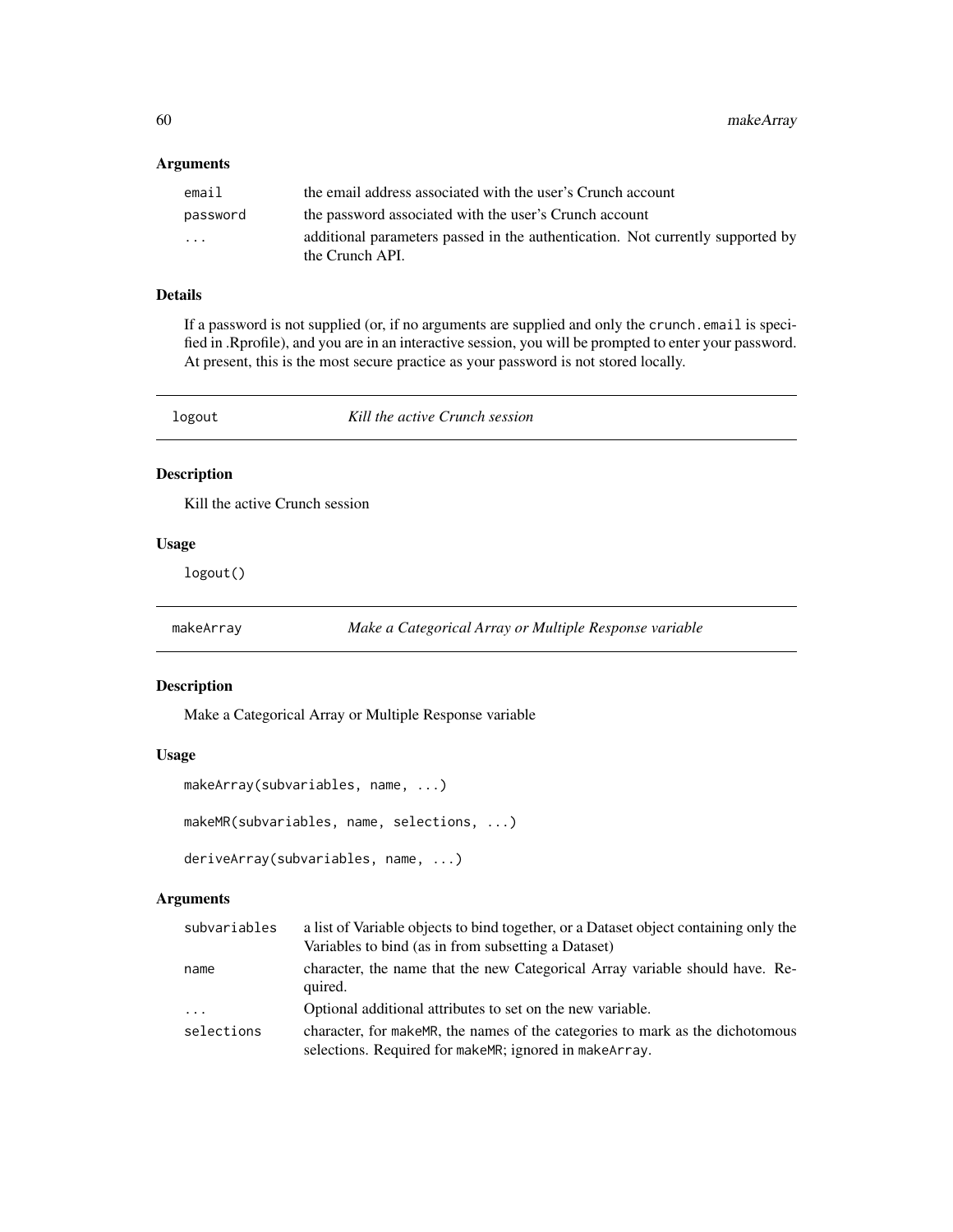### Arguments

| email    | the email address associated with the user's Crunch account                                       |
|----------|---------------------------------------------------------------------------------------------------|
| password | the password associated with the user's Crunch account                                            |
| .        | additional parameters passed in the authentication. Not currently supported by<br>the Crunch API. |

#### Details

If a password is not supplied (or, if no arguments are supplied and only the crunch.email is specified in .Rprofile), and you are in an interactive session, you will be prompted to enter your password. At present, this is the most secure practice as your password is not stored locally.

| logout | Kill the active Crunch session |  |
|--------|--------------------------------|--|
|        |                                |  |

# Description

Kill the active Crunch session

## Usage

logout()

makeArray *Make a Categorical Array or Multiple Response variable*

#### Description

Make a Categorical Array or Multiple Response variable

#### Usage

```
makeArray(subvariables, name, ...)
makeMR(subvariables, name, selections, ...)
deriveArray(subvariables, name, ...)
```
## Arguments

| subvariables | a list of Variable objects to bind together, or a Dataset object containing only the                                                       |
|--------------|--------------------------------------------------------------------------------------------------------------------------------------------|
|              | Variables to bind (as in from subsetting a Dataset)                                                                                        |
| name         | character, the name that the new Categorical Array variable should have. Re-<br>quired.                                                    |
| $\cdots$     | Optional additional attributes to set on the new variable.                                                                                 |
| selections   | character, for make MR, the names of the categories to mark as the dichotomous<br>selections. Required for make MR; ignored in make Array. |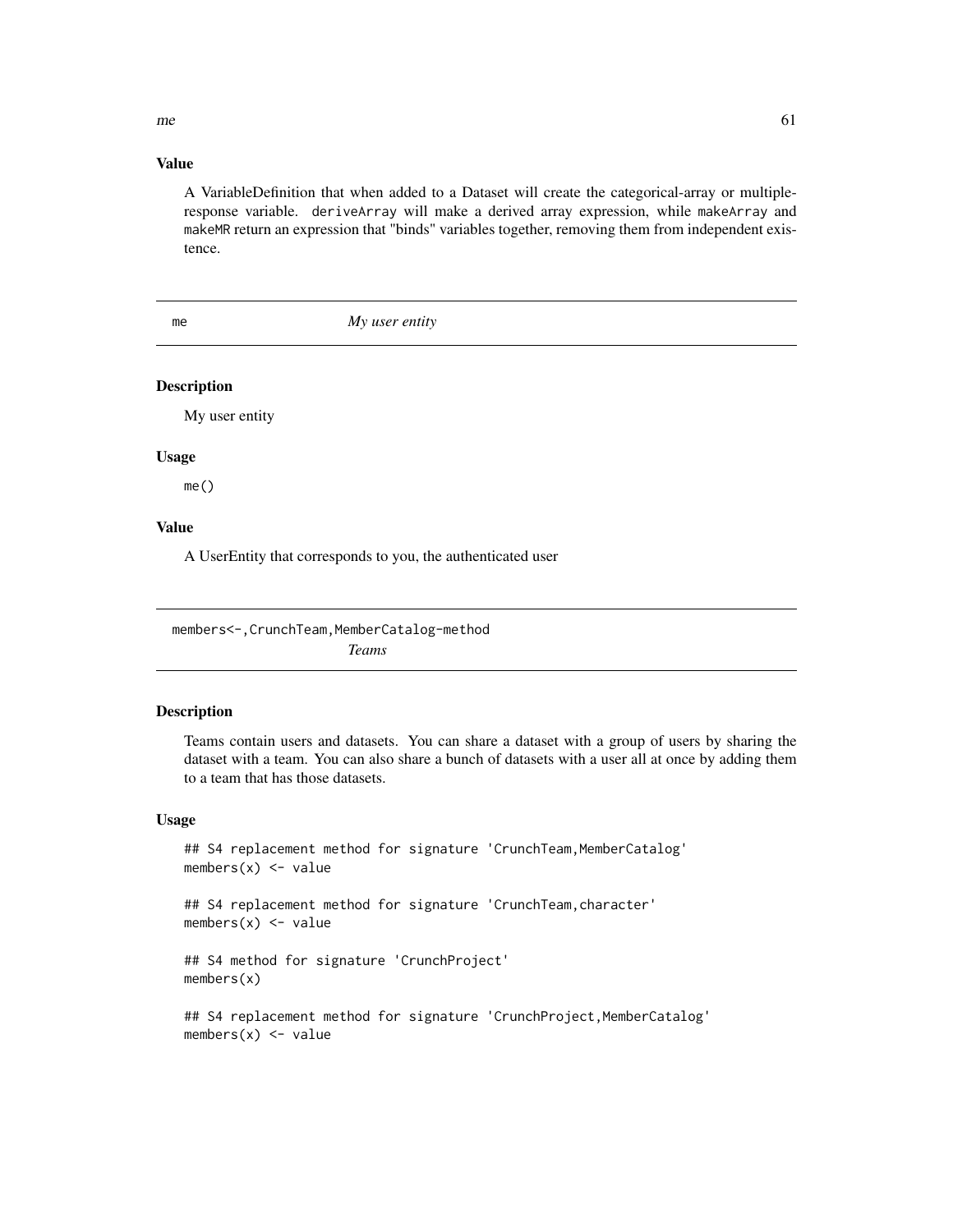$m$ e 61

## Value

A VariableDefinition that when added to a Dataset will create the categorical-array or multipleresponse variable. deriveArray will make a derived array expression, while makeArray and makeMR return an expression that "binds" variables together, removing them from independent existence.

me *My user entity*

## Description

My user entity

#### Usage

me()

# Value

A UserEntity that corresponds to you, the authenticated user

members<-, CrunchTeam, MemberCatalog-method *Teams*

#### <span id="page-60-0"></span>Description

Teams contain users and datasets. You can share a dataset with a group of users by sharing the dataset with a team. You can also share a bunch of datasets with a user all at once by adding them to a team that has those datasets.

## Usage

## S4 replacement method for signature 'CrunchTeam, MemberCatalog' members $(x)$  <- value

## S4 replacement method for signature 'CrunchTeam,character'  $members(x) \leftarrow value$ 

## S4 method for signature 'CrunchProject' members(x)

## S4 replacement method for signature 'CrunchProject, MemberCatalog' members $(x)$  <- value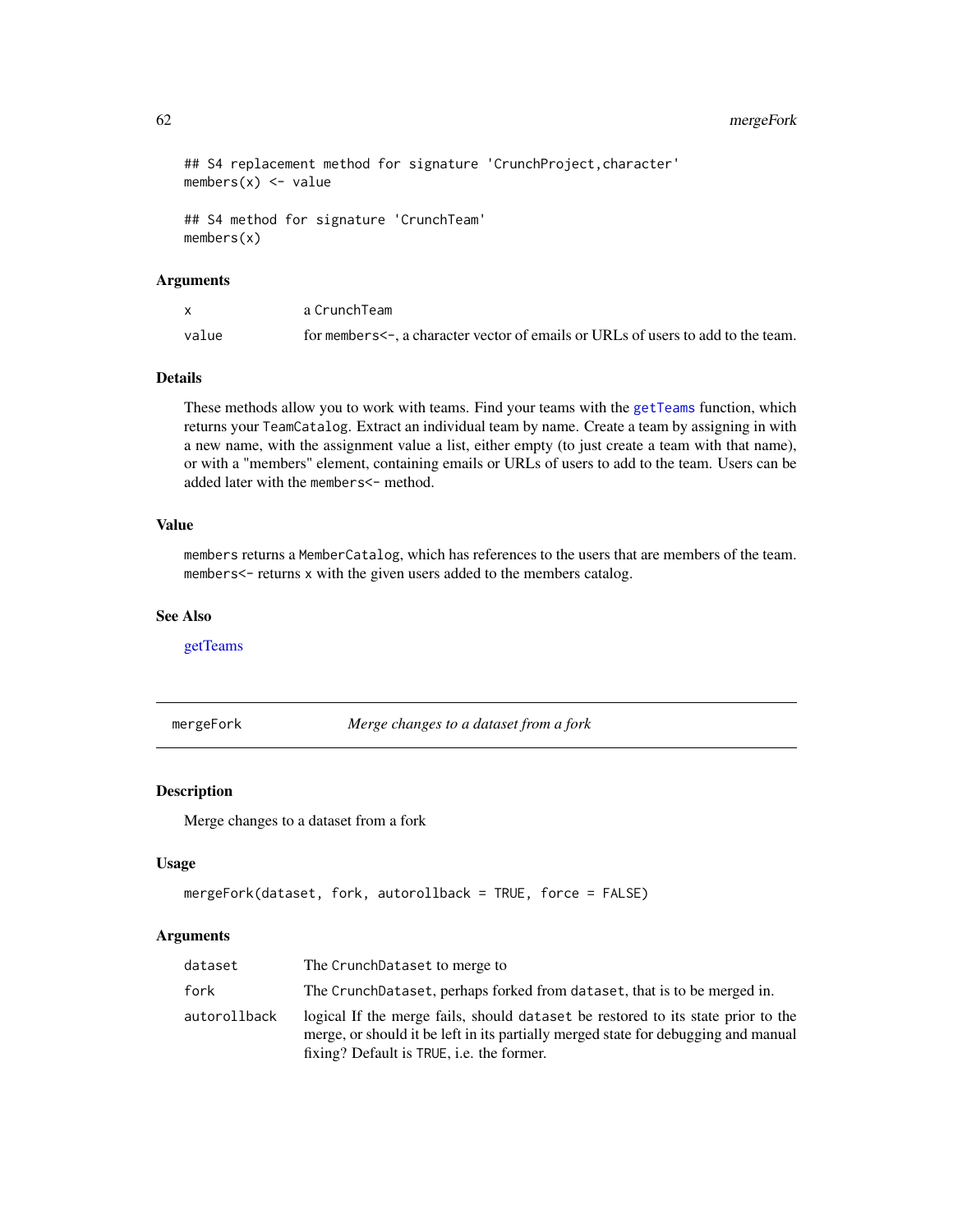## 62 mergeFork

```
## S4 replacement method for signature 'CrunchProject, character'
members(x) <- value
```

```
## S4 method for signature 'CrunchTeam'
members(x)
```
### Arguments

|       | a CrunchTeam                                                                           |
|-------|----------------------------------------------------------------------------------------|
| value | for members $\leq$ , a character vector of emails or URLs of users to add to the team. |

### Details

These methods allow you to work with teams. Find your teams with the [getTeams](#page-47-0) function, which returns your TeamCatalog. Extract an individual team by name. Create a team by assigning in with a new name, with the assignment value a list, either empty (to just create a team with that name), or with a "members" element, containing emails or URLs of users to add to the team. Users can be added later with the members <- method.

### Value

members returns a MemberCatalog, which has references to the users that are members of the team. members<- returns x with the given users added to the members catalog.

#### See Also

[getTeams](#page-47-0)

mergeFork *Merge changes to a dataset from a fork*

#### Description

Merge changes to a dataset from a fork

### Usage

```
mergeFork(dataset, fork, autorollback = TRUE, force = FALSE)
```
#### **Arguments**

| dataset      | The CrunchDataset to merge to                                                                                                                                                                                       |
|--------------|---------------------------------------------------------------------------------------------------------------------------------------------------------------------------------------------------------------------|
| fork         | The CrunchDataset, perhaps forked from dataset, that is to be merged in.                                                                                                                                            |
| autorollback | logical If the merge fails, should dataset be restored to its state prior to the<br>merge, or should it be left in its partially merged state for debugging and manual<br>fixing? Default is TRUE, i.e. the former. |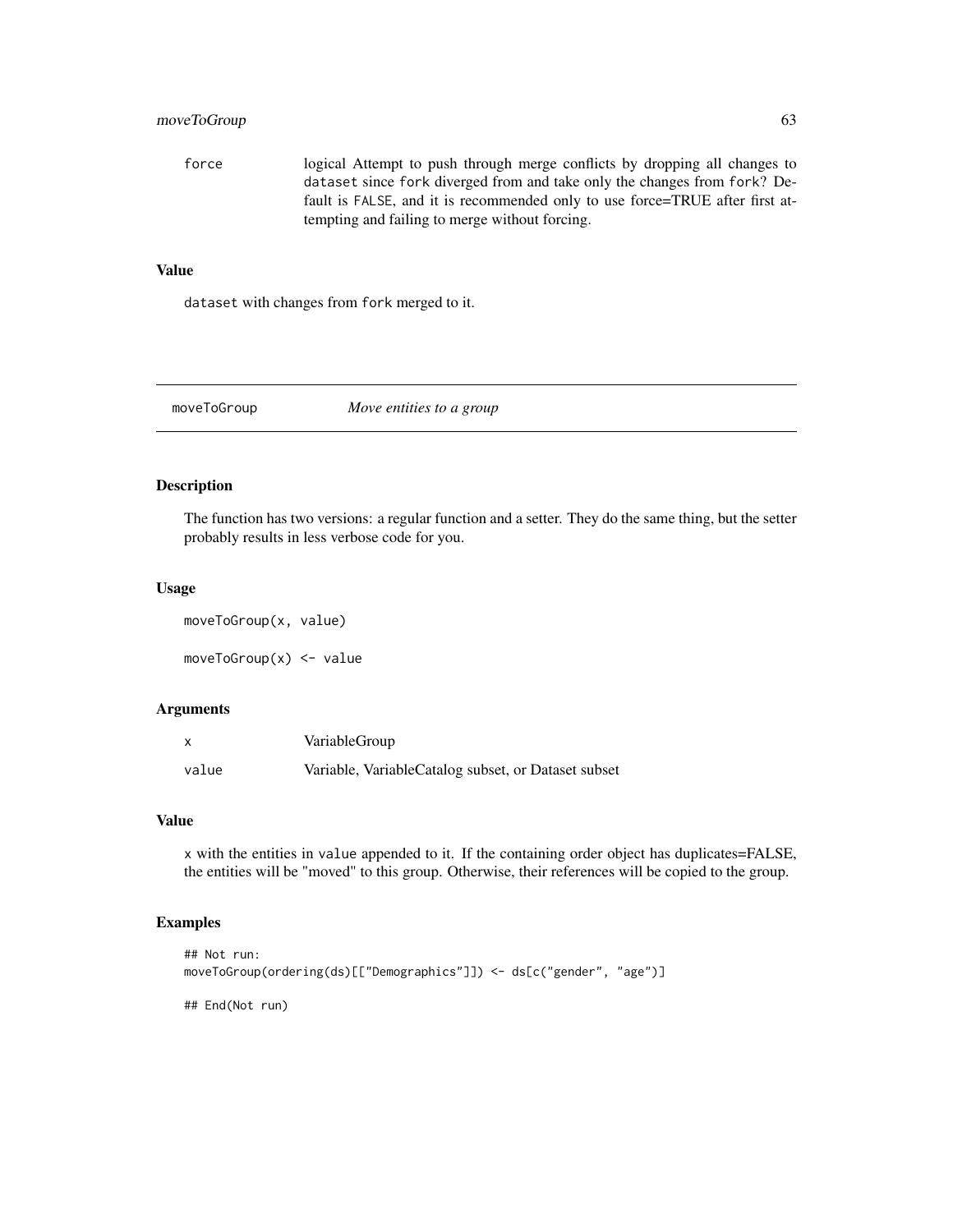## moveToGroup 63

force logical Attempt to push through merge conflicts by dropping all changes to dataset since fork diverged from and take only the changes from fork? Default is FALSE, and it is recommended only to use force=TRUE after first attempting and failing to merge without forcing.

#### Value

dataset with changes from fork merged to it.

moveToGroup *Move entities to a group*

## Description

The function has two versions: a regular function and a setter. They do the same thing, but the setter probably results in less verbose code for you.

#### Usage

moveToGroup(x, value) moveToGroup(x) <- value

### Arguments

| $\mathsf{x}$ | VariableGroup                                       |
|--------------|-----------------------------------------------------|
| value        | Variable, VariableCatalog subset, or Dataset subset |

## Value

x with the entities in value appended to it. If the containing order object has duplicates=FALSE, the entities will be "moved" to this group. Otherwise, their references will be copied to the group.

# Examples

```
## Not run:
moveToGroup(ordering(ds)[["Demographics"]]) <- ds[c("gender", "age")]
```
## End(Not run)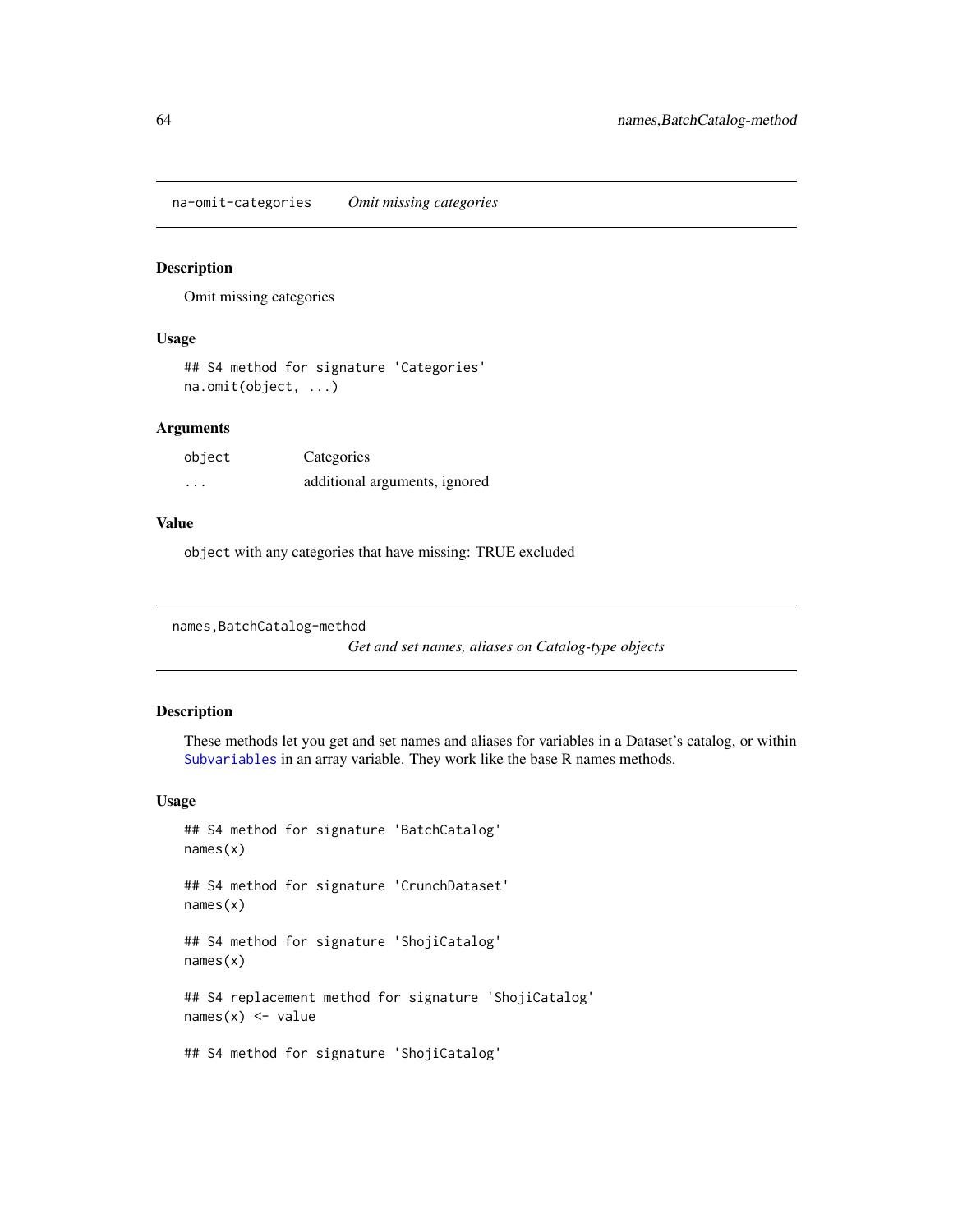na-omit-categories *Omit missing categories*

### Description

Omit missing categories

#### Usage

```
## S4 method for signature 'Categories'
na.omit(object, ...)
```
## Arguments

| object   | Categories                    |
|----------|-------------------------------|
| $\cdots$ | additional arguments, ignored |

## Value

object with any categories that have missing: TRUE excluded

```
names, BatchCatalog-method
```
*Get and set names, aliases on Catalog-type objects*

# Description

These methods let you get and set names and aliases for variables in a Dataset's catalog, or within [Subvariables](#page-82-0) in an array variable. They work like the base R names methods.

```
## S4 method for signature 'BatchCatalog'
names(x)
## S4 method for signature 'CrunchDataset'
names(x)
## S4 method for signature 'ShojiCatalog'
names(x)
## S4 replacement method for signature 'ShojiCatalog'
names(x) <- value
## S4 method for signature 'ShojiCatalog'
```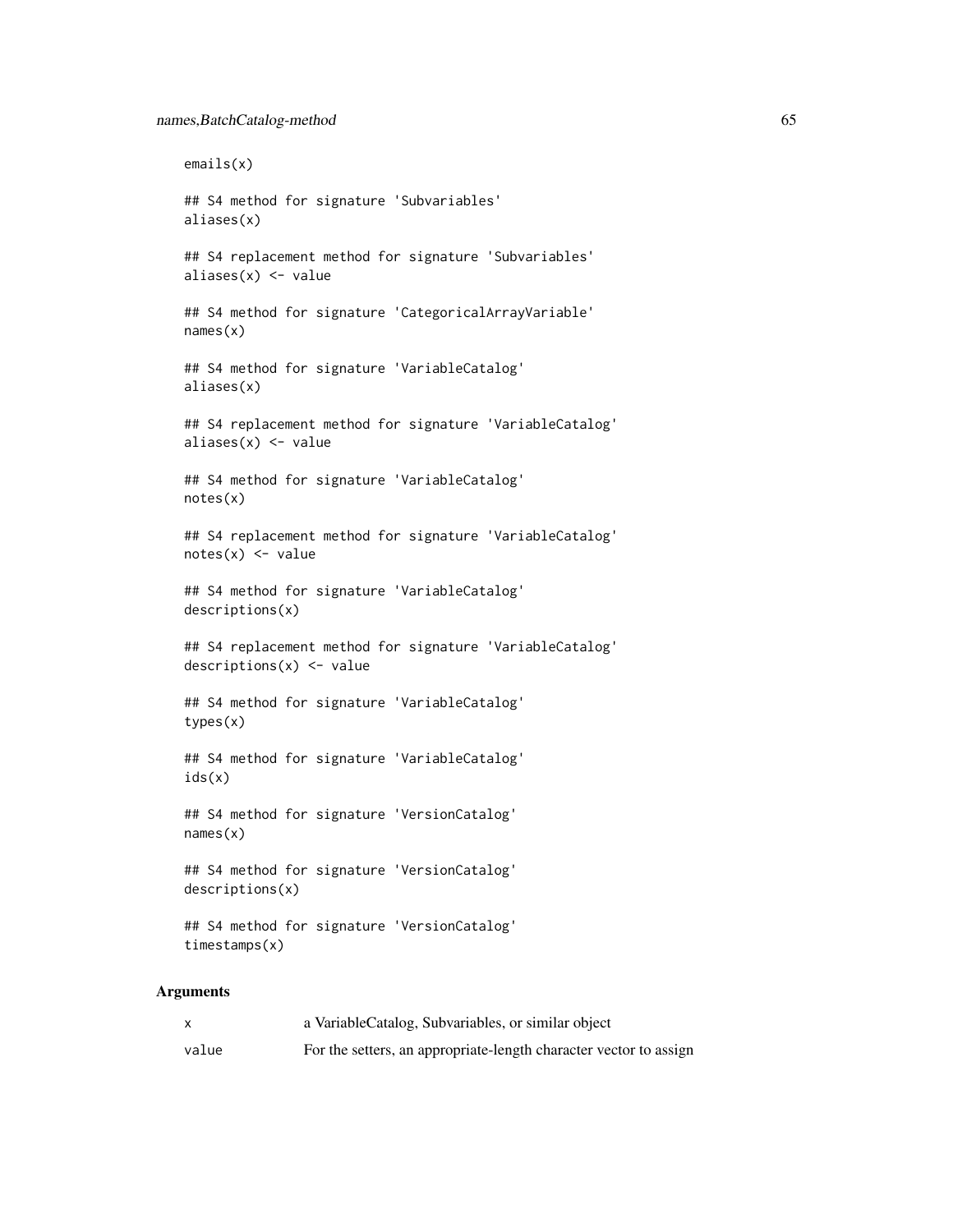```
emails(x)
## S4 method for signature 'Subvariables'
aliases(x)
## S4 replacement method for signature 'Subvariables'
aliases(x) <- value
## S4 method for signature 'CategoricalArrayVariable'
names(x)
## S4 method for signature 'VariableCatalog'
aliases(x)
## S4 replacement method for signature 'VariableCatalog'
aliases(x) <- value
## S4 method for signature 'VariableCatalog'
notes(x)
## S4 replacement method for signature 'VariableCatalog'
notes(x) < - value
## S4 method for signature 'VariableCatalog'
descriptions(x)
## S4 replacement method for signature 'VariableCatalog'
descriptions(x) <- value
## S4 method for signature 'VariableCatalog'
types(x)
## S4 method for signature 'VariableCatalog'
ids(x)
## S4 method for signature 'VersionCatalog'
names(x)
## S4 method for signature 'VersionCatalog'
descriptions(x)
## S4 method for signature 'VersionCatalog'
timestamps(x)
```
# Arguments

|       | a VariableCatalog, Subvariables, or similar object                |
|-------|-------------------------------------------------------------------|
| value | For the setters, an appropriate-length character vector to assign |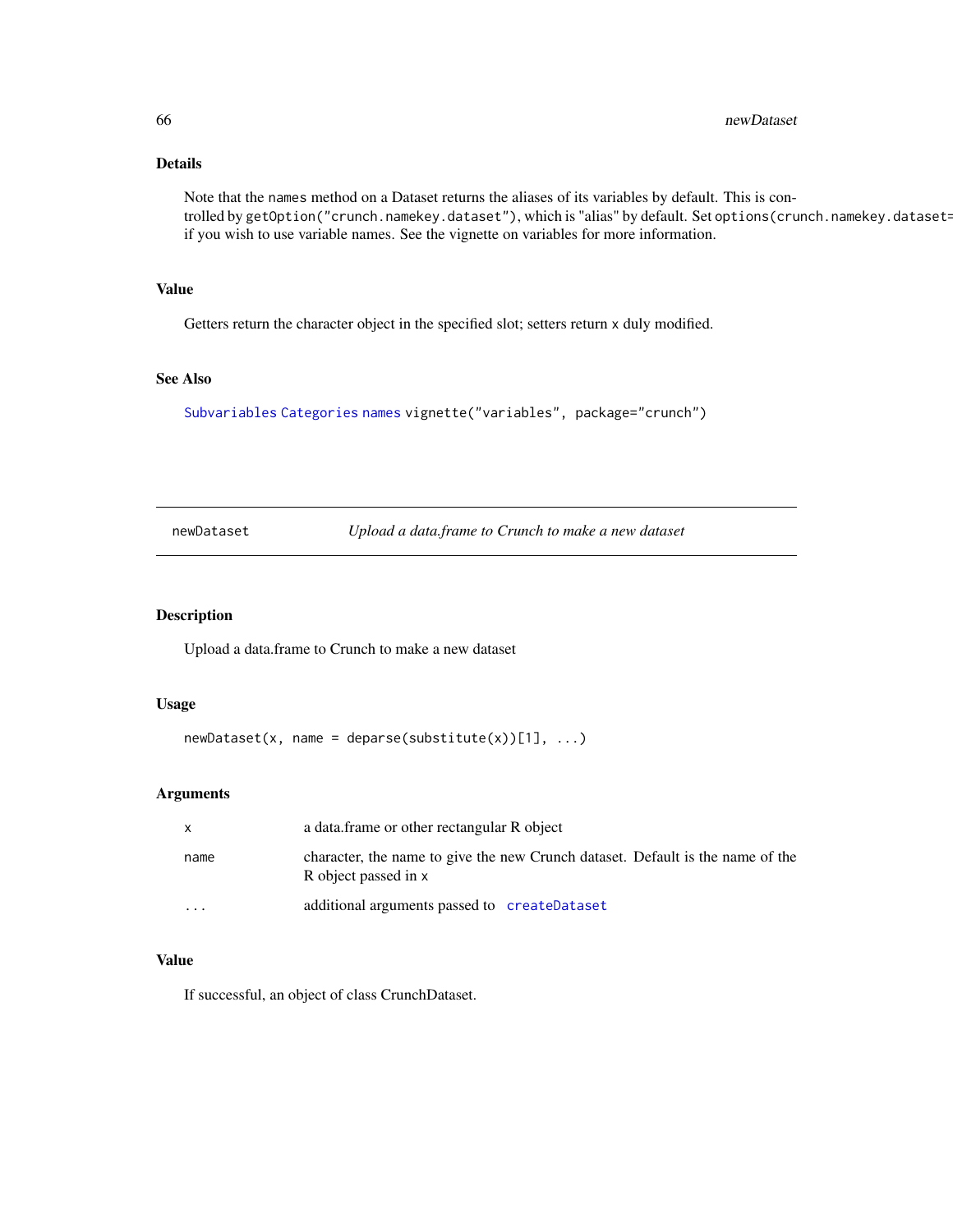# Details

Note that the names method on a Dataset returns the aliases of its variables by default. This is controlled by getOption("crunch.namekey.dataset"), which is "alias" by default. Set options(crunch.namekey.dataset= if you wish to use variable names. See the vignette on variables for more information.

#### Value

Getters return the character object in the specified slot; setters return x duly modified.

## See Also

[Subvariables](#page-82-0) [Categories](#page-12-0) [names](#page-0-0) vignette("variables", package="crunch")

<span id="page-65-0"></span>newDataset *Upload a data.frame to Crunch to make a new dataset*

## Description

Upload a data.frame to Crunch to make a new dataset

#### Usage

```
newDatasets(x, name = deparse(substitute(x))[1], ...)
```
#### Arguments

| $\mathsf{X}$ | a data frame or other rectangular R object                                                             |
|--------------|--------------------------------------------------------------------------------------------------------|
| name         | character, the name to give the new Crunch dataset. Default is the name of the<br>R object passed in x |
| .            | additional arguments passed to createDataset                                                           |

#### Value

If successful, an object of class CrunchDataset.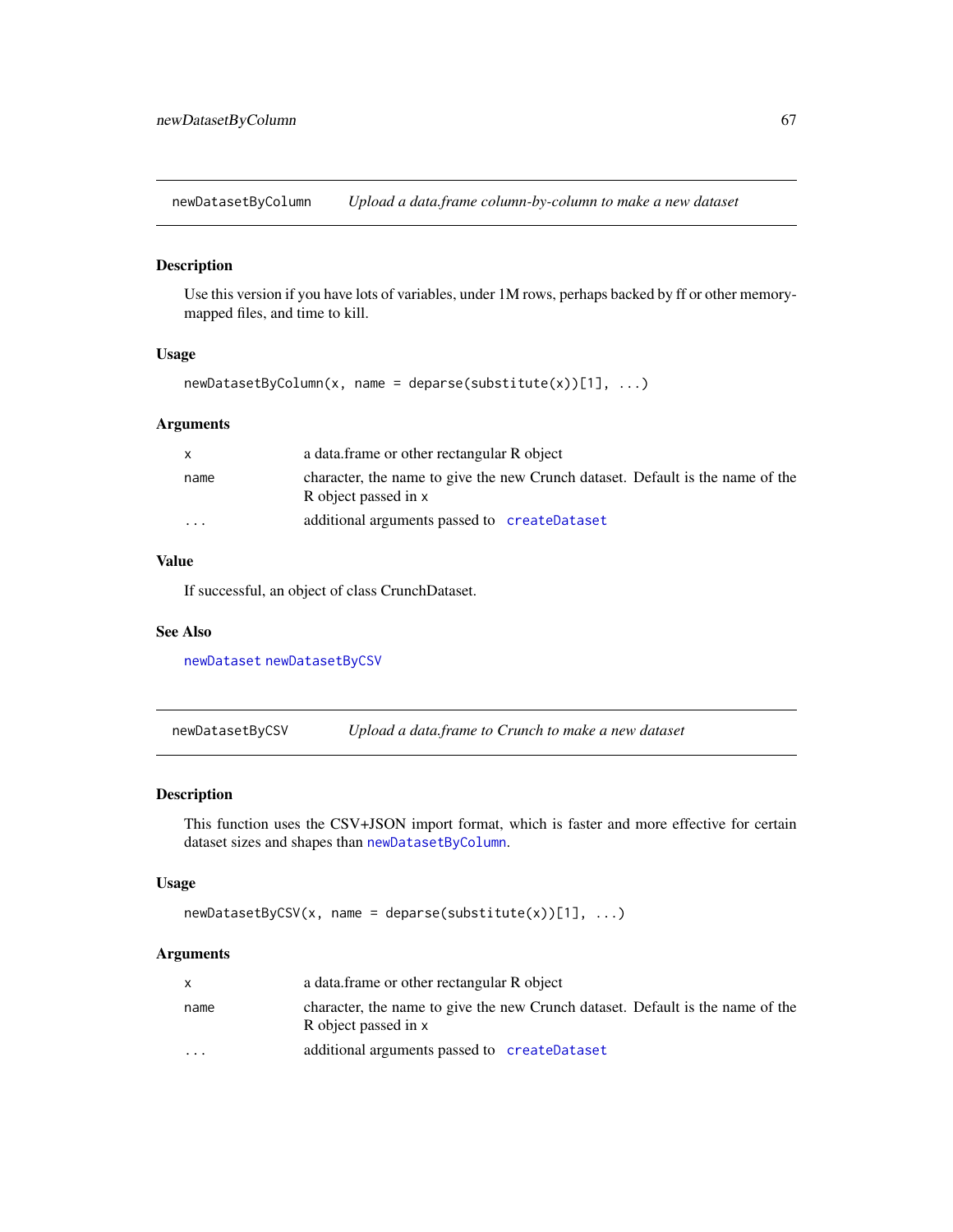<span id="page-66-1"></span>newDatasetByColumn *Upload a data.frame column-by-column to make a new dataset*

## Description

Use this version if you have lots of variables, under 1M rows, perhaps backed by ff or other memorymapped files, and time to kill.

#### Usage

```
newDatasetByColumn(x, name = deparse(substitute(x))[1], ...)
```
### Arguments

| $\mathsf{x}$            | a data frame or other rectangular R object                                                             |
|-------------------------|--------------------------------------------------------------------------------------------------------|
| name                    | character, the name to give the new Crunch dataset. Default is the name of the<br>R object passed in x |
| $\cdot$ $\cdot$ $\cdot$ | additional arguments passed to createDataset                                                           |

### Value

If successful, an object of class CrunchDataset.

#### See Also

[newDataset](#page-65-0) [newDatasetByCSV](#page-66-0)

<span id="page-66-0"></span>newDatasetByCSV *Upload a data.frame to Crunch to make a new dataset*

## Description

This function uses the CSV+JSON import format, which is faster and more effective for certain dataset sizes and shapes than [newDatasetByColumn](#page-66-1).

#### Usage

```
newDatasetByCSV(x, name = deparse(substitute(x))[1], ...)
```
### Arguments

|                         | a data frame or other rectangular R object                                                             |
|-------------------------|--------------------------------------------------------------------------------------------------------|
| name                    | character, the name to give the new Crunch dataset. Default is the name of the<br>R object passed in x |
| $\cdot$ $\cdot$ $\cdot$ | additional arguments passed to createDataset                                                           |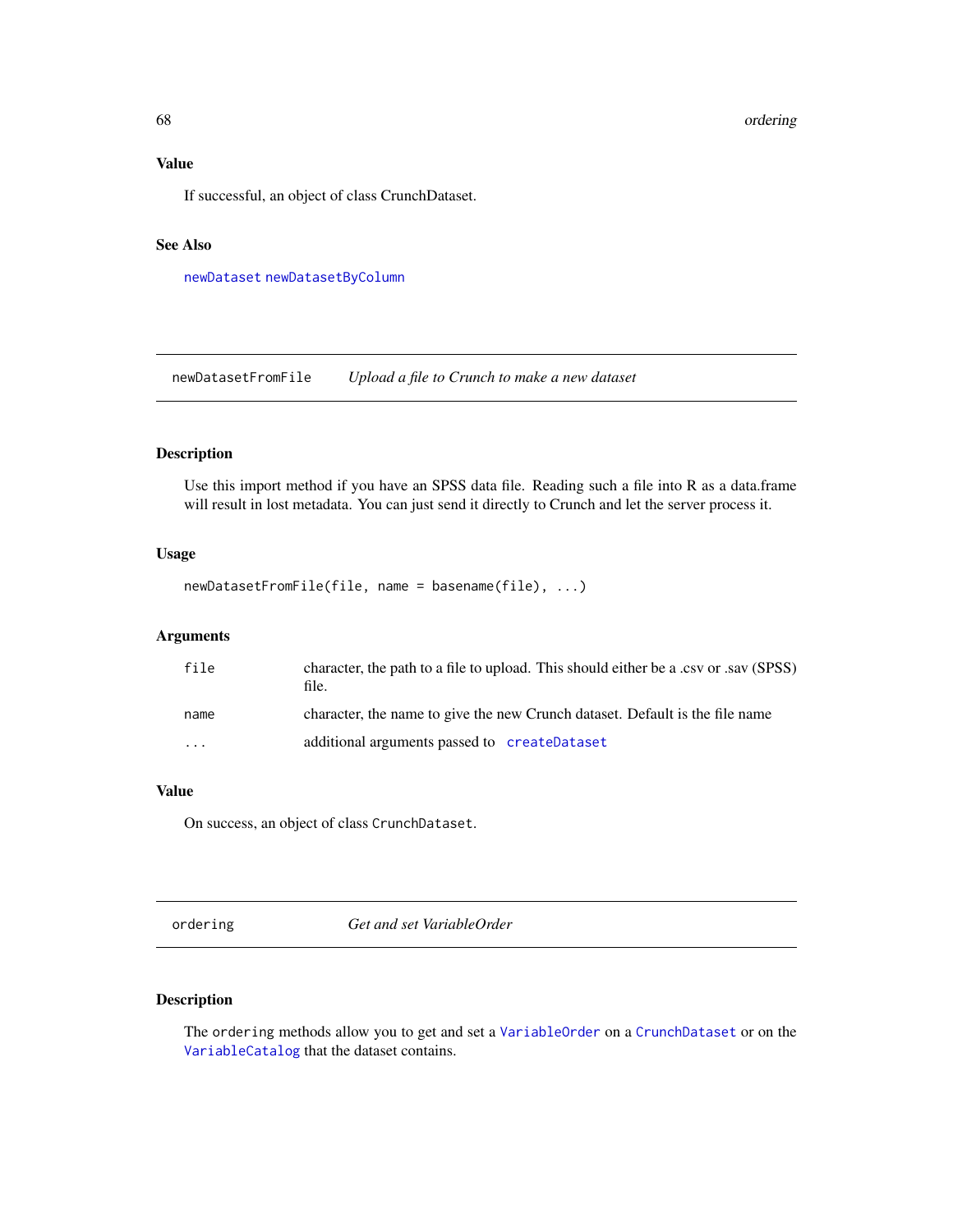# Value

If successful, an object of class CrunchDataset.

### See Also

[newDataset](#page-65-0) [newDatasetByColumn](#page-66-1)

newDatasetFromFile *Upload a file to Crunch to make a new dataset*

## Description

Use this import method if you have an SPSS data file. Reading such a file into R as a data.frame will result in lost metadata. You can just send it directly to Crunch and let the server process it.

#### Usage

```
newDatasetFromFile(file, name = basename(file), ...)
```
## Arguments

| file                    | character, the path to a file to upload. This should either be a .csv or .sav (SPSS)<br>file. |
|-------------------------|-----------------------------------------------------------------------------------------------|
| name                    | character, the name to give the new Crunch dataset. Default is the file name                  |
| $\cdot$ $\cdot$ $\cdot$ | additional arguments passed to createDataset                                                  |

#### Value

On success, an object of class CrunchDataset.

ordering *Get and set VariableOrder*

## Description

The ordering methods allow you to get and set a [VariableOrder](#page-94-0) on a [CrunchDataset](#page-21-0) or on the [VariableCatalog](#page-93-0) that the dataset contains.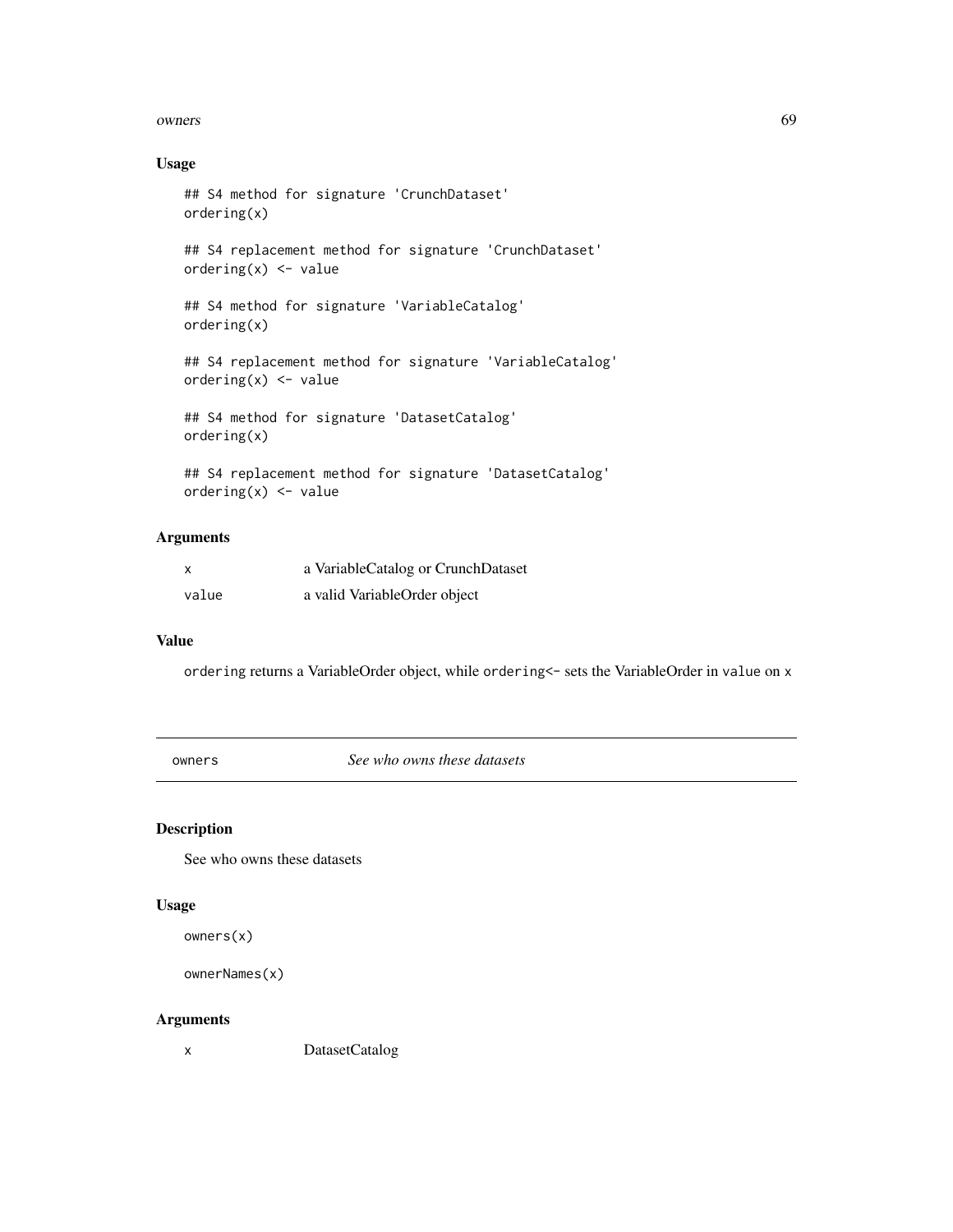#### owners 69

# Usage

```
## S4 method for signature 'CrunchDataset'
ordering(x)
## S4 replacement method for signature 'CrunchDataset'
ordering(x) <- value
## S4 method for signature 'VariableCatalog'
ordering(x)
## S4 replacement method for signature 'VariableCatalog'
ordering(x) <- value
## S4 method for signature 'DatasetCatalog'
ordering(x)
## S4 replacement method for signature 'DatasetCatalog'
```

```
ordering(x) <- value
```
# Arguments

| x     | a VariableCatalog or CrunchDataset |
|-------|------------------------------------|
| value | a valid VariableOrder object       |

### Value

ordering returns a VariableOrder object, while ordering<- sets the VariableOrder in value on x

owners *See who owns these datasets*

## Description

See who owns these datasets

#### Usage

owners(x)

```
ownerNames(x)
```
#### Arguments

x DatasetCatalog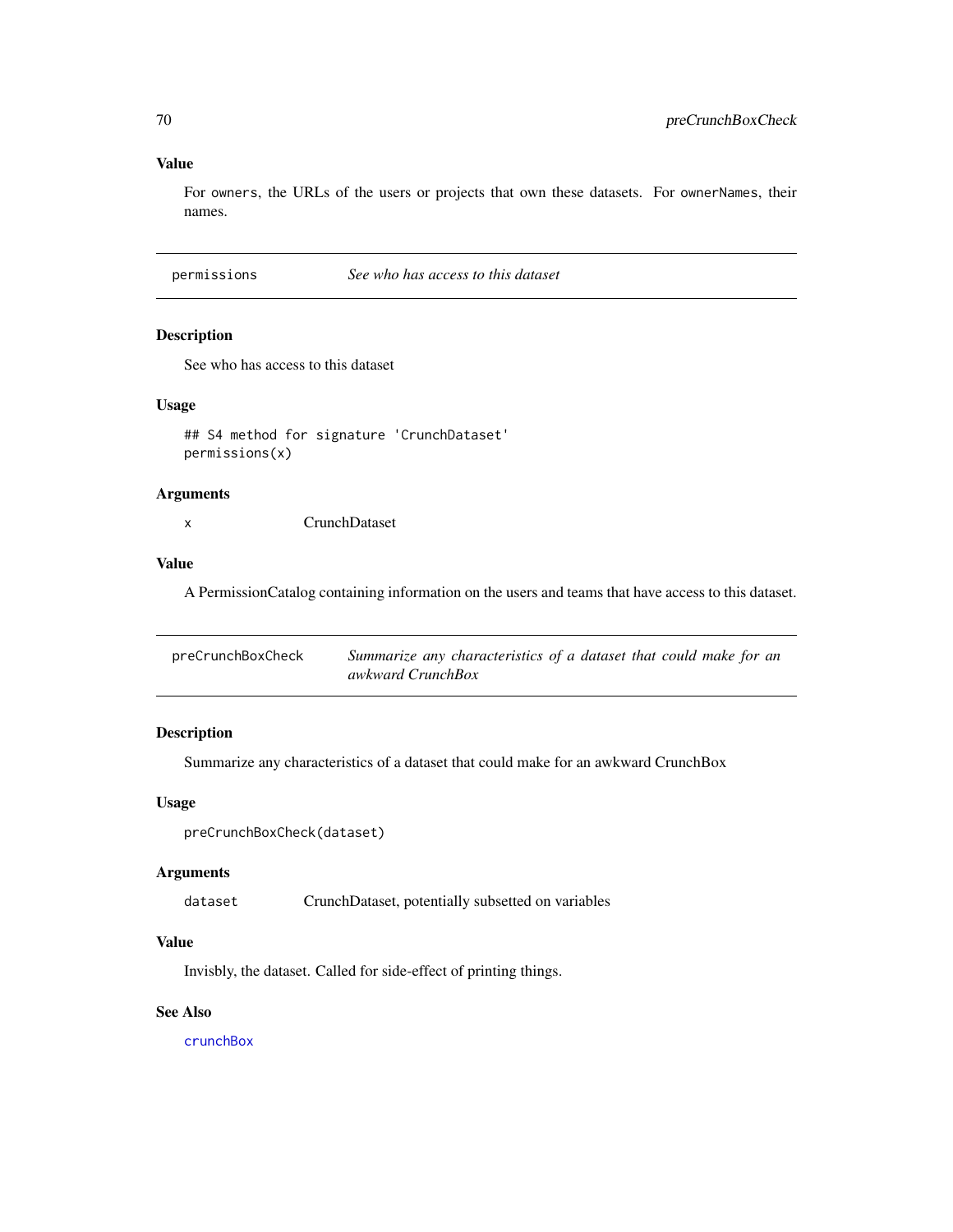# Value

For owners, the URLs of the users or projects that own these datasets. For ownerNames, their names.

permissions *See who has access to this dataset*

### Description

See who has access to this dataset

## Usage

```
## S4 method for signature 'CrunchDataset'
permissions(x)
```
#### Arguments

x CrunchDataset

#### Value

A PermissionCatalog containing information on the users and teams that have access to this dataset.

| preCrunchBoxCheck | Summarize any characteristics of a dataset that could make for an |
|-------------------|-------------------------------------------------------------------|
|                   | awkward CrunchBox                                                 |

## Description

Summarize any characteristics of a dataset that could make for an awkward CrunchBox

### Usage

```
preCrunchBoxCheck(dataset)
```
## Arguments

dataset CrunchDataset, potentially subsetted on variables

## Value

Invisbly, the dataset. Called for side-effect of printing things.

### See Also

[crunchBox](#page-20-0)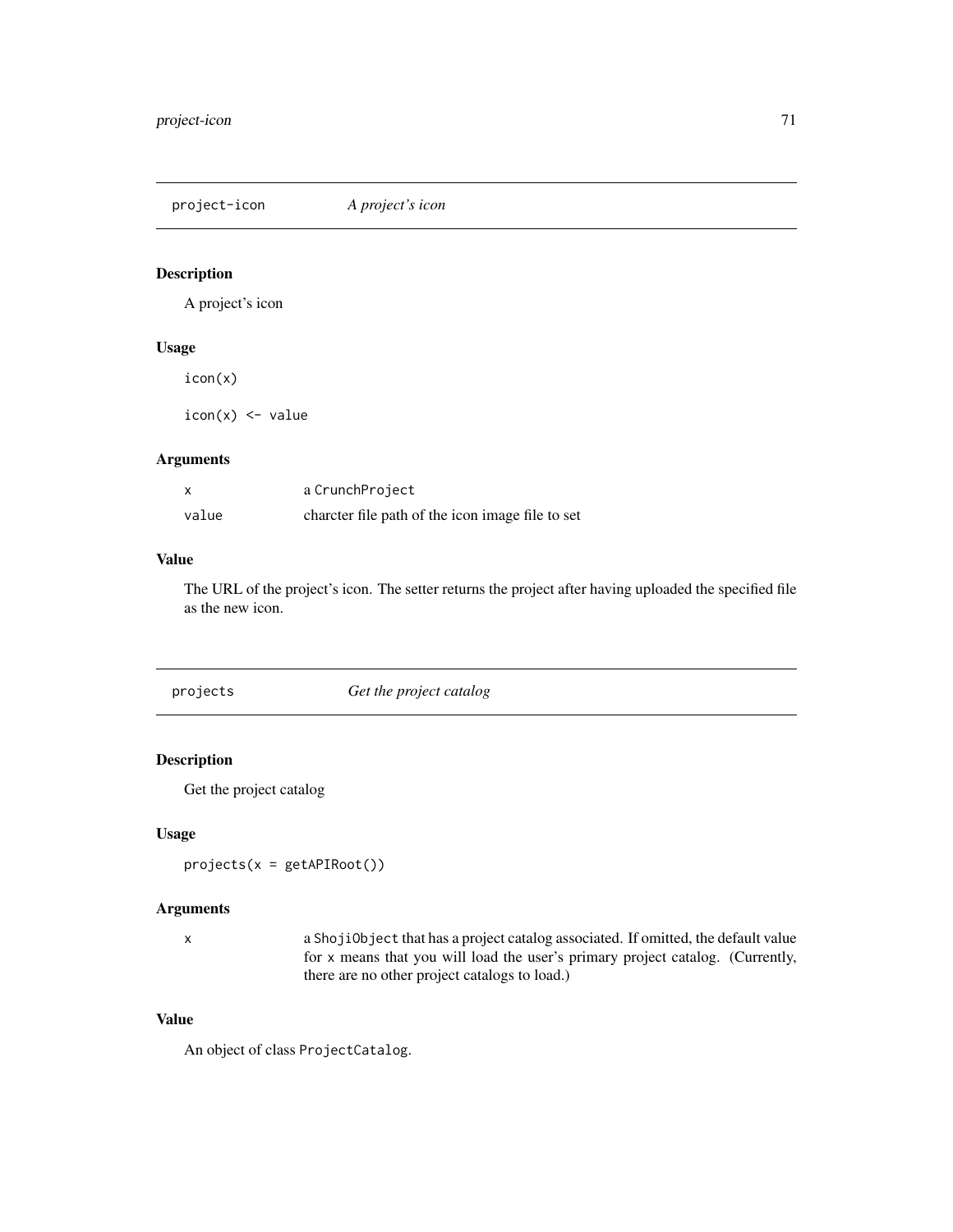project-icon *A project's icon*

# Description

A project's icon

#### Usage

icon(x)

 $icon(x) < -$  value

#### Arguments

|       | a CrunchProject                                  |
|-------|--------------------------------------------------|
| value | charcter file path of the icon image file to set |

#### Value

The URL of the project's icon. The setter returns the project after having uploaded the specified file as the new icon.

projects *Get the project catalog*

## Description

Get the project catalog

## Usage

projects(x = getAPIRoot())

## Arguments

x a ShojiObject that has a project catalog associated. If omitted, the default value for x means that you will load the user's primary project catalog. (Currently, there are no other project catalogs to load.)

# Value

An object of class ProjectCatalog.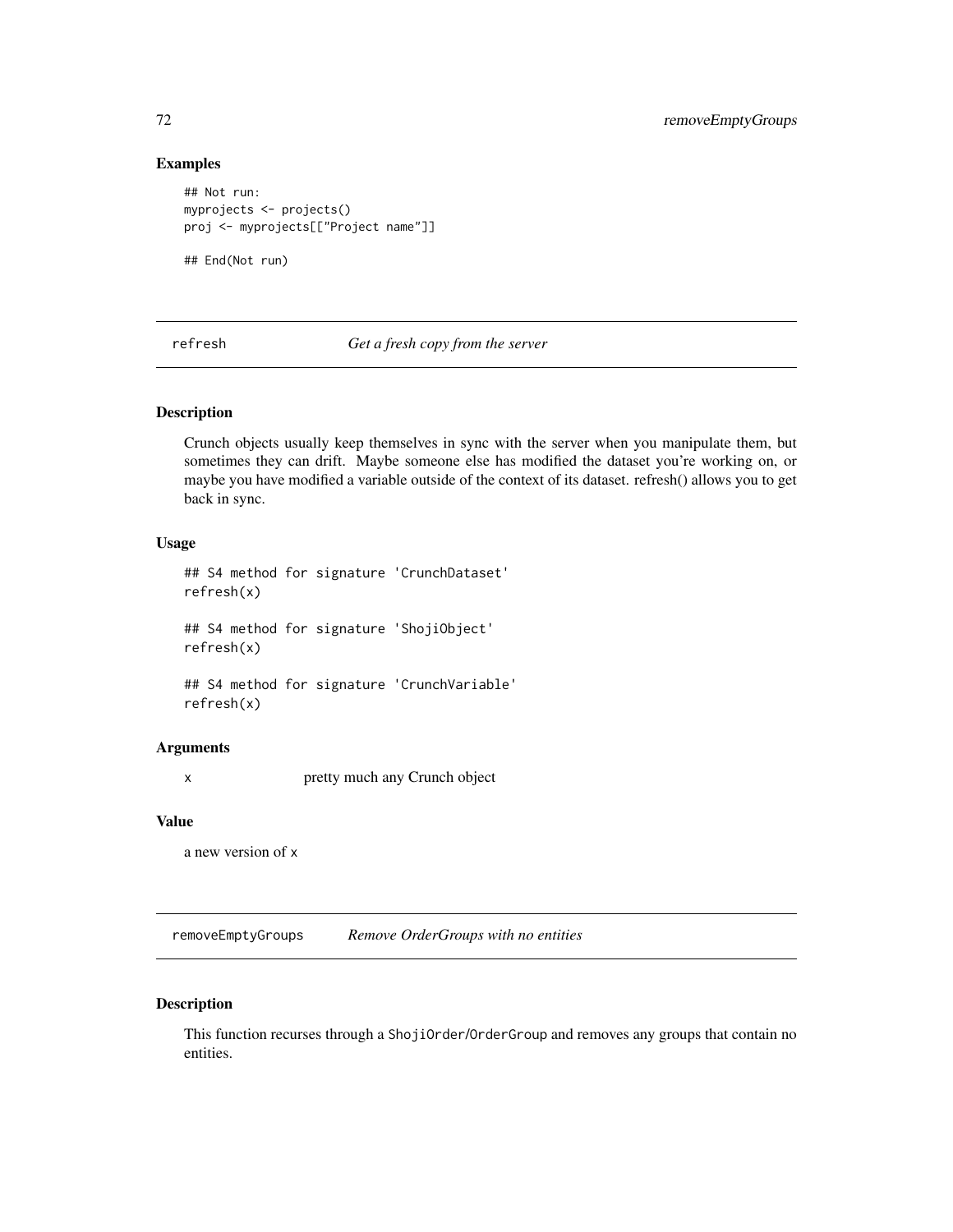#### Examples

```
## Not run:
myprojects <- projects()
proj <- myprojects[["Project name"]]
## End(Not run)
```
refresh *Get a fresh copy from the server*

### Description

Crunch objects usually keep themselves in sync with the server when you manipulate them, but sometimes they can drift. Maybe someone else has modified the dataset you're working on, or maybe you have modified a variable outside of the context of its dataset. refresh() allows you to get back in sync.

## Usage

```
## S4 method for signature 'CrunchDataset'
refresh(x)
## S4 method for signature 'ShojiObject'
refresh(x)
## S4 method for signature 'CrunchVariable'
```
refresh(x)

#### Arguments

x pretty much any Crunch object

#### Value

a new version of x

removeEmptyGroups *Remove OrderGroups with no entities*

## Description

This function recurses through a ShojiOrder/OrderGroup and removes any groups that contain no entities.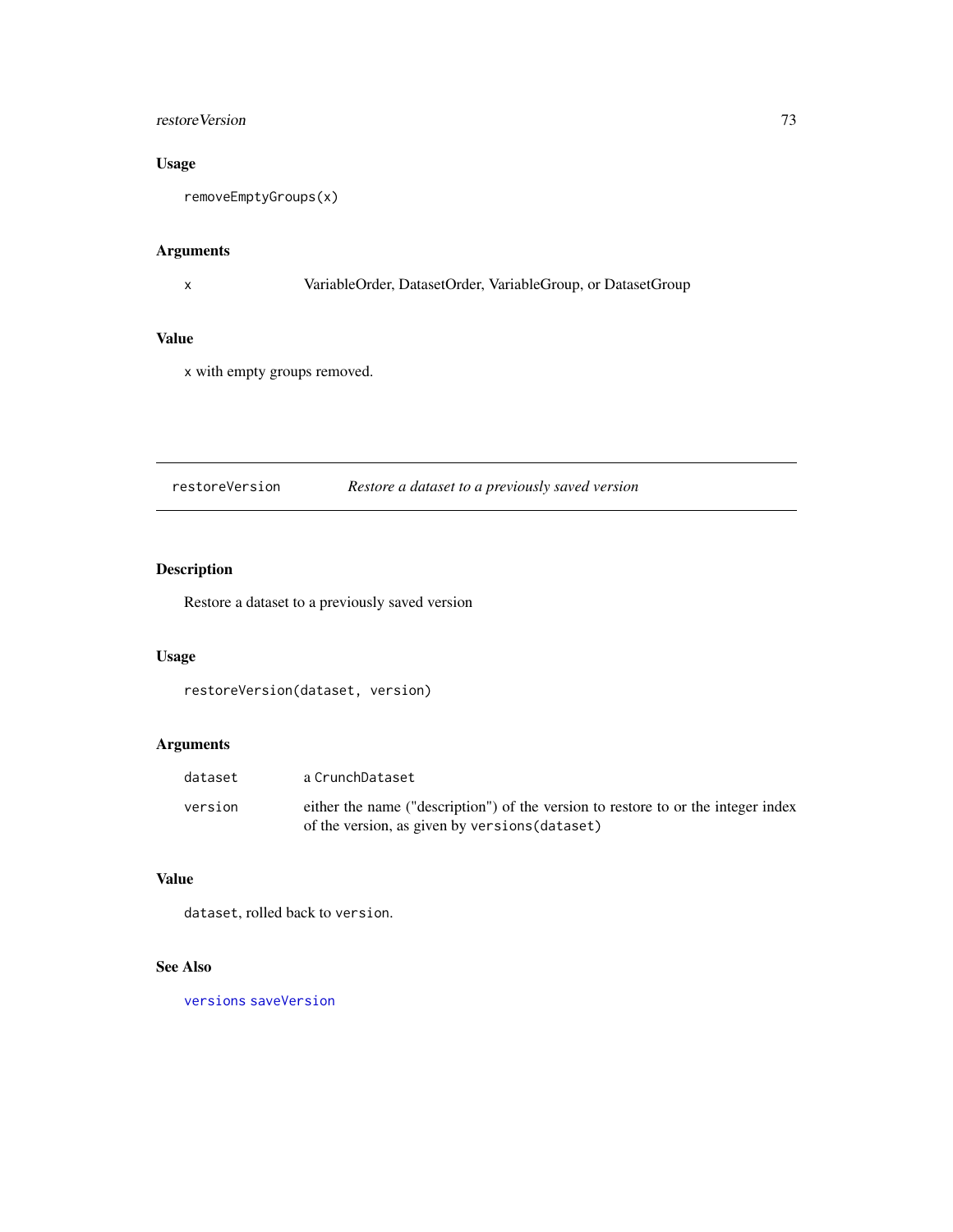# restore Version 73

# Usage

removeEmptyGroups(x)

# Arguments

x VariableOrder, DatasetOrder, VariableGroup, or DatasetGroup

# Value

x with empty groups removed.

# <span id="page-72-0"></span>restoreVersion *Restore a dataset to a previously saved version*

# Description

Restore a dataset to a previously saved version

# Usage

restoreVersion(dataset, version)

# Arguments

| dataset | a CrunchDataset                                                                                                                     |
|---------|-------------------------------------------------------------------------------------------------------------------------------------|
| version | either the name ("description") of the version to restore to or the integer index<br>of the version, as given by versions (dataset) |

# Value

dataset, rolled back to version.

# See Also

[versions](#page-95-0) [saveVersion](#page-73-0)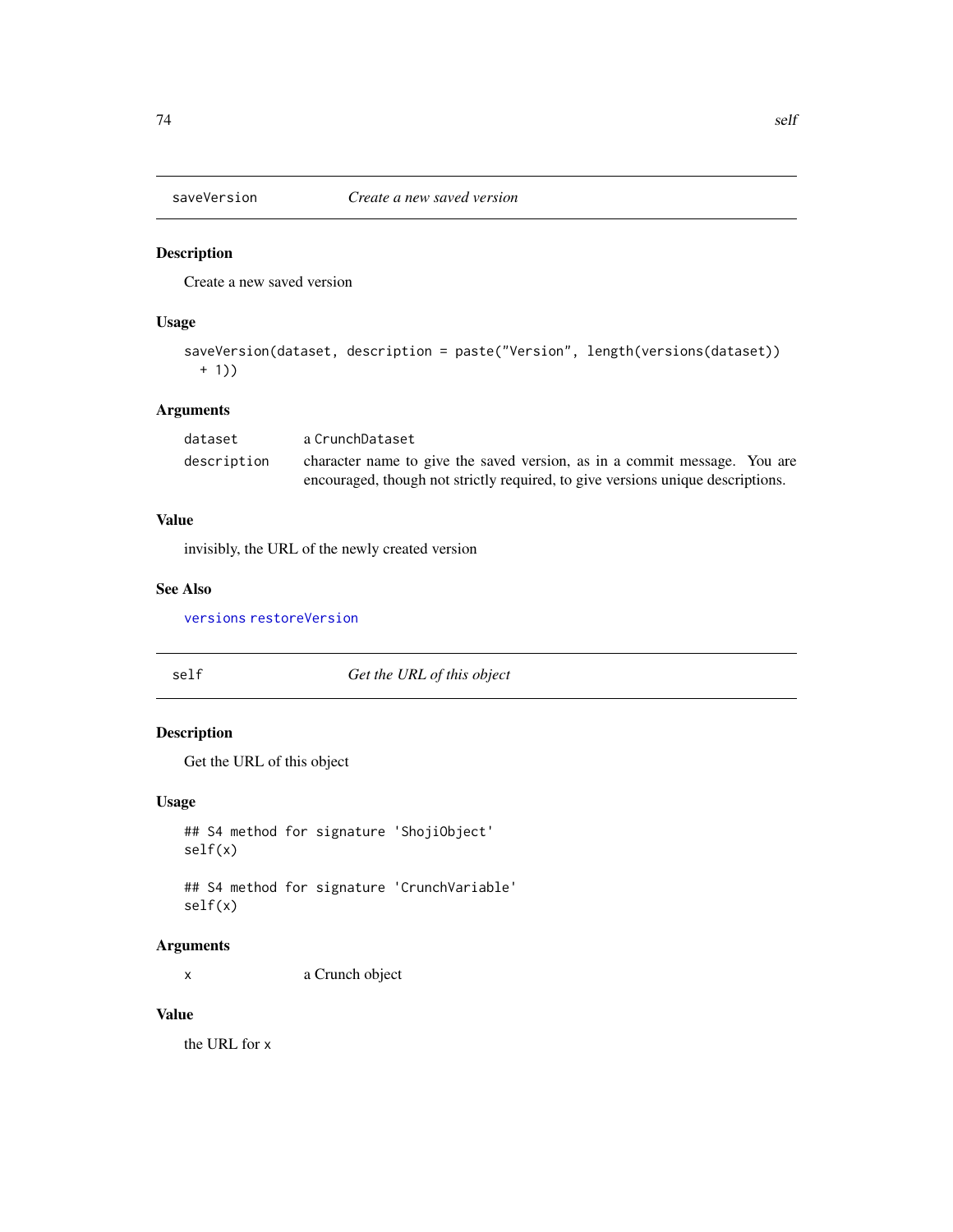<span id="page-73-0"></span>

# Description

Create a new saved version

# Usage

```
saveVersion(dataset, description = paste("Version", length(versions(dataset))
 + 1))
```
# Arguments

| dataset     | a CrunchDataset                                                                 |  |
|-------------|---------------------------------------------------------------------------------|--|
| description | character name to give the saved version, as in a commit message. You are       |  |
|             | encouraged, though not strictly required, to give versions unique descriptions. |  |

# Value

invisibly, the URL of the newly created version

# See Also

[versions](#page-95-0) [restoreVersion](#page-72-0)

self *Get the URL of this object*

# Description

Get the URL of this object

# Usage

```
## S4 method for signature 'ShojiObject'
self(x)
```
## S4 method for signature 'CrunchVariable' self(x)

# Arguments

x a Crunch object

# Value

the URL for x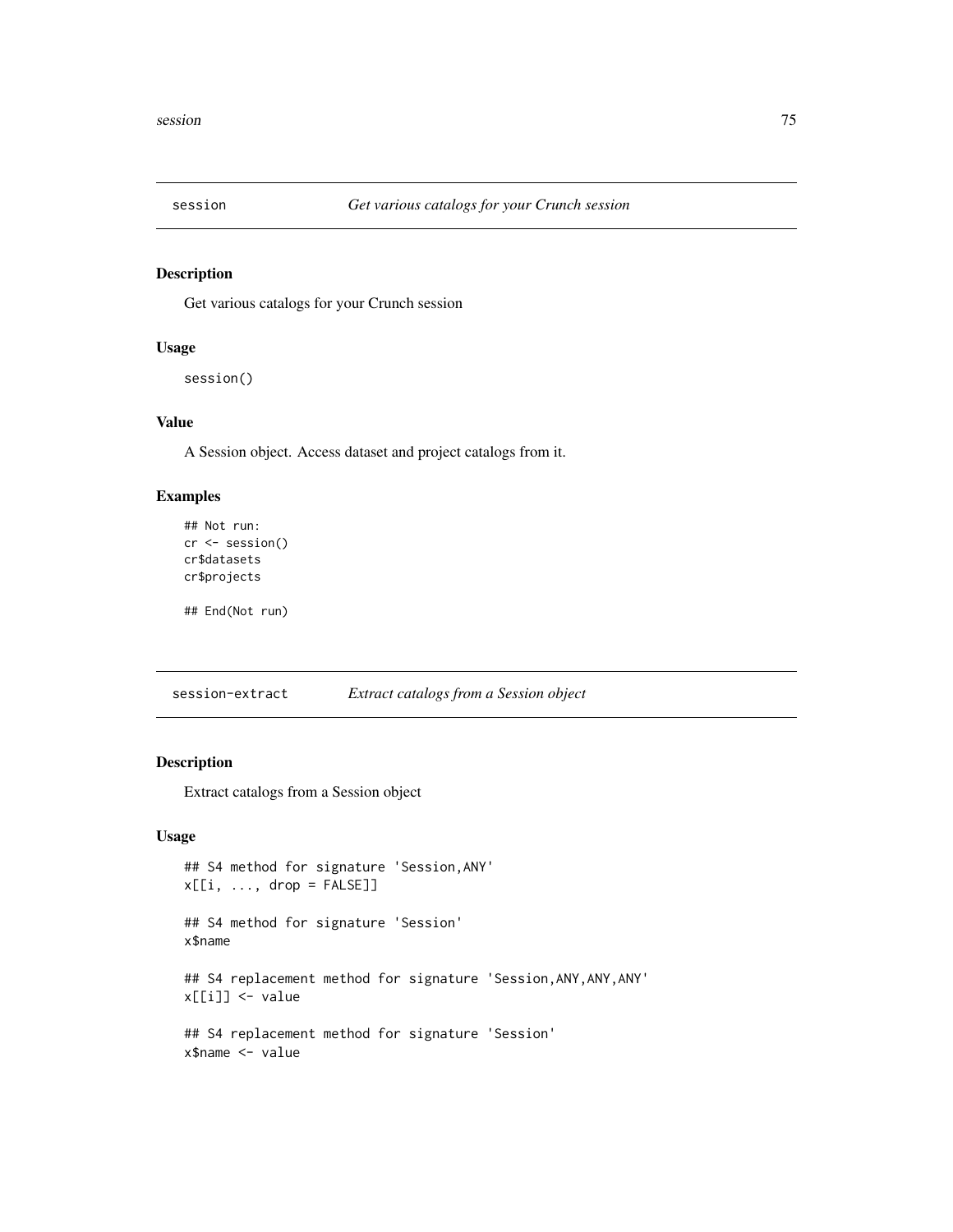<span id="page-74-1"></span><span id="page-74-0"></span>

# Description

Get various catalogs for your Crunch session

#### Usage

session()

# Value

A Session object. Access dataset and project catalogs from it.

# Examples

```
## Not run:
cr <- session()
cr$datasets
cr$projects
```
## End(Not run)

session-extract *Extract catalogs from a Session object*

# Description

Extract catalogs from a Session object

```
## S4 method for signature 'Session,ANY'
x[[i, ..., drop = FALSE]]## S4 method for signature 'Session'
x$name
## S4 replacement method for signature 'Session, ANY, ANY, ANY'
x[[i]] <- value
## S4 replacement method for signature 'Session'
x$name <- value
```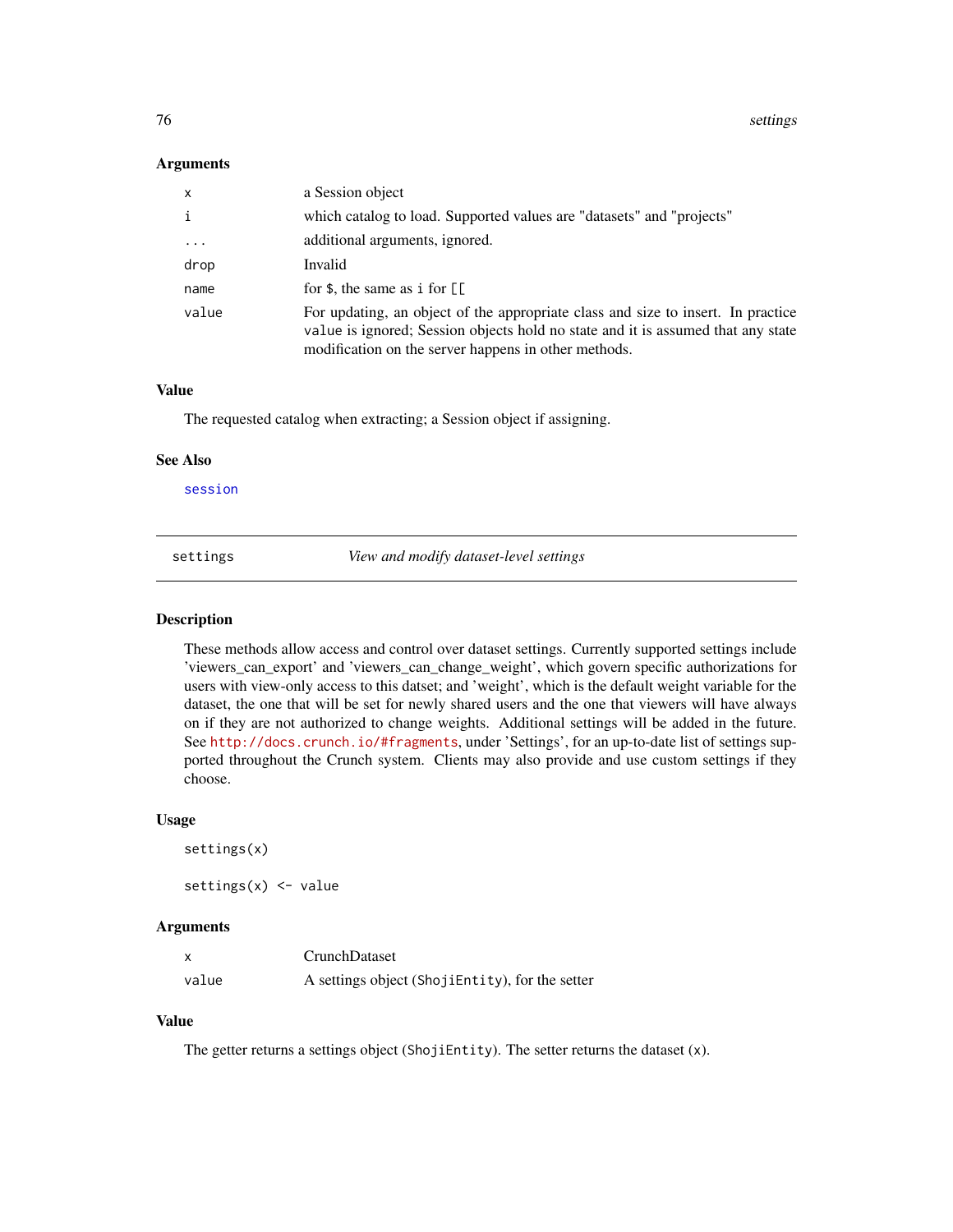76 settings and the settings of the settings of the settings of the settings of the settings of the settings of the settings of the settings of the settings of the settings of the settings of the settings of the settings o

#### **Arguments**

| $\mathsf{x}$ | a Session object                                                                                                                                                                                                                                                                                                                                                                                            |
|--------------|-------------------------------------------------------------------------------------------------------------------------------------------------------------------------------------------------------------------------------------------------------------------------------------------------------------------------------------------------------------------------------------------------------------|
| i            | which catalog to load. Supported values are "datasets" and "projects"                                                                                                                                                                                                                                                                                                                                       |
| $\ddotsc$    | additional arguments, ignored.                                                                                                                                                                                                                                                                                                                                                                              |
| drop         | Invalid                                                                                                                                                                                                                                                                                                                                                                                                     |
| name         | for $\frac{1}{2}$ , the same as i for $\left[ \begin{array}{c} \frac{1}{2} \\ \frac{1}{2} \\ \frac{1}{2} \\ \frac{1}{2} \\ \frac{1}{2} \\ \frac{1}{2} \\ \frac{1}{2} \\ \frac{1}{2} \\ \frac{1}{2} \\ \frac{1}{2} \\ \frac{1}{2} \\ \frac{1}{2} \\ \frac{1}{2} \\ \frac{1}{2} \\ \frac{1}{2} \\ \frac{1}{2} \\ \frac{1}{2} \\ \frac{1}{2} \\ \frac{1}{2} \\ \frac{1}{2} \\ \frac{1}{2} \\ \frac{1}{2} \\ \$ |
| value        | For updating, an object of the appropriate class and size to insert. In practice<br>value is ignored; Session objects hold no state and it is assumed that any state<br>modification on the server happens in other methods.                                                                                                                                                                                |

#### Value

The requested catalog when extracting; a Session object if assigning.

#### See Also

[session](#page-74-0)

settings *View and modify dataset-level settings*

#### Description

These methods allow access and control over dataset settings. Currently supported settings include 'viewers\_can\_export' and 'viewers\_can\_change\_weight', which govern specific authorizations for users with view-only access to this datset; and 'weight', which is the default weight variable for the dataset, the one that will be set for newly shared users and the one that viewers will have always on if they are not authorized to change weights. Additional settings will be added in the future. See <http://docs.crunch.io/#fragments>, under 'Settings', for an up-to-date list of settings supported throughout the Crunch system. Clients may also provide and use custom settings if they choose.

# Usage

```
settings(x)
settings(x) < - value
```
#### Arguments

|       | <b>CrunchDataset</b>                            |
|-------|-------------------------------------------------|
| value | A settings object (ShojiEntity), for the setter |

# Value

The getter returns a settings object (ShojiEntity). The setter returns the dataset (x).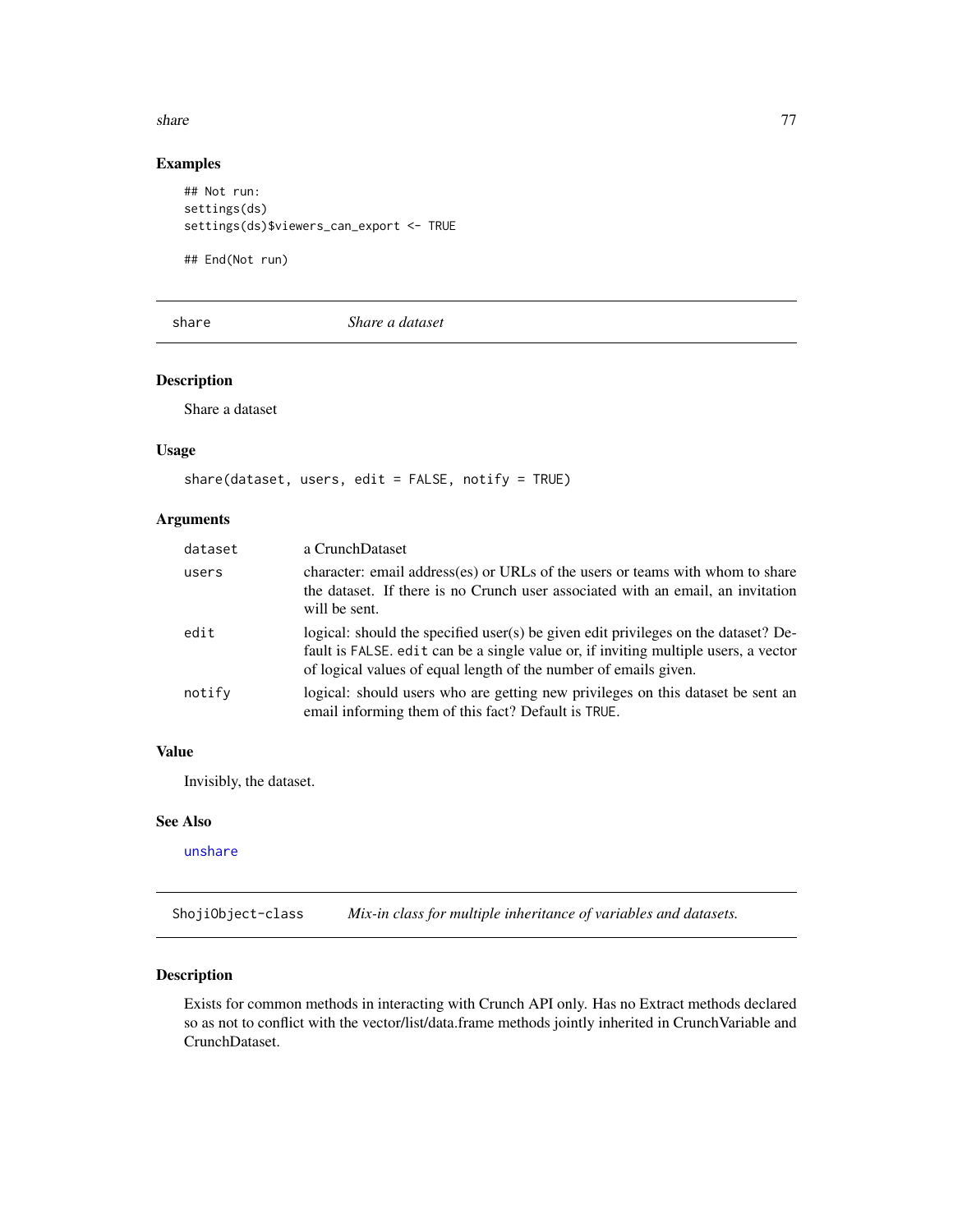#### share 77

# Examples

```
## Not run:
settings(ds)
settings(ds)$viewers_can_export <- TRUE
```
## End(Not run)

<span id="page-76-0"></span>share *Share a dataset*

# Description

Share a dataset

# Usage

```
share(dataset, users, edit = FALSE, notify = TRUE)
```
# Arguments

| dataset | a CrunchDataset                                                                                                                                                                                                                               |
|---------|-----------------------------------------------------------------------------------------------------------------------------------------------------------------------------------------------------------------------------------------------|
| users   | character: email address(es) or URLs of the users or teams with whom to share<br>the dataset. If there is no Crunch user associated with an email, an invitation<br>will be sent.                                                             |
| edit    | logical: should the specified user(s) be given edit privileges on the dataset? De-<br>fault is FALSE, edit can be a single value or, if inviting multiple users, a vector<br>of logical values of equal length of the number of emails given. |
| notify  | logical: should users who are getting new privileges on this dataset be sent an<br>email informing them of this fact? Default is TRUE.                                                                                                        |

#### Value

Invisibly, the dataset.

#### See Also

[unshare](#page-89-0)

ShojiObject-class *Mix-in class for multiple inheritance of variables and datasets.*

# Description

Exists for common methods in interacting with Crunch API only. Has no Extract methods declared so as not to conflict with the vector/list/data.frame methods jointly inherited in CrunchVariable and CrunchDataset.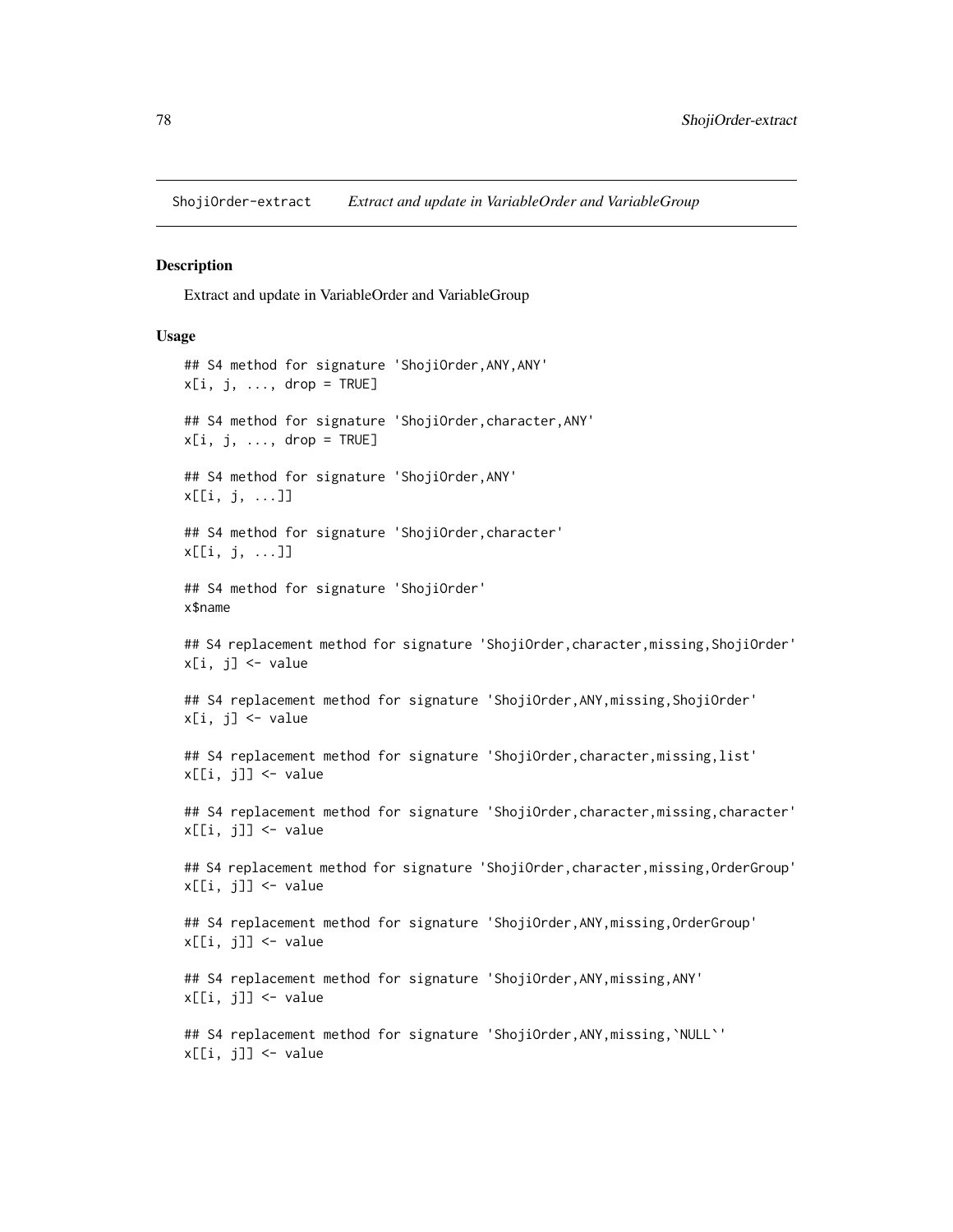<span id="page-77-0"></span>ShojiOrder-extract *Extract and update in VariableOrder and VariableGroup*

#### Description

Extract and update in VariableOrder and VariableGroup

#### Usage

## S4 method for signature 'ShojiOrder,ANY,ANY'  $x[i, j, ..., drop = TRUE]$ ## S4 method for signature 'ShojiOrder,character,ANY'  $x[i, j, \ldots, drop = TRUE]$ ## S4 method for signature 'ShojiOrder,ANY' x[[i, j, ...]] ## S4 method for signature 'ShojiOrder, character' x[[i, j, ...]] ## S4 method for signature 'ShojiOrder' x\$name ## S4 replacement method for signature 'ShojiOrder, character, missing, ShojiOrder'  $x[i, j]$  <- value ## S4 replacement method for signature 'ShojiOrder,ANY,missing,ShojiOrder'  $x[i, j]$  <- value ## S4 replacement method for signature 'ShojiOrder,character,missing,list'  $x[[i, j]]$  <- value ## S4 replacement method for signature 'ShojiOrder, character, missing, character' x[[i, j]] <- value ## S4 replacement method for signature 'ShojiOrder,character,missing,OrderGroup' x[[i, j]] <- value ## S4 replacement method for signature 'ShojiOrder,ANY,missing,OrderGroup'  $x[[i, j]]$  <- value ## S4 replacement method for signature 'ShojiOrder, ANY, missing, ANY'  $x[[i, j]]$  <- value ## S4 replacement method for signature 'ShojiOrder,ANY,missing,`NULL`' x[[i, j]] <- value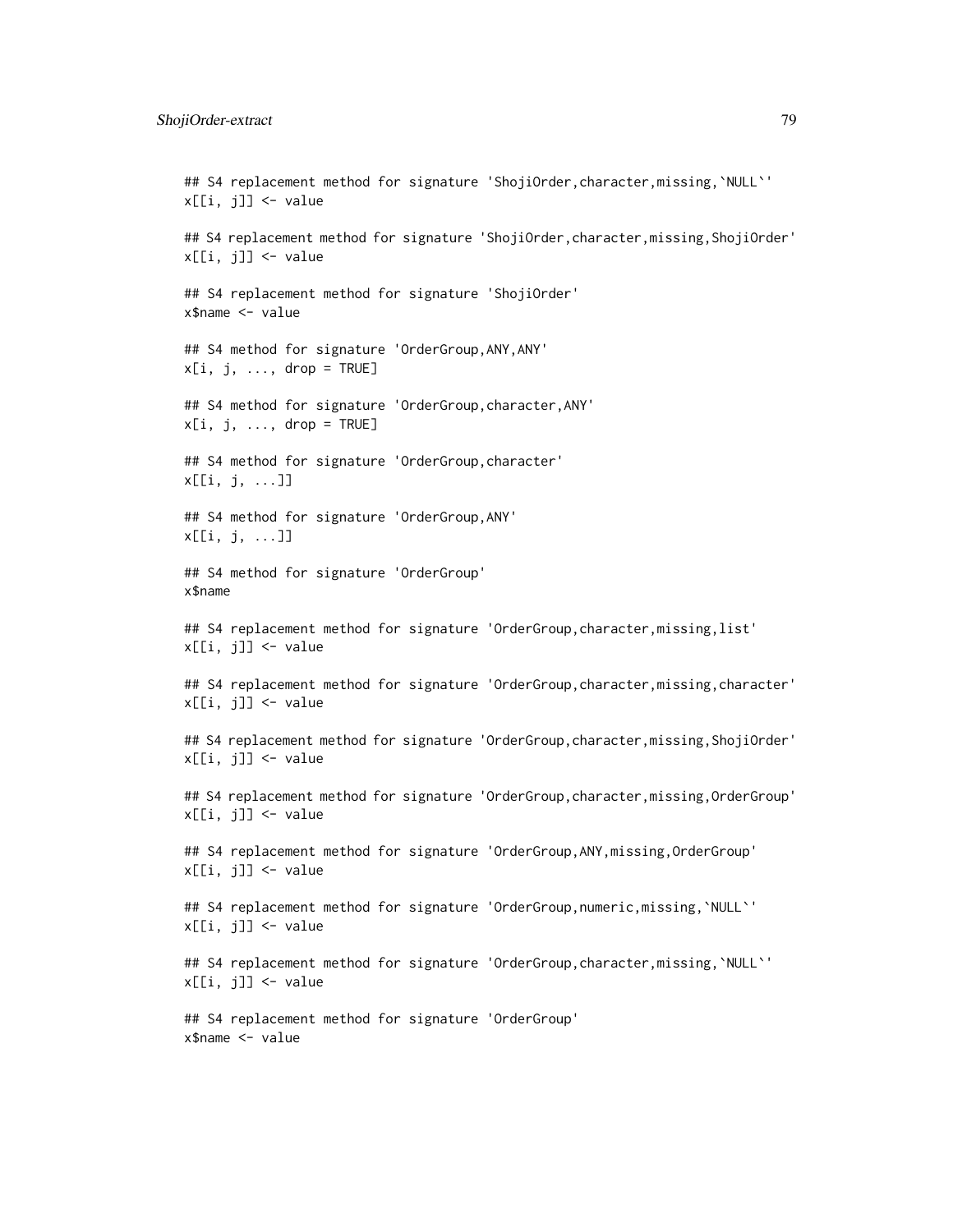#### ShojiOrder-extract 79

## S4 replacement method for signature 'ShojiOrder, character, missing, `NULL`'  $x[[i, j]]$  <- value ## S4 replacement method for signature 'ShojiOrder, character, missing, ShojiOrder' x[[i, j]] <- value ## S4 replacement method for signature 'ShojiOrder' x\$name <- value ## S4 method for signature 'OrderGroup,ANY,ANY'  $x[i, j, \ldots, drop = TRUE]$ ## S4 method for signature 'OrderGroup,character,ANY'  $x[i, j, \ldots, drop = TRUE]$ ## S4 method for signature 'OrderGroup,character' x[[i, j, ...]] ## S4 method for signature 'OrderGroup,ANY' x[[i, j, ...]] ## S4 method for signature 'OrderGroup' x\$name ## S4 replacement method for signature 'OrderGroup, character, missing, list'  $x[[i, j]]$  <- value ## S4 replacement method for signature 'OrderGroup, character, missing, character'  $x[[i, j]]$  <- value ## S4 replacement method for signature 'OrderGroup,character,missing,ShojiOrder'  $x[[i, j]]$  <- value ## S4 replacement method for signature 'OrderGroup, character, missing, OrderGroup'  $x[[i, j]]$  <- value ## S4 replacement method for signature 'OrderGroup,ANY,missing,OrderGroup'  $x[[i, j]]$  <- value ## S4 replacement method for signature 'OrderGroup,numeric,missing,`NULL`'  $x[[i, j]]$  <- value ## S4 replacement method for signature 'OrderGroup,character,missing,`NULL`' x[[i, j]] <- value ## S4 replacement method for signature 'OrderGroup' x\$name <- value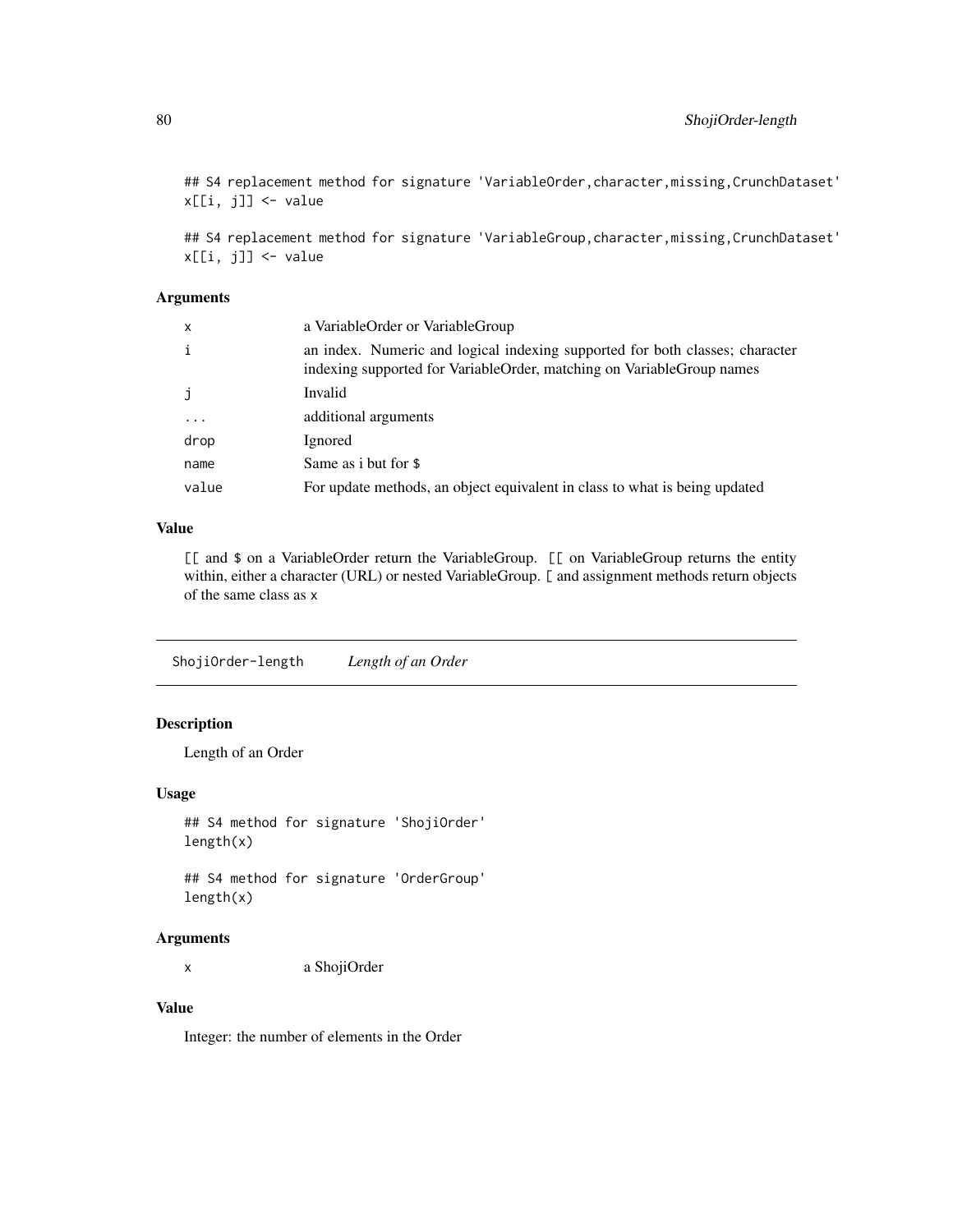<span id="page-79-0"></span>## S4 replacement method for signature 'VariableOrder, character, missing, CrunchDataset'  $x[[i, j]]$  <- value

## S4 replacement method for signature 'VariableGroup, character, missing, CrunchDataset' x[[i, j]] <- value

#### Arguments

| $\mathsf{x}$ | a VariableOrder or VariableGroup                                                                                                                      |
|--------------|-------------------------------------------------------------------------------------------------------------------------------------------------------|
| i            | an index. Numeric and logical indexing supported for both classes; character<br>indexing supported for VariableOrder, matching on VariableGroup names |
| j.           | Invalid                                                                                                                                               |
| $\cdot$      | additional arguments                                                                                                                                  |
| drop         | Ignored                                                                                                                                               |
| name         | Same as i but for \$                                                                                                                                  |
| value        | For update methods, an object equivalent in class to what is being updated                                                                            |

# Value

[[ and \$ on a VariableOrder return the VariableGroup. [[ on VariableGroup returns the entity within, either a character (URL) or nested VariableGroup. [ and assignment methods return objects of the same class as x

ShojiOrder-length *Length of an Order*

# Description

Length of an Order

#### Usage

## S4 method for signature 'ShojiOrder' length(x)

## S4 method for signature 'OrderGroup' length(x)

# Arguments

x a ShojiOrder

# Value

Integer: the number of elements in the Order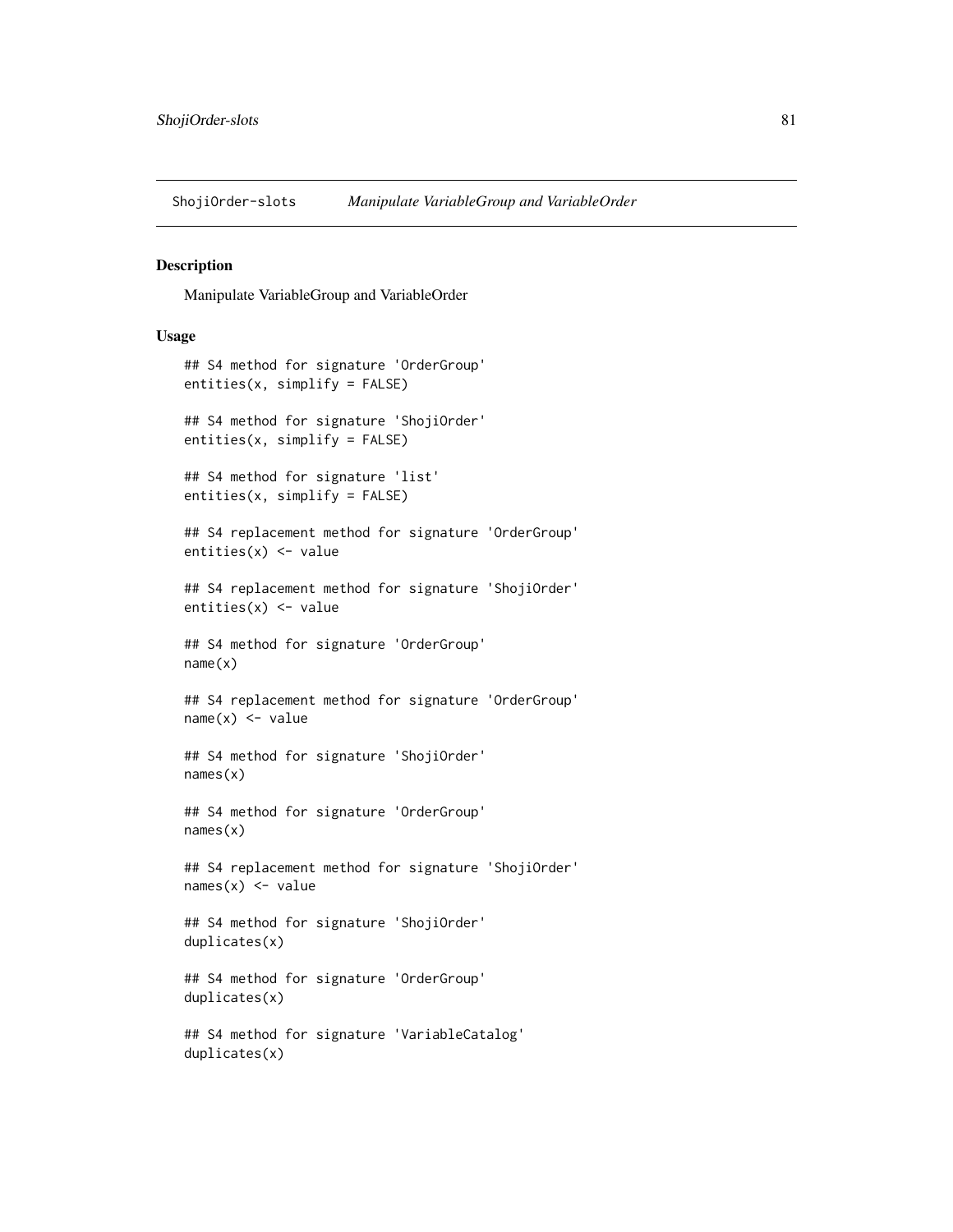<span id="page-80-0"></span>ShojiOrder-slots *Manipulate VariableGroup and VariableOrder*

#### Description

Manipulate VariableGroup and VariableOrder

```
## S4 method for signature 'OrderGroup'
entities(x, simplify = FALSE)
## S4 method for signature 'ShojiOrder'
entities(x, simplify = FALSE)
## S4 method for signature 'list'
entities(x, simplify = FALSE)
## S4 replacement method for signature 'OrderGroup'
entities(x) <- value
## S4 replacement method for signature 'ShojiOrder'
entities(x) <- value
## S4 method for signature 'OrderGroup'
name(x)
## S4 replacement method for signature 'OrderGroup'
name(x) < - value## S4 method for signature 'ShojiOrder'
names(x)
## S4 method for signature 'OrderGroup'
names(x)
## S4 replacement method for signature 'ShojiOrder'
names(x) <- value
## S4 method for signature 'ShojiOrder'
duplicates(x)
## S4 method for signature 'OrderGroup'
duplicates(x)
## S4 method for signature 'VariableCatalog'
duplicates(x)
```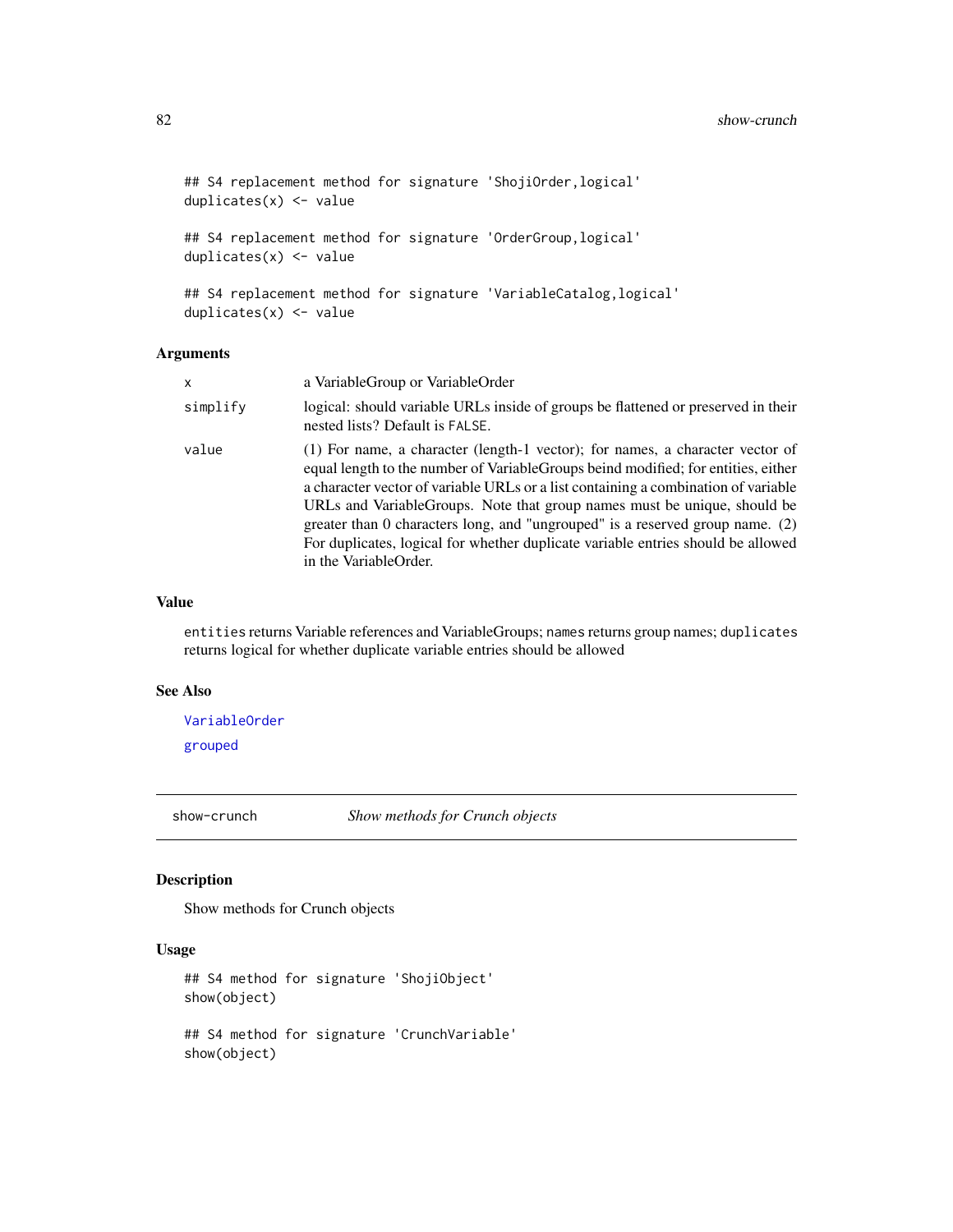```
## S4 replacement method for signature 'ShojiOrder, logical'
duplicates(x) <- value
## S4 replacement method for signature 'OrderGroup,logical'
duplicates(x) <- value
## S4 replacement method for signature 'VariableCatalog,logical'
duplicates(x) <- value
```
#### Arguments

| x        | a VariableGroup or VariableOrder                                                                                                                                                                                                                                                                                                                                                                                                                                                                                                      |
|----------|---------------------------------------------------------------------------------------------------------------------------------------------------------------------------------------------------------------------------------------------------------------------------------------------------------------------------------------------------------------------------------------------------------------------------------------------------------------------------------------------------------------------------------------|
| simplify | logical: should variable URLs inside of groups be flattened or preserved in their<br>nested lists? Default is FALSE.                                                                                                                                                                                                                                                                                                                                                                                                                  |
| value    | (1) For name, a character (length-1 vector); for names, a character vector of<br>equal length to the number of Variable Groups beind modified; for entities, either<br>a character vector of variable URLs or a list containing a combination of variable<br>URLs and VariableGroups. Note that group names must be unique, should be<br>greater than 0 characters long, and "ungrouped" is a reserved group name. $(2)$<br>For duplicates, logical for whether duplicate variable entries should be allowed<br>in the VariableOrder. |

#### Value

entities returns Variable references and VariableGroups; names returns group names; duplicates returns logical for whether duplicate variable entries should be allowed

#### See Also

[VariableOrder](#page-94-0) [grouped](#page-48-0)

show-crunch *Show methods for Crunch objects*

#### Description

Show methods for Crunch objects

```
## S4 method for signature 'ShojiObject'
show(object)
## S4 method for signature 'CrunchVariable'
show(object)
```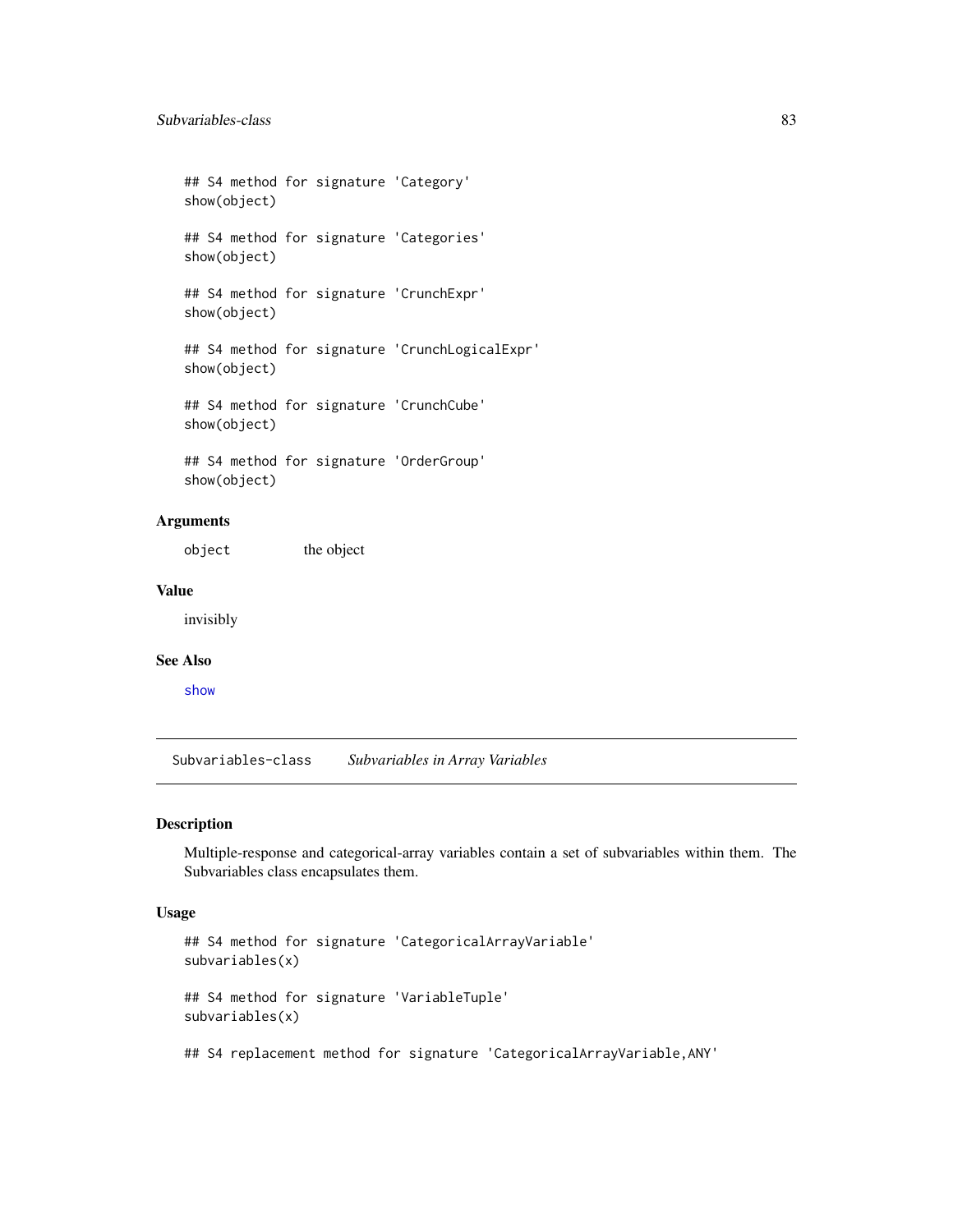## S4 method for signature 'Category' show(object) ## S4 method for signature 'Categories' show(object) ## S4 method for signature 'CrunchExpr' show(object) ## S4 method for signature 'CrunchLogicalExpr' show(object) ## S4 method for signature 'CrunchCube' show(object) ## S4 method for signature 'OrderGroup' show(object)

# Arguments

object the object

#### Value

invisibly

#### See Also

[show](#page-0-0)

Subvariables-class *Subvariables in Array Variables*

#### Description

Multiple-response and categorical-array variables contain a set of subvariables within them. The Subvariables class encapsulates them.

```
## S4 method for signature 'CategoricalArrayVariable'
subvariables(x)
## S4 method for signature 'VariableTuple'
subvariables(x)
```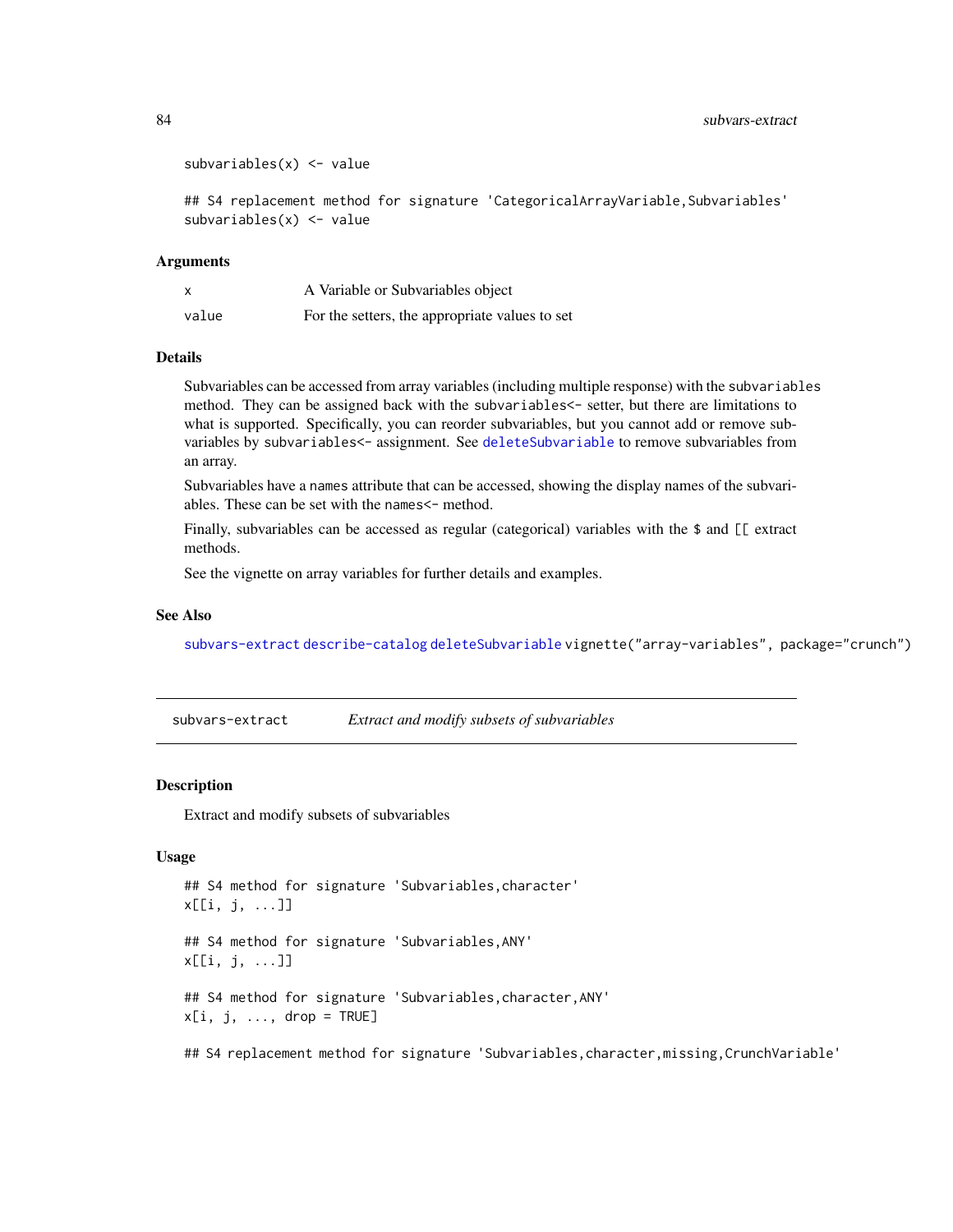```
subvariable(x) < -value
```

```
## S4 replacement method for signature 'CategoricalArrayVariable,Subvariables'
subvariables(x) <- value
```
#### Arguments

|       | A Variable or Subvariables object              |
|-------|------------------------------------------------|
| value | For the setters, the appropriate values to set |

# Details

Subvariables can be accessed from array variables (including multiple response) with the subvariables method. They can be assigned back with the subvariables<- setter, but there are limitations to what is supported. Specifically, you can reorder subvariables, but you cannot add or remove subvariables by subvariables<- assignment. See [deleteSubvariable](#page-31-0) to remove subvariables from an array.

Subvariables have a names attribute that can be accessed, showing the display names of the subvariables. These can be set with the names <- method.

Finally, subvariables can be accessed as regular (categorical) variables with the \$ and [[ extract methods.

See the vignette on array variables for further details and examples.

#### See Also

[subvars-extract](#page-83-0) [describe-catalog](#page-63-0) [deleteSubvariable](#page-31-0) vignette("array-variables", package="crunch")

<span id="page-83-0"></span>subvars-extract *Extract and modify subsets of subvariables*

#### Description

Extract and modify subsets of subvariables

#### Usage

```
## S4 method for signature 'Subvariables,character'
x[[i, j, ...]]
## S4 method for signature 'Subvariables,ANY'
x[[i, j, ...]]
## S4 method for signature 'Subvariables,character,ANY'
x[i, j, ..., drop = TRUE]
```
## S4 replacement method for signature 'Subvariables, character, missing, CrunchVariable'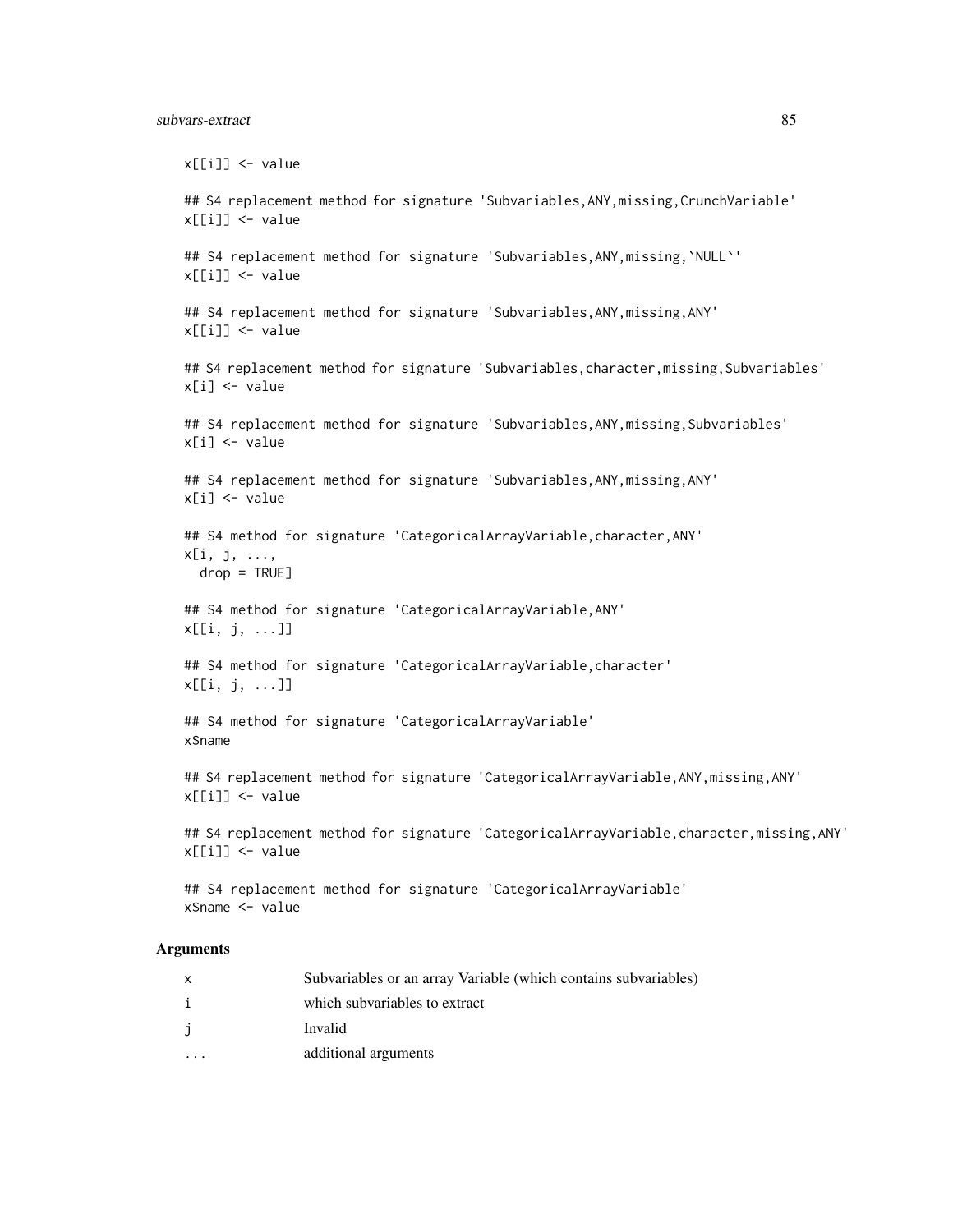#### subvars-extract 85

x[[i]] <- value ## S4 replacement method for signature 'Subvariables,ANY,missing,CrunchVariable' x[[i]] <- value ## S4 replacement method for signature 'Subvariables, ANY, missing, `NULL`' x[[i]] <- value ## S4 replacement method for signature 'Subvariables,ANY,missing,ANY' x[[i]] <- value ## S4 replacement method for signature 'Subvariables, character, missing, Subvariables' x[i] <- value ## S4 replacement method for signature 'Subvariables,ANY,missing,Subvariables' x[i] <- value ## S4 replacement method for signature 'Subvariables, ANY, missing, ANY'  $x[i]$  <- value ## S4 method for signature 'CategoricalArrayVariable, character, ANY' x[i, j, ..., drop = TRUE] ## S4 method for signature 'CategoricalArrayVariable,ANY' x[[i, j, ...]] ## S4 method for signature 'CategoricalArrayVariable,character' x[[i, j, ...]] ## S4 method for signature 'CategoricalArrayVariable' x\$name ## S4 replacement method for signature 'CategoricalArrayVariable,ANY,missing,ANY' x[[i]] <- value ## S4 replacement method for signature 'CategoricalArrayVariable, character, missing, ANY' x[[i]] <- value ## S4 replacement method for signature 'CategoricalArrayVariable' x\$name <- value

# Arguments

| X | Subvariables or an array Variable (which contains subvariables) |
|---|-----------------------------------------------------------------|
| i | which subvariables to extract                                   |
| j | Invalid                                                         |
|   | additional arguments                                            |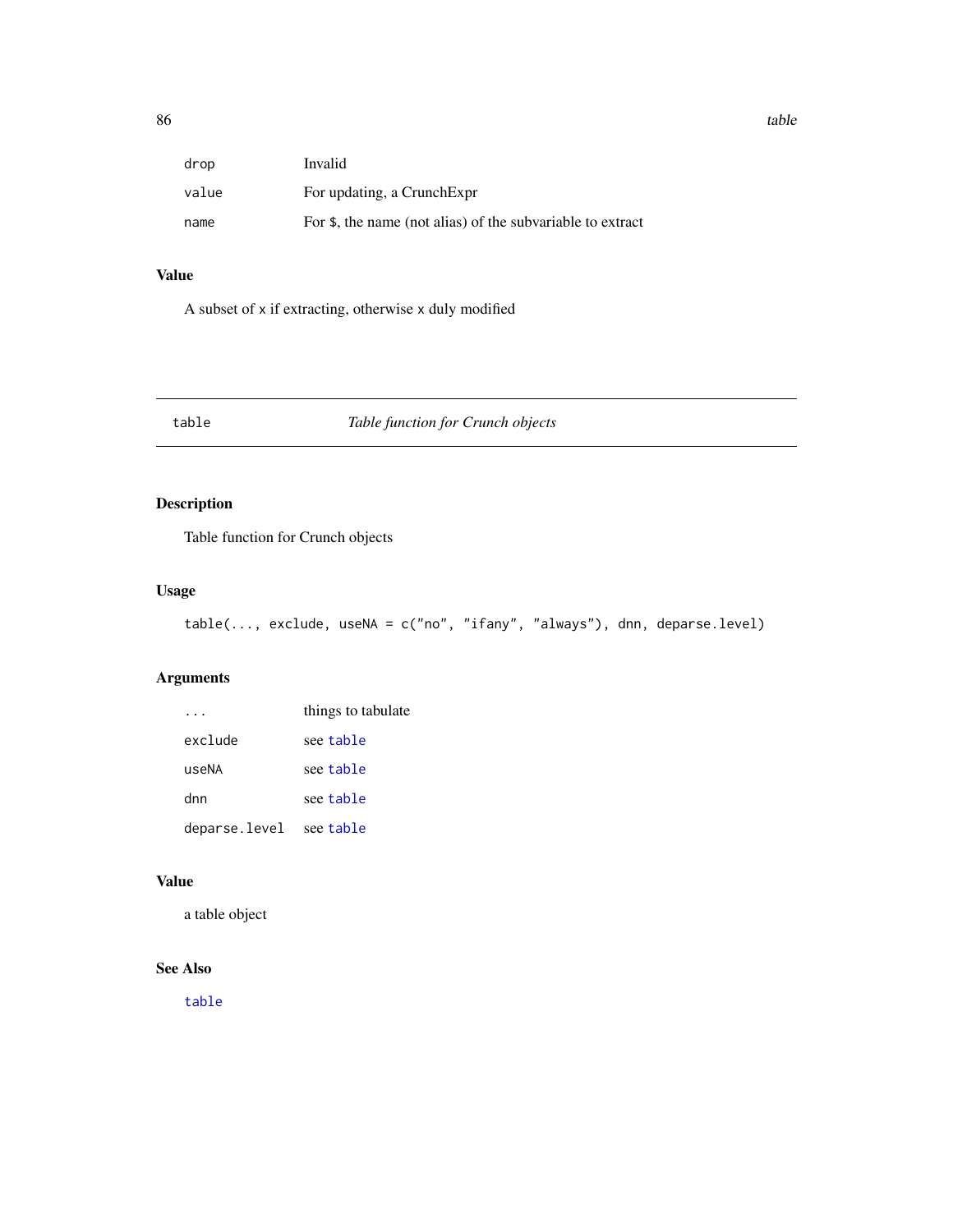| drop  | Invalid                                                    |
|-------|------------------------------------------------------------|
| value | For updating, a CrunchExpr                                 |
| name  | For \$, the name (not alias) of the subvariable to extract |

# Value

A subset of x if extracting, otherwise x duly modified

# <span id="page-85-0"></span>table *Table function for Crunch objects*

# Description

Table function for Crunch objects

# Usage

```
table(..., exclude, useNA = c("no", "ifany", "always"), dnn, deparse.level)
```
# Arguments

|               | things to tabulate |
|---------------|--------------------|
| exclude       | see table          |
| useNA         | see table          |
| dnn           | see table          |
| deparse.level | see table          |

# Value

a table object

# See Also

[table](#page-85-0)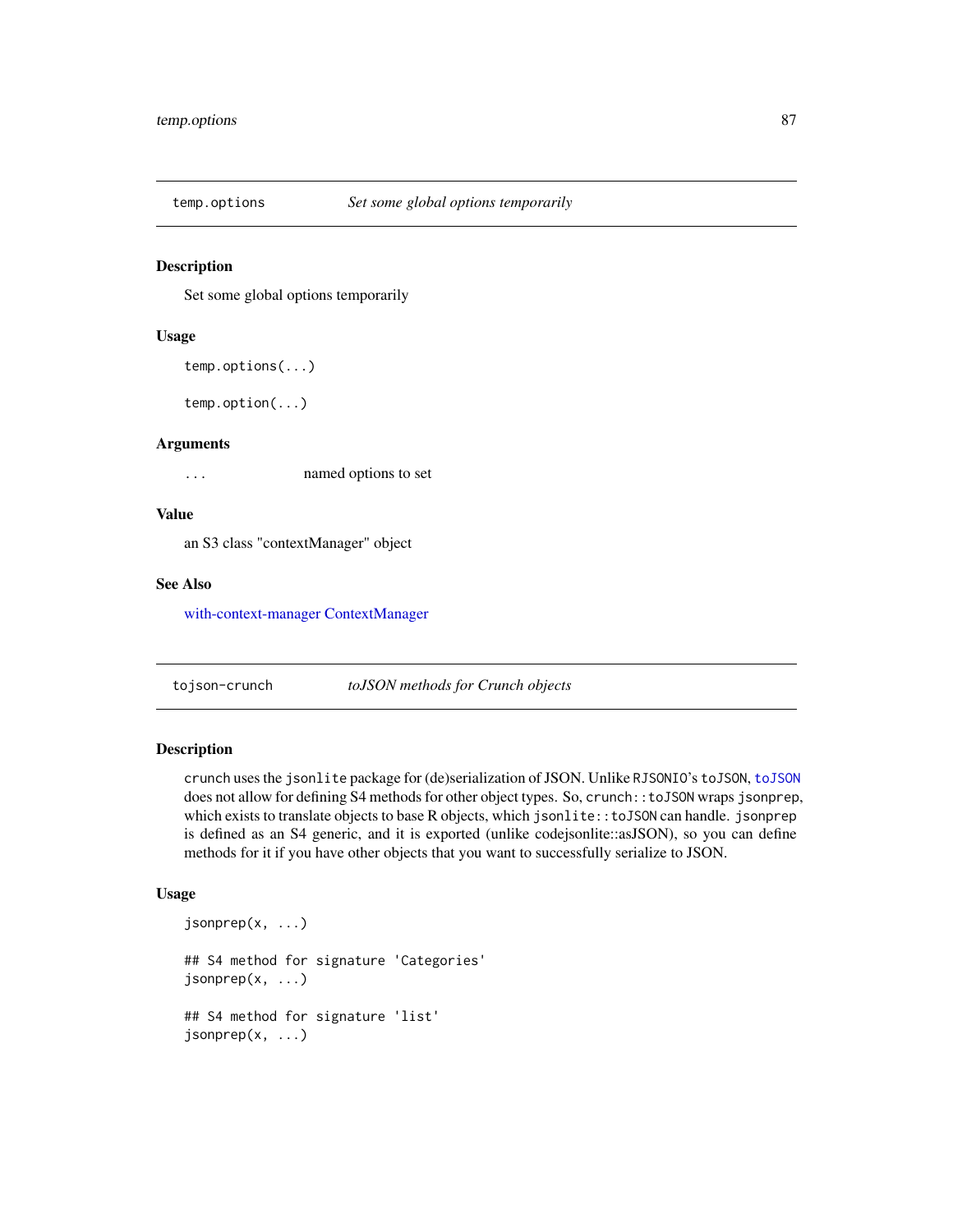<span id="page-86-1"></span>

#### Description

Set some global options temporarily

#### Usage

```
temp.options(...)
```
temp.option(...)

# Arguments

... named options to set

#### Value

an S3 class "contextManager" object

# See Also

[with-context-manager](#page-96-0) [ContextManager](#page-17-0)

tojson-crunch *toJSON methods for Crunch objects*

#### <span id="page-86-0"></span>Description

crunch uses the jsonlite package for (de)serialization of JSON. Unlike RJSONIO's toJSON, [toJSON](#page-86-0) does not allow for defining S4 methods for other object types. So, crunch::toJSON wraps jsonprep, which exists to translate objects to base R objects, which jsonlite::toJSON can handle. jsonprep is defined as an S4 generic, and it is exported (unlike codejsonlite::asJSON), so you can define methods for it if you have other objects that you want to successfully serialize to JSON.

```
jsonprep(x, ...)
## S4 method for signature 'Categories'
jsonprep(x, \ldots)## S4 method for signature 'list'
jsonprep(x, ...)
```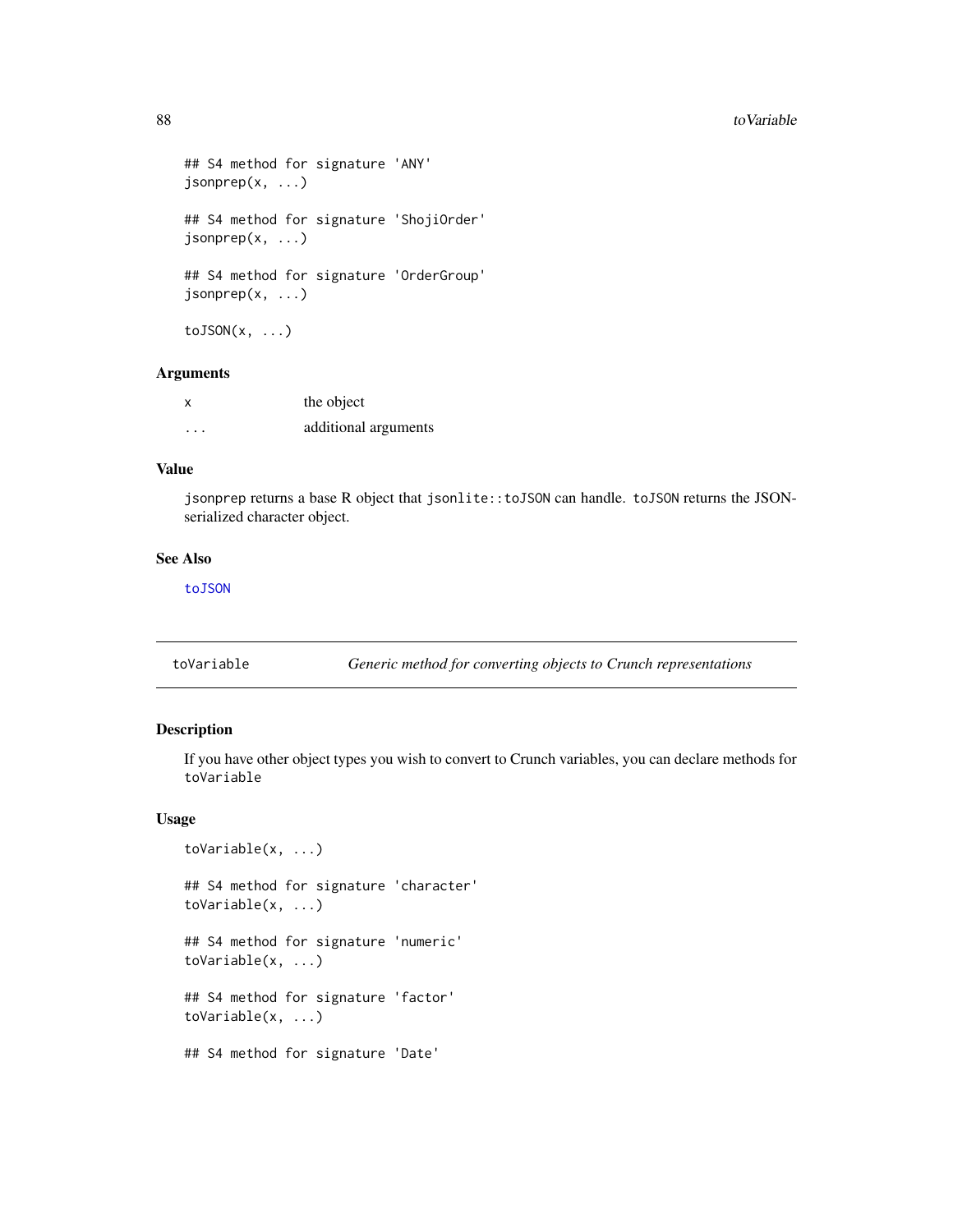```
## S4 method for signature 'ANY'
jsonprep(x, ...)
## S4 method for signature 'ShojiOrder'
jsonprep(x, ...)
## S4 method for signature 'OrderGroup'
jsonprep(x, ...)
toJSON(x, \ldots)
```
#### Arguments

| X        | the object           |
|----------|----------------------|
| $\cdots$ | additional arguments |

#### Value

jsonprep returns a base R object that jsonlite::toJSON can handle. toJSON returns the JSONserialized character object.

#### See Also

[toJSON](#page-86-0)

<span id="page-87-0"></span>toVariable *Generic method for converting objects to Crunch representations*

#### Description

If you have other object types you wish to convert to Crunch variables, you can declare methods for toVariable

```
toVariable(x, ...)
## S4 method for signature 'character'
toVariable(x, ...)
## S4 method for signature 'numeric'
toVariable(x, ...)
## S4 method for signature 'factor'
toVariable(x, ...)
## S4 method for signature 'Date'
```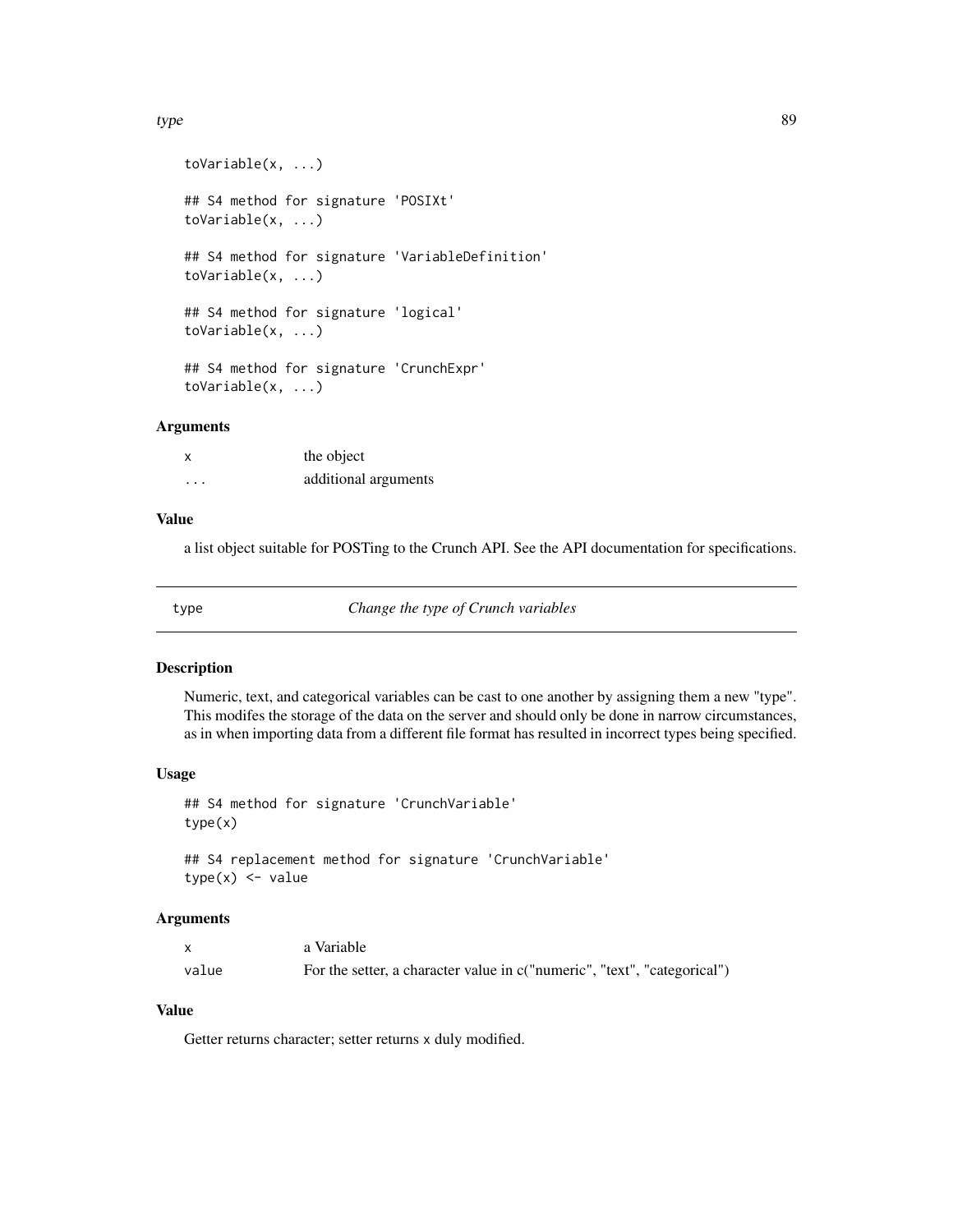#### type 89

```
toVariable(x, ...)
## S4 method for signature 'POSIXt'
toVariable(x, ...)
## S4 method for signature 'VariableDefinition'
toVariable(x, ...)
## S4 method for signature 'logical'
toVariable(x, ...)
## S4 method for signature 'CrunchExpr'
toVariable(x, ...)
```
#### **Arguments**

| X        | the object           |
|----------|----------------------|
| $\cdots$ | additional arguments |

# Value

a list object suitable for POSTing to the Crunch API. See the API documentation for specifications.

type *Change the type of Crunch variables*

#### Description

Numeric, text, and categorical variables can be cast to one another by assigning them a new "type". This modifes the storage of the data on the server and should only be done in narrow circumstances, as in when importing data from a different file format has resulted in incorrect types being specified.

#### Usage

```
## S4 method for signature 'CrunchVariable'
type(x)
## S4 replacement method for signature 'CrunchVariable'
```

```
type(x) \leftarrow value
```
#### Arguments

|       | a Variable                                                               |
|-------|--------------------------------------------------------------------------|
| value | For the setter, a character value in c("numeric", "text", "categorical") |

## Value

Getter returns character; setter returns x duly modified.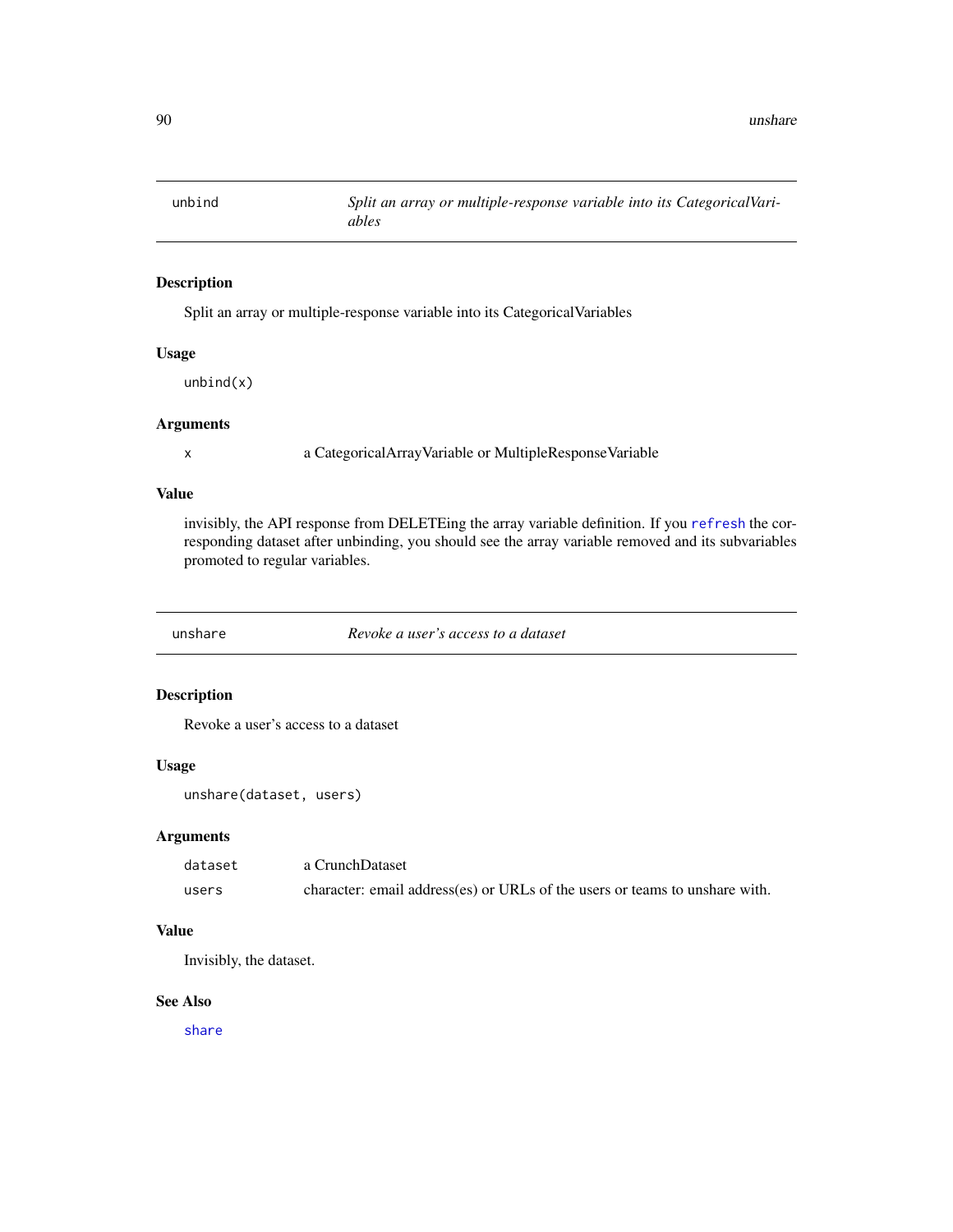# Description

Split an array or multiple-response variable into its CategoricalVariables

#### Usage

unbind(x)

# Arguments

x a CategoricalArrayVariable or MultipleResponseVariable

# Value

invisibly, the API response from DELETEing the array variable definition. If you [refresh](#page-71-0) the corresponding dataset after unbinding, you should see the array variable removed and its subvariables promoted to regular variables.

<span id="page-89-0"></span>unshare *Revoke a user's access to a dataset*

#### Description

Revoke a user's access to a dataset

# Usage

unshare(dataset, users)

#### Arguments

| dataset | a CrunchDataset                                                             |
|---------|-----------------------------------------------------------------------------|
| users   | character: email address(es) or URLs of the users or teams to unshare with. |

# Value

Invisibly, the dataset.

#### See Also

[share](#page-76-0)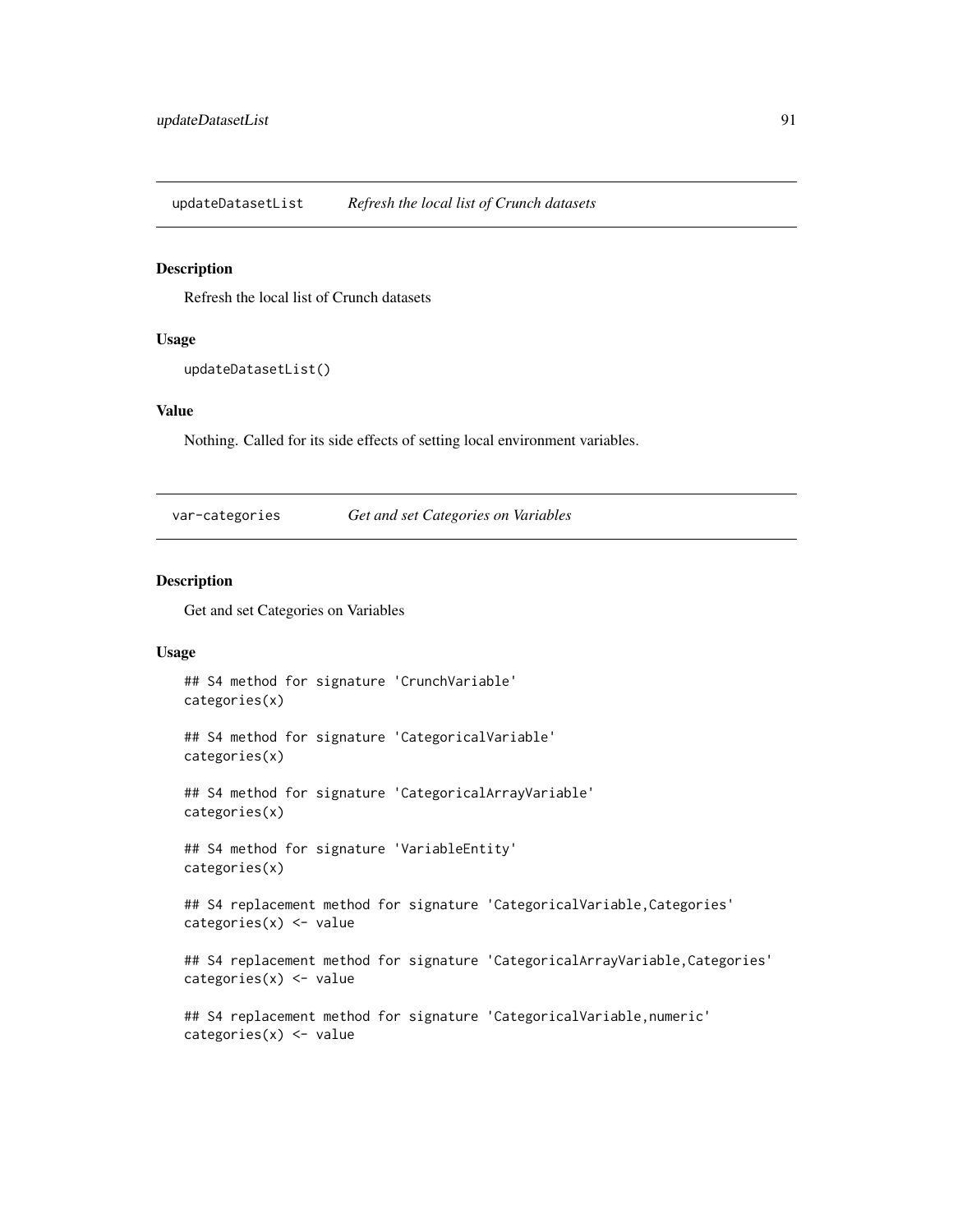<span id="page-90-0"></span>updateDatasetList *Refresh the local list of Crunch datasets*

#### Description

Refresh the local list of Crunch datasets

#### Usage

updateDatasetList()

#### Value

Nothing. Called for its side effects of setting local environment variables.

var-categories *Get and set Categories on Variables*

# Description

Get and set Categories on Variables

#### Usage

```
## S4 method for signature 'CrunchVariable'
categories(x)
```
## S4 method for signature 'CategoricalVariable' categories(x)

```
## S4 method for signature 'CategoricalArrayVariable'
categories(x)
```

```
## S4 method for signature 'VariableEntity'
categories(x)
```
## S4 replacement method for signature 'CategoricalVariable,Categories' categories(x) <- value

## S4 replacement method for signature 'CategoricalArrayVariable,Categories' categories(x) <- value

```
## S4 replacement method for signature 'CategoricalVariable, numeric'
categories(x) <- value
```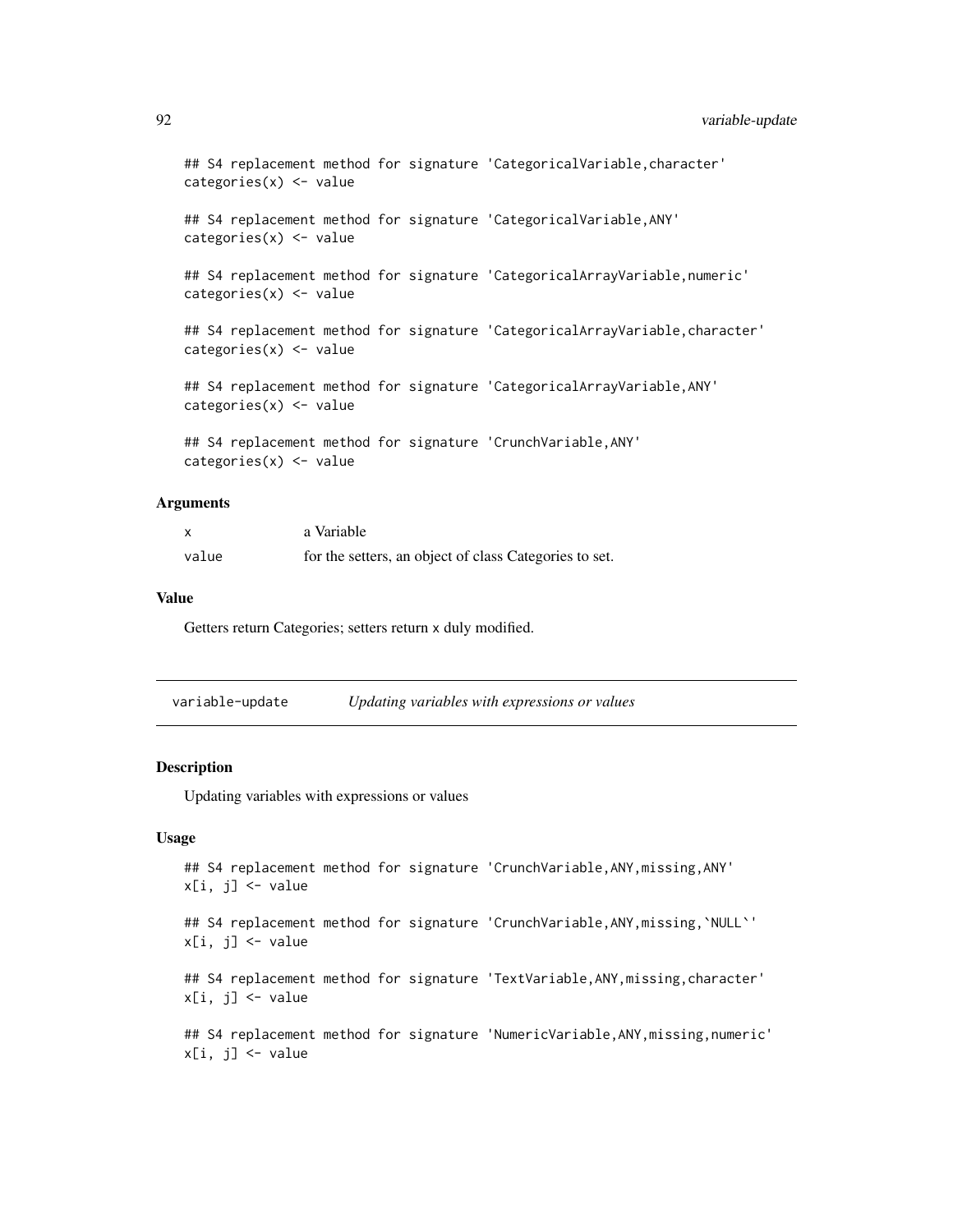```
## S4 replacement method for signature 'CategoricalVariable,character'
categories(x) < - value
```

```
## S4 replacement method for signature 'CategoricalVariable, ANY'
categories(x) < - value
```

```
## S4 replacement method for signature 'CategoricalArrayVariable,numeric'
categories(x) <- value
```
## S4 replacement method for signature 'CategoricalArrayVariable, character' categories(x) <- value

## S4 replacement method for signature 'CategoricalArrayVariable,ANY'  $categories(x) < -$  value

## S4 replacement method for signature 'CrunchVariable,ANY' categories(x) <- value

#### Arguments

|       | a Variable                                             |
|-------|--------------------------------------------------------|
| value | for the setters, an object of class Categories to set. |

# Value

Getters return Categories; setters return x duly modified.

| variable-update | Updating variables with expressions or values |
|-----------------|-----------------------------------------------|
|                 |                                               |

#### Description

Updating variables with expressions or values

#### Usage

```
## S4 replacement method for signature 'CrunchVariable,ANY,missing,ANY'
x[i, j] <- value
```

```
## S4 replacement method for signature 'CrunchVariable,ANY,missing,`NULL`'
x[i, j] <- value
```
## S4 replacement method for signature 'TextVariable, ANY, missing, character'  $x[i, i]$   $\leq$  value

```
## S4 replacement method for signature 'NumericVariable,ANY,missing,numeric'
x[i, j] <- value
```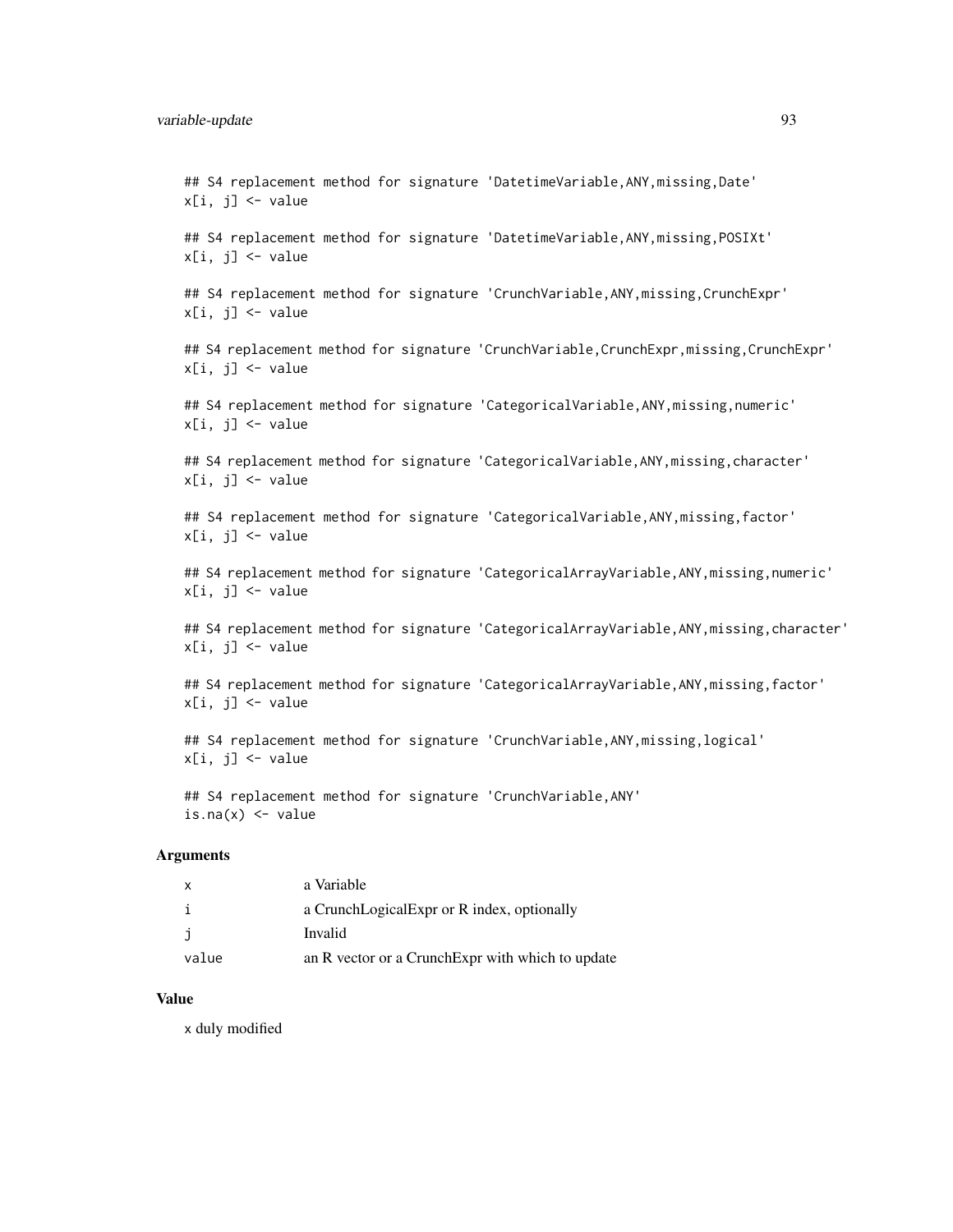#### variable-update 93

## S4 replacement method for signature 'DatetimeVariable, ANY, missing, Date'  $x[i, i]$   $\leq$  value

## S4 replacement method for signature 'DatetimeVariable,ANY,missing,POSIXt'  $x[i, j]$  <- value

## S4 replacement method for signature 'CrunchVariable, ANY, missing, CrunchExpr'  $x[i, j]$  <- value

## S4 replacement method for signature 'CrunchVariable, CrunchExpr, missing, CrunchExpr'  $x[i, j]$  <- value

## S4 replacement method for signature 'CategoricalVariable,ANY,missing,numeric'  $x[i, j]$   $\leftarrow$  value

## S4 replacement method for signature 'CategoricalVariable, ANY, missing, character'  $x[i, j]$  <- value

## S4 replacement method for signature 'CategoricalVariable, ANY, missing, factor'  $x[i, j]$  <- value

## S4 replacement method for signature 'CategoricalArrayVariable, ANY, missing, numeric'  $x[i, j]$  <- value

## S4 replacement method for signature 'CategoricalArrayVariable, ANY, missing, character'  $x[i, j]$  <- value

## S4 replacement method for signature 'CategoricalArrayVariable, ANY, missing, factor'  $x[i, j]$  <- value

## S4 replacement method for signature 'CrunchVariable,ANY,missing,logical'  $x[i, j]$  <- value

## S4 replacement method for signature 'CrunchVariable, ANY' is.na $(x)$  <- value

#### Arguments

| X     | a Variable                                        |
|-------|---------------------------------------------------|
| i     | a CrunchLogicalExpr or R index, optionally        |
| j     | Invalid                                           |
| value | an R vector or a Crunch Expr with which to update |

# Value

x duly modified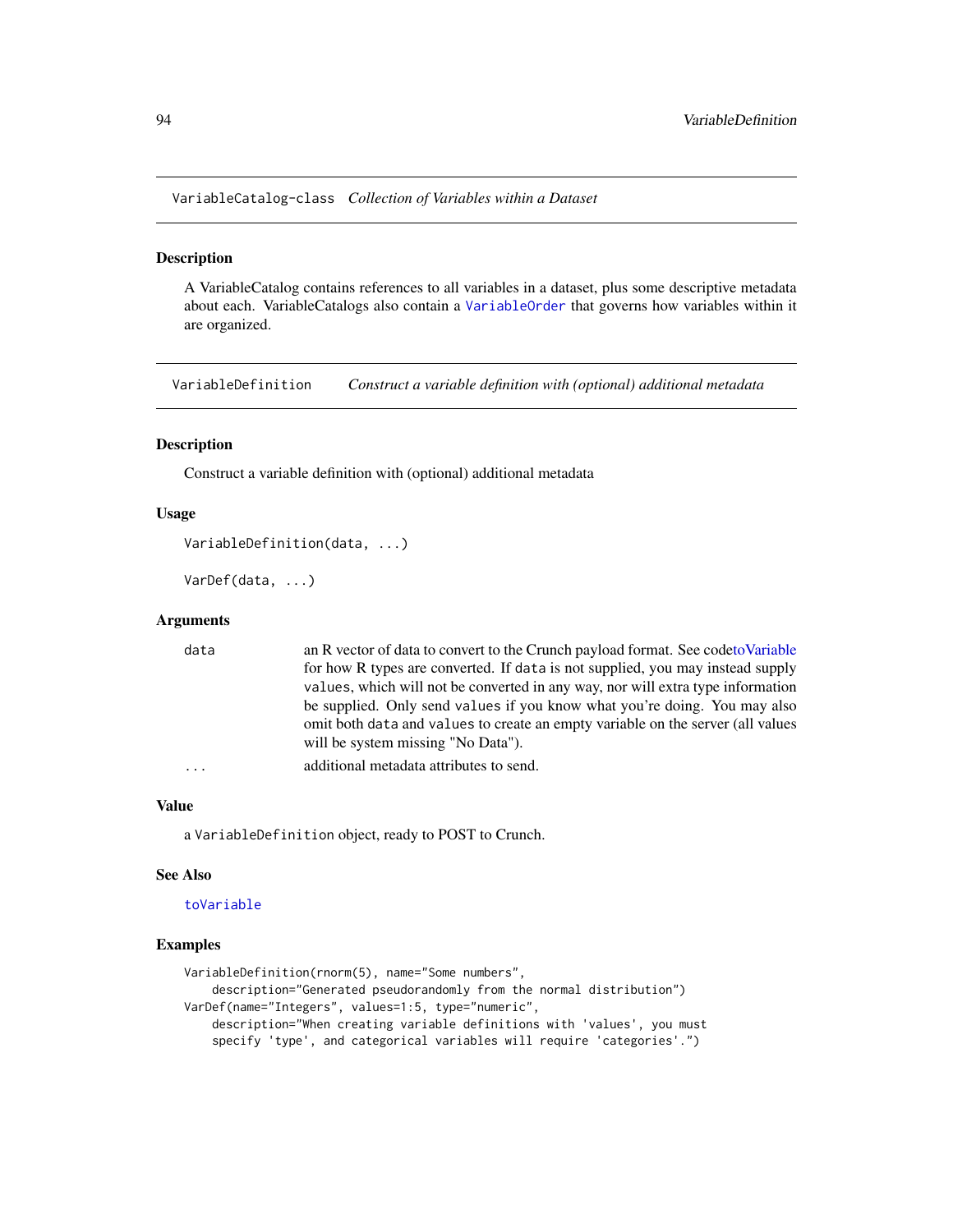VariableCatalog-class *Collection of Variables within a Dataset*

#### <span id="page-93-0"></span>Description

A VariableCatalog contains references to all variables in a dataset, plus some descriptive metadata about each. VariableCatalogs also contain a [VariableOrder](#page-94-0) that governs how variables within it are organized.

VariableDefinition *Construct a variable definition with (optional) additional metadata*

# Description

Construct a variable definition with (optional) additional metadata

#### Usage

```
VariableDefinition(data, ...)
```
VarDef(data, ...)

#### **Arguments**

| data      | an R vector of data to convert to the Crunch payload format. See codeto Variable |
|-----------|----------------------------------------------------------------------------------|
|           | for how R types are converted. If data is not supplied, you may instead supply   |
|           | values, which will not be converted in any way, nor will extra type information  |
|           | be supplied. Only send values if you know what you're doing. You may also        |
|           | omit both data and values to create an empty variable on the server (all values  |
|           | will be system missing "No Data").                                               |
| $\ddotsc$ | additional metadata attributes to send.                                          |

#### Value

a VariableDefinition object, ready to POST to Crunch.

#### See Also

#### [toVariable](#page-87-0)

#### Examples

```
VariableDefinition(rnorm(5), name="Some numbers",
    description="Generated pseudorandomly from the normal distribution")
VarDef(name="Integers", values=1:5, type="numeric",
   description="When creating variable definitions with 'values', you must
    specify 'type', and categorical variables will require 'categories'.")
```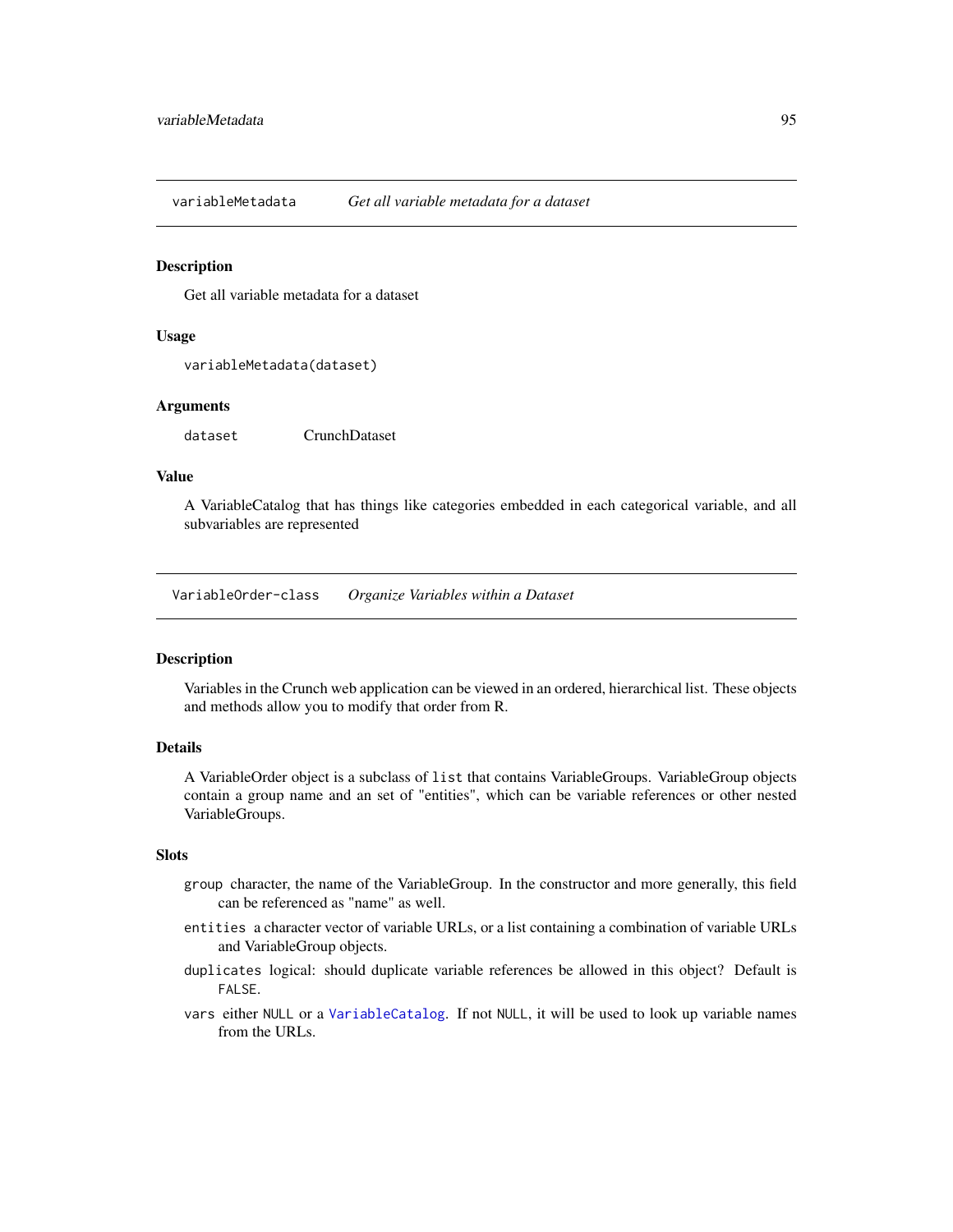variableMetadata *Get all variable metadata for a dataset*

#### Description

Get all variable metadata for a dataset

#### Usage

variableMetadata(dataset)

# Arguments

dataset CrunchDataset

#### Value

A VariableCatalog that has things like categories embedded in each categorical variable, and all subvariables are represented

VariableOrder-class *Organize Variables within a Dataset*

# <span id="page-94-0"></span>**Description**

Variables in the Crunch web application can be viewed in an ordered, hierarchical list. These objects and methods allow you to modify that order from R.

#### Details

A VariableOrder object is a subclass of list that contains VariableGroups. VariableGroup objects contain a group name and an set of "entities", which can be variable references or other nested VariableGroups.

# Slots

- group character, the name of the VariableGroup. In the constructor and more generally, this field can be referenced as "name" as well.
- entities a character vector of variable URLs, or a list containing a combination of variable URLs and VariableGroup objects.
- duplicates logical: should duplicate variable references be allowed in this object? Default is FALSE.
- vars either NULL or a [VariableCatalog](#page-93-0). If not NULL, it will be used to look up variable names from the URLs.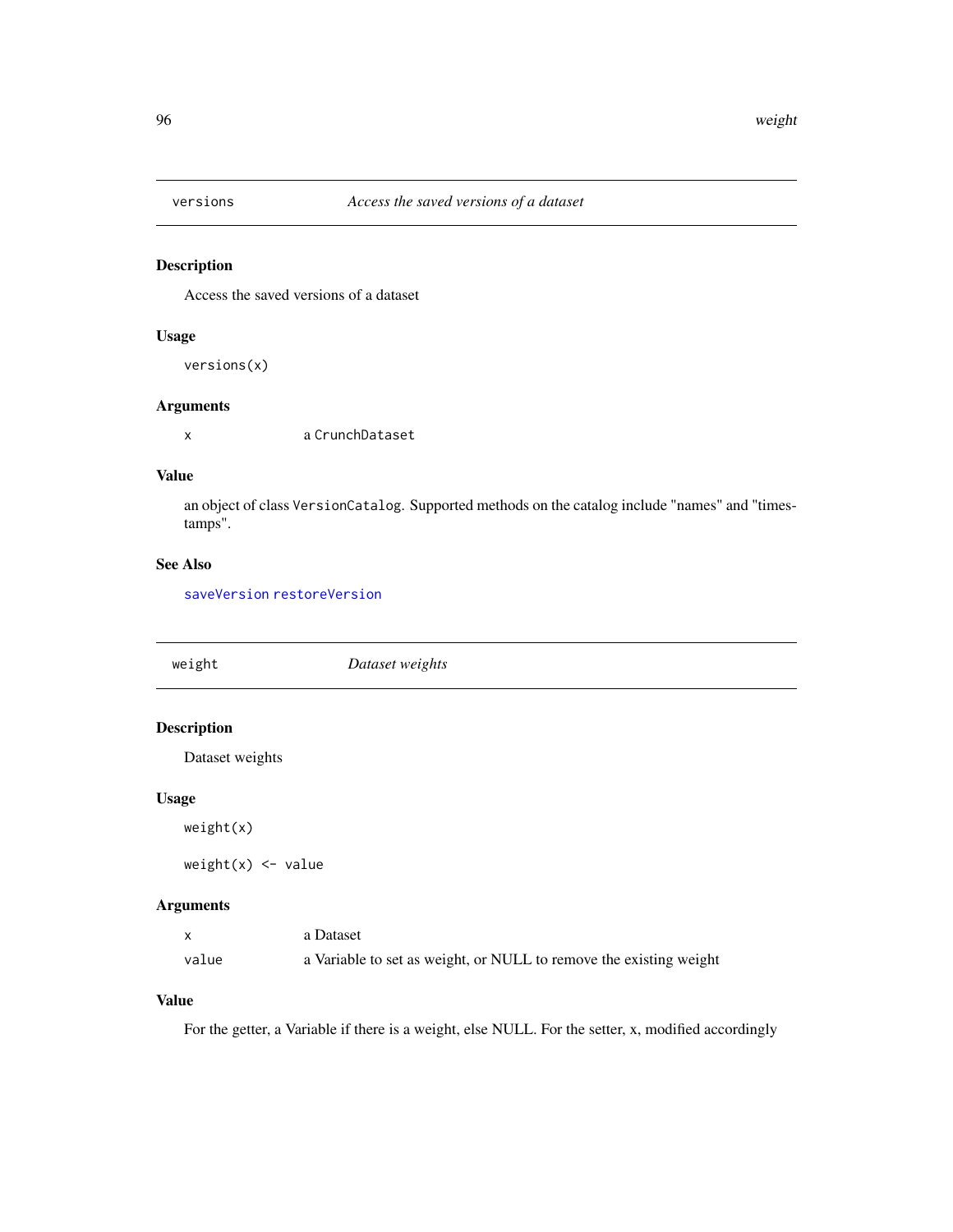<span id="page-95-0"></span>

# Description

Access the saved versions of a dataset

# Usage

versions(x)

# Arguments

x a CrunchDataset

# Value

an object of class VersionCatalog. Supported methods on the catalog include "names" and "timestamps".

# See Also

[saveVersion](#page-73-0) [restoreVersion](#page-72-0)

| weight             | Dataset weights |
|--------------------|-----------------|
|                    |                 |
| <b>Description</b> |                 |
| Dataset weights    |                 |
| <b>Usage</b>       |                 |
| weight(x)          |                 |

 $weight(x)$  <- value

# Arguments

|       | a Dataset                                                          |
|-------|--------------------------------------------------------------------|
| value | a Variable to set as weight, or NULL to remove the existing weight |

# Value

For the getter, a Variable if there is a weight, else NULL. For the setter, x, modified accordingly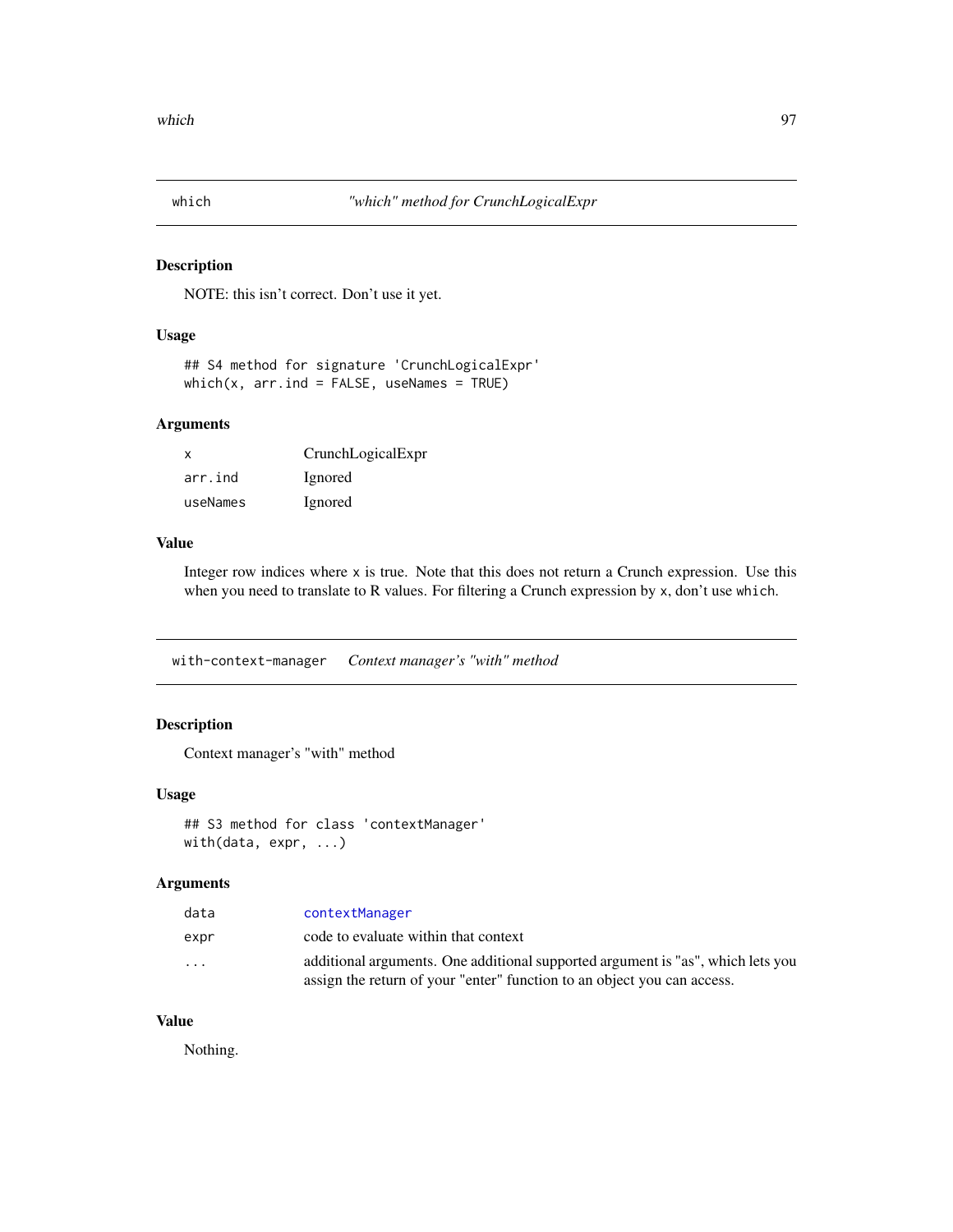<span id="page-96-1"></span>

# Description

NOTE: this isn't correct. Don't use it yet.

#### Usage

```
## S4 method for signature 'CrunchLogicalExpr'
which(x, arr.ind = FALSE, useNames = TRUE)
```
# Arguments

| $\mathsf{x}$ | CrunchLogicalExpr |
|--------------|-------------------|
| arr.ind      | Ignored           |
| useNames     | Ignored           |

# Value

Integer row indices where x is true. Note that this does not return a Crunch expression. Use this when you need to translate to R values. For filtering a Crunch expression by x, don't use which.

<span id="page-96-0"></span>with-context-manager *Context manager's "with" method*

# Description

Context manager's "with" method

#### Usage

```
## S3 method for class 'contextManager'
with(data, expr, ...)
```
#### Arguments

| data                    | contextManager                                                                                                                                             |
|-------------------------|------------------------------------------------------------------------------------------------------------------------------------------------------------|
| expr                    | code to evaluate within that context                                                                                                                       |
| $\cdot$ $\cdot$ $\cdot$ | additional arguments. One additional supported argument is "as", which lets you<br>assign the return of your "enter" function to an object you can access. |
|                         |                                                                                                                                                            |

# Value

Nothing.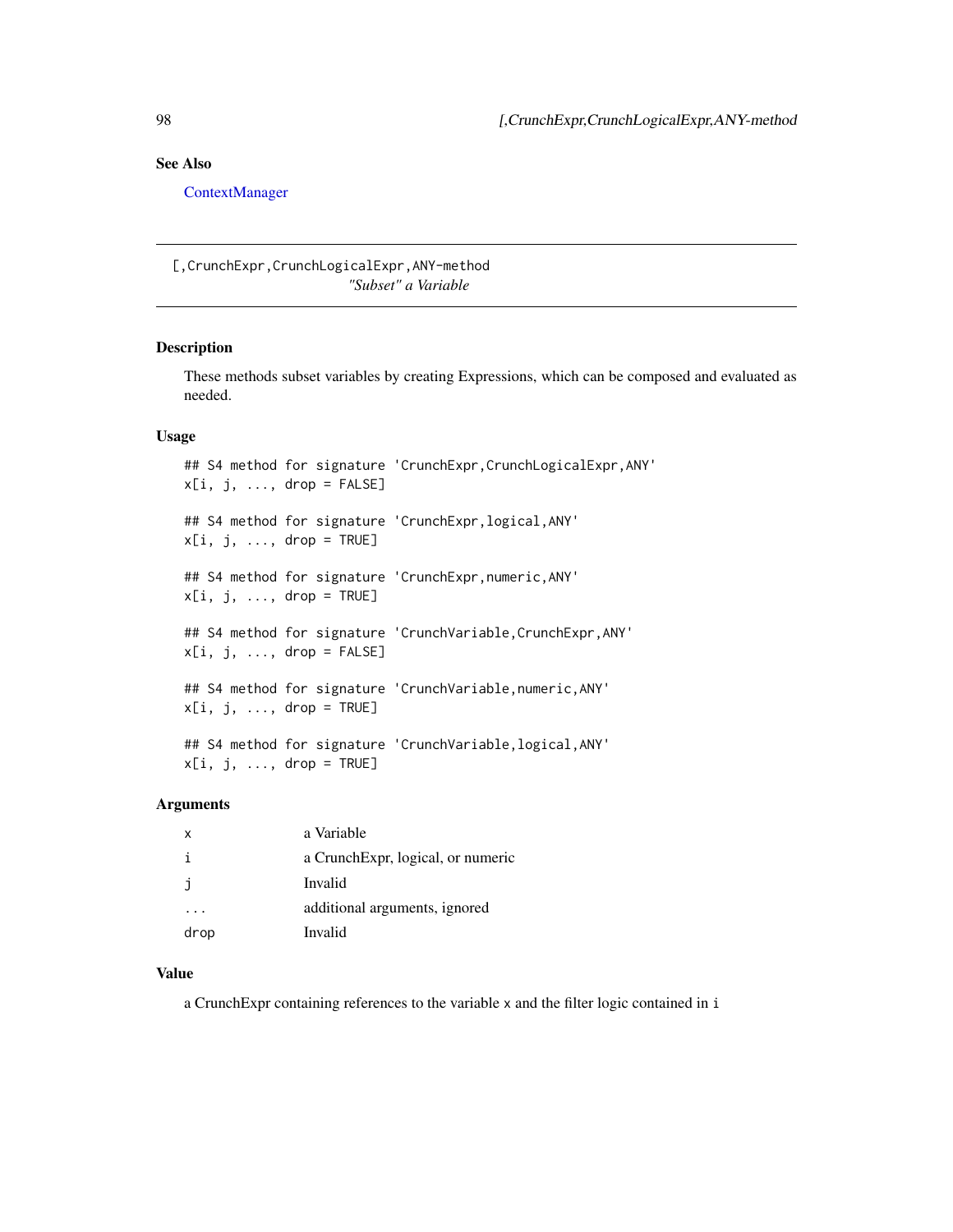# <span id="page-97-0"></span>See Also

[ContextManager](#page-17-0)

[,CrunchExpr,CrunchLogicalExpr,ANY-method *"Subset" a Variable*

# Description

These methods subset variables by creating Expressions, which can be composed and evaluated as needed.

# Usage

```
## S4 method for signature 'CrunchExpr, CrunchLogicalExpr, ANY'
x[i, j, ..., drop = FALSE]## S4 method for signature 'CrunchExpr,logical,ANY'
x[i, j, ..., drop = TRUE]## S4 method for signature 'CrunchExpr,numeric,ANY'
x[i, j, \ldots, drop = TRUE]## S4 method for signature 'CrunchVariable, CrunchExpr, ANY'
x[i, j, \ldots, drop = FALSE]## S4 method for signature 'CrunchVariable,numeric,ANY'
x[i, j, ..., drop = TRUE]## S4 method for signature 'CrunchVariable,logical,ANY'
x[i, j, \ldots, drop = TRUE]
```
# Arguments

| X    | a Variable                        |
|------|-----------------------------------|
| ÷    | a CrunchExpr, logical, or numeric |
| İ    | Invalid                           |
|      | additional arguments, ignored     |
| drop | Invalid                           |

#### Value

a CrunchExpr containing references to the variable x and the filter logic contained in i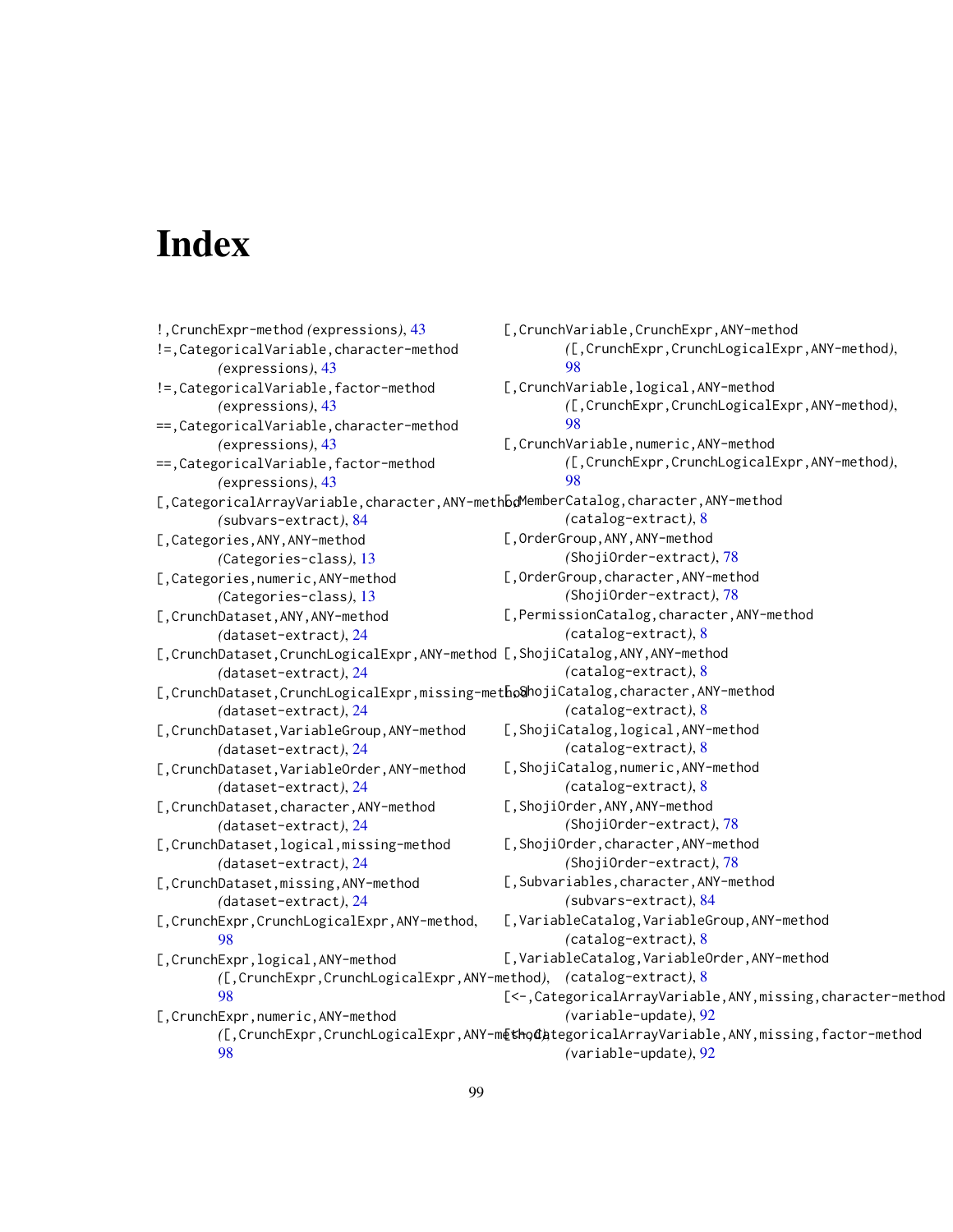# **Index**

!,CrunchExpr-method *(*expressions*)*, [43](#page-42-0) !=,CategoricalVariable,character-method *(*expressions*)*, [43](#page-42-0) !=,CategoricalVariable,factor-method *(*expressions*)*, [43](#page-42-0) ==,CategoricalVariable,character-method *(*expressions*)*, [43](#page-42-0) ==,CategoricalVariable,factor-method *(*expressions*)*, [43](#page-42-0) [,CategoricalArrayVariable, character, ANY-methbdMemberCatalog, character, ANY-method *(*subvars-extract*)*, [84](#page-83-1) [,Categories,ANY,ANY-method *(*Categories-class*)*, [13](#page-12-0) [,Categories,numeric,ANY-method *(*Categories-class*)*, [13](#page-12-0) [,CrunchDataset,ANY,ANY-method *(*dataset-extract*)*, [24](#page-23-0) [, CrunchDataset, CrunchLogicalExpr, ANY-method [, ShojiCatalog, ANY, ANY-method *(*dataset-extract*)*, [24](#page-23-0) [, CrunchDataset, CrunchLogicalExpr, missing-metho@hojiCatalog, character, ANY-method *(*dataset-extract*)*, [24](#page-23-0) [,CrunchDataset,VariableGroup,ANY-method *(*dataset-extract*)*, [24](#page-23-0) [,CrunchDataset,VariableOrder,ANY-method *(*dataset-extract*)*, [24](#page-23-0) [,CrunchDataset,character,ANY-method *(*dataset-extract*)*, [24](#page-23-0) [,CrunchDataset,logical,missing-method *(*dataset-extract*)*, [24](#page-23-0) [,CrunchDataset,missing,ANY-method *(*dataset-extract*)*, [24](#page-23-0) [,CrunchExpr,CrunchLogicalExpr,ANY-method, [98](#page-97-0) [,CrunchExpr,logical,ANY-method *(*[,CrunchExpr,CrunchLogicalExpr,ANY-method*)*, *(*catalog-extract*)*, [8](#page-7-0) [98](#page-97-0) [,CrunchExpr,numeric,ANY-method *(*[,CrunchExpr,CrunchLogicalExpr,ANY-method*)*, [<-,CategoricalArrayVariable,ANY,missing,factor-method [98](#page-97-0) [,CrunchVariable,CrunchExpr,ANY-method *(*[,CrunchExpr,CrunchLogicalExpr,ANY-method*)*, [98](#page-97-0) [,CrunchVariable,logical,ANY-method *(*[,CrunchExpr,CrunchLogicalExpr,ANY-method*)*, [98](#page-97-0) [,CrunchVariable,numeric,ANY-method *(*[,CrunchExpr,CrunchLogicalExpr,ANY-method*)*, [98](#page-97-0) *(*catalog-extract*)*, [8](#page-7-0) [,OrderGroup,ANY,ANY-method *(*ShojiOrder-extract*)*, [78](#page-77-0) [,OrderGroup,character,ANY-method *(*ShojiOrder-extract*)*, [78](#page-77-0) [,PermissionCatalog,character,ANY-method *(*catalog-extract*)*, [8](#page-7-0) *(*catalog-extract*)*, [8](#page-7-0) *(*catalog-extract*)*, [8](#page-7-0) [,ShojiCatalog,logical,ANY-method *(*catalog-extract*)*, [8](#page-7-0) [,ShojiCatalog,numeric,ANY-method *(*catalog-extract*)*, [8](#page-7-0) [,ShojiOrder,ANY,ANY-method *(*ShojiOrder-extract*)*, [78](#page-77-0) [,ShojiOrder,character,ANY-method *(*ShojiOrder-extract*)*, [78](#page-77-0) [,Subvariables,character,ANY-method *(*subvars-extract*)*, [84](#page-83-1) [,VariableCatalog,VariableGroup,ANY-method *(*catalog-extract*)*, [8](#page-7-0) [,VariableCatalog,VariableOrder,ANY-method [<-,CategoricalArrayVariable,ANY,missing,character-method *(*variable-update*)*, [92](#page-91-0) *(*variable-update*)*, [92](#page-91-0)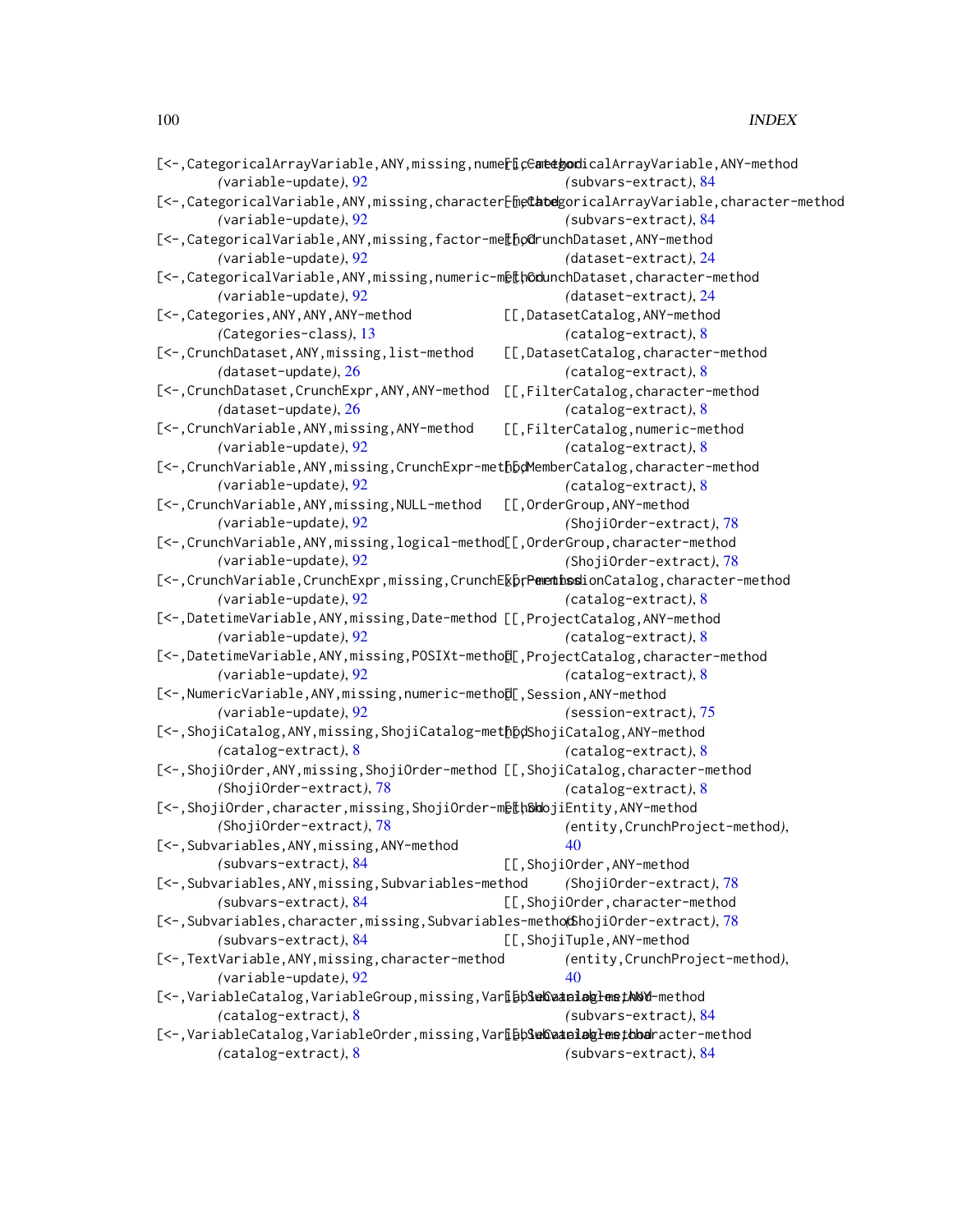| [<-, CategoricalArrayVariable, ANY, missing, nume[[CentethodicalArrayVariable, ANY-method |                                                                                                |
|-------------------------------------------------------------------------------------------|------------------------------------------------------------------------------------------------|
| (variable-update), 92                                                                     | (subvars-extract), 84                                                                          |
|                                                                                           | [<-, CategoricalVariable, ANY, missing, character[hethodgoricalArrayVariable, character-method |
| (variable-update), 92                                                                     | $(subvars-extract), 84$                                                                        |
| [<-, CategoricalVariable, ANY, missing, factor-me[[bodrunchDataset, ANY-method            |                                                                                                |
| (variable-update), 92                                                                     | (dataset-extract), 24                                                                          |
| [<-, CategoricalVariable, ANY, missing, numeric-methodunchDataset, character-method       |                                                                                                |
| (variable-update), 92                                                                     | (dataset-extract), 24                                                                          |
| [<-, Categories, ANY, ANY, ANY-method                                                     | [[,DatasetCatalog,ANY-method                                                                   |
| (Categories-class), 13                                                                    | $(catalog-extract), 8$                                                                         |
| [<-, CrunchDataset, ANY, missing, list-method                                             | [[,DatasetCatalog,character-method                                                             |
| (dataset-update), 26                                                                      | $(catalog-extract), 8$                                                                         |
| [<-, CrunchDataset, CrunchExpr, ANY, ANY-method                                           | [[,FilterCatalog,character-method                                                              |
| (dataset-update), 26                                                                      | $(catalog-extract), 8$                                                                         |
| [<-, CrunchVariable, ANY, missing, ANY-method                                             | [[,FilterCatalog,numeric-method                                                                |
| (variable-update), 92                                                                     | $(catalog-extract), 8$                                                                         |
| [<-, CrunchVariable, ANY, missing, CrunchExpr-methbolemberCatalog, character-method       |                                                                                                |
| (variable-update), 92                                                                     | $(catalog-extract), 8$                                                                         |
| [<-, CrunchVariable, ANY, missing, NULL-method                                            | [[,OrderGroup,ANY-method                                                                       |
| (variable-update), 92                                                                     | (ShojiOrder-extract), 78                                                                       |
| [<-, CrunchVariable, ANY, missing, logical-method[[, OrderGroup, character-method         |                                                                                                |
| $(variable-update), 92$                                                                   | (ShojiOrder-extract), 78                                                                       |
| [<-, CrunchVariable, CrunchExpr, missing, CrunchE&prementhssionCatalog, character-method  |                                                                                                |
| (variable-update), 92                                                                     | $(catalog-extract), 8$                                                                         |
| [<-,DatetimeVariable,ANY,missing,Date-method [[,ProjectCatalog,ANY-method                 |                                                                                                |
| $(variable-update), 92$                                                                   | $(catalog-extract), 8$                                                                         |
| [<-,DatetimeVariable,ANY,missing,POSIXt-methol[,ProjectCatalog,character-method           |                                                                                                |
| $(variable-update), 92$                                                                   | $(catalog$ -extract), $8$                                                                      |
| [<-, NumericVariable, ANY, missing, numeric-metho[I[, Session, ANY-method                 |                                                                                                |
| $(variable-update), 92$                                                                   | $(session-extract), 75$                                                                        |
| [<-, ShojiCatalog, ANY, missing, ShojiCatalog-methbolShojiCatalog, ANY-method             |                                                                                                |
| $(catalog-extract), 8$                                                                    | $(catalog-extract), 8$                                                                         |
| [<-, ShojiOrder, ANY, missing, ShojiOrder-method [[, ShojiCatalog, character-method       |                                                                                                |
| (ShojiOrder-extract), 78                                                                  | $(catalog-extract), 8$                                                                         |
| [<-, ShojiOrder, character, missing, ShojiOrder-methSoldojiEntity, ANY-method             |                                                                                                |
| (ShojiOrder-extract), 78                                                                  | (entity, CrunchProject-method),                                                                |
| [<-, Subvariables, ANY, missing, ANY-method                                               | 40                                                                                             |
| (subvars-extract), 84                                                                     | [[,ShojiOrder,ANY-method                                                                       |
| [<-, Subvariables, ANY, missing, Subvariables-method                                      | (ShojiOrder-extract), 78                                                                       |
| (subvars-extract), 84                                                                     | [[,ShojiOrder,character-method                                                                 |
| [<-, Subvariables, character, missing, Subvariables-metho(6hojiOrder-extract), 78         |                                                                                                |
| (subvars-extract), 84                                                                     | [[,ShojiTuple,ANY-method                                                                       |
| [<-,TextVariable,ANY,missing,character-method                                             | (entity, CrunchProject-method),                                                                |
| (variable-update), 92                                                                     | 40                                                                                             |
| [<-, VariableCatalog, VariableGroup, missing, VarLbbSebSeatelebglemethbod-method          |                                                                                                |
| $(catalog-extract), 8$                                                                    | (subvars-extract), 84                                                                          |
| [<-,VariableCatalog,VariableOrder,missing,VarLbb3enCataloglensthbaracter-method           |                                                                                                |
| $(catalog-extract), 8$                                                                    | (subvars-extract), 84                                                                          |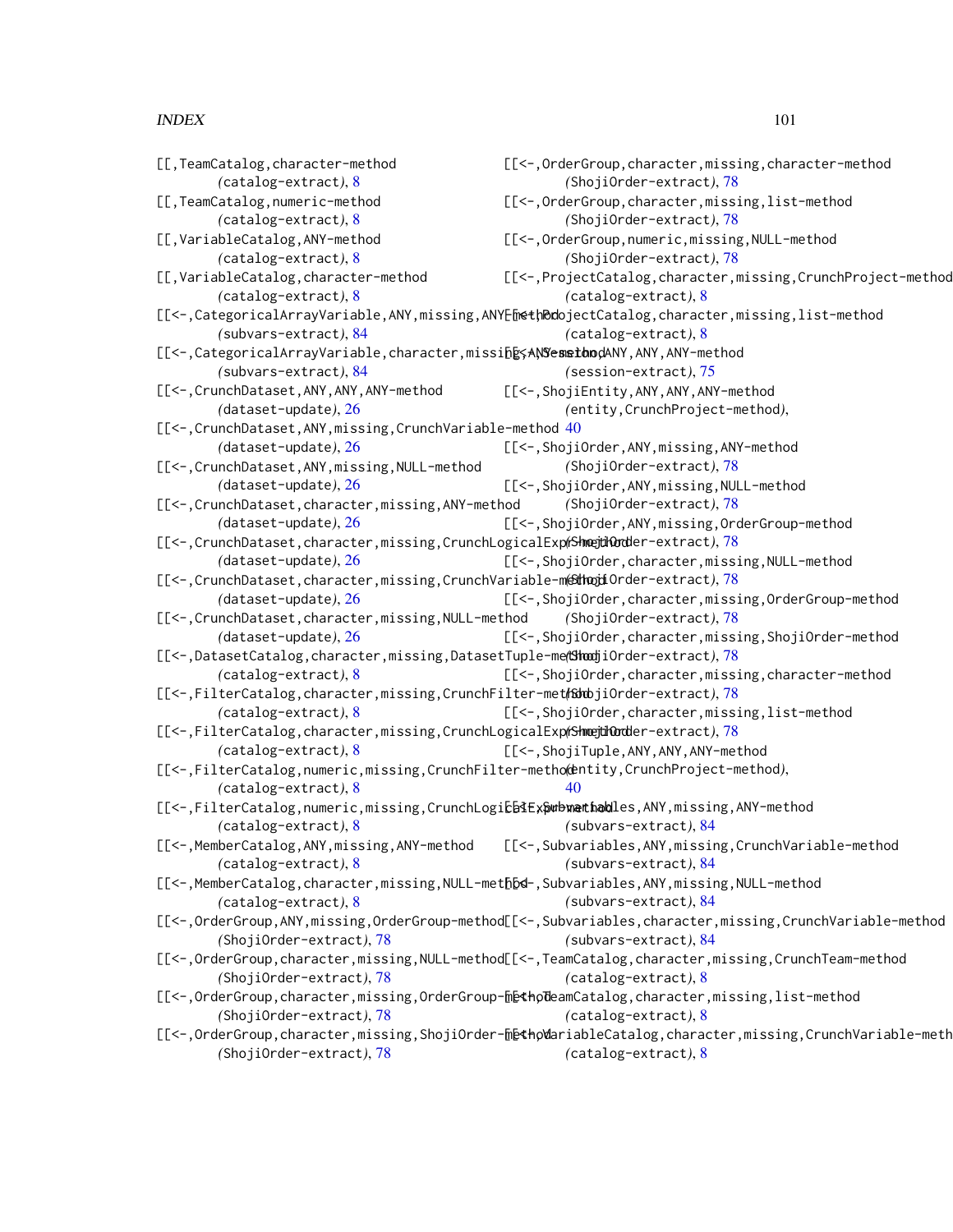| [[, TeamCatalog, character-method                                                                         | [[<-, OrderGroup, character, missing, character-method                                                         |
|-----------------------------------------------------------------------------------------------------------|----------------------------------------------------------------------------------------------------------------|
| $(catalog-extract), 8$                                                                                    | (ShojiOrder-extract), 78                                                                                       |
| [[, TeamCatalog, numeric-method                                                                           | [[<-, OrderGroup, character, missing, list-method                                                              |
| $(catalog-extract), 8$                                                                                    | (ShojiOrder-extract), 78                                                                                       |
| [[,VariableCatalog,ANY-method                                                                             | [[<-, OrderGroup, numeric, missing, NULL-method                                                                |
| $(catalog-extract), 8$                                                                                    | (ShojiOrder-extract), 78                                                                                       |
| [[,VariableCatalog,character-method                                                                       | [[<-, ProjectCatalog, character, missing, CrunchProject-method                                                 |
| $(catalog-extract), 8$                                                                                    | $(catalog-extract), 8$                                                                                         |
|                                                                                                           | [[<-, CategoricalArrayVariable, ANY, missing, ANYEmethDobjectCatalog, character, missing, list-method          |
| (subvars-extract), 84                                                                                     | (catalog-extract), 8                                                                                           |
| [[<-, CategoricalArrayVariable, character, missih shill enabory, ANY, ANY-method<br>(subvars-extract), 84 |                                                                                                                |
|                                                                                                           | $(session-extract), 75$                                                                                        |
| [[<-, CrunchDataset, ANY, ANY, ANY-method [[<-, ShojiEntity, ANY, ANY, ANY-method                         |                                                                                                                |
| (dataset-update), 26                                                                                      | (entity, CrunchProject-method),                                                                                |
| [[<-, CrunchDataset, ANY, missing, CrunchVariable-method 40                                               |                                                                                                                |
| (dataset-update), 26                                                                                      | [[<-, ShojiOrder, ANY, missing, ANY-method                                                                     |
| [[<-, CrunchDataset, ANY, missing, NULL-method                                                            | (ShojiOrder-extract), 78                                                                                       |
| (dataset-update), 26                                                                                      | [[<-, ShojiOrder, ANY, missing, NULL-method                                                                    |
| [[<-, CrunchDataset, character, missing, ANY-method (ShojiOrder-extract), 78                              |                                                                                                                |
| (dataset-update), 26                                                                                      | [[<-,ShojiOrder,ANY,missing,OrderGroup-method                                                                  |
| [[<-, CrunchDataset, character, missing, CrunchLogicalExp(ShoejdOodder-extract), 78                       |                                                                                                                |
| (dataset-update), $26$                                                                                    | [[<-,ShojiOrder,character,missing,NULL-method                                                                  |
| [[<-,CrunchDataset,character,missing,CrunchVariable-methoridOrder-extract),78                             |                                                                                                                |
| (dataset-update), 26                                                                                      | [[<-, ShojiOrder, character, missing, OrderGroup-method                                                        |
| [[<-, CrunchDataset, character, missing, NULL-method (ShojiOrder-extract), 78                             |                                                                                                                |
| $(dataset-update), 26$                                                                                    | [[<-, ShojiOrder, character, missing, ShojiOrder-method                                                        |
| [[<-,DatasetCatalog,character,missing,DatasetTuple-me(ShoojiOrder-extract), 78                            |                                                                                                                |
| $(catalog-extract), 8$                                                                                    | [[<-, ShojiOrder, character, missing, character-method                                                         |
| [[<-,FilterCatalog,character,missing,CrunchFilter-metfabbjiOrder-extract),78                              |                                                                                                                |
| $(catalog-extract), 8$                                                                                    | [[<-,ShojiOrder,character,missing,list-method                                                                  |
| [[<-,FilterCatalog,character,missing,CrunchLogicalExp(ShoejtinOrdler-extract),78                          |                                                                                                                |
| $(catalog-extract), 8$                                                                                    | [[<-, ShojiTuple, ANY, ANY, ANY-method                                                                         |
| [[<-,FilterCatalog,numeric,missing,CrunchFilter-metho(thtity,CrunchProject-method),                       |                                                                                                                |
| (catalog-extract), 8                                                                                      | 40                                                                                                             |
| [[<-,FilterCatalog,numeric,missing,CrunchLogicb3Expubwathobles,ANY,missing,ANY-method                     |                                                                                                                |
| $(catalog-extract), 8$                                                                                    | (subvars-extract), 84                                                                                          |
|                                                                                                           | [[<-,MemberCatalog,ANY,missing,ANY-method [[<-,Subvariables,ANY,missing,CrunchVariable-method                  |
| $(catalog-extract), 8$                                                                                    | $(subvars-extract), 84$                                                                                        |
| [[<-,MemberCatalog,character,missing,NULL-methbd-,Subvariables,ANY,missing,NULL-method                    |                                                                                                                |
| $(catalog-extract), 8$                                                                                    | (subvars-extract), 84                                                                                          |
|                                                                                                           | [[<-, OrderGroup, ANY, missing, OrderGroup-method[[<-, Subvariables, character, missing, CrunchVariable-method |
| (ShojiOrder-extract), 78                                                                                  | (subvars-extract), 84                                                                                          |
|                                                                                                           | [[<-, OrderGroup, character, missing, NULL-method[[<-, TeamCatalog, character, missing, CrunchTeam-method      |
| (ShojiOrder-extract), 78                                                                                  | $(catalog-extract), 8$                                                                                         |
|                                                                                                           | [[<-, OrderGroup, character, missing, OrderGroup-[DetholeamCatalog, character, missing, list-method            |
| (ShojiOrder-extract), 78                                                                                  | $(catalog-extract), 8$                                                                                         |
|                                                                                                           | [[<-,OrderGroup,character,missing,ShojiOrder-methpWariableCatalog,character,missing,CrunchVariable-meth        |
| (ShojiOrder-extract), 78                                                                                  | $(catalog-extract), 8$                                                                                         |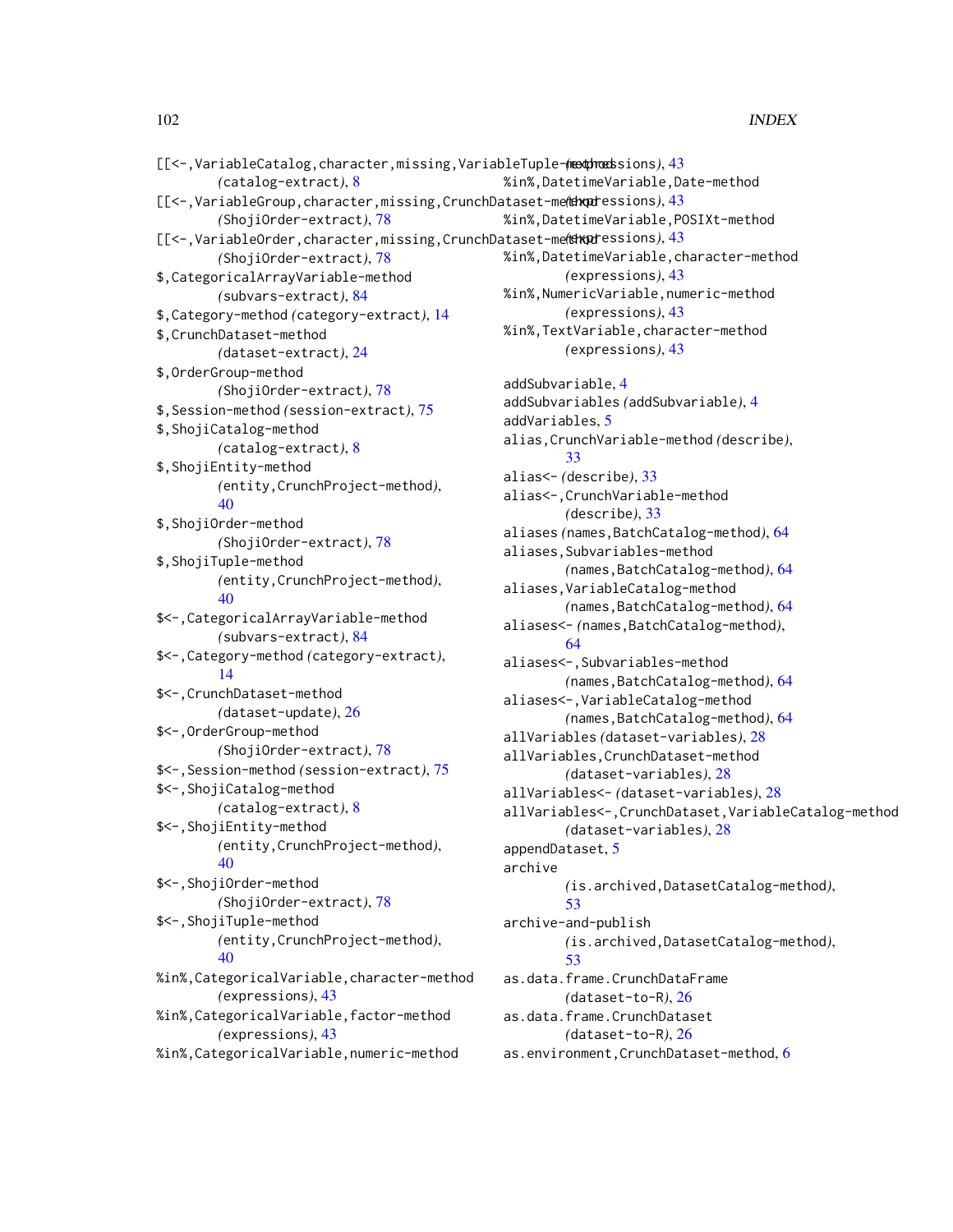| [[<-,VariableCatalog,character,missing,VariableTuple-mexthroadsions), 43 |                                                       |  |
|--------------------------------------------------------------------------|-------------------------------------------------------|--|
| $(catalog-extract), 8$                                                   | %in%, DatetimeVariable, Date-method                   |  |
| [[<-,VariableGroup,character,missing,CrunchDataset-me(theptessions), 43  |                                                       |  |
| (ShojiOrder-extract), 78                                                 | %in%, DatetimeVariable, POSIXt-method                 |  |
| [[<-,VariableOrder,character,missing,CrunchDataset-me(theorisons), 43    |                                                       |  |
| (ShojiOrder-extract), 78                                                 | %in%, DatetimeVariable, character-method              |  |
| \$, CategoricalArrayVariable-method                                      | (expressions), 43                                     |  |
| (subvars-extract), 84                                                    | %in%, NumericVariable, numeric-method                 |  |
| \$, Category-method (category-extract), 14                               | (expressions), 43                                     |  |
| \$, CrunchDataset-method                                                 | %in%, TextVariable, character-method                  |  |
| (dataset-extract), 24                                                    | (expressions), 43                                     |  |
| \$, OrderGroup-method                                                    |                                                       |  |
| (ShojiOrder-extract), 78                                                 | addSubvariable, 4                                     |  |
| \$, Session-method (session-extract), 75                                 | addSubvariables (addSubvariable), 4                   |  |
| \$, ShojiCatalog-method                                                  | addVariables, 5                                       |  |
| (catalog-extract), 8                                                     | alias, CrunchVariable-method (describe),              |  |
| \$, ShojiEntity-method                                                   | 33                                                    |  |
| (entity, CrunchProject-method),                                          | alias <- (describe), 33                               |  |
| 40                                                                       | alias<-, CrunchVariable-method                        |  |
| \$, ShojiOrder-method                                                    | (describe), 33                                        |  |
| (ShojiOrder-extract), 78                                                 | aliases (names, BatchCatalog-method), 64              |  |
| \$, ShojiTuple-method                                                    | aliases, Subvariables-method                          |  |
| (entity, CrunchProject-method),                                          | (names, BatchCatalog-method), 64                      |  |
| 40                                                                       | aliases, VariableCatalog-method                       |  |
| \$<-, CategoricalArrayVariable-method                                    | (names, BatchCatalog-method), 64                      |  |
| (subvars-extract), 84                                                    | aliases<- (names, BatchCatalog-method),               |  |
| \$ < - , Category-method (category-extract),                             | 64                                                    |  |
| 14                                                                       | aliases<-, Subvariables-method                        |  |
| \$<-, CrunchDataset-method                                               | (names, BatchCatalog-method), 64                      |  |
| (dataset-update), $26$                                                   | aliases<-, VariableCatalog-method                     |  |
| \$<-, OrderGroup-method                                                  | (names, BatchCatalog-method), 64                      |  |
| (ShojiOrder-extract), 78                                                 | allVariables (dataset-variables), 28                  |  |
| \$<-, Session-method (session-extract), 75                               | allVariables, CrunchDataset-method                    |  |
| \$<-, ShojiCatalog-method                                                | (dataset-variables), 28                               |  |
| (catalog-extract), 8                                                     | allVariables<- (dataset-variables), 28                |  |
| \$<-, ShojiEntity-method                                                 | allVariables<-, CrunchDataset, VariableCatalog-method |  |
| (entity, CrunchProject-method),                                          | (dataset-variables), 28                               |  |
| 40                                                                       | appendDataset, 5<br>archive                           |  |
| \$<-, ShojiOrder-method                                                  | (is.archived, DatasetCatalog-method),                 |  |
| (ShojiOrder-extract), 78                                                 | 53                                                    |  |
| \$<-, ShojiTuple-method                                                  | archive-and-publish                                   |  |
| (entity, CrunchProject-method),                                          | (is.archived, DatasetCatalog-method),                 |  |
| 40                                                                       | 53                                                    |  |
| %in%, CategoricalVariable, character-method                              | as.data.frame.CrunchDataFrame                         |  |
| (expressions), 43                                                        | (dataset-to-R), $26$                                  |  |
| %in%, CategoricalVariable, factor-method                                 | as.data.frame.CrunchDataset                           |  |
| (expressions), 43                                                        | (dataset-to-R), $26$                                  |  |
| %in%, CategoricalVariable, numeric-method                                | as.environment, CrunchDataset-method, 6               |  |
|                                                                          |                                                       |  |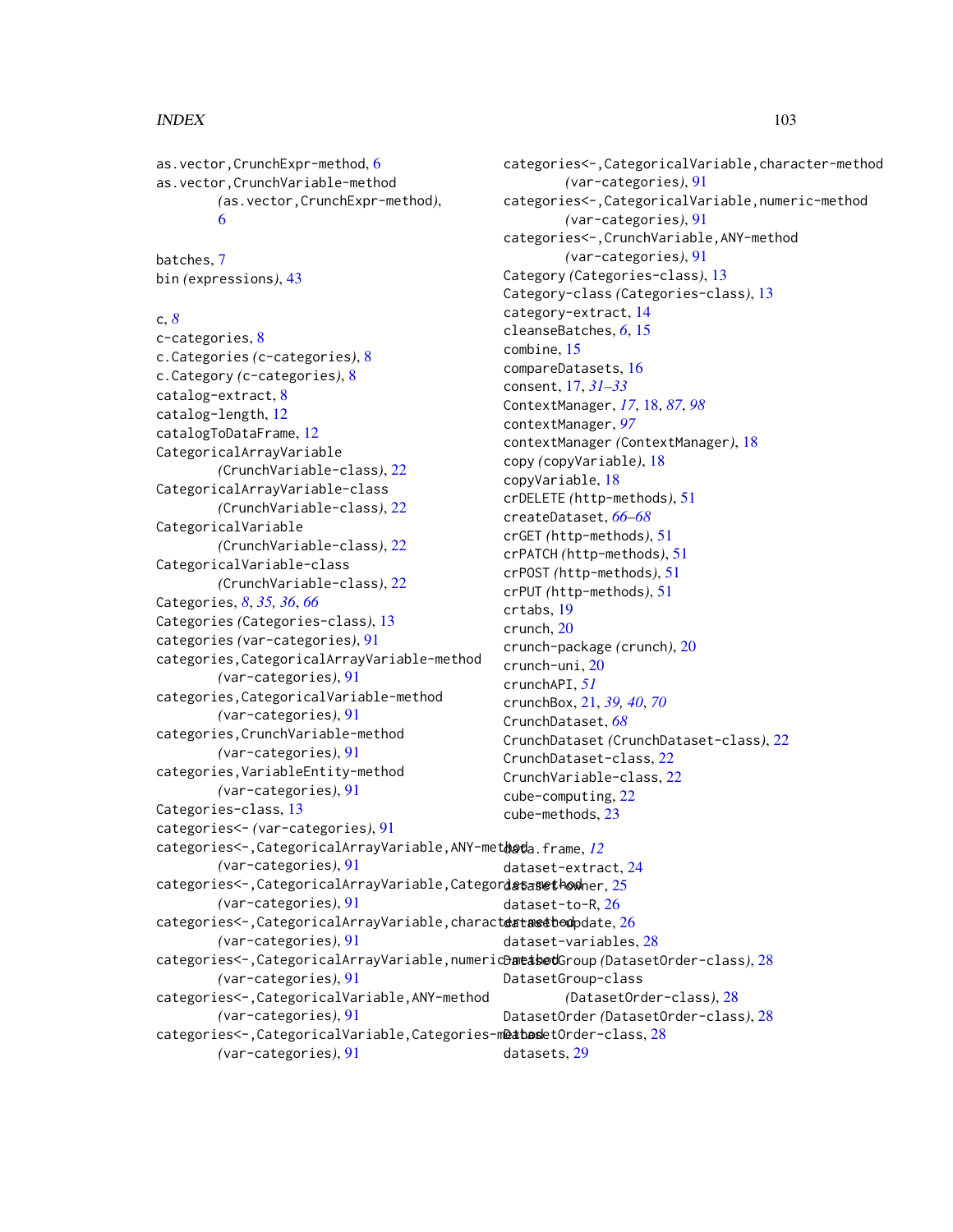as.vector,CrunchExpr-method, [6](#page-5-0) as.vector,CrunchVariable-method *(*as.vector,CrunchExpr-method*)*, [6](#page-5-0)

batches, [7](#page-6-0) bin *(*expressions*)*, [43](#page-42-0)

#### c, *[8](#page-7-0)*

c-categories, [8](#page-7-0) c.Categories *(*c-categories*)*, [8](#page-7-0) c.Category *(*c-categories*)*, [8](#page-7-0) catalog-extract, [8](#page-7-0) catalog-length, [12](#page-11-0) catalogToDataFrame, [12](#page-11-0) CategoricalArrayVariable *(*CrunchVariable-class*)*, [22](#page-21-0) CategoricalArrayVariable-class *(*CrunchVariable-class*)*, [22](#page-21-0) CategoricalVariable *(*CrunchVariable-class*)*, [22](#page-21-0) CategoricalVariable-class *(*CrunchVariable-class*)*, [22](#page-21-0) Categories, *[8](#page-7-0)*, *[35,](#page-34-0) [36](#page-35-0)*, *[66](#page-65-0)* Categories *(*Categories-class*)*, [13](#page-12-0) categories *(*var-categories*)*, [91](#page-90-0) categories,CategoricalArrayVariable-method *(*var-categories*)*, [91](#page-90-0) categories,CategoricalVariable-method *(*var-categories*)*, [91](#page-90-0) categories,CrunchVariable-method *(*var-categories*)*, [91](#page-90-0) categories,VariableEntity-method *(*var-categories*)*, [91](#page-90-0) Categories-class, [13](#page-12-0) categories<- *(*var-categories*)*, [91](#page-90-0) categories<-,CategoricalArrayVariable,ANY-met $\theta$ **a**eda.frame, <u>[12](#page-11-0)</u> *(*var-categories*)*, [91](#page-90-0) categories<-,CategoricalArrayVariable,Categordetasmethonher,[25](#page-24-0) *(*var-categories*)*, [91](#page-90-0) categories<-,CategoricalArrayVariable,charact**eatasetbod**pdate,[26](#page-25-0) *(*var-categories*)*, [91](#page-90-0) categories<-,CategoricalArrayVariable,numericDatashotGroup (DatasetOrder-class), [28](#page-27-0) *(*var-categories*)*, [91](#page-90-0) categories<-,CategoricalVariable,ANY-method *(*var-categories*)*, [91](#page-90-0) categories<-,CategoricalVariable,Categories-m@atasdetOrder-class,[28](#page-27-0) *(*var-categories*)*, [91](#page-90-0) category-extract, [14](#page-13-0) cleanseBatches, *[6](#page-5-0)*, [15](#page-14-0) combine, [15](#page-14-0) compareDatasets, [16](#page-15-0) consent, [17,](#page-16-0) *[31](#page-30-0)[–33](#page-32-0)* ContextManager, *[17](#page-16-0)*, [18,](#page-17-2) *[87](#page-86-1)*, *[98](#page-97-0)* contextManager, *[97](#page-96-1)* contextManager *(*ContextManager*)*, [18](#page-17-2) copy *(*copyVariable*)*, [18](#page-17-2) copyVariable, [18](#page-17-2) crDELETE *(*http-methods*)*, [51](#page-50-0) createDataset, *[66](#page-65-0)[–68](#page-67-0)* crGET *(*http-methods*)*, [51](#page-50-0) crPATCH *(*http-methods*)*, [51](#page-50-0) crPOST *(*http-methods*)*, [51](#page-50-0) crPUT *(*http-methods*)*, [51](#page-50-0) crtabs, [19](#page-18-0) crunch, [20](#page-19-0) crunch-package *(*crunch*)*, [20](#page-19-0) crunch-uni, [20](#page-19-0) crunchAPI, *[51](#page-50-0)* crunchBox, [21,](#page-20-0) *[39,](#page-38-0) [40](#page-39-0)*, *[70](#page-69-0)* CrunchDataset, *[68](#page-67-0)* CrunchDataset *(*CrunchDataset-class*)*, [22](#page-21-0) CrunchDataset-class, [22](#page-21-0) CrunchVariable-class, [22](#page-21-0) cube-computing, [22](#page-21-0) cube-methods, [23](#page-22-0) dataset-extract, [24](#page-23-0) dataset-to-R, [26](#page-25-0) dataset-variables, [28](#page-27-0) DatasetGroup-class *(*DatasetOrder-class*)*, [28](#page-27-0) DatasetOrder *(*DatasetOrder-class*)*, [28](#page-27-0) datasets, [29](#page-28-0)

categories<-,CategoricalVariable,character-method

categories<-,CategoricalVariable,numeric-method

*(*var-categories*)*, [91](#page-90-0)

*(*var-categories*)*, [91](#page-90-0) categories<-,CrunchVariable,ANY-method *(*var-categories*)*, [91](#page-90-0) Category *(*Categories-class*)*, [13](#page-12-0) Category-class *(*Categories-class*)*, [13](#page-12-0)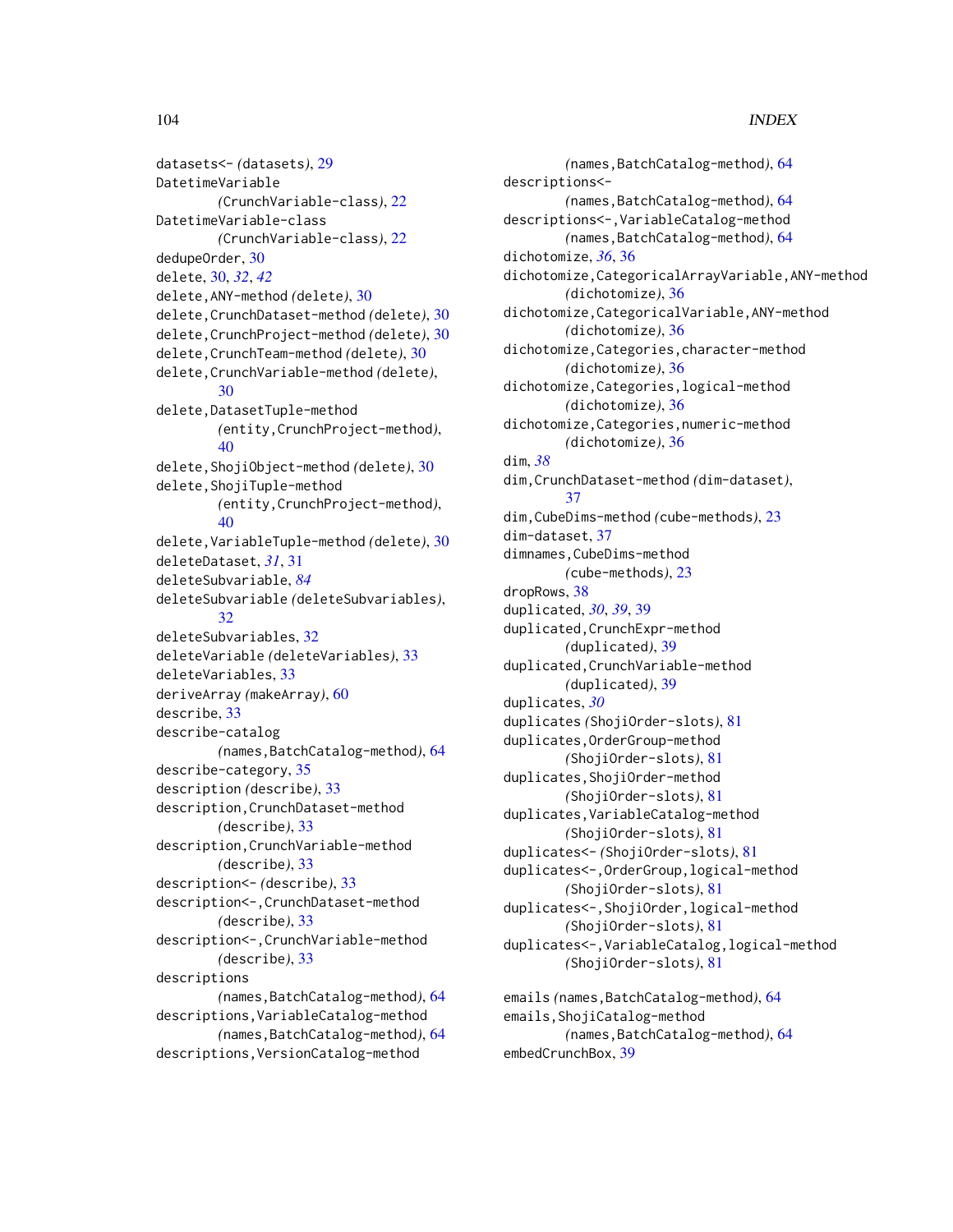datasets<- *(*datasets*)*, [29](#page-28-0) DatetimeVariable *(*CrunchVariable-class*)*, [22](#page-21-0) DatetimeVariable-class *(*CrunchVariable-class*)*, [22](#page-21-0) dedupeOrder, [30](#page-29-0) delete, [30,](#page-29-0) *[32](#page-31-1)*, *[42](#page-41-0)* delete,ANY-method *(*delete*)*, [30](#page-29-0) delete,CrunchDataset-method *(*delete*)*, [30](#page-29-0) delete,CrunchProject-method *(*delete*)*, [30](#page-29-0) delete,CrunchTeam-method *(*delete*)*, [30](#page-29-0) delete,CrunchVariable-method *(*delete*)*, [30](#page-29-0) delete,DatasetTuple-method *(*entity,CrunchProject-method*)*, [40](#page-39-0) delete,ShojiObject-method *(*delete*)*, [30](#page-29-0) delete,ShojiTuple-method *(*entity,CrunchProject-method*)*,  $40$ delete,VariableTuple-method *(*delete*)*, [30](#page-29-0) deleteDataset, *[31](#page-30-0)*, [31](#page-30-0) deleteSubvariable, *[84](#page-83-1)* deleteSubvariable *(*deleteSubvariables*)*, [32](#page-31-1) deleteSubvariables, [32](#page-31-1) deleteVariable *(*deleteVariables*)*, [33](#page-32-0) deleteVariables, [33](#page-32-0) deriveArray *(*makeArray*)*, [60](#page-59-0) describe, [33](#page-32-0) describe-catalog *(*names,BatchCatalog-method*)*, [64](#page-63-1) describe-category, [35](#page-34-0) description *(*describe*)*, [33](#page-32-0) description,CrunchDataset-method *(*describe*)*, [33](#page-32-0) description,CrunchVariable-method *(*describe*)*, [33](#page-32-0) description<- *(*describe*)*, [33](#page-32-0) description<-,CrunchDataset-method *(*describe*)*, [33](#page-32-0) description<-,CrunchVariable-method *(*describe*)*, [33](#page-32-0) descriptions *(*names,BatchCatalog-method*)*, [64](#page-63-1) descriptions,VariableCatalog-method *(*names,BatchCatalog-method*)*, [64](#page-63-1) descriptions,VersionCatalog-method

*(*names,BatchCatalog-method*)*, [64](#page-63-1) descriptions<- *(*names,BatchCatalog-method*)*, [64](#page-63-1) descriptions<-,VariableCatalog-method *(*names,BatchCatalog-method*)*, [64](#page-63-1) dichotomize, *[36](#page-35-0)*, [36](#page-35-0) dichotomize,CategoricalArrayVariable,ANY-method *(*dichotomize*)*, [36](#page-35-0) dichotomize,CategoricalVariable,ANY-method *(*dichotomize*)*, [36](#page-35-0) dichotomize,Categories,character-method *(*dichotomize*)*, [36](#page-35-0) dichotomize,Categories,logical-method *(*dichotomize*)*, [36](#page-35-0) dichotomize,Categories,numeric-method *(*dichotomize*)*, [36](#page-35-0) dim, *[38](#page-37-0)* dim,CrunchDataset-method *(*dim-dataset*)*, [37](#page-36-0) dim,CubeDims-method *(*cube-methods*)*, [23](#page-22-0) dim-dataset, [37](#page-36-0) dimnames,CubeDims-method *(*cube-methods*)*, [23](#page-22-0) dropRows, [38](#page-37-0) duplicated, *[30](#page-29-0)*, *[39](#page-38-0)*, [39](#page-38-0) duplicated,CrunchExpr-method *(*duplicated*)*, [39](#page-38-0) duplicated,CrunchVariable-method *(*duplicated*)*, [39](#page-38-0) duplicates, *[30](#page-29-0)* duplicates *(*ShojiOrder-slots*)*, [81](#page-80-0) duplicates,OrderGroup-method *(*ShojiOrder-slots*)*, [81](#page-80-0) duplicates,ShojiOrder-method *(*ShojiOrder-slots*)*, [81](#page-80-0) duplicates,VariableCatalog-method *(*ShojiOrder-slots*)*, [81](#page-80-0) duplicates<- *(*ShojiOrder-slots*)*, [81](#page-80-0) duplicates<-,OrderGroup,logical-method *(*ShojiOrder-slots*)*, [81](#page-80-0) duplicates<-,ShojiOrder,logical-method *(*ShojiOrder-slots*)*, [81](#page-80-0) duplicates<-,VariableCatalog,logical-method *(*ShojiOrder-slots*)*, [81](#page-80-0) emails *(*names,BatchCatalog-method*)*, [64](#page-63-1) emails,ShojiCatalog-method *(*names,BatchCatalog-method*)*, [64](#page-63-1) embedCrunchBox, [39](#page-38-0)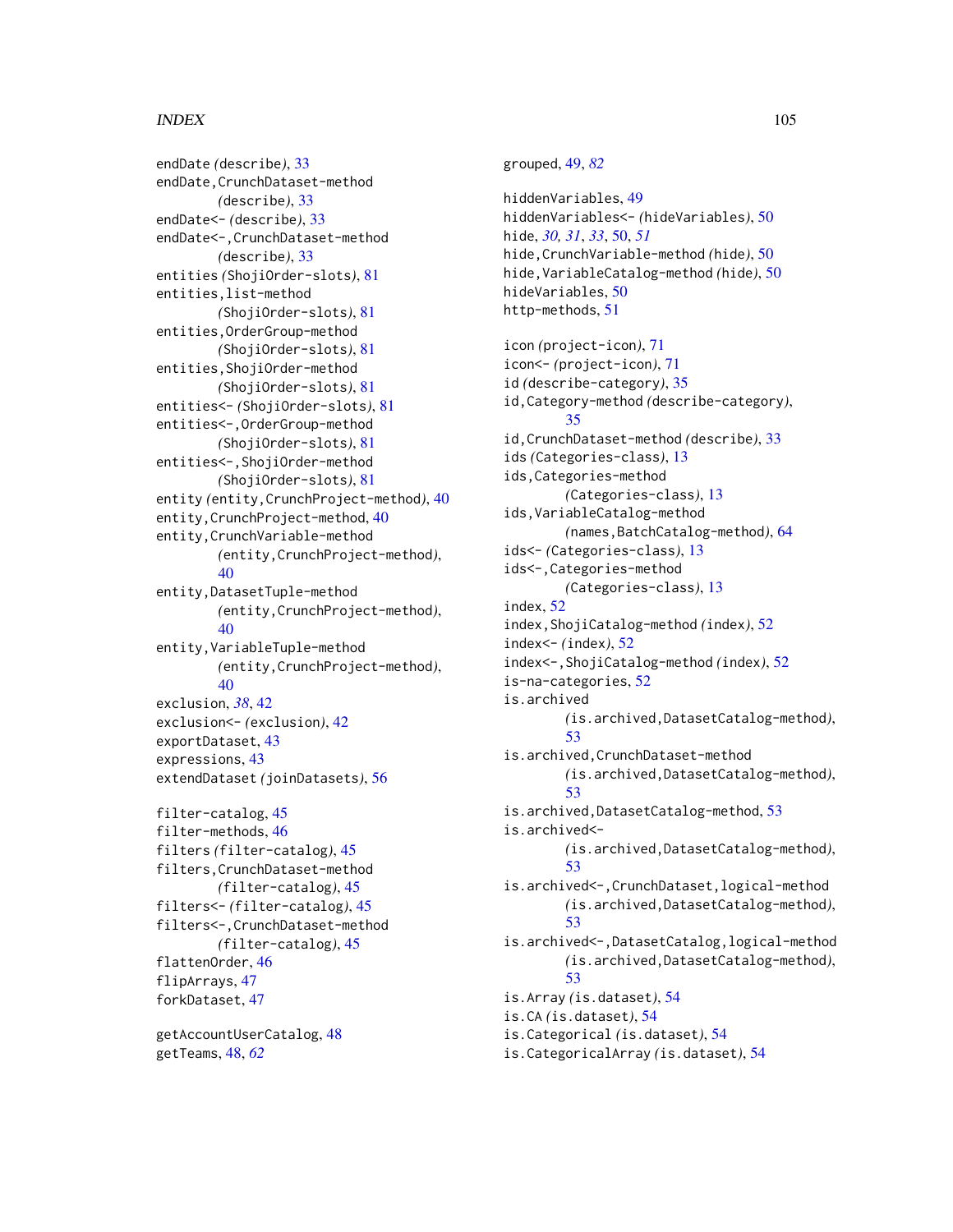endDate *(*describe*)*, [33](#page-32-0) endDate,CrunchDataset-method *(*describe*)*, [33](#page-32-0) endDate<- *(*describe*)*, [33](#page-32-0) endDate<-,CrunchDataset-method *(*describe*)*, [33](#page-32-0) entities *(*ShojiOrder-slots*)*, [81](#page-80-0) entities,list-method *(*ShojiOrder-slots*)*, [81](#page-80-0) entities,OrderGroup-method *(*ShojiOrder-slots*)*, [81](#page-80-0) entities,ShojiOrder-method *(*ShojiOrder-slots*)*, [81](#page-80-0) entities<- *(*ShojiOrder-slots*)*, [81](#page-80-0) entities<-,OrderGroup-method *(*ShojiOrder-slots*)*, [81](#page-80-0) entities<-,ShojiOrder-method *(*ShojiOrder-slots*)*, [81](#page-80-0) entity *(*entity,CrunchProject-method*)*, [40](#page-39-0) entity,CrunchProject-method, [40](#page-39-0) entity,CrunchVariable-method *(*entity,CrunchProject-method*)*, [40](#page-39-0) entity,DatasetTuple-method *(*entity,CrunchProject-method*)*, [40](#page-39-0) entity,VariableTuple-method *(*entity,CrunchProject-method*)*,  $40$ exclusion, *[38](#page-37-0)*, [42](#page-41-0) exclusion<- *(*exclusion*)*, [42](#page-41-0) exportDataset, [43](#page-42-0) expressions, [43](#page-42-0) extendDataset *(*joinDatasets*)*, [56](#page-55-0) filter-catalog, [45](#page-44-0) filter-methods, [46](#page-45-0) filters *(*filter-catalog*)*, [45](#page-44-0) filters,CrunchDataset-method *(*filter-catalog*)*, [45](#page-44-0) filters<- *(*filter-catalog*)*, [45](#page-44-0) filters<-,CrunchDataset-method *(*filter-catalog*)*, [45](#page-44-0) flattenOrder, [46](#page-45-0)

hide, *[30,](#page-29-0) [31](#page-30-0)*, *[33](#page-32-0)*, [50,](#page-49-0) *[51](#page-50-0)* hide,CrunchVariable-method *(*hide*)*, [50](#page-49-0) hide,VariableCatalog-method *(*hide*)*, [50](#page-49-0) hideVariables, [50](#page-49-0) http-methods, [51](#page-50-0) icon *(*project-icon*)*, [71](#page-70-0) icon<- *(*project-icon*)*, [71](#page-70-0) id *(*describe-category*)*, [35](#page-34-0) id,Category-method *(*describe-category*)*, [35](#page-34-0) id,CrunchDataset-method *(*describe*)*, [33](#page-32-0) ids *(*Categories-class*)*, [13](#page-12-0) ids,Categories-method *(*Categories-class*)*, [13](#page-12-0) ids,VariableCatalog-method *(*names,BatchCatalog-method*)*, [64](#page-63-1) ids<- *(*Categories-class*)*, [13](#page-12-0) ids<-,Categories-method *(*Categories-class*)*, [13](#page-12-0) index, [52](#page-51-0) index,ShojiCatalog-method *(*index*)*, [52](#page-51-0) index<- *(*index*)*, [52](#page-51-0) index<-,ShojiCatalog-method *(*index*)*, [52](#page-51-0) is-na-categories, [52](#page-51-0) is.archived *(*is.archived,DatasetCatalog-method*)*, [53](#page-52-0) is.archived,CrunchDataset-method *(*is.archived,DatasetCatalog-method*)*, [53](#page-52-0) is.archived,DatasetCatalog-method, [53](#page-52-0) is.archived<- *(*is.archived,DatasetCatalog-method*)*, [53](#page-52-0) is.archived<-,CrunchDataset,logical-method *(*is.archived,DatasetCatalog-method*)*, [53](#page-52-0) is.archived<-,DatasetCatalog,logical-method *(*is.archived,DatasetCatalog-method*)*, [53](#page-52-0) is.Array *(*is.dataset*)*, [54](#page-53-0)

grouped, [49,](#page-48-1) *[82](#page-81-0)*

hiddenVariables, [49](#page-48-1)

hiddenVariables<- *(*hideVariables*)*, [50](#page-49-0)

getAccountUserCatalog, [48](#page-47-0) getTeams, [48,](#page-47-0) *[62](#page-61-0)*

flipArrays, [47](#page-46-0) forkDataset, [47](#page-46-0)

is.CA *(*is.dataset*)*, [54](#page-53-0)

is.Categorical *(*is.dataset*)*, [54](#page-53-0)

is.CategoricalArray *(*is.dataset*)*, [54](#page-53-0)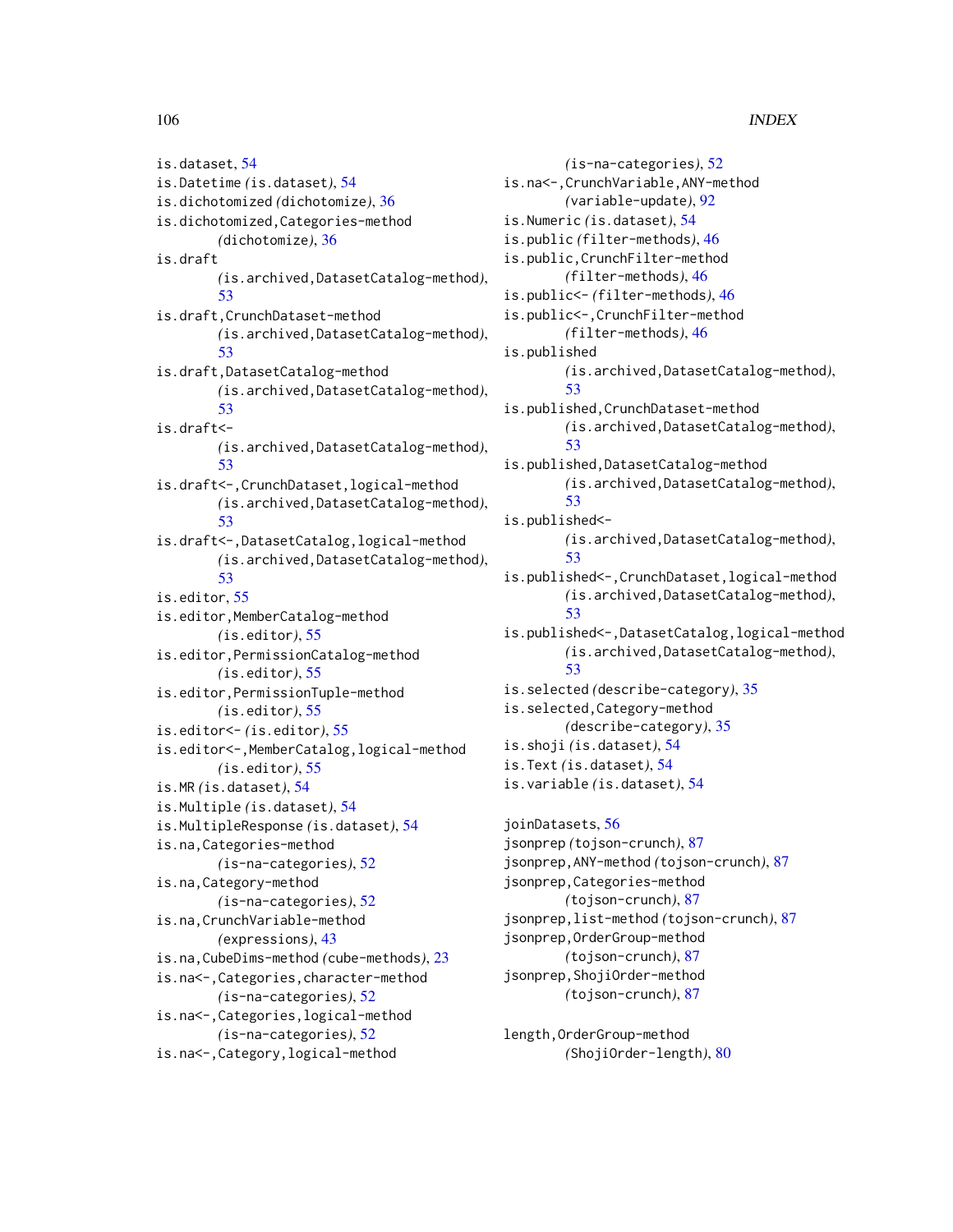is.dataset, [54](#page-53-0) is.Datetime *(*is.dataset*)*, [54](#page-53-0) is.dichotomized *(*dichotomize*)*, [36](#page-35-0) is.dichotomized,Categories-method *(*dichotomize*)*, [36](#page-35-0) is.draft *(*is.archived,DatasetCatalog-method*)*, [53](#page-52-0) is.draft,CrunchDataset-method *(*is.archived,DatasetCatalog-method*)*, [53](#page-52-0) is.draft,DatasetCatalog-method *(*is.archived,DatasetCatalog-method*)*, [53](#page-52-0) is.draft<- *(*is.archived,DatasetCatalog-method*)*, [53](#page-52-0) is.draft<-,CrunchDataset,logical-method *(*is.archived,DatasetCatalog-method*)*, [53](#page-52-0) is.draft<-,DatasetCatalog,logical-method *(*is.archived,DatasetCatalog-method*)*, [53](#page-52-0) is.editor, [55](#page-54-0) is.editor,MemberCatalog-method *(*is.editor*)*, [55](#page-54-0) is.editor,PermissionCatalog-method *(*is.editor*)*, [55](#page-54-0) is.editor,PermissionTuple-method *(*is.editor*)*, [55](#page-54-0) is.editor<- *(*is.editor*)*, [55](#page-54-0) is.editor<-,MemberCatalog,logical-method *(*is.editor*)*, [55](#page-54-0) is.MR *(*is.dataset*)*, [54](#page-53-0) is.Multiple *(*is.dataset*)*, [54](#page-53-0) is.MultipleResponse *(*is.dataset*)*, [54](#page-53-0) is.na,Categories-method *(*is-na-categories*)*, [52](#page-51-0) is.na,Category-method *(*is-na-categories*)*, [52](#page-51-0) is.na,CrunchVariable-method *(*expressions*)*, [43](#page-42-0) is.na,CubeDims-method *(*cube-methods*)*, [23](#page-22-0) is.na<-,Categories,character-method *(*is-na-categories*)*, [52](#page-51-0) is.na<-,Categories,logical-method *(*is-na-categories*)*, [52](#page-51-0) is.na<-,Category,logical-method

*(*is-na-categories*)*, [52](#page-51-0) is.na<-,CrunchVariable,ANY-method *(*variable-update*)*, [92](#page-91-0) is.Numeric *(*is.dataset*)*, [54](#page-53-0) is.public *(*filter-methods*)*, [46](#page-45-0) is.public,CrunchFilter-method *(*filter-methods*)*, [46](#page-45-0) is.public<- *(*filter-methods*)*, [46](#page-45-0) is.public<-,CrunchFilter-method *(*filter-methods*)*, [46](#page-45-0) is.published *(*is.archived,DatasetCatalog-method*)*, [53](#page-52-0) is.published,CrunchDataset-method *(*is.archived,DatasetCatalog-method*)*, [53](#page-52-0) is.published,DatasetCatalog-method *(*is.archived,DatasetCatalog-method*)*, [53](#page-52-0) is.published<- *(*is.archived,DatasetCatalog-method*)*, [53](#page-52-0) is.published<-,CrunchDataset,logical-method *(*is.archived,DatasetCatalog-method*)*, [53](#page-52-0) is.published<-,DatasetCatalog,logical-method *(*is.archived,DatasetCatalog-method*)*, [53](#page-52-0) is.selected *(*describe-category*)*, [35](#page-34-0) is.selected,Category-method *(*describe-category*)*, [35](#page-34-0) is.shoji *(*is.dataset*)*, [54](#page-53-0) is.Text *(*is.dataset*)*, [54](#page-53-0) is.variable *(*is.dataset*)*, [54](#page-53-0) joinDatasets, [56](#page-55-0) jsonprep *(*tojson-crunch*)*, [87](#page-86-1)

```
jsonprep,ANY-method (tojson-crunch), 87
jsonprep,Categories-method
        (tojson-crunch), 87
jsonprep,list-method (tojson-crunch), 87
jsonprep,OrderGroup-method
        (tojson-crunch), 87
jsonprep,ShojiOrder-method
        (tojson-crunch), 87
```
length,OrderGroup-method *(*ShojiOrder-length*)*, [80](#page-79-0)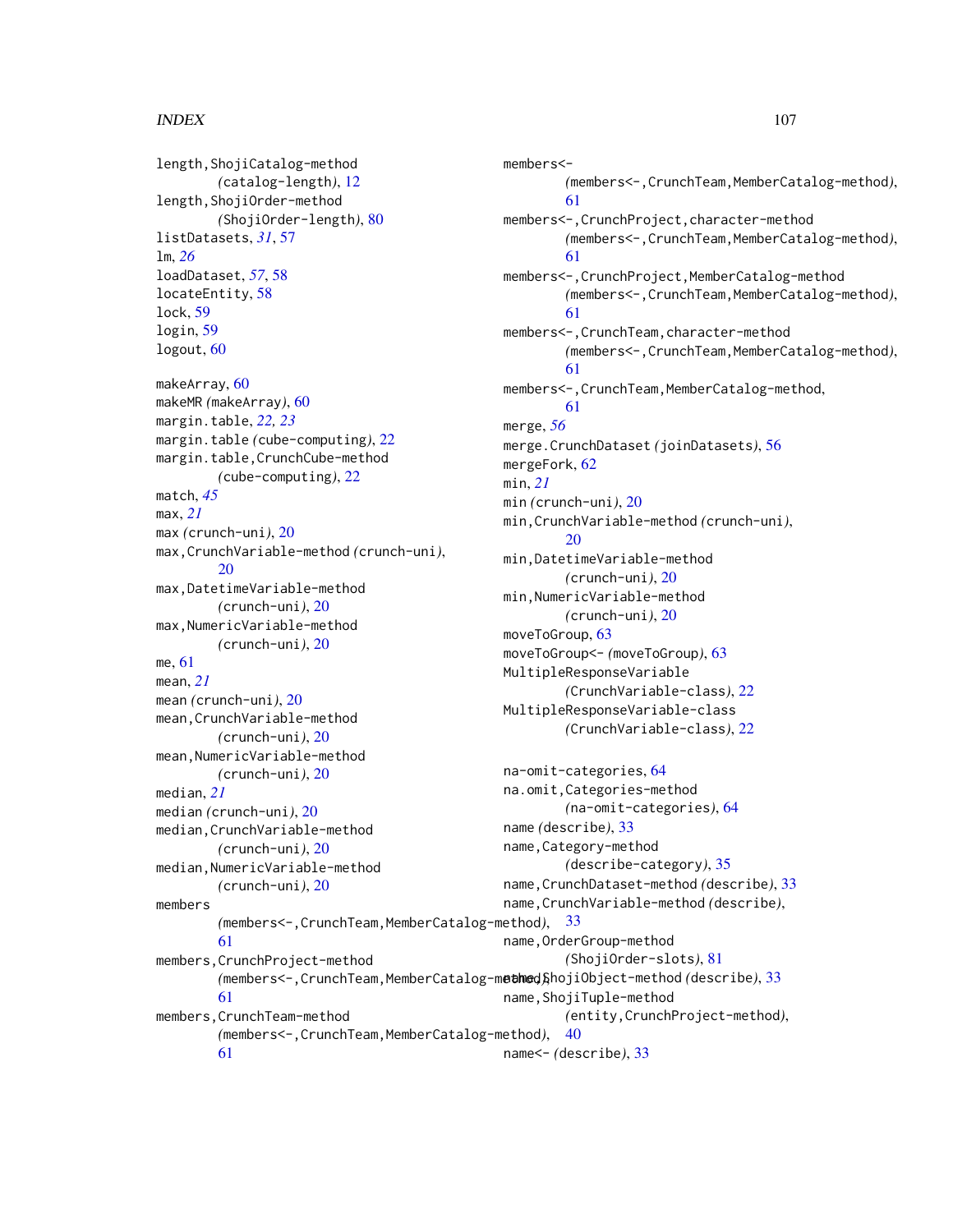length,ShojiCatalog-method *(*catalog-length*)*, [12](#page-11-0) length,ShojiOrder-method *(*ShojiOrder-length*)*, [80](#page-79-0) listDatasets, *[31](#page-30-0)*, [57](#page-56-0) lm, *[26](#page-25-0)* loadDataset, *[57](#page-56-0)*, [58](#page-57-0) locateEntity, [58](#page-57-0) lock, [59](#page-58-0) login, [59](#page-58-0) logout, [60](#page-59-0) makeArray, [60](#page-59-0) makeMR *(*makeArray*)*, [60](#page-59-0) margin.table, *[22,](#page-21-0) [23](#page-22-0)* margin.table *(*cube-computing*)*, [22](#page-21-0) margin.table,CrunchCube-method *(*cube-computing*)*, [22](#page-21-0) match, *[45](#page-44-0)* max, *[21](#page-20-0)* max *(*crunch-uni*)*, [20](#page-19-0) max,CrunchVariable-method *(*crunch-uni*)*, [20](#page-19-0) max,DatetimeVariable-method *(*crunch-uni*)*, [20](#page-19-0) max,NumericVariable-method *(*crunch-uni*)*, [20](#page-19-0) me, [61](#page-60-0) mean, *[21](#page-20-0)* mean *(*crunch-uni*)*, [20](#page-19-0) mean,CrunchVariable-method *(*crunch-uni*)*, [20](#page-19-0) mean,NumericVariable-method *(*crunch-uni*)*, [20](#page-19-0) median, *[21](#page-20-0)* median *(*crunch-uni*)*, [20](#page-19-0) median,CrunchVariable-method *(*crunch-uni*)*, [20](#page-19-0) median,NumericVariable-method *(*crunch-uni*)*, [20](#page-19-0) members *(*members<-,CrunchTeam,MemberCatalog-method*)*, [33](#page-32-0) [61](#page-60-0) members,CrunchProject-method [61](#page-60-0) members,CrunchTeam-method *(*members<-,CrunchTeam,MemberCatalog-method*)*,

[61](#page-60-0)

members<- *(*members<-,CrunchTeam,MemberCatalog-method*)*, [61](#page-60-0) members<-,CrunchProject,character-method *(*members<-,CrunchTeam,MemberCatalog-method*)*, [61](#page-60-0) members<-,CrunchProject,MemberCatalog-method *(*members<-,CrunchTeam,MemberCatalog-method*)*, [61](#page-60-0) members<-,CrunchTeam,character-method *(*members<-,CrunchTeam,MemberCatalog-method*)*, [61](#page-60-0) members<-,CrunchTeam,MemberCatalog-method, [61](#page-60-0) merge, *[56](#page-55-0)* merge.CrunchDataset *(*joinDatasets*)*, [56](#page-55-0) mergeFork, [62](#page-61-0) min, *[21](#page-20-0)* min *(*crunch-uni*)*, [20](#page-19-0) min,CrunchVariable-method *(*crunch-uni*)*, [20](#page-19-0) min,DatetimeVariable-method *(*crunch-uni*)*, [20](#page-19-0) min,NumericVariable-method *(*crunch-uni*)*, [20](#page-19-0) moveToGroup, [63](#page-62-0) moveToGroup<- *(*moveToGroup*)*, [63](#page-62-0) MultipleResponseVariable *(*CrunchVariable-class*)*, [22](#page-21-0) MultipleResponseVariable-class *(*CrunchVariable-class*)*, [22](#page-21-0) na-omit-categories, [64](#page-63-1) na.omit,Categories-method *(*na-omit-categories*)*, [64](#page-63-1)

*(*members<-,CrunchTeam,MemberCatalog-method*)*, name,ShojiObject-method *(*describe*)*, [33](#page-32-0) name *(*describe*)*, [33](#page-32-0) name,Category-method *(*describe-category*)*, [35](#page-34-0) name,CrunchDataset-method *(*describe*)*, [33](#page-32-0) name,CrunchVariable-method *(*describe*)*, name,OrderGroup-method *(*ShojiOrder-slots*)*, [81](#page-80-0) name,ShojiTuple-method *(*entity,CrunchProject-method*)*, [40](#page-39-0) name<- *(*describe*)*, [33](#page-32-0)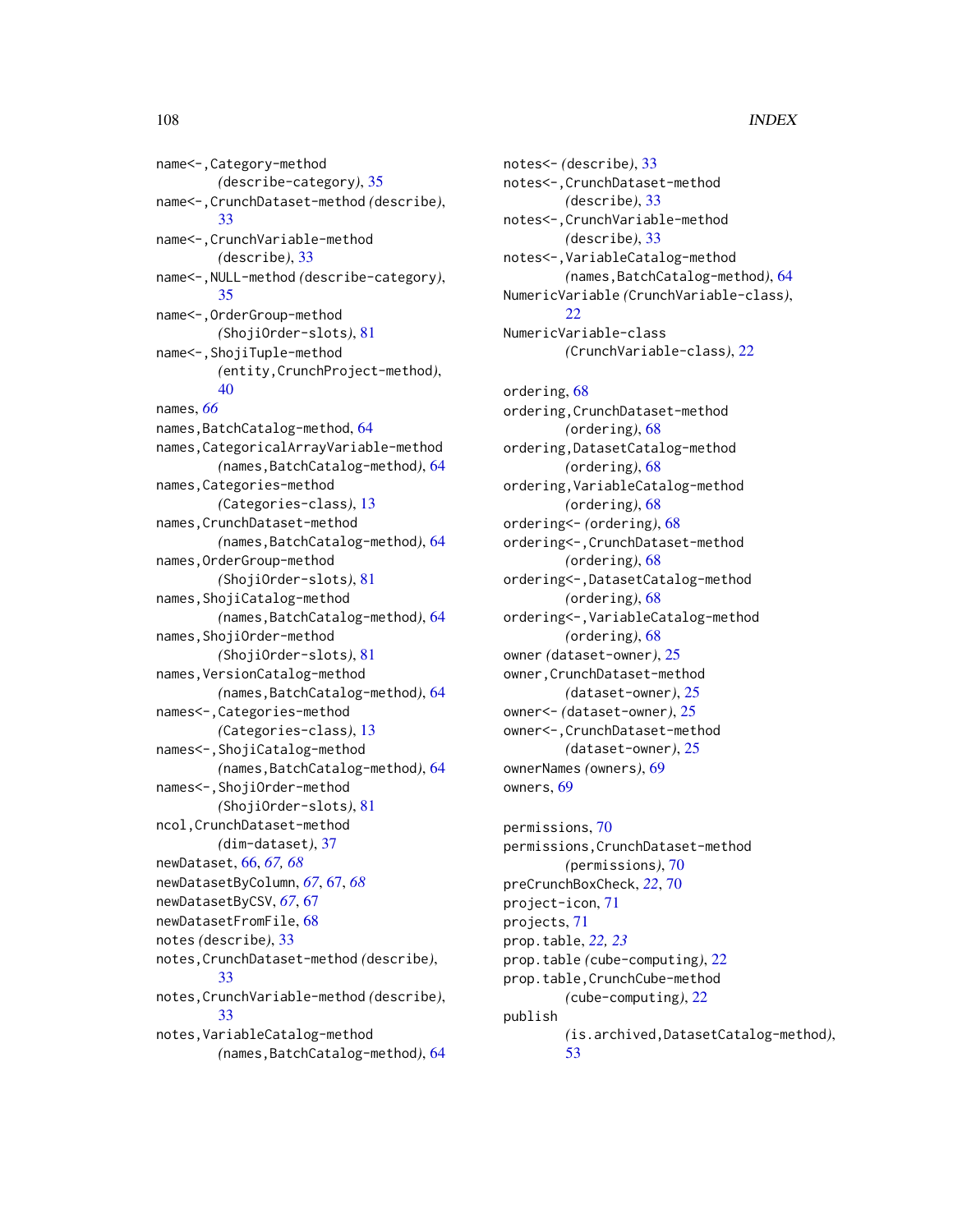name<-,Category-method *(*describe-category*)*, [35](#page-34-0) name<-,CrunchDataset-method *(*describe*)*, [33](#page-32-0) name<-,CrunchVariable-method *(*describe*)*, [33](#page-32-0) name<-,NULL-method *(*describe-category*)*, [35](#page-34-0) name<-,OrderGroup-method *(*ShojiOrder-slots*)*, [81](#page-80-0) name<-,ShojiTuple-method *(*entity,CrunchProject-method*)*, [40](#page-39-0) names, *[66](#page-65-0)* names,BatchCatalog-method, [64](#page-63-1) names,CategoricalArrayVariable-method *(*names,BatchCatalog-method*)*, [64](#page-63-1) names,Categories-method *(*Categories-class*)*, [13](#page-12-0) names,CrunchDataset-method *(*names,BatchCatalog-method*)*, [64](#page-63-1) names,OrderGroup-method *(*ShojiOrder-slots*)*, [81](#page-80-0) names,ShojiCatalog-method *(*names,BatchCatalog-method*)*, [64](#page-63-1) names,ShojiOrder-method *(*ShojiOrder-slots*)*, [81](#page-80-0) names,VersionCatalog-method *(*names,BatchCatalog-method*)*, [64](#page-63-1) names<-,Categories-method *(*Categories-class*)*, [13](#page-12-0) names<-,ShojiCatalog-method *(*names,BatchCatalog-method*)*, [64](#page-63-1) names<-,ShojiOrder-method *(*ShojiOrder-slots*)*, [81](#page-80-0) ncol,CrunchDataset-method *(*dim-dataset*)*, [37](#page-36-0) newDataset, [66,](#page-65-0) *[67,](#page-66-0) [68](#page-67-0)* newDatasetByColumn, *[67](#page-66-0)*, [67,](#page-66-0) *[68](#page-67-0)* newDatasetByCSV, *[67](#page-66-0)*, [67](#page-66-0) newDatasetFromFile, [68](#page-67-0) notes *(*describe*)*, [33](#page-32-0) notes,CrunchDataset-method *(*describe*)*, [33](#page-32-0) notes,CrunchVariable-method *(*describe*)*, [33](#page-32-0) notes,VariableCatalog-method *(*names,BatchCatalog-method*)*, [64](#page-63-1)

notes<- *(*describe*)*, [33](#page-32-0) notes<-,CrunchDataset-method *(*describe*)*, [33](#page-32-0) notes<-,CrunchVariable-method *(*describe*)*, [33](#page-32-0) notes<-,VariableCatalog-method *(*names,BatchCatalog-method*)*, [64](#page-63-1) NumericVariable *(*CrunchVariable-class*)*,  $22$ NumericVariable-class *(*CrunchVariable-class*)*, [22](#page-21-0) ordering, [68](#page-67-0) ordering,CrunchDataset-method *(*ordering*)*, [68](#page-67-0) ordering,DatasetCatalog-method *(*ordering*)*, [68](#page-67-0) ordering,VariableCatalog-method *(*ordering*)*, [68](#page-67-0) ordering<- *(*ordering*)*, [68](#page-67-0) ordering<-,CrunchDataset-method *(*ordering*)*, [68](#page-67-0) ordering<-,DatasetCatalog-method *(*ordering*)*, [68](#page-67-0) ordering<-,VariableCatalog-method *(*ordering*)*, [68](#page-67-0) owner *(*dataset-owner*)*, [25](#page-24-0) owner,CrunchDataset-method *(*dataset-owner*)*, [25](#page-24-0) owner<- *(*dataset-owner*)*, [25](#page-24-0) owner<-,CrunchDataset-method *(*dataset-owner*)*, [25](#page-24-0) ownerNames *(*owners*)*, [69](#page-68-0) owners, [69](#page-68-0)

permissions, [70](#page-69-0) permissions,CrunchDataset-method *(*permissions*)*, [70](#page-69-0) preCrunchBoxCheck, *[22](#page-21-0)*, [70](#page-69-0) project-icon, [71](#page-70-0) projects, [71](#page-70-0) prop.table, *[22,](#page-21-0) [23](#page-22-0)* prop.table *(*cube-computing*)*, [22](#page-21-0) prop.table,CrunchCube-method *(*cube-computing*)*, [22](#page-21-0) publish *(*is.archived,DatasetCatalog-method*)*, [53](#page-52-0)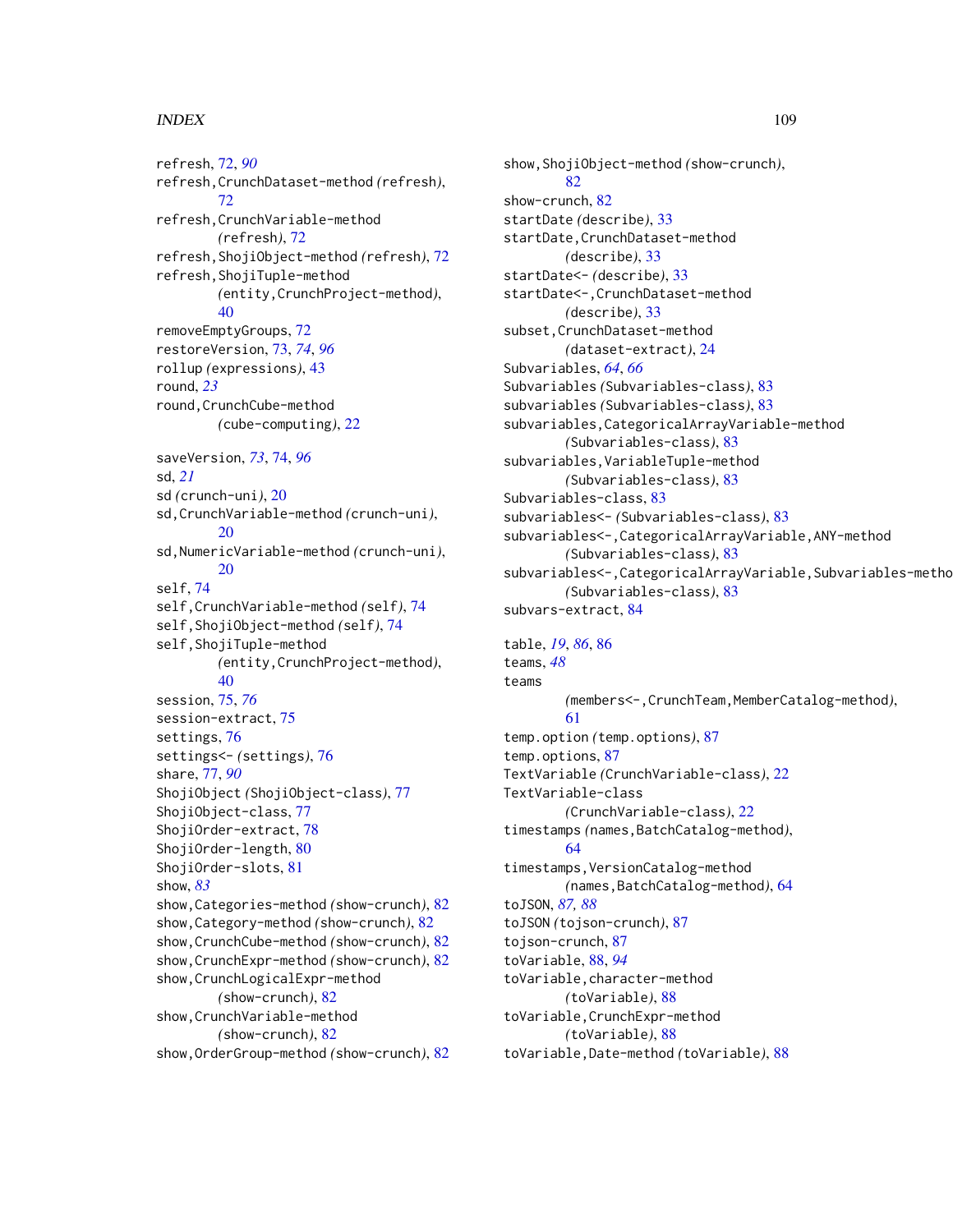## INDEX 109

refresh, [72,](#page-71-0) *[90](#page-89-0)* refresh,CrunchDataset-method *(*refresh*)*, [72](#page-71-0) refresh,CrunchVariable-method *(*refresh*)*, [72](#page-71-0) refresh,ShojiObject-method *(*refresh*)*, [72](#page-71-0) refresh,ShojiTuple-method *(*entity,CrunchProject-method*)*, [40](#page-39-0) removeEmptyGroups, [72](#page-71-0) restoreVersion, [73,](#page-72-0) *[74](#page-73-0)*, *[96](#page-95-0)* rollup *(*expressions*)*, [43](#page-42-0) round, *[23](#page-22-0)* round,CrunchCube-method *(*cube-computing*)*, [22](#page-21-0) saveVersion, *[73](#page-72-0)*, [74,](#page-73-0) *[96](#page-95-0)* sd, *[21](#page-20-0)* sd *(*crunch-uni*)*, [20](#page-19-0) sd,CrunchVariable-method *(*crunch-uni*)*, [20](#page-19-0) sd,NumericVariable-method *(*crunch-uni*)*, [20](#page-19-0) self, [74](#page-73-0) self,CrunchVariable-method *(*self*)*, [74](#page-73-0) self,ShojiObject-method *(*self*)*, [74](#page-73-0) self,ShojiTuple-method *(*entity,CrunchProject-method*)*, [40](#page-39-0) session, [75,](#page-74-0) *[76](#page-75-0)* session-extract, [75](#page-74-0) settings, [76](#page-75-0) settings<- *(*settings*)*, [76](#page-75-0) share, [77,](#page-76-0) *[90](#page-89-0)* ShojiObject *(*ShojiObject-class*)*, [77](#page-76-0) ShojiObject-class, [77](#page-76-0) ShojiOrder-extract, [78](#page-77-0) ShojiOrder-length, [80](#page-79-0) ShojiOrder-slots, [81](#page-80-0) show, *[83](#page-82-0)* show,Categories-method *(*show-crunch*)*, [82](#page-81-0) show,Category-method *(*show-crunch*)*, [82](#page-81-0) show,CrunchCube-method *(*show-crunch*)*, [82](#page-81-0) show,CrunchExpr-method *(*show-crunch*)*, [82](#page-81-0) show,CrunchLogicalExpr-method *(*show-crunch*)*, [82](#page-81-0) show,CrunchVariable-method *(*show-crunch*)*, [82](#page-81-0) show,OrderGroup-method *(*show-crunch*)*, [82](#page-81-0) show,ShojiObject-method *(*show-crunch*)*, [82](#page-81-0) show-crunch, [82](#page-81-0) startDate *(*describe*)*, [33](#page-32-0) startDate,CrunchDataset-method *(*describe*)*, [33](#page-32-0) startDate<- *(*describe*)*, [33](#page-32-0) startDate<-,CrunchDataset-method *(*describe*)*, [33](#page-32-0) subset,CrunchDataset-method *(*dataset-extract*)*, [24](#page-23-0) Subvariables, *[64](#page-63-0)*, *[66](#page-65-0)* Subvariables *(*Subvariables-class*)*, [83](#page-82-0) subvariables *(*Subvariables-class*)*, [83](#page-82-0) subvariables,CategoricalArrayVariable-method *(*Subvariables-class*)*, [83](#page-82-0) subvariables,VariableTuple-method *(*Subvariables-class*)*, [83](#page-82-0) Subvariables-class, [83](#page-82-0) subvariables<- *(*Subvariables-class*)*, [83](#page-82-0) subvariables<-,CategoricalArrayVariable,ANY-method *(*Subvariables-class*)*, [83](#page-82-0) subvariables<-,CategoricalArrayVariable,Subvariables-metho *(*Subvariables-class*)*, [83](#page-82-0) subvars-extract, [84](#page-83-0)

table, *[19](#page-18-0)*, *[86](#page-85-0)*, [86](#page-85-0) teams, *[48](#page-47-0)* teams *(*members<-,CrunchTeam,MemberCatalog-method*)*, [61](#page-60-0) temp.option *(*temp.options*)*, [87](#page-86-0) temp.options, [87](#page-86-0) TextVariable *(*CrunchVariable-class*)*, [22](#page-21-0) TextVariable-class *(*CrunchVariable-class*)*, [22](#page-21-0) timestamps *(*names,BatchCatalog-method*)*, [64](#page-63-0) timestamps,VersionCatalog-method *(*names,BatchCatalog-method*)*, [64](#page-63-0) toJSON, *[87,](#page-86-0) [88](#page-87-0)* toJSON *(*tojson-crunch*)*, [87](#page-86-0) tojson-crunch, [87](#page-86-0) toVariable, [88,](#page-87-0) *[94](#page-93-0)* toVariable,character-method *(*toVariable*)*, [88](#page-87-0) toVariable,CrunchExpr-method *(*toVariable*)*, [88](#page-87-0) toVariable,Date-method *(*toVariable*)*, [88](#page-87-0)